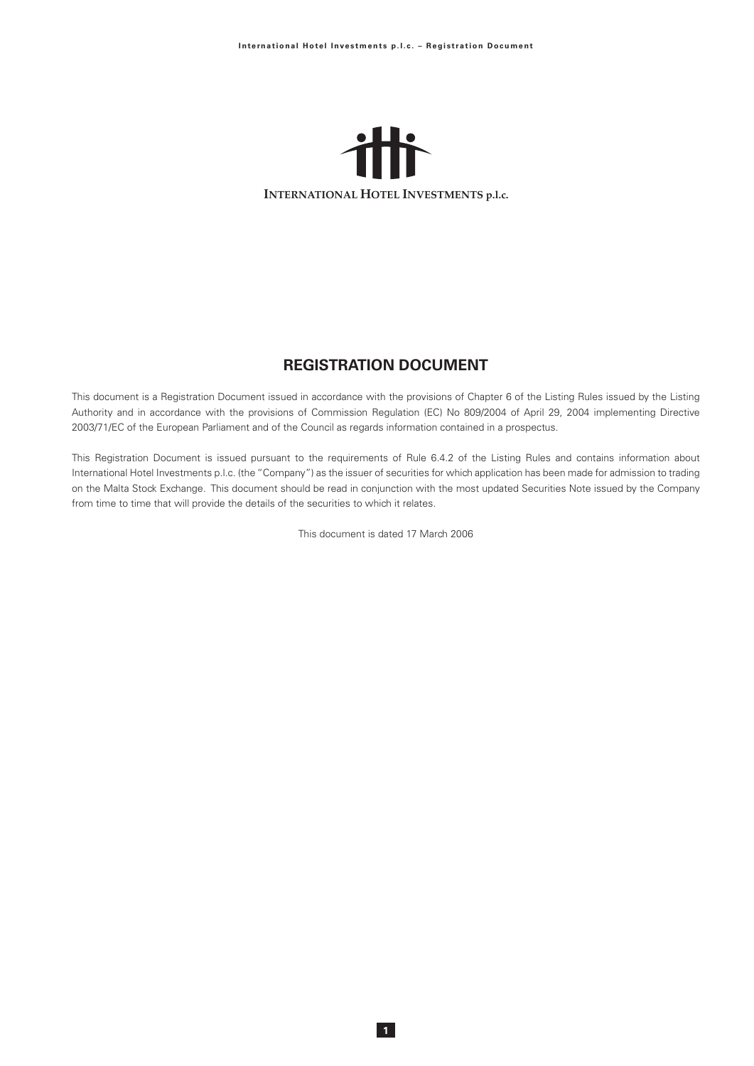

# **REGISTRATION DOCUMENT**

This document is a Registration Document issued in accordance with the provisions of Chapter 6 of the Listing Rules issued by the Listing Authority and in accordance with the provisions of Commission Regulation (EC) No 809/2004 of April 29, 2004 implementing Directive 2003/71/EC of the European Parliament and of the Council as regards information contained in a prospectus.

This Registration Document is issued pursuant to the requirements of Rule 6.4.2 of the Listing Rules and contains information about International Hotel Investments p.l.c. (the "Company") as the issuer of securities for which application has been made for admission to trading on the Malta Stock Exchange. This document should be read in conjunction with the most updated Securities Note issued by the Company from time to time that will provide the details of the securities to which it relates.

This document is dated 17 March 2006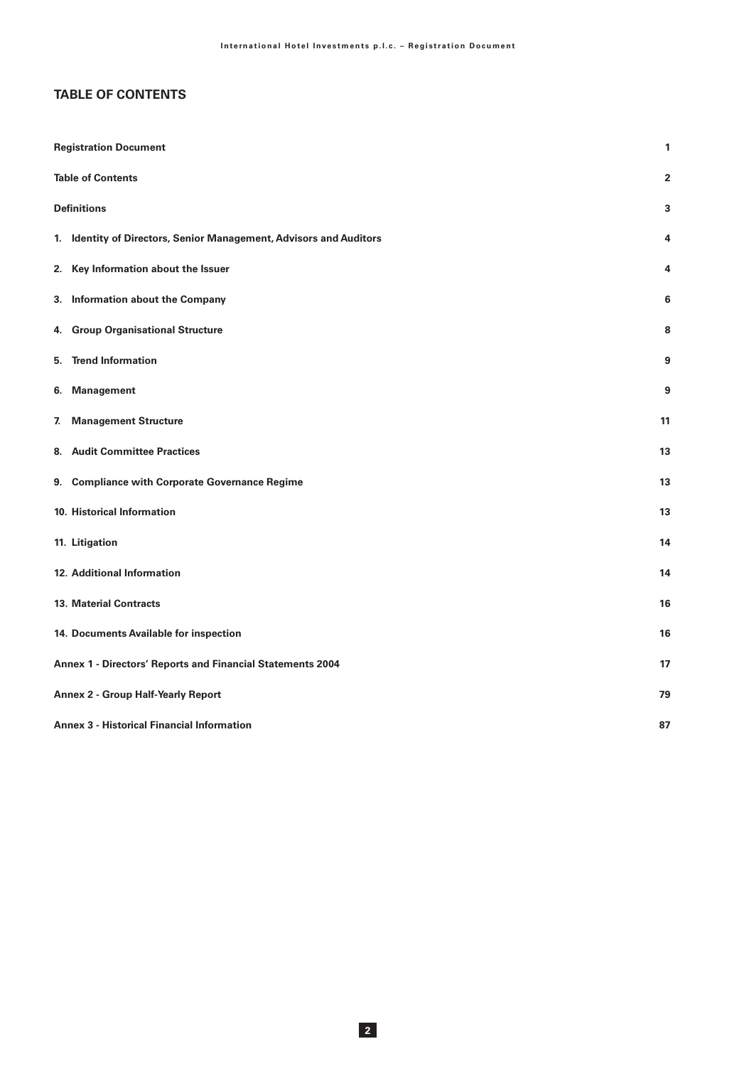# **TABLE OF CONTENTS**

| <b>Registration Document</b>                                       | 1              |
|--------------------------------------------------------------------|----------------|
| <b>Table of Contents</b>                                           | $\overline{2}$ |
| <b>Definitions</b>                                                 | 3              |
| 1. Identity of Directors, Senior Management, Advisors and Auditors | 4              |
| 2. Key Information about the Issuer                                | 4              |
| 3. Information about the Company                                   | 6              |
| 4. Group Organisational Structure                                  | 8              |
| 5. Trend Information                                               | 9              |
| <b>Management</b><br>6.                                            | 9              |
| <b>Management Structure</b><br>7.                                  | 11             |
| 8. Audit Committee Practices                                       | 13             |
| 9. Compliance with Corporate Governance Regime                     | 13             |
| 10. Historical Information                                         | 13             |
| 11. Litigation                                                     | 14             |
| 12. Additional Information                                         | 14             |
| <b>13. Material Contracts</b>                                      | 16             |
| 14. Documents Available for inspection                             | 16             |
| Annex 1 - Directors' Reports and Financial Statements 2004         | 17             |
| <b>Annex 2 - Group Half-Yearly Report</b>                          | 79             |
| <b>Annex 3 - Historical Financial Information</b>                  | 87             |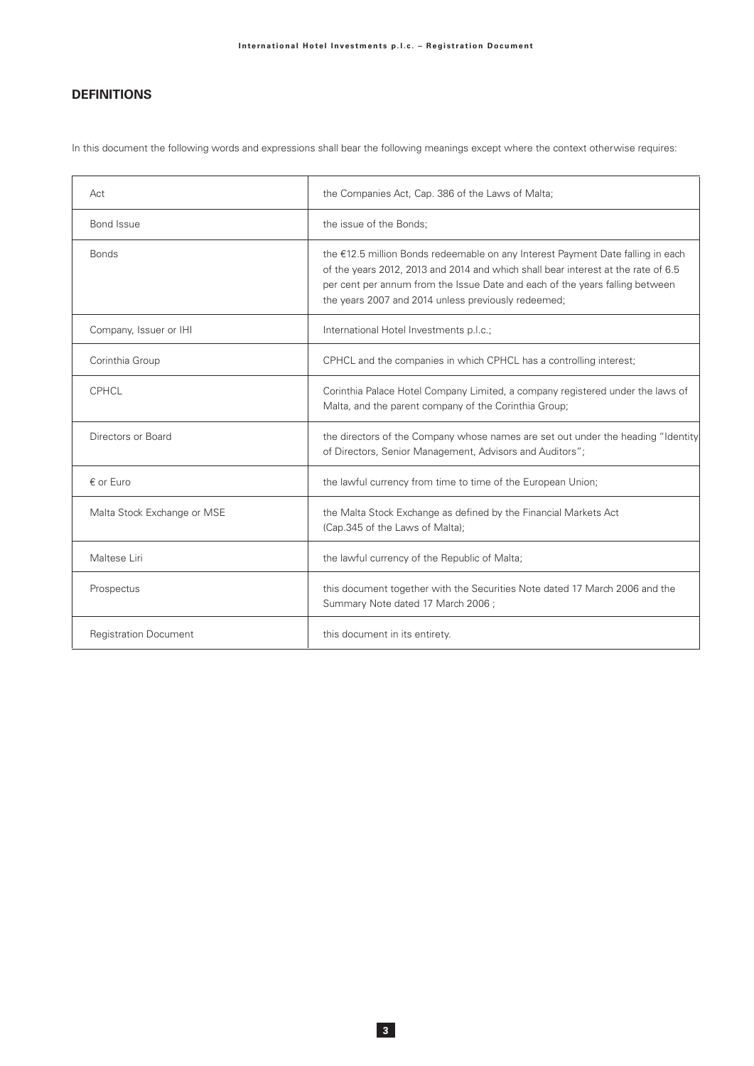# **DEFINITIONS**

In this document the following words and expressions shall bear the following meanings except where the context otherwise requires:

| Act                          | the Companies Act, Cap. 386 of the Laws of Malta;                                                                                                                                                                                                                                                           |
|------------------------------|-------------------------------------------------------------------------------------------------------------------------------------------------------------------------------------------------------------------------------------------------------------------------------------------------------------|
| Bond Issue                   | the issue of the Bonds;                                                                                                                                                                                                                                                                                     |
| <b>Bonds</b>                 | the €12.5 million Bonds redeemable on any Interest Payment Date falling in each<br>of the years 2012, 2013 and 2014 and which shall bear interest at the rate of 6.5<br>per cent per annum from the Issue Date and each of the years falling between<br>the years 2007 and 2014 unless previously redeemed; |
| Company, Issuer or IHI       | International Hotel Investments p.l.c.;                                                                                                                                                                                                                                                                     |
| Corinthia Group              | CPHCL and the companies in which CPHCL has a controlling interest;                                                                                                                                                                                                                                          |
| CPHCL                        | Corinthia Palace Hotel Company Limited, a company registered under the laws of<br>Malta, and the parent company of the Corinthia Group;                                                                                                                                                                     |
| Directors or Board           | the directors of the Company whose names are set out under the heading "Identity"<br>of Directors, Senior Management, Advisors and Auditors";                                                                                                                                                               |
| € or Euro                    | the lawful currency from time to time of the European Union;                                                                                                                                                                                                                                                |
| Malta Stock Exchange or MSE  | the Malta Stock Exchange as defined by the Financial Markets Act<br>(Cap.345 of the Laws of Malta);                                                                                                                                                                                                         |
| Maltese Liri                 | the lawful currency of the Republic of Malta;                                                                                                                                                                                                                                                               |
| Prospectus                   | this document together with the Securities Note dated 17 March 2006 and the<br>Summary Note dated 17 March 2006;                                                                                                                                                                                            |
| <b>Registration Document</b> | this document in its entirety.                                                                                                                                                                                                                                                                              |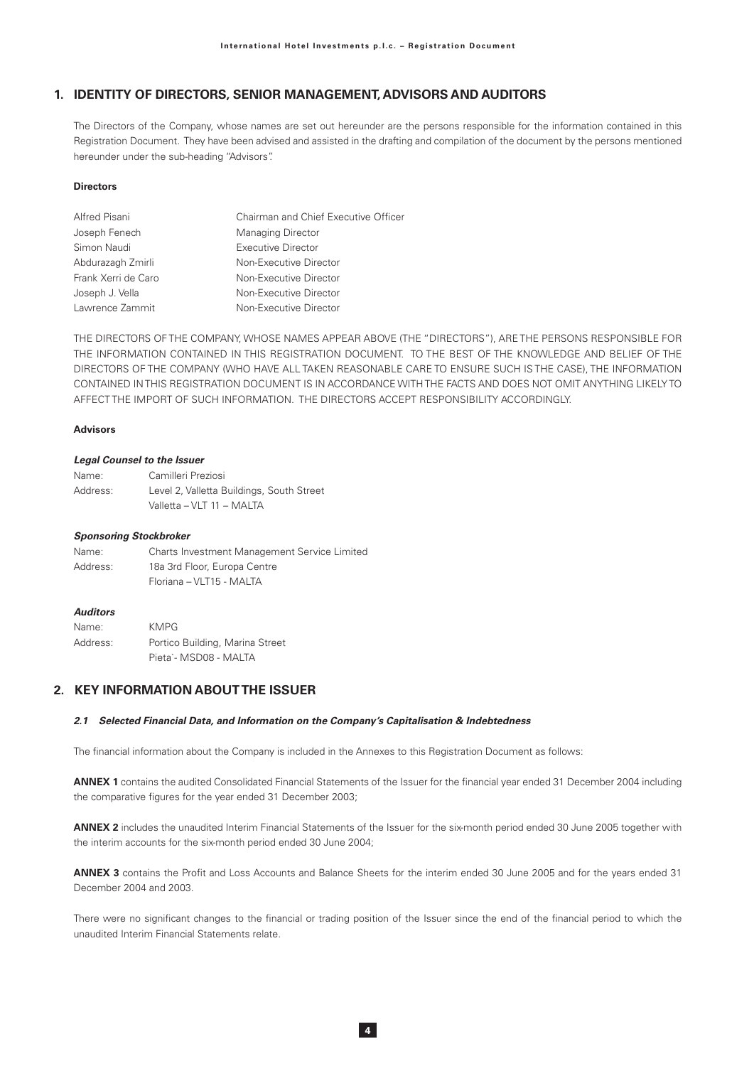# 1. IDENTITY OF DIRECTORS, SENIOR MANAGEMENT, ADVISORS AND AUDITORS

The Directors of the Company, whose names are set out hereunder are the persons responsible for the information contained in this Registration Document. They have been advised and assisted in the drafting and compilation of the document by the persons mentioned hereunder under the sub-heading "Advisors".

### **Directors**

| Alfred Pisani       | Chairman and Chief Executive Officer |  |
|---------------------|--------------------------------------|--|
| Joseph Fenech       | <b>Managing Director</b>             |  |
| Simon Naudi         | <b>Executive Director</b>            |  |
| Abdurazagh Zmirli   | Non-Executive Director               |  |
| Frank Xerri de Caro | Non-Executive Director               |  |
| Joseph J. Vella     | Non-Executive Director               |  |
| Lawrence Zammit     | Non-Executive Director               |  |

THE DIRECTORS OF THE COMPANY, WHOSE NAMES APPEAR ABOVE (THE "DIRECTORS"), ARE THE PERSONS RESPONSIBLE FOR THE INFORMATION CONTAINED IN THIS REGISTRATION DOCUMENT. TO THE BEST OF THE KNOWLEDGE AND BELIEF OF THE DIRECTORS OF THE COMPANY (WHO HAVE ALL TAKEN REASONABLE CARE TO ENSURE SUCH IS THE CASE), THE INFORMATION CONTAINED IN THIS REGISTRATION DOCUMENT IS IN ACCORDANCE WITH THE FACTS AND DOES NOT OMIT ANYTHING LIKELY TO AFFECT THE IMPORT OF SUCH INFORMATION. THE DIRECTORS ACCEPT RESPONSIBILITY ACCORDINGLY.

## **Advisors**

#### **Legal Counsel to the Issuer**

| Name:    | Camilleri Preziosi                        |
|----------|-------------------------------------------|
| Address: | Level 2, Valletta Buildings, South Street |
|          | Valletta - VLT 11 - MALTA                 |

### **Sponsoring Stockbroker**

| Name:    | <b>Charts Investment Management Service Limited</b> |
|----------|-----------------------------------------------------|
| Address: | 18a 3rd Floor, Europa Centre                        |
|          | Floriana - VLT15 - MALTA                            |

### **Auditors**

| Name:    | <b>KMPG</b>                     |
|----------|---------------------------------|
| Address: | Portico Building, Marina Street |
|          | Pieta`- MSD08 - MALTA           |

# 2. KEY INFORMATION ABOUT THE ISSUER

### 2.1 Selected Financial Data, and Information on the Company's Capitalisation & Indebtedness

The financial information about the Company is included in the Annexes to this Registration Document as follows:

ANNEX 1 contains the audited Consolidated Financial Statements of the Issuer for the financial year ended 31 December 2004 including the comparative figures for the year ended 31 December 2003;

ANNEX 2 includes the unaudited Interim Financial Statements of the Issuer for the six-month period ended 30 June 2005 together with the interim accounts for the six-month period ended 30 June 2004;

ANNEX 3 contains the Profit and Loss Accounts and Balance Sheets for the interim ended 30 June 2005 and for the years ended 31 December 2004 and 2003.

There were no significant changes to the financial or trading position of the Issuer since the end of the financial period to which the unaudited Interim Financial Statements relate.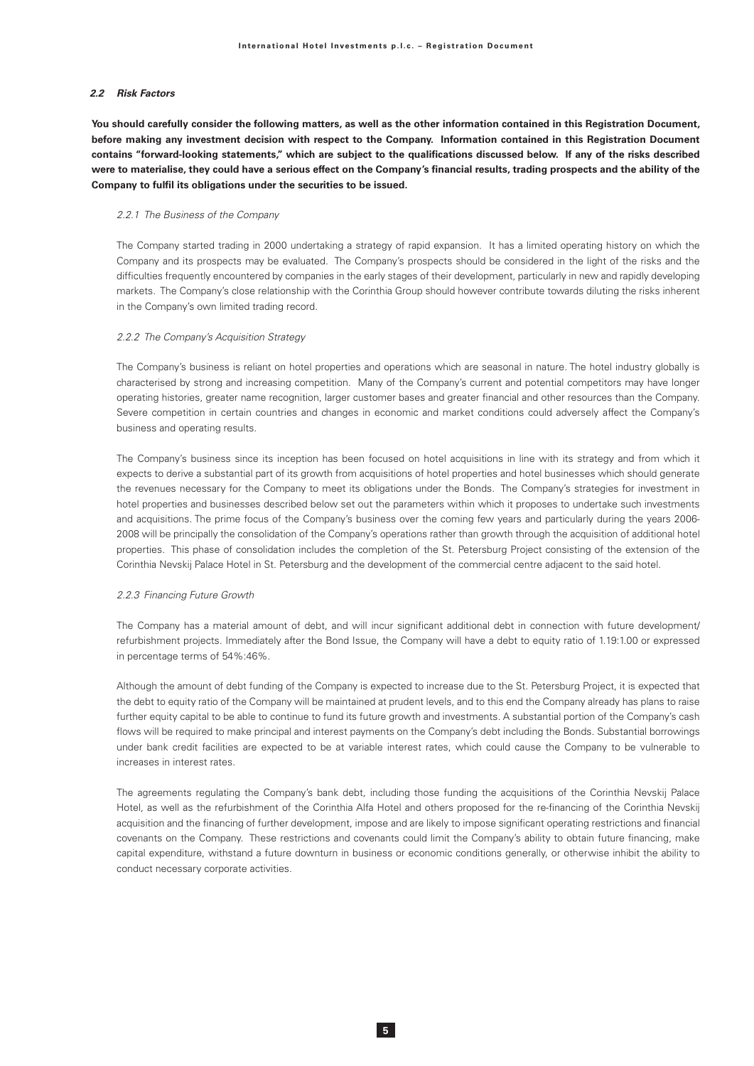### 2.2 Risk Factors

You should carefully consider the following matters, as well as the other information contained in this Registration Document, before making any investment decision with respect to the Company. Information contained in this Registration Document contains "forward-looking statements," which are subject to the qualifications discussed below. If any of the risks described were to materialise, they could have a serious effect on the Company's financial results, trading prospects and the ability of the Company to fulfil its obligations under the securities to be issued.

### 2.2.1 The Business of the Company

The Company started trading in 2000 undertaking a strategy of rapid expansion. It has a limited operating history on which the Company and its prospects may be evaluated. The Company's prospects should be considered in the light of the risks and the difficulties frequently encountered by companies in the early stages of their development, particularly in new and rapidly developing markets. The Company's close relationship with the Corinthia Group should however contribute towards diluting the risks inherent in the Company's own limited trading record.

### 2.2.2 The Company's Acquisition Strategy

The Company's business is reliant on hotel properties and operations which are seasonal in nature. The hotel industry globally is characterised by strong and increasing competition. Many of the Company's current and potential competitors may have longer operating histories, greater name recognition, larger customer bases and greater financial and other resources than the Company. Severe competition in certain countries and changes in economic and market conditions could adversely affect the Company's business and operating results.

The Company's business since its inception has been focused on hotel acquisitions in line with its strategy and from which it expects to derive a substantial part of its growth from acquisitions of hotel properties and hotel businesses which should generate the revenues necessary for the Company to meet its obligations under the Bonds. The Company's strategies for investment in hotel properties and businesses described below set out the parameters within which it proposes to undertake such investments and acquisitions. The prime focus of the Company's business over the coming few years and particularly during the years 2006-2008 will be principally the consolidation of the Company's operations rather than growth through the acquisition of additional hotel properties. This phase of consolidation includes the completion of the St. Petersburg Project consisting of the extension of the Corinthia Nevskij Palace Hotel in St. Petersburg and the development of the commercial centre adjacent to the said hotel.

#### 2.2.3 Financing Future Growth

The Company has a material amount of debt, and will incur significant additional debt in connection with future development/ refurbishment projects. Immediately after the Bond Issue, the Company will have a debt to equity ratio of 1.19:1.00 or expressed in percentage terms of 54%:46%.

Although the amount of debt funding of the Company is expected to increase due to the St. Petersburg Project, it is expected that the debt to equity ratio of the Company will be maintained at prudent levels, and to this end the Company already has plans to raise further equity capital to be able to continue to fund its future growth and investments. A substantial portion of the Company's cash flows will be required to make principal and interest payments on the Company's debt including the Bonds. Substantial borrowings under bank credit facilities are expected to be at variable interest rates, which could cause the Company to be vulnerable to increases in interest rates

The agreements regulating the Company's bank debt, including those funding the acquisitions of the Corinthia Nevskij Palace Hotel, as well as the refurbishment of the Corinthia Alfa Hotel and others proposed for the re-financing of the Corinthia Nevskij acquisition and the financing of further development, impose and are likely to impose significant operating restrictions and financial covenants on the Company. These restrictions and covenants could limit the Company's ability to obtain future financing, make capital expenditure, withstand a future downturn in business or economic conditions generally, or otherwise inhibit the ability to conduct necessary corporate activities.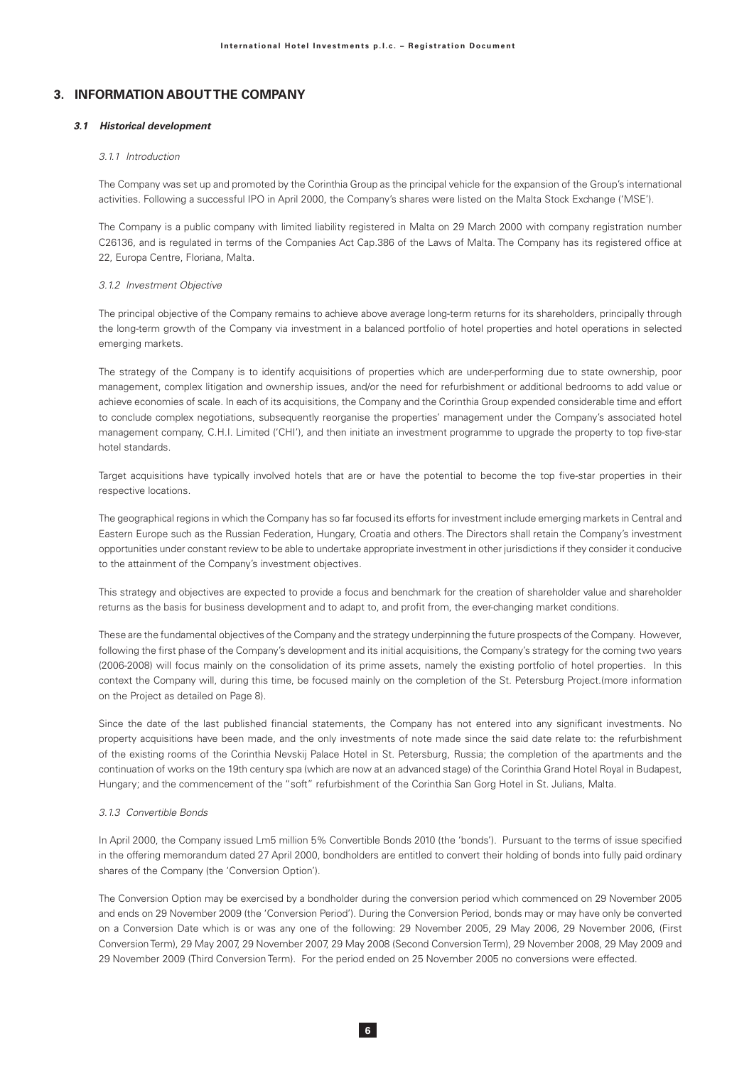## 3. INFORMATION ABOUT THE COMPANY

### 3.1 Historical development

### 3.1.1 Introduction

The Company was set up and promoted by the Corinthia Group as the principal vehicle for the expansion of the Group's international activities. Following a successful IPO in April 2000, the Company's shares were listed on the Malta Stock Exchange ('MSE').

The Company is a public company with limited liability registered in Malta on 29 March 2000 with company registration number C26136, and is regulated in terms of the Companies Act Cap.386 of the Laws of Malta. The Company has its registered office at 22, Europa Centre, Floriana, Malta.

### 3.1.2 Investment Objective

The principal objective of the Company remains to achieve above average long-term returns for its shareholders, principally through the long-term growth of the Company via investment in a balanced portfolio of hotel properties and hotel operations in selected emerging markets.

The strategy of the Company is to identify acquisitions of properties which are under-performing due to state ownership, poor management, complex litigation and ownership issues, and/or the need for refurbishment or additional bedrooms to add value or achieve economies of scale. In each of its acquisitions, the Company and the Corinthia Group expended considerable time and effort to conclude complex negotiations, subsequently reorganise the properties' management under the Company's associated hotel management company, C.H.I. Limited ('CHI'), and then initiate an investment programme to upgrade the property to top five-star hotel standards

Target acquisitions have typically involved hotels that are or have the potential to become the top five-star properties in their respective locations.

The geographical regions in which the Company has so far focused its efforts for investment include emerging markets in Central and Eastern Europe such as the Russian Federation, Hungary, Croatia and others. The Directors shall retain the Company's investment opportunities under constant review to be able to undertake appropriate investment in other jurisdictions if they consider it conducive to the attainment of the Company's investment objectives.

This strategy and objectives are expected to provide a focus and benchmark for the creation of shareholder value and shareholder returns as the basis for business development and to adapt to, and profit from, the ever-changing market conditions.

These are the fundamental objectives of the Company and the strategy underpinning the future prospects of the Company. However, following the first phase of the Company's development and its initial acquisitions, the Company's strategy for the coming two years (2006-2008) will focus mainly on the consolidation of its prime assets, namely the existing portfolio of hotel properties. In this context the Company will, during this time, be focused mainly on the completion of the St. Petersburg Project.(more information on the Project as detailed on Page 8).

Since the date of the last published financial statements, the Company has not entered into any significant investments. No property acquisitions have been made, and the only investments of note made since the said date relate to: the refurbishment of the existing rooms of the Corinthia Nevskij Palace Hotel in St. Petersburg, Russia; the completion of the apartments and the continuation of works on the 19th century spa (which are now at an advanced stage) of the Corinthia Grand Hotel Royal in Budapest, Hungary; and the commencement of the "soft" refurbishment of the Corinthia San Gorg Hotel in St. Julians, Malta.

### 3.1.3 Convertible Bonds

In April 2000, the Company issued Lm5 million 5% Convertible Bonds 2010 (the 'bonds'). Pursuant to the terms of issue specified in the offering memorandum dated 27 April 2000, bondholders are entitled to convert their holding of bonds into fully paid ordinary shares of the Company (the 'Conversion Option').

The Conversion Option may be exercised by a bondholder during the conversion period which commenced on 29 November 2005 and ends on 29 November 2009 (the 'Conversion Period'). During the Conversion Period, bonds may or may have only be converted on a Conversion Date which is or was any one of the following: 29 November 2005, 29 May 2006, 29 November 2006, (First Conversion Term), 29 May 2007, 29 November 2007, 29 May 2008 (Second Conversion Term), 29 November 2008, 29 May 2009 and 29 November 2009 (Third Conversion Term). For the period ended on 25 November 2005 no conversions were effected.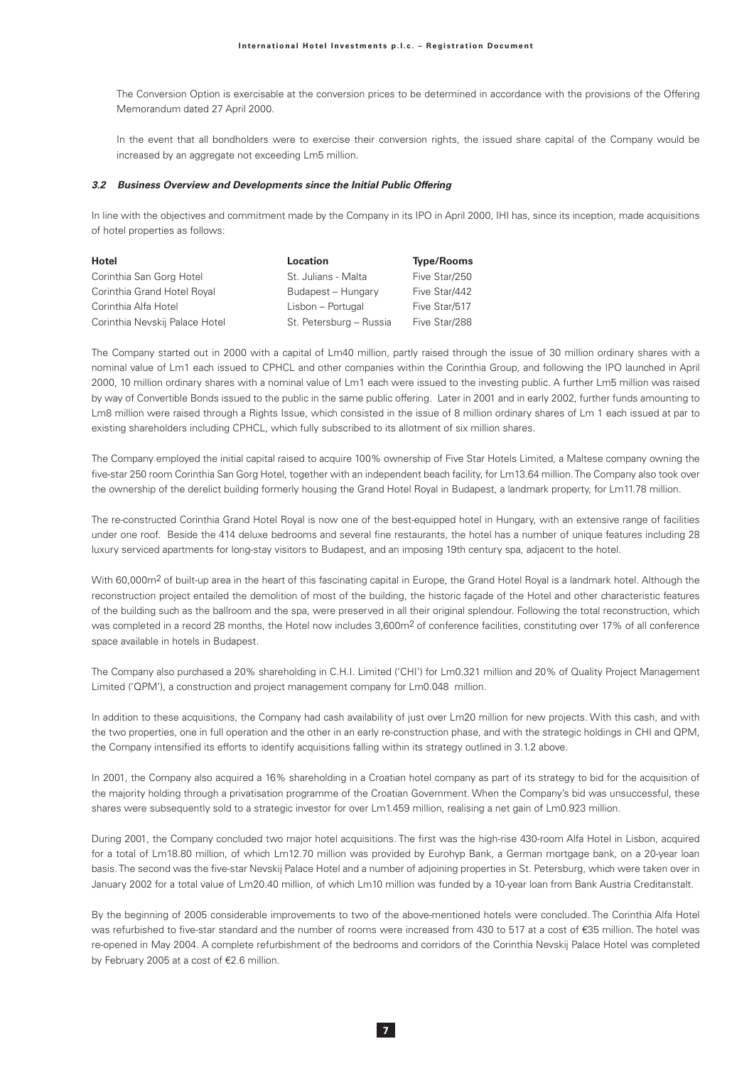The Conversion Option is exercisable at the conversion prices to be determined in accordance with the provisions of the Offering Memorandum dated 27 April 2000.

In the event that all bondholders were to exercise their conversion rights, the issued share capital of the Company would be increased by an aggregate not exceeding Lm5 million.

### 3.2 Business Overview and Developments since the Initial Public Offering

In line with the objectives and commitment made by the Company in its IPO in April 2000, IHI has, since its inception, made acquisitions of hotel properties as follows:

| Hotel                          | Location                | <b>Type/Rooms</b> |
|--------------------------------|-------------------------|-------------------|
| Corinthia San Gorg Hotel       | St. Julians - Malta     | Five Star/250     |
| Corinthia Grand Hotel Royal    | Budapest - Hungary      | Five Star/442     |
| Corinthia Alfa Hotel           | Lisbon - Portugal       | Five Star/517     |
| Corinthia Nevskij Palace Hotel | St. Petersburg - Russia | Five Star/288     |

The Company started out in 2000 with a capital of Lm40 million, partly raised through the issue of 30 million ordinary shares with a nominal value of Lm1 each issued to CPHCL and other companies within the Corinthia Group, and following the IPO launched in April 2000, 10 million ordinary shares with a nominal value of Lm1 each were issued to the investing public. A further Lm5 million was raised by way of Convertible Bonds issued to the public in the same public offering. Later in 2001 and in early 2002, further funds amounting to Lm8 million were raised through a Rights Issue, which consisted in the issue of 8 million ordinary shares of Lm 1 each issued at par to existing shareholders including CPHCL, which fully subscribed to its allotment of six million shares.

The Company employed the initial capital raised to acquire 100% ownership of Five Star Hotels Limited, a Maltese company owning the five-star 250 room Corinthia San Gorg Hotel, together with an independent beach facility, for Lm13.64 million. The Company also took over the ownership of the derelict building formerly housing the Grand Hotel Royal in Budapest, a landmark property, for Lm11.78 million.

The re-constructed Corinthia Grand Hotel Royal is now one of the best-equipped hotel in Hungary, with an extensive range of facilities under one roof. Beside the 414 deluxe bedrooms and several fine restaurants, the hotel has a number of unique features including 28 luxury serviced apartments for long-stay visitors to Budapest, and an imposing 19th century spa, adjacent to the hotel.

With 60,000m<sup>2</sup> of built-up area in the heart of this fascinating capital in Europe, the Grand Hotel Royal is a landmark hotel. Although the reconstruction project entailed the demolition of most of the building, the historic façade of the Hotel and other characteristic features of the building such as the ballroom and the spa, were preserved in all their original splendour. Following the total reconstruction, which was completed in a record 28 months, the Hotel now includes 3,600m<sup>2</sup> of conference facilities, constituting over 17% of all conference space available in hotels in Budapest.

The Company also purchased a 20% shareholding in C.H.I. Limited ('CHI') for Lm0.321 million and 20% of Quality Project Management Limited ('QPM'), a construction and project management company for Lm0.048 million.

In addition to these acquisitions, the Company had cash availability of just over Lm20 million for new projects. With this cash, and with the two properties, one in full operation and the other in an early re-construction phase, and with the strategic holdings in CHI and QPM, the Company intensified its efforts to identify acquisitions falling within its strategy outlined in 3.1.2 above.

In 2001, the Company also acquired a 16% shareholding in a Croatian hotel company as part of its strategy to bid for the acquisition of the maiority holding through a privatisation programme of the Croatian Government. When the Company's bid was unsuccessful, these shares were subsequently sold to a strategic investor for over Lm1.459 million, realising a net gain of Lm0.923 million.

During 2001, the Company concluded two major hotel acquisitions. The first was the high-rise 430-room Alfa Hotel in Lisbon, acquired for a total of Lm18.80 million, of which Lm12.70 million was provided by Eurohyp Bank, a German mortgage bank, on a 20-year loan basis. The second was the five-star Nevskij Palace Hotel and a number of adjoining properties in St. Petersburg, which were taken over in January 2002 for a total value of Lm20.40 million, of which Lm10 million was funded by a 10-year loan from Bank Austria Creditanstalt.

By the beginning of 2005 considerable improvements to two of the above-mentioned hotels were concluded. The Corinthia Alfa Hotel was refurbished to five-star standard and the number of rooms were increased from 430 to 517 at a cost of €35 million. The hotel was re-opened in May 2004. A complete refurbishment of the bedrooms and corridors of the Corinthia Nevskij Palace Hotel was completed by February 2005 at a cost of €2.6 million.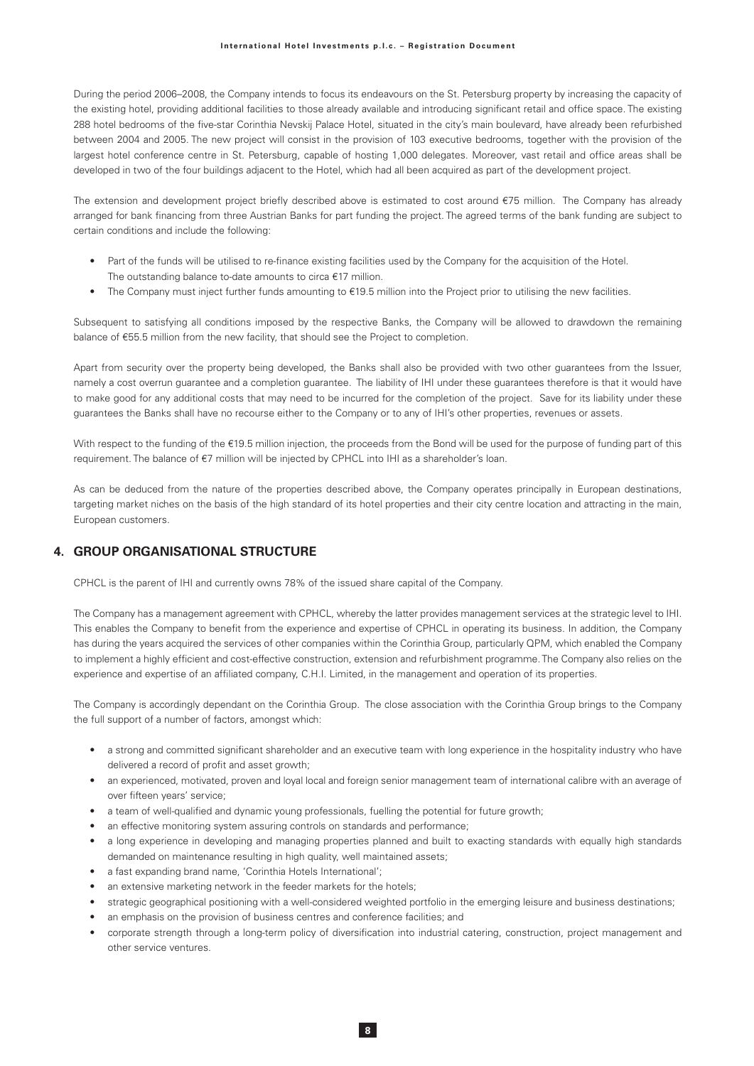During the period 2006-2008, the Company intends to focus its endeavours on the St. Petersburg property by increasing the capacity of the existing hotel, providing additional facilities to those already available and introducing significant retail and office space. The existing 288 hotel bedrooms of the five-star Corinthia Nevskij Palace Hotel, situated in the city's main boulevard, have already been refurbished between 2004 and 2005. The new project will consist in the provision of 103 executive bedrooms, together with the provision of the largest hotel conference centre in St. Petersburg, capable of hosting 1,000 delegates. Moreover, vast retail and office areas shall be developed in two of the four buildings adjacent to the Hotel, which had all been acquired as part of the development project.

The extension and development project briefly described above is estimated to cost around €75 million. The Company has already arranged for bank financing from three Austrian Banks for part funding the project. The agreed terms of the bank funding are subject to certain conditions and include the following:

- Part of the funds will be utilised to re-finance existing facilities used by the Company for the acquisition of the Hotel. The outstanding balance to-date amounts to circa €17 million.
- The Company must inject further funds amounting to  $€19.5$  million into the Project prior to utilising the new facilities.

Subsequent to satisfying all conditions imposed by the respective Banks, the Company will be allowed to drawdown the remaining balance of €55.5 million from the new facility, that should see the Project to completion.

Apart from security over the property being developed, the Banks shall also be provided with two other guarantees from the Issuer, namely a cost overrun quarantee and a completion quarantee. The liability of IHI under these quarantees therefore is that it would have to make good for any additional costs that may need to be incurred for the completion of the project. Save for its liability under these guarantees the Banks shall have no recourse either to the Company or to any of IHI's other properties, revenues or assets.

With respect to the funding of the €19.5 million injection, the proceeds from the Bond will be used for the purpose of funding part of this requirement. The balance of €7 million will be injected by CPHCL into IHI as a shareholder's loan.

As can be deduced from the nature of the properties described above, the Company operates principally in European destinations, targeting market niches on the basis of the high standard of its hotel properties and their city centre location and attracting in the main, European customers.

# 4. GROUP ORGANISATIONAL STRUCTURE

CPHCL is the parent of IHI and currently owns 78% of the issued share capital of the Company.

The Company has a management agreement with CPHCL, whereby the latter provides management services at the strategic level to IHI. This enables the Company to benefit from the experience and expertise of CPHCL in operating its business. In addition, the Company has during the years acquired the services of other companies within the Corinthia Group, particularly QPM, which enabled the Company to implement a highly efficient and cost-effective construction, extension and refurbishment programme. The Company also relies on the experience and expertise of an affiliated company, C.H.I. Limited, in the management and operation of its properties.

The Company is accordingly dependant on the Corinthia Group. The close association with the Corinthia Group brings to the Company the full support of a number of factors, amongst which:

- a strong and committed significant shareholder and an executive team with long experience in the hospitality industry who have delivered a record of profit and asset growth;
- an experienced, motivated, proven and loyal local and foreign senior management team of international calibre with an average of over fifteen vears' service:
- a team of well-qualified and dynamic young professionals, fuelling the potential for future growth;
- an effective monitoring system assuring controls on standards and performance;
- a long experience in developing and managing properties planned and built to exacting standards with equally high standards  $\bullet$ demanded on maintenance resulting in high quality, well maintained assets;
- a fast expanding brand name, 'Corinthia Hotels International';
- an extensive marketing network in the feeder markets for the hotels;
- strategic geographical positioning with a well-considered weighted portfolio in the emerging leisure and business destinations;
- an emphasis on the provision of business centres and conference facilities; and
- corporate strength through a long-term policy of diversification into industrial catering, construction, project management and other service ventures.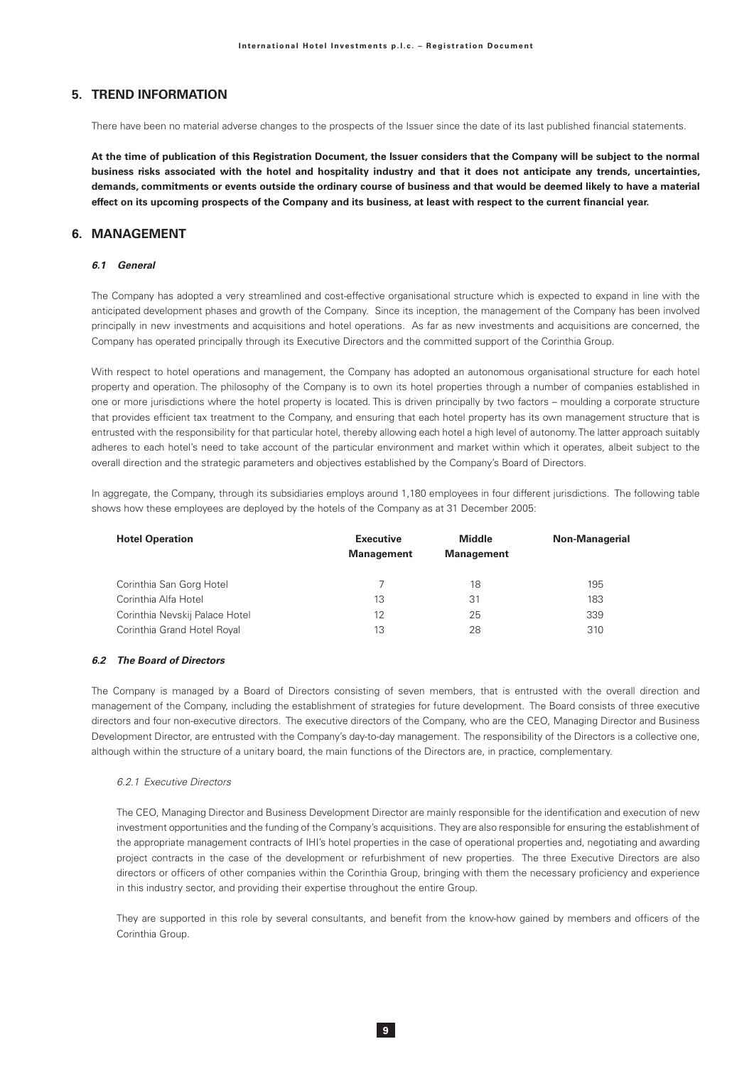# 5. TREND INFORMATION

There have been no material adverse changes to the prospects of the Issuer since the date of its last published financial statements.

At the time of publication of this Registration Document, the Issuer considers that the Company will be subject to the normal business risks associated with the hotel and hospitality industry and that it does not anticipate any trends, uncertainties, demands, commitments or events outside the ordinary course of business and that would be deemed likely to have a material effect on its upcoming prospects of the Company and its business, at least with respect to the current financial year.

## 6 MANAGEMENT

## 61 General

The Company has adopted a very streamlined and cost-effective organisational structure which is expected to expand in line with the anticipated development phases and growth of the Company. Since its inception, the management of the Company has been involved principally in new investments and acquisitions and hotel operations. As far as new investments and acquisitions are concerned, the Company has operated principally through its Executive Directors and the committed support of the Corinthia Group.

With respect to hotel operations and management, the Company has adopted an autonomous organisational structure for each hotel property and operation. The philosophy of the Company is to own its hotel properties through a number of companies established in one or more jurisdictions where the hotel property is located. This is driven principally by two factors – moulding a corporate structure that provides efficient tax treatment to the Company, and ensuring that each hotel property has its own management structure that is entrusted with the responsibility for that particular hotel, thereby allowing each hotel a high level of autonomy. The latter approach suitably adheres to each hotel's need to take account of the particular environment and market within which it operates, albeit subject to the overall direction and the strategic parameters and objectives established by the Company's Board of Directors.

In aggregate, the Company, through its subsidiaries employs around 1,180 employees in four different jurisdictions. The following table shows how these employees are deployed by the hotels of the Company as at 31 December 2005:

| <b>Hotel Operation</b>         | <b>Executive</b><br><b>Management</b> | <b>Middle</b><br><b>Management</b> | <b>Non-Managerial</b> |
|--------------------------------|---------------------------------------|------------------------------------|-----------------------|
| Corinthia San Gorg Hotel       |                                       | 18                                 | 195                   |
| Corinthia Alfa Hotel           | 13                                    | 31                                 | 183                   |
| Corinthia Nevskij Palace Hotel | 12                                    | 25                                 | 339                   |
| Corinthia Grand Hotel Royal    | 13                                    | 28                                 | 310                   |

### 6.2 The Board of Directors

The Company is managed by a Board of Directors consisting of seven members, that is entrusted with the overall direction and management of the Company, including the establishment of strategies for future development. The Board consists of three executive directors and four non-executive directors. The executive directors of the Company, who are the CEO, Managing Director and Business Development Director, are entrusted with the Company's day-to-day management. The responsibility of the Directors is a collective one, although within the structure of a unitary board, the main functions of the Directors are, in practice, complementary.

### 6.2.1 Executive Directors

The CEO, Managing Director and Business Development Director are mainly responsible for the identification and execution of new investment opportunities and the funding of the Company's acquisitions. They are also responsible for ensuring the establishment of the appropriate management contracts of IHI's hotel properties in the case of operational properties and, negotiating and awarding project contracts in the case of the development or refurbishment of new properties. The three Executive Directors are also directors or officers of other companies within the Corinthia Group, bringing with them the necessary proficiency and experience in this industry sector, and providing their expertise throughout the entire Group.

They are supported in this role by several consultants, and benefit from the know-how gained by members and officers of the Corinthia Group.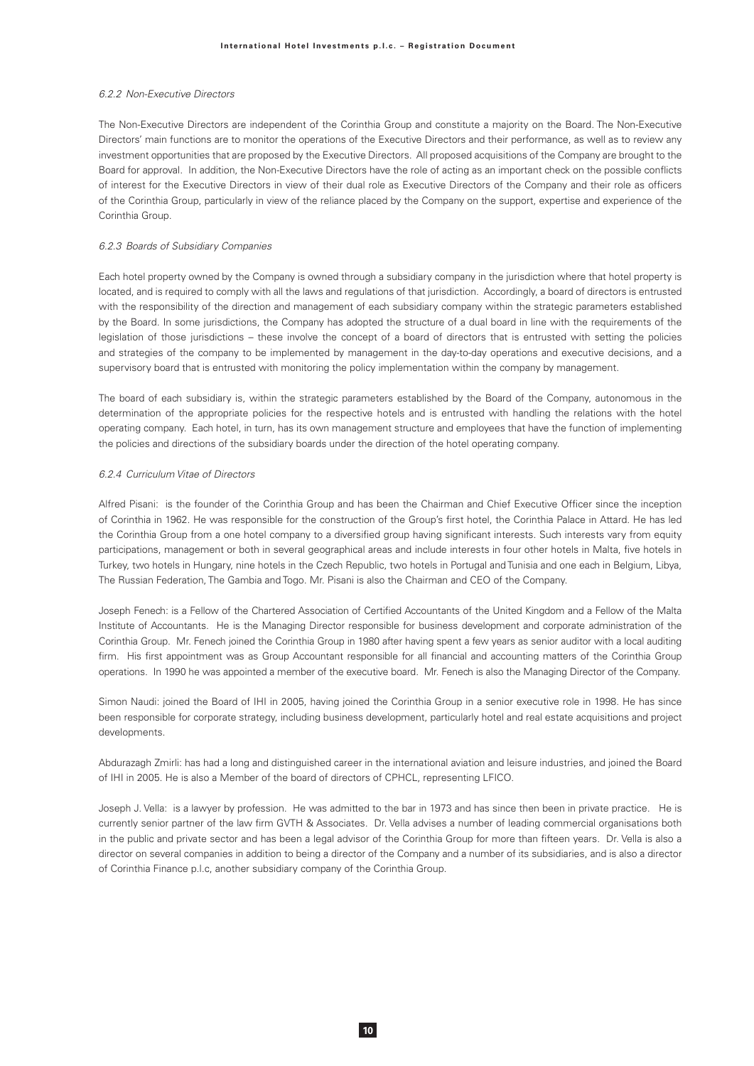### 6.2.2 Non-Executive Directors

The Non-Executive Directors are independent of the Corinthia Group and constitute a majority on the Board. The Non-Executive Directors' main functions are to monitor the operations of the Executive Directors and their performance, as well as to review any investment opportunities that are proposed by the Executive Directors. All proposed acquisitions of the Company are brought to the Board for approval. In addition, the Non-Executive Directors have the role of acting as an important check on the possible conflicts of interest for the Executive Directors in view of their dual role as Executive Directors of the Company and their role as officers of the Corinthia Group, particularly in view of the reliance placed by the Company on the support, expertise and experience of the Corinthia Group.

### 6.2.3 Boards of Subsidiary Companies

Each hotel property owned by the Company is owned through a subsidiary company in the jurisdiction where that hotel property is located, and is required to comply with all the laws and regulations of that jurisdiction. Accordingly, a board of directors is entrusted with the responsibility of the direction and management of each subsidiary company within the strategic parameters established by the Board. In some jurisdictions, the Company has adopted the structure of a dual board in line with the requirements of the legislation of those jurisdictions - these involve the concept of a board of directors that is entrusted with setting the policies and strategies of the company to be implemented by management in the day-to-day operations and executive decisions, and a supervisory board that is entrusted with monitoring the policy implementation within the company by management.

The board of each subsidiary is, within the strategic parameters established by the Board of the Company, autonomous in the determination of the appropriate policies for the respective hotels and is entrusted with handling the relations with the hotel operating company. Each hotel, in turn, has its own management structure and employees that have the function of implementing the policies and directions of the subsidiary boards under the direction of the hotel operating company.

### 6.2.4 Curriculum Vitae of Directors

Alfred Pisani: is the founder of the Corinthia Group and has been the Chairman and Chief Executive Officer since the inception of Corinthia in 1962. He was responsible for the construction of the Group's first hotel, the Corinthia Palace in Attard. He has led the Corinthia Group from a one hotel company to a diversified group having significant interests. Such interests vary from equity participations, management or both in several geographical areas and include interests in four other hotels in Malta, five hotels in Turkey, two hotels in Hungary, nine hotels in the Czech Republic, two hotels in Portugal and Tunisia and one each in Belgium, Libya, The Russian Federation, The Gambia and Togo. Mr. Pisani is also the Chairman and CEO of the Company.

Joseph Fenech: is a Fellow of the Chartered Association of Certified Accountants of the United Kingdom and a Fellow of the Malta Institute of Accountants. He is the Managing Director responsible for business development and corporate administration of the Corinthia Group. Mr. Fenech joined the Corinthia Group in 1980 after having spent a few years as senior auditor with a local auditing firm. His first appointment was as Group Accountant responsible for all financial and accounting matters of the Corinthia Group operations. In 1990 he was appointed a member of the executive board. Mr. Fenech is also the Managing Director of the Company.

Simon Naudi: joined the Board of IHI in 2005, having joined the Corinthia Group in a senior executive role in 1998. He has since been responsible for corporate strategy, including business development, particularly hotel and real estate acquisitions and project developments.

Abdurazagh Zmirli: has had a long and distinguished career in the international aviation and leisure industries, and joined the Board of IHI in 2005. He is also a Member of the board of directors of CPHCL, representing LFICO.

Joseph J. Vella: is a lawyer by profession. He was admitted to the bar in 1973 and has since then been in private practice. He is currently senior partner of the law firm GVTH & Associates. Dr. Vella advises a number of leading commercial organisations both in the public and private sector and has been a legal advisor of the Corinthia Group for more than fifteen years. Dr. Vella is also a director on several companies in addition to being a director of the Company and a number of its subsidiaries, and is also a director of Corinthia Finance p.l.c, another subsidiary company of the Corinthia Group.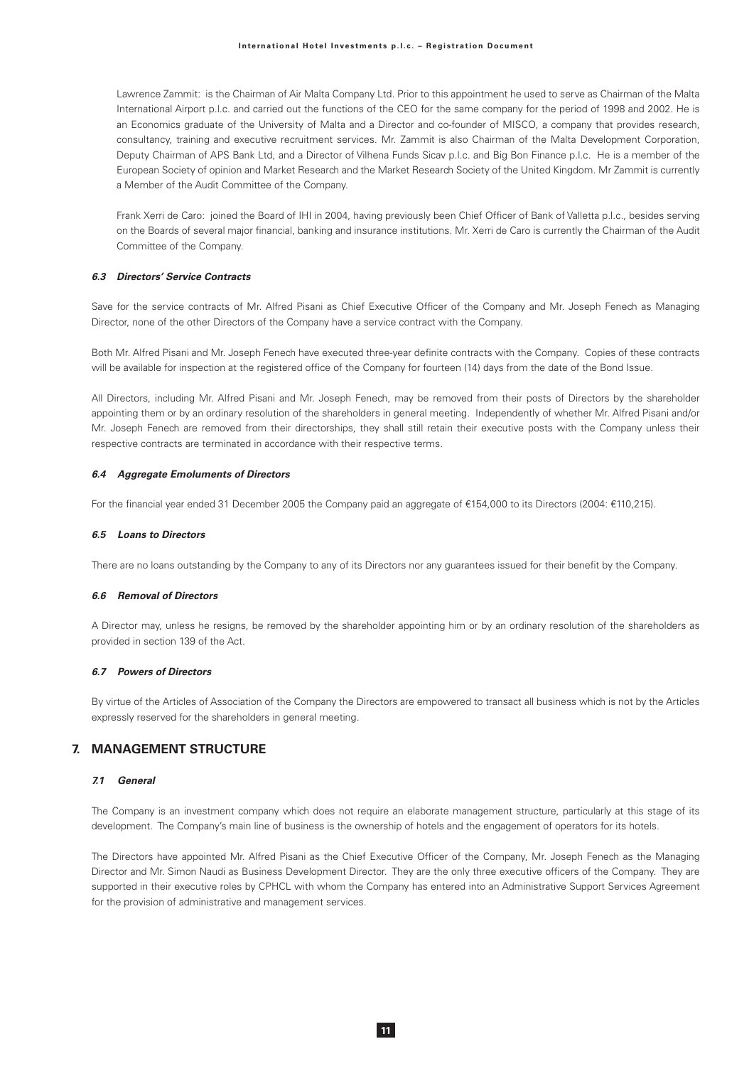#### International Hotel Investments p.l.c. - Registration Document

Lawrence Zammit: is the Chairman of Air Malta Company Ltd. Prior to this appointment he used to serve as Chairman of the Malta International Airport p.l.c. and carried out the functions of the CEO for the same company for the period of 1998 and 2002. He is an Economics graduate of the University of Malta and a Director and co-founder of MISCO, a company that provides research, consultancy, training and executive recruitment services. Mr. Zammit is also Chairman of the Malta Development Corporation, Deputy Chairman of APS Bank Ltd, and a Director of Vilhena Funds Sicav p.l.c. and Big Bon Finance p.l.c. He is a member of the European Society of opinion and Market Research and the Market Research Society of the United Kingdom. Mr Zammit is currently a Member of the Audit Committee of the Company.

Frank Xerri de Caro: joined the Board of IHI in 2004, having previously been Chief Officer of Bank of Valletta p.l.c., besides serving on the Boards of several major financial, banking and insurance institutions. Mr. Xerri de Caro is currently the Chairman of the Audit Committee of the Company

### 6.3 Directors' Service Contracts

Save for the service contracts of Mr. Alfred Pisani as Chief Executive Officer of the Company and Mr. Joseph Fenech as Managing Director, none of the other Directors of the Company have a service contract with the Company.

Both Mr. Alfred Pisani and Mr. Joseph Fenech have executed three-year definite contracts with the Company. Copies of these contracts will be available for inspection at the registered office of the Company for fourteen (14) days from the date of the Bond Issue.

All Directors, including Mr. Alfred Pisani and Mr. Joseph Fenech, may be removed from their posts of Directors by the shareholder appointing them or by an ordinary resolution of the shareholders in general meeting. Independently of whether Mr. Alfred Pisani and/or Mr. Joseph Fenech are removed from their directorships, they shall still retain their executive posts with the Company unless their respective contracts are terminated in accordance with their respective terms.

#### 6.4 Aggregate Emoluments of Directors

For the financial year ended 31 December 2005 the Company paid an aggregate of €154,000 to its Directors (2004: €110,215).

### 6.5 Loans to Directors

There are no loans outstanding by the Company to any of its Directors nor any quarantees issued for their benefit by the Company.

#### 6.6 Removal of Directors

A Director may, unless he resigns, be removed by the shareholder appointing him or by an ordinary resolution of the shareholders as provided in section 139 of the Act.

### 6.7 Powers of Directors

By virtue of the Articles of Association of the Company the Directors are empowered to transact all business which is not by the Articles expressly reserved for the shareholders in general meeting.

## 7. MANAGEMENT STRUCTURE

## 7.1 General

The Company is an investment company which does not require an elaborate management structure, particularly at this stage of its development. The Company's main line of business is the ownership of hotels and the engagement of operators for its hotels.

The Directors have appointed Mr. Alfred Pisani as the Chief Executive Officer of the Company, Mr. Joseph Fenech as the Managing Director and Mr. Simon Naudi as Business Development Director. They are the only three executive officers of the Company. They are supported in their executive roles by CPHCL with whom the Company has entered into an Administrative Support Services Agreement for the provision of administrative and management services.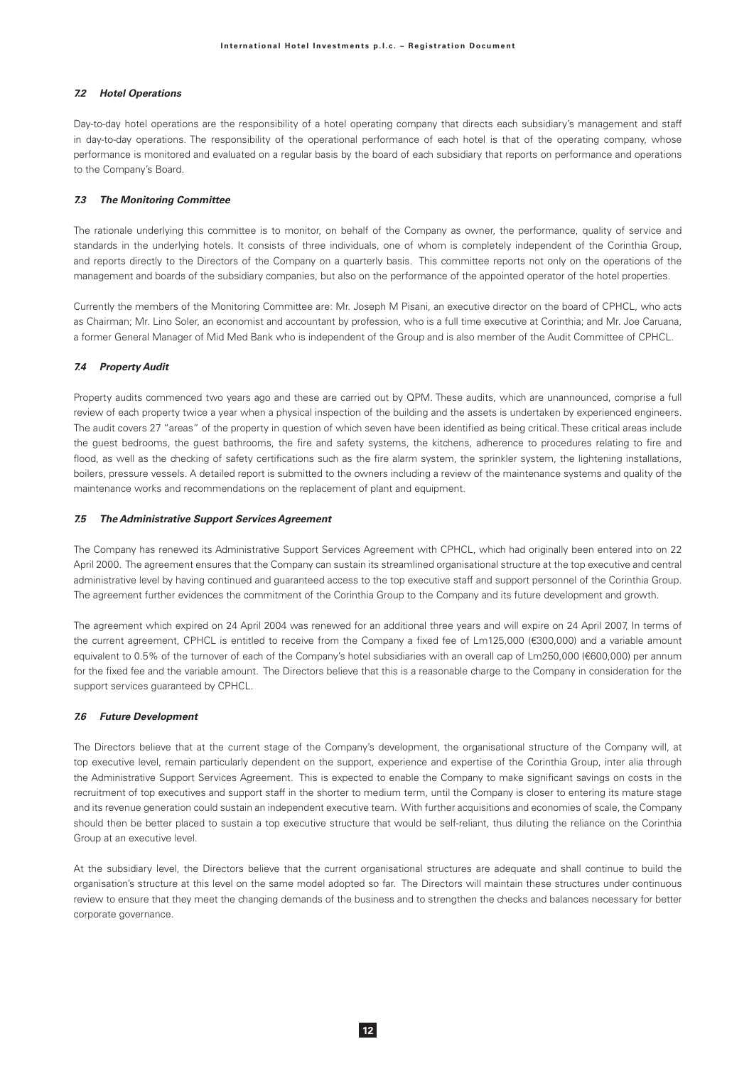### **7.2** Hotel Operations

Day-to-day hotel operations are the responsibility of a hotel operating company that directs each subsidiary's management and staff in day-to-day operations. The responsibility of the operational performance of each hotel is that of the operating company, whose performance is monitored and evaluated on a regular basis by the board of each subsidiary that reports on performance and operations to the Company's Board.

### **7.3** The Monitoring Committee

The rationale underlying this committee is to monitor, on behalf of the Company as owner, the performance, quality of service and standards in the underlying hotels. It consists of three individuals, one of whom is completely independent of the Corinthia Group, and reports directly to the Directors of the Company on a quarterly basis. This committee reports not only on the operations of the management and boards of the subsidiary companies, but also on the performance of the appointed operator of the hotel properties.

Currently the members of the Monitoring Committee are: Mr. Joseph M Pisani, an executive director on the board of CPHCL, who acts as Chairman; Mr. Lino Soler, an economist and accountant by profession, who is a full time executive at Corinthia; and Mr. Joe Caruana, a former General Manager of Mid Med Bank who is independent of the Group and is also member of the Audit Committee of CPHCL.

### **7.4 Property Audit**

Property audits commenced two years ago and these are carried out by QPM. These audits, which are unannounced, comprise a full review of each property twice a year when a physical inspection of the building and the assets is undertaken by experienced engineers. The audit covers 27 "areas" of the property in question of which seven have been identified as being critical. These critical areas include the guest bedrooms, the guest bathrooms, the fire and safety systems, the kitchens, adherence to procedures relating to fire and flood, as well as the checking of safety certifications such as the fire alarm system, the sprinkler system, the lightening installations, boilers, pressure vessels. A detailed report is submitted to the owners including a review of the maintenance systems and quality of the maintenance works and recommendations on the replacement of plant and equipment.

### **7.5** The Administrative Support Services Agreement

The Company has renewed its Administrative Support Services Agreement with CPHCL, which had originally been entered into on 22 April 2000. The agreement ensures that the Company can sustain its streamlined organisational structure at the top executive and central administrative level by having continued and guaranteed access to the top executive staff and support personnel of the Corinthia Group. The agreement further evidences the commitment of the Corinthia Group to the Company and its future development and growth.

The agreement which expired on 24 April 2004 was renewed for an additional three years and will expire on 24 April 2007, In terms of the current agreement, CPHCL is entitled to receive from the Company a fixed fee of Lm125,000 (€300,000) and a variable amount equivalent to 0.5% of the turnover of each of the Company's hotel subsidiaries with an overall cap of Lm250,000 (€600,000) per annum for the fixed fee and the variable amount. The Directors believe that this is a reasonable charge to the Company in consideration for the support services guaranteed by CPHCL.

### **7.6 Future Development**

The Directors believe that at the current stage of the Company's development, the organisational structure of the Company will, at top executive level, remain particularly dependent on the support, experience and expertise of the Corinthia Group, inter alia through the Administrative Support Services Agreement. This is expected to enable the Company to make significant savings on costs in the recruitment of top executives and support staff in the shorter to medium term, until the Company is closer to entering its mature stage and its revenue generation could sustain an independent executive team. With further acquisitions and economies of scale, the Company should then be better placed to sustain a top executive structure that would be self-reliant, thus diluting the reliance on the Corinthia Group at an executive level.

At the subsidiary level, the Directors believe that the current organisational structures are adequate and shall continue to build the organisation's structure at this level on the same model adopted so far. The Directors will maintain these structures under continuous review to ensure that they meet the changing demands of the business and to strengthen the checks and balances necessary for better corporate governance.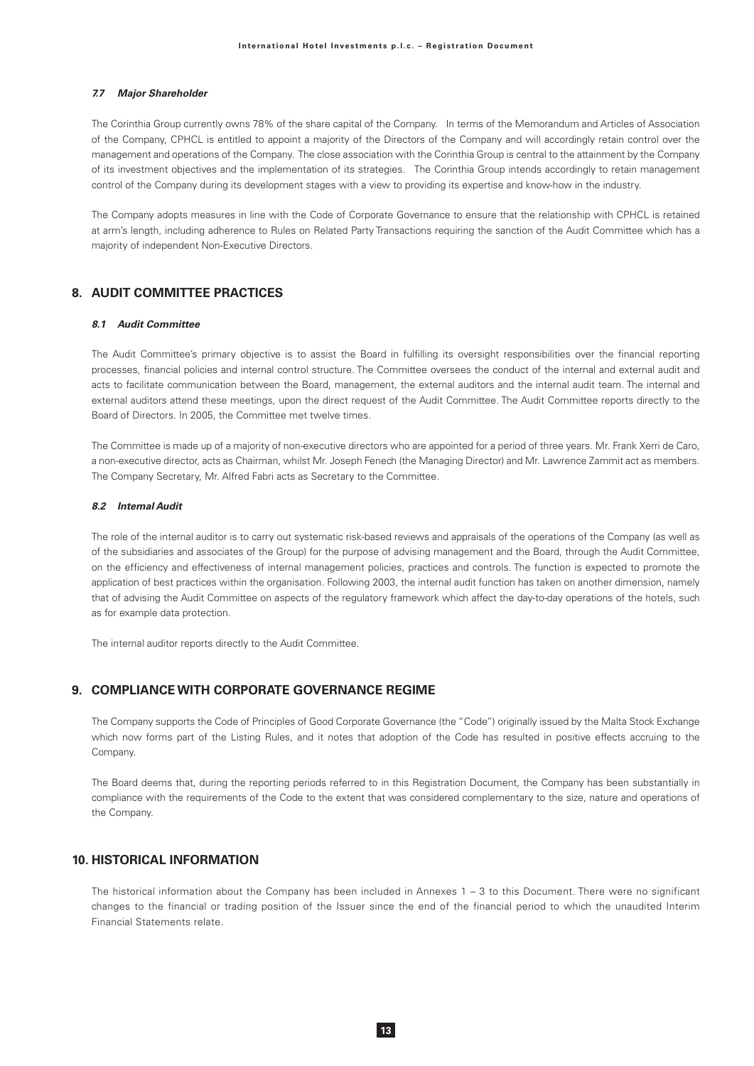#### **7.7 Major Shareholder**

The Corinthia Group currently owns 78% of the share capital of the Company. In terms of the Memorandum and Articles of Association of the Company, CPHCL is entitled to appoint a majority of the Directors of the Company and will accordingly retain control over the management and operations of the Company. The close association with the Corinthia Group is central to the attainment by the Company of its investment objectives and the implementation of its strategies. The Corinthia Group intends accordingly to retain management control of the Company during its development stages with a view to providing its expertise and know-how in the industry.

The Company adopts measures in line with the Code of Corporate Governance to ensure that the relationship with CPHCL is retained at arm's length, including adherence to Rules on Related Party Transactions requiring the sanction of the Audit Committee which has a majority of independent Non-Executive Directors.

# **8. AUDIT COMMITTEE PRACTICES**

### 8.1 Audit Committee

The Audit Committee's primary objective is to assist the Board in fulfilling its oversight responsibilities over the financial reporting processes, financial policies and internal control structure. The Committee oversees the conduct of the internal and external audit and acts to facilitate communication between the Board, management, the external auditors and the internal audit team. The internal and external auditors attend these meetings, upon the direct request of the Audit Committee. The Audit Committee reports directly to the Board of Directors. In 2005, the Committee met twelve times.

The Committee is made up of a majority of non-executive directors who are appointed for a period of three years. Mr. Frank Xerri de Caro, a non-executive director, acts as Chairman, whilst Mr. Joseph Fenech (the Managing Director) and Mr. Lawrence Zammit act as members. The Company Secretary, Mr. Alfred Fabri acts as Secretary to the Committee.

#### **82** Internal Audit

The role of the internal auditor is to carry out systematic risk-based reviews and appraisals of the operations of the Company (as well as of the subsidiaries and associates of the Group) for the purpose of advising management and the Board, through the Audit Committee, on the efficiency and effectiveness of internal management policies, practices and controls. The function is expected to promote the application of best practices within the organisation. Following 2003, the internal audit function has taken on another dimension, namely that of advising the Audit Committee on aspects of the regulatory framework which affect the day-to-day operations of the hotels, such as for example data protection.

The internal auditor reports directly to the Audit Committee.

# **9. COMPLIANCE WITH CORPORATE GOVERNANCE REGIME**

The Company supports the Code of Principles of Good Corporate Governance (the "Code") originally issued by the Malta Stock Exchange which now forms part of the Listing Rules, and it notes that adoption of the Code has resulted in positive effects accruing to the Company.

The Board deems that, during the reporting periods referred to in this Registration Document, the Company has been substantially in compliance with the requirements of the Code to the extent that was considered complementary to the size, nature and operations of the Company.

## **10. HISTORICAL INFORMATION**

The historical information about the Company has been included in Annexes 1 - 3 to this Document. There were no significant changes to the financial or trading position of the Issuer since the end of the financial period to which the unaudited Interim Einancial Statements relate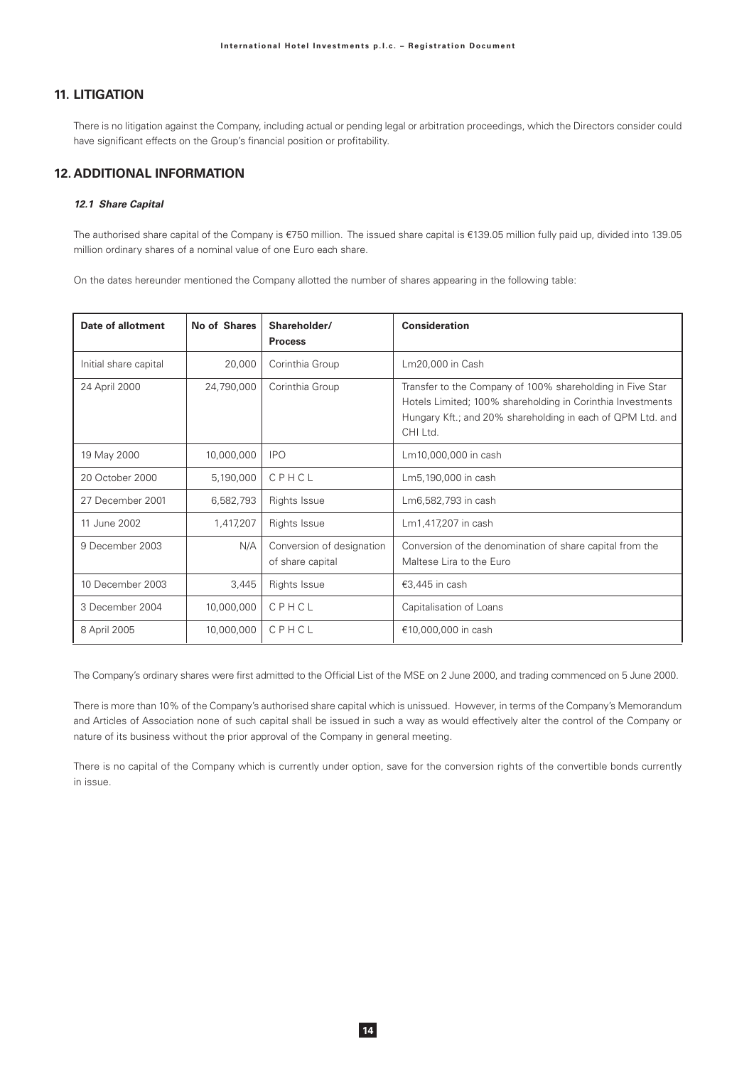# **11. LITIGATION**

There is no litigation against the Company, including actual or pending legal or arbitration proceedings, which the Directors consider could have significant effects on the Group's financial position or profitability.

# **12. ADDITIONAL INFORMATION**

## 12.1 Share Capital

The authorised share capital of the Company is €750 million. The issued share capital is €139.05 million fully paid up, divided into 139.05 million ordinary shares of a nominal value of one Euro each share.

On the dates hereunder mentioned the Company allotted the number of shares appearing in the following table:

| Date of allotment     | No of Shares | Shareholder/<br><b>Process</b>                | <b>Consideration</b>                                                                                                                                                                              |
|-----------------------|--------------|-----------------------------------------------|---------------------------------------------------------------------------------------------------------------------------------------------------------------------------------------------------|
| Initial share capital | 20,000       | Corinthia Group                               | Lm20,000 in Cash                                                                                                                                                                                  |
| 24 April 2000         | 24,790,000   | Corinthia Group                               | Transfer to the Company of 100% shareholding in Five Star<br>Hotels Limited; 100% shareholding in Corinthia Investments<br>Hungary Kft.; and 20% shareholding in each of QPM Ltd. and<br>CHI Ltd. |
| 19 May 2000           | 10,000,000   | <b>IPO</b>                                    | Lm10,000,000 in cash                                                                                                                                                                              |
| 20 October 2000       | 5,190,000    | CPHCL                                         | Lm5,190,000 in cash                                                                                                                                                                               |
| 27 December 2001      | 6,582,793    | Rights Issue                                  | Lm6,582,793 in cash                                                                                                                                                                               |
| 11 June 2002          | 1,417,207    | Rights Issue                                  | Lm1,417,207 in cash                                                                                                                                                                               |
| 9 December 2003       | N/A          | Conversion of designation<br>of share capital | Conversion of the denomination of share capital from the<br>Maltese Lira to the Euro                                                                                                              |
| 10 December 2003      | 3,445        | <b>Rights Issue</b>                           | €3,445 in cash                                                                                                                                                                                    |
| 3 December 2004       | 10,000,000   | CPHCL                                         | Capitalisation of Loans                                                                                                                                                                           |
| 8 April 2005          | 10,000,000   | CPHCL                                         | €10,000,000 in cash                                                                                                                                                                               |

The Company's ordinary shares were first admitted to the Official List of the MSE on 2 June 2000, and trading commenced on 5 June 2000.

There is more than 10% of the Company's authorised share capital which is unissued. However, in terms of the Company's Memorandum and Articles of Association none of such capital shall be issued in such a way as would effectively alter the control of the Company or nature of its business without the prior approval of the Company in general meeting.

There is no capital of the Company which is currently under option, save for the conversion rights of the convertible bonds currently in issue.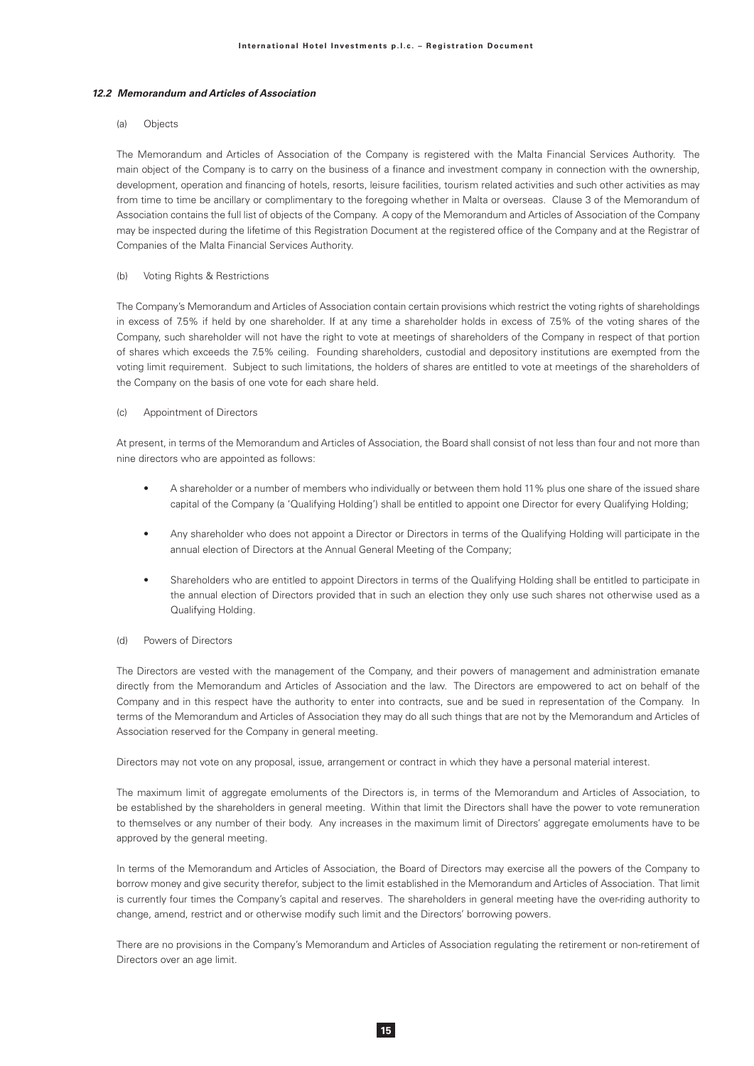### **12.2 Memorandum and Articles of Association**

### (a) Objects

The Memorandum and Articles of Association of the Company is registered with the Malta Financial Services Authority. The main object of the Company is to carry on the business of a finance and investment company in connection with the ownership, development, operation and financing of hotels, resorts, leisure facilities, tourism related activities and such other activities as may from time to time be ancillary or complimentary to the foregoing whether in Malta or overseas. Clause 3 of the Memorandum of Association contains the full list of objects of the Company. A copy of the Memorandum and Articles of Association of the Company may be inspected during the lifetime of this Registration Document at the registered office of the Company and at the Registrar of Companies of the Malta Financial Services Authority.

### (b) Voting Rights & Restrictions

The Company's Memorandum and Articles of Association contain certain provisions which restrict the voting rights of shareholdings in excess of 7.5% if held by one shareholder. If at any time a shareholder holds in excess of 7.5% of the voting shares of the Company, such shareholder will not have the right to vote at meetings of shareholders of the Company in respect of that portion of shares which exceeds the 7.5% ceiling. Founding shareholders, custodial and depository institutions are exempted from the voting limit requirement. Subject to such limitations, the holders of shares are entitled to vote at meetings of the shareholders of the Company on the basis of one vote for each share held.

### (c) Appointment of Directors

At present, in terms of the Memorandum and Articles of Association, the Board shall consist of not less than four and not more than nine directors who are appointed as follows:

- \* A shareholder or a number of members who individually or between them hold 11% plus one share of the issued share capital of the Company (a 'Qualifying Holding') shall be entitled to appoint one Director for every Qualifying Holding;
- Any shareholder who does not appoint a Director or Directors in terms of the Qualifying Holding will participate in the annual election of Directors at the Annual General Meeting of the Company;
- Shareholders who are entitled to appoint Directors in terms of the Qualifying Holding shall be entitled to participate in the annual election of Directors provided that in such an election they only use such shares not otherwise used as a Qualifying Holding.

### (d) Powers of Directors

The Directors are vested with the management of the Company, and their powers of management and administration emanate directly from the Memorandum and Articles of Association and the law. The Directors are empowered to act on behalf of the Company and in this respect have the authority to enter into contracts, sue and be sued in representation of the Company. In terms of the Memorandum and Articles of Association they may do all such things that are not by the Memorandum and Articles of Association reserved for the Company in general meeting.

Directors may not vote on any proposal, issue, arrangement or contract in which they have a personal material interest.

The maximum limit of aggregate emoluments of the Directors is, in terms of the Memorandum and Articles of Association, to be established by the shareholders in general meeting. Within that limit the Directors shall have the power to vote remuneration to themselves or any number of their body. Any increases in the maximum limit of Directors' aggregate emoluments have to be approved by the general meeting.

In terms of the Memorandum and Articles of Association, the Board of Directors may exercise all the powers of the Company to borrow money and give security therefor, subject to the limit established in the Memorandum and Articles of Association. That limit is currently four times the Company's capital and reserves. The shareholders in general meeting have the over-riding authority to change, amend, restrict and or otherwise modify such limit and the Directors' borrowing powers.

There are no provisions in the Company's Memorandum and Articles of Association regulating the retirement or non-retirement of Directors over an age limit.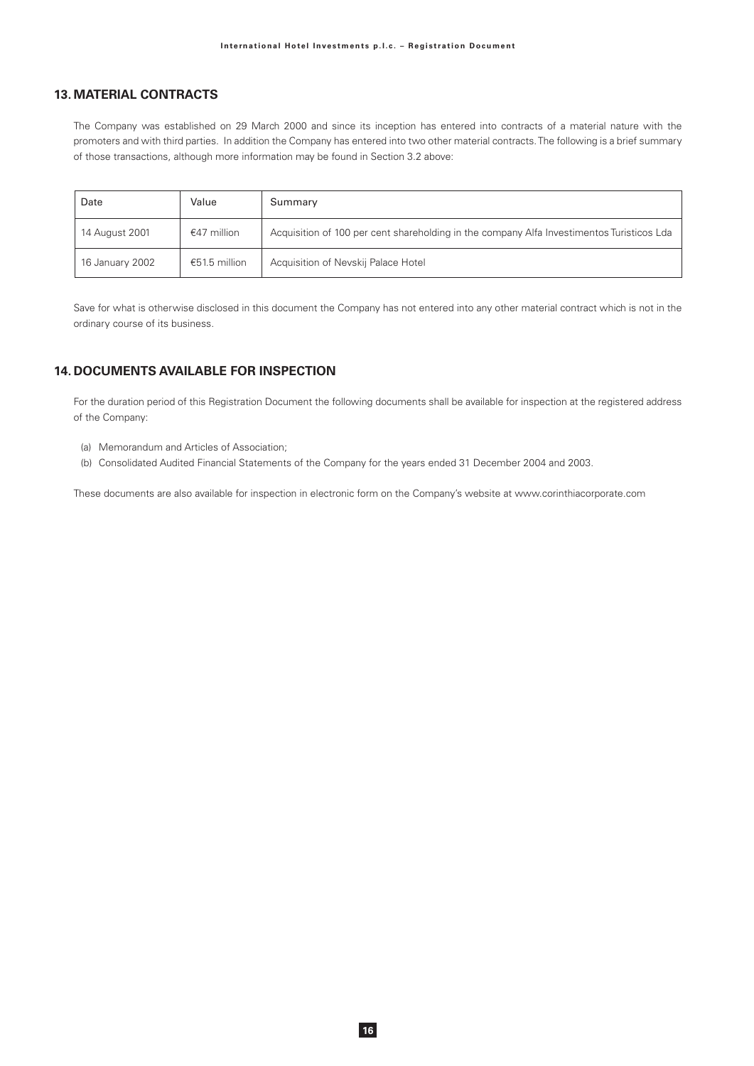# **13. MATERIAL CONTRACTS**

The Company was established on 29 March 2000 and since its inception has entered into contracts of a material nature with the promoters and with third parties. In addition the Company has entered into two other material contracts. The following is a brief summary of those transactions, although more information may be found in Section 3.2 above:

| Date            | Value         | Summary                                                                                   |
|-----------------|---------------|-------------------------------------------------------------------------------------------|
| 14 August 2001  | €47 million   | Acquisition of 100 per cent shareholding in the company Alfa Investimentos Turisticos Lda |
| 16 January 2002 | €51.5 million | Acquisition of Nevskij Palace Hotel                                                       |

Save for what is otherwise disclosed in this document the Company has not entered into any other material contract which is not in the ordinary course of its business.

# **14. DOCUMENTS AVAILABLE FOR INSPECTION**

For the duration period of this Registration Document the following documents shall be available for inspection at the registered address of the Company:

- (a) Memorandum and Articles of Association;
- (b) Consolidated Audited Financial Statements of the Company for the years ended 31 December 2004 and 2003.

These documents are also available for inspection in electronic form on the Company's website at www.corinthiacorporate.com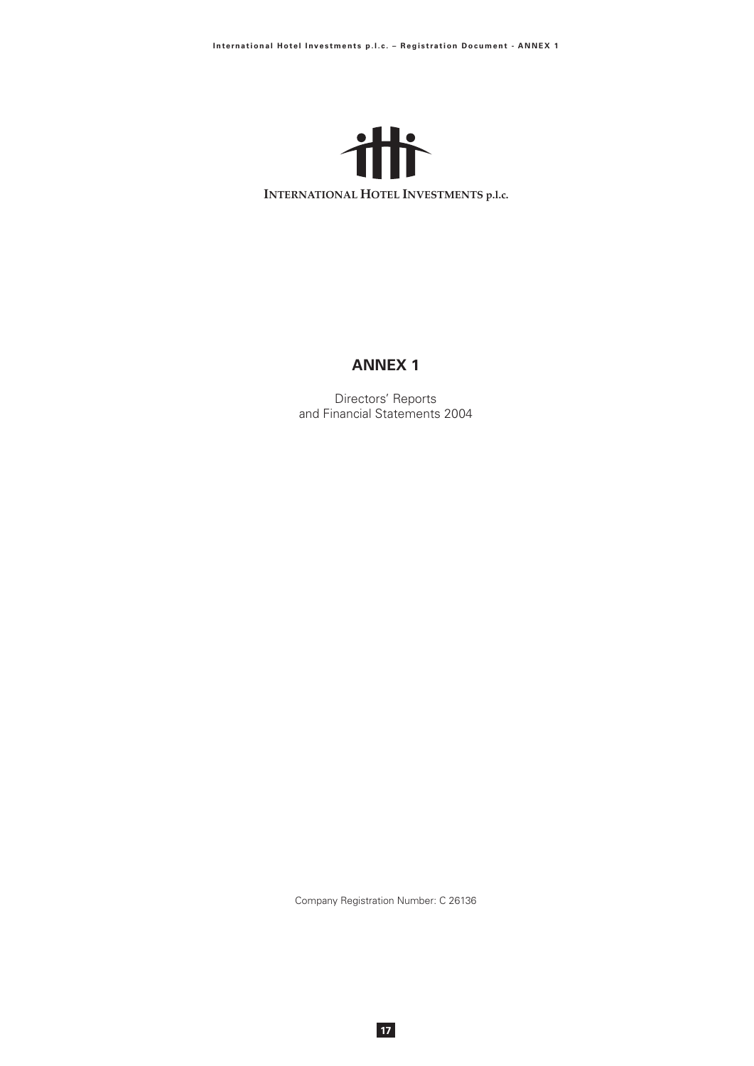

# **ANNEX 1**

Directors' Reports and Financial Statements 2004

Company Registration Number: C 26136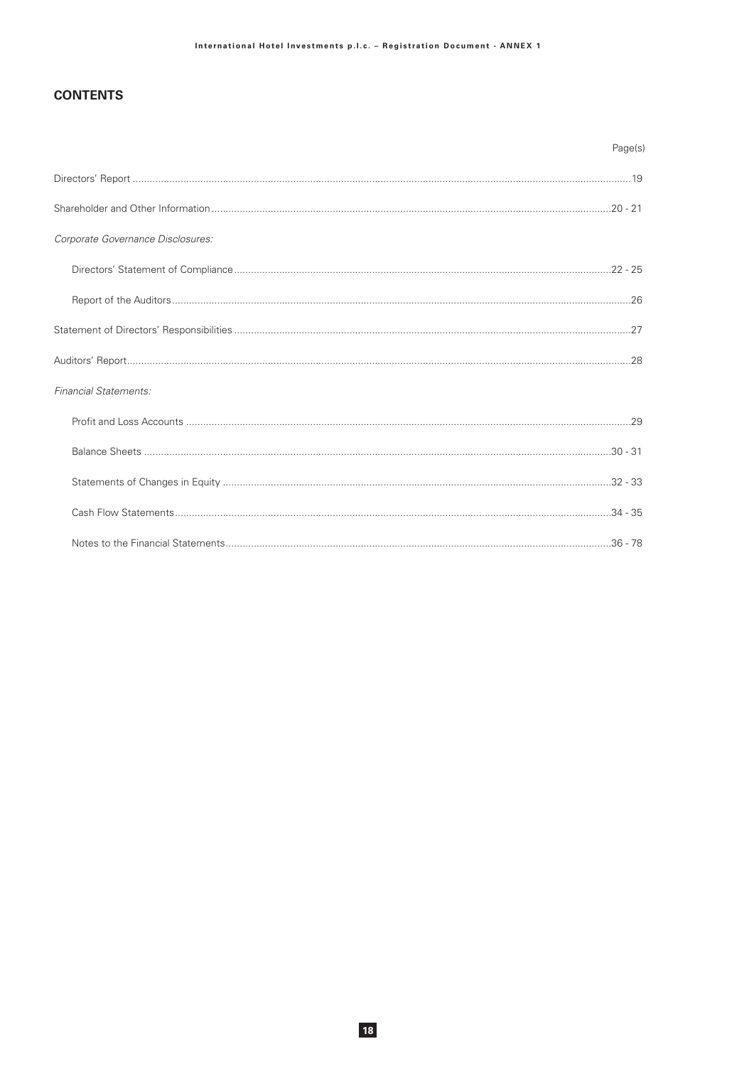# **CONTENTS**

|                                   | Page(s) |
|-----------------------------------|---------|
|                                   |         |
|                                   |         |
| Corporate Governance Disclosures: |         |
|                                   |         |
|                                   |         |
|                                   |         |
|                                   |         |
| <b>Financial Statements:</b>      |         |
|                                   |         |
|                                   |         |
|                                   |         |
|                                   |         |
|                                   |         |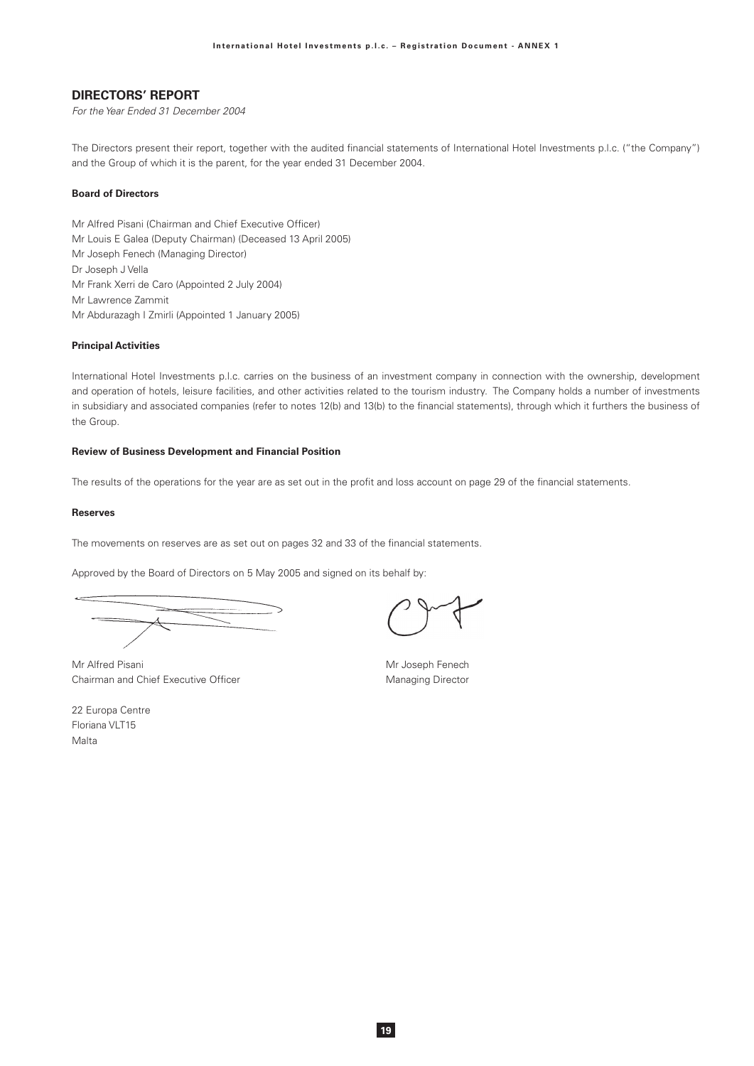## **DIRECTORS' REPORT**

For the Year Ended 31 December 2004

The Directors present their report, together with the audited financial statements of International Hotel Investments p.l.c. ("the Company") and the Group of which it is the parent, for the year ended 31 December 2004.

### **Board of Directors**

Mr Alfred Pisani (Chairman and Chief Executive Officer) Mr Louis E Galea (Deputy Chairman) (Deceased 13 April 2005) Mr Joseph Fenech (Managing Director) Dr Joseph J Vella Mr Frank Xerri de Caro (Appointed 2 July 2004) Mr Lawrence Zammit Mr Abdurazagh I Zmirli (Appointed 1 January 2005)

### **Principal Activities**

International Hotel Investments p.l.c. carries on the business of an investment company in connection with the ownership, development and operation of hotels, leisure facilities, and other activities related to the tourism industry. The Company holds a number of investments in subsidiary and associated companies (refer to notes 12(b) and 13(b) to the financial statements), through which it furthers the business of the Group.

### **Review of Business Development and Financial Position**

The results of the operations for the year are as set out in the profit and loss account on page 29 of the financial statements.

#### **Reserves**

The movements on reserves are as set out on pages 32 and 33 of the financial statements.

Approved by the Board of Directors on 5 May 2005 and signed on its behalf by:

Mr Alfred Pisani Chairman and Chief Executive Officer

| 22 Europa Centre |
|------------------|
| Floriana VLT15   |
| Malta            |

Mr Joseph Fenech Managing Director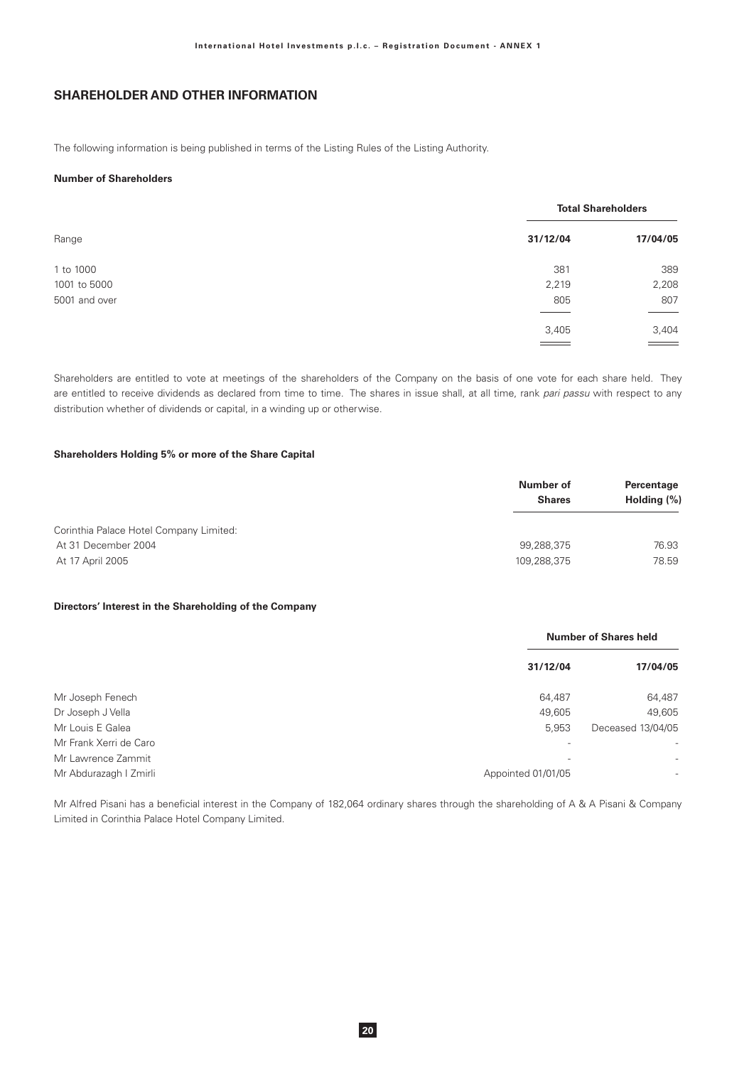# **SHAREHOLDER AND OTHER INFORMATION**

The following information is being published in terms of the Listing Rules of the Listing Authority.

### **Number of Shareholders**

|               |                          | <b>Total Shareholders</b> |  |  |
|---------------|--------------------------|---------------------------|--|--|
| Range         | 31/12/04                 | 17/04/05                  |  |  |
| 1 to 1000     | 381                      | 389                       |  |  |
| 1001 to 5000  | 2,219                    | 2,208                     |  |  |
| 5001 and over | 805                      | 807                       |  |  |
|               | 3,405                    | 3,404                     |  |  |
|               | $\overline{\phantom{a}}$ | $\equiv$                  |  |  |

Shareholders are entitled to vote at meetings of the shareholders of the Company on the basis of one vote for each share held. They are entitled to receive dividends as declared from time to time. The shares in issue shall, at all time, rank pari passu with respect to any distribution whether of dividends or capital, in a winding up or otherwise.

### Shareholders Holding 5% or more of the Share Capital

|                                         | Number of<br><b>Shares</b> | Percentage<br>Holding $(\%)$ |  |
|-----------------------------------------|----------------------------|------------------------------|--|
| Corinthia Palace Hotel Company Limited: |                            |                              |  |
| At 31 December 2004                     | 99,288,375                 | 76.93                        |  |
| At 17 April 2005                        | 109,288,375                | 78.59                        |  |

### Directors' Interest in the Shareholding of the Company

|                        |                          | <b>Number of Shares held</b> |
|------------------------|--------------------------|------------------------------|
|                        | 31/12/04                 | 17/04/05                     |
| Mr Joseph Fenech       | 64,487                   | 64,487                       |
| Dr Joseph J Vella      | 49,605                   | 49,605                       |
| Mr Louis E Galea       | 5,953                    | Deceased 13/04/05            |
| Mr Frank Xerri de Caro |                          |                              |
| Mr Lawrence Zammit     | $\overline{\phantom{0}}$ | $\overline{\phantom{a}}$     |
| Mr Abdurazagh I Zmirli | Appointed 01/01/05       | $\overline{\phantom{a}}$     |

Mr Alfred Pisani has a beneficial interest in the Company of 182,064 ordinary shares through the shareholding of A & A Pisani & Company Limited in Corinthia Palace Hotel Company Limited.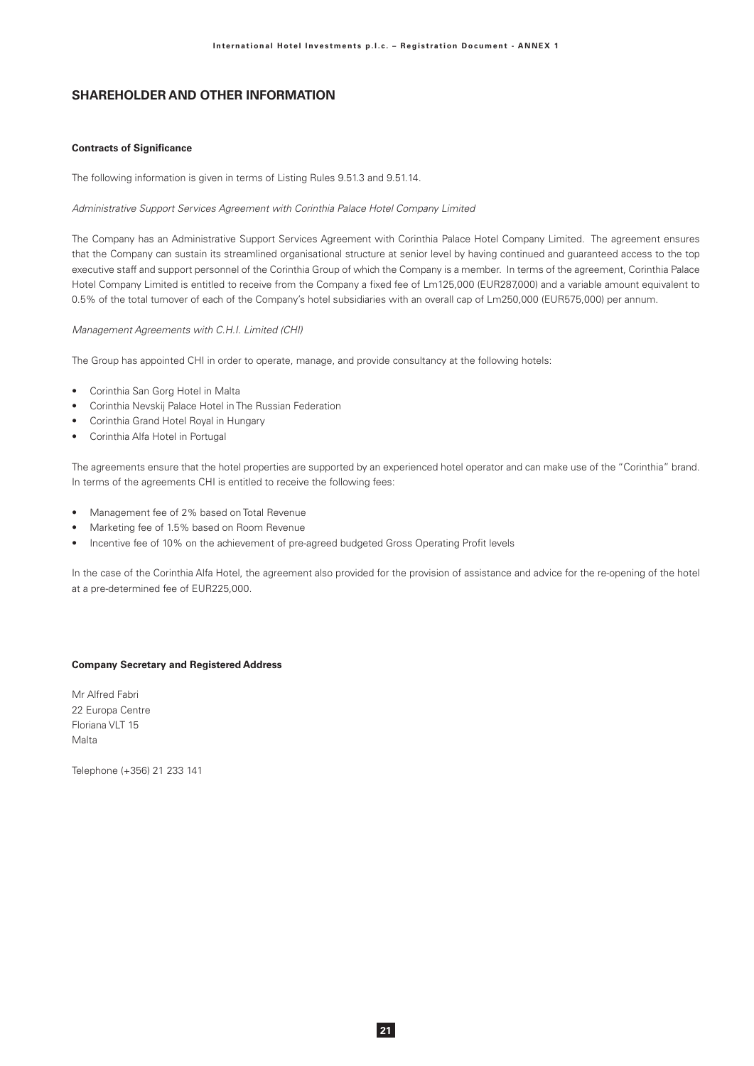# **SHAREHOLDER AND OTHER INFORMATION**

### **Contracts of Significance**

The following information is given in terms of Listing Rules 9.51.3 and 9.51.14.

### Administrative Support Services Agreement with Corinthia Palace Hotel Company Limited

The Company has an Administrative Support Services Agreement with Corinthia Palace Hotel Company Limited. The agreement ensures that the Company can sustain its streamlined organisational structure at senior level by having continued and guaranteed access to the top executive staff and support personnel of the Corinthia Group of which the Company is a member. In terms of the agreement, Corinthia Palace Hotel Company Limited is entitled to receive from the Company a fixed fee of Lm125,000 (EUR287,000) and a variable amount equivalent to 0.5% of the total turnover of each of the Company's hotel subsidiaries with an overall cap of Lm250,000 (EUR575,000) per annum.

### Management Agreements with C.H.I. Limited (CHI)

The Group has appointed CHI in order to operate, manage, and provide consultancy at the following hotels:

- Corinthia San Gorg Hotel in Malta
- Corinthia Nevskij Palace Hotel in The Russian Federation
- Corinthia Grand Hotel Royal in Hungary
- Corinthia Alfa Hotel in Portugal

The agreements ensure that the hotel properties are supported by an experienced hotel operator and can make use of the "Corinthia" brand. In terms of the agreements CHI is entitled to receive the following fees:

- Management fee of 2% based on Total Revenue
- Marketing fee of 1.5% based on Room Revenue
- Incentive fee of 10% on the achievement of pre-agreed budgeted Gross Operating Profit levels

In the case of the Corinthia Alfa Hotel, the agreement also provided for the provision of assistance and advice for the re-opening of the hotel at a pre-determined fee of EUR225,000.

### **Company Secretary and Registered Address**

Mr Alfred Fabri 22 Europa Centre Floriana VLT 15 Malta

Telephone (+356) 21 233 141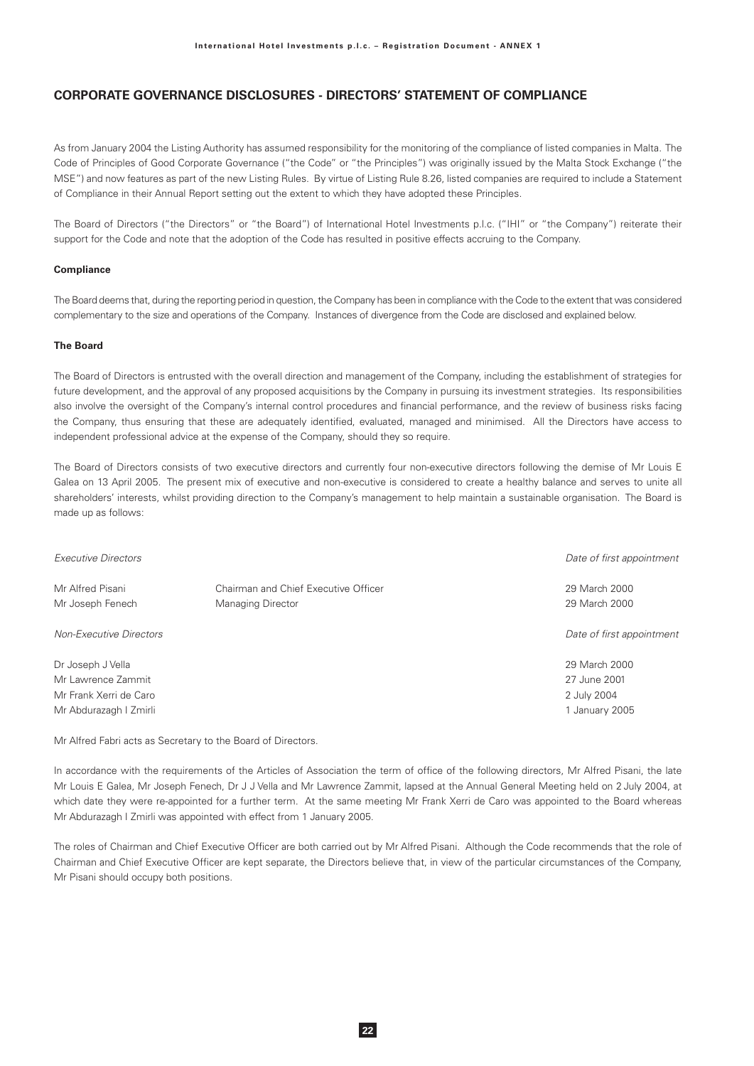As from January 2004 the Listing Authority has assumed responsibility for the monitoring of the compliance of listed companies in Malta. The Code of Principles of Good Corporate Governance ("the Code" or "the Principles") was originally issued by the Malta Stock Exchange ("the MSE") and now features as part of the new Listing Rules. By virtue of Listing Rule 8.26, listed companies are required to include a Statement of Compliance in their Annual Report setting out the extent to which they have adopted these Principles.

The Board of Directors ("the Directors" or "the Board") of International Hotel Investments p.l.c. ("IHI" or "the Company") reiterate their support for the Code and note that the adoption of the Code has resulted in positive effects accruing to the Company.

### Compliance

The Board deems that, during the reporting period in question, the Company has been in compliance with the Code to the extent that was considered complementary to the size and operations of the Company. Instances of divergence from the Code are disclosed and explained below.

### **The Board**

The Board of Directors is entrusted with the overall direction and management of the Company, including the establishment of strategies for future development, and the approval of any proposed acquisitions by the Company in pursuing its investment strategies. Its responsibilities also involve the oversight of the Company's internal control procedures and financial performance, and the review of business risks facing the Company, thus ensuring that these are adequately identified, evaluated, managed and minimised. All the Directors have access to independent professional advice at the expense of the Company, should they so require.

The Board of Directors consists of two executive directors and currently four non-executive directors following the demise of Mr Louis E Galea on 13 April 2005. The present mix of executive and non-executive is considered to create a healthy balance and serves to unite all shareholders' interests, whilst providing direction to the Company's management to help maintain a sustainable organisation. The Board is made up as follows:

| <b>Executive Directors</b>                                                                  |                                                           | Date of first appointment                                      |
|---------------------------------------------------------------------------------------------|-----------------------------------------------------------|----------------------------------------------------------------|
| Mr Alfred Pisani<br>Mr Joseph Fenech                                                        | Chairman and Chief Executive Officer<br>Managing Director | 29 March 2000<br>29 March 2000                                 |
| <b>Non-Executive Directors</b>                                                              |                                                           | Date of first appointment                                      |
| Dr Joseph J Vella<br>Mr Lawrence Zammit<br>Mr Frank Xerri de Caro<br>Mr Abdurazagh I Zmirli |                                                           | 29 March 2000<br>27 June 2001<br>2 July 2004<br>1 January 2005 |

Mr Alfred Fabri acts as Secretary to the Board of Directors.

In accordance with the requirements of the Articles of Association the term of office of the following directors, Mr Alfred Pisani, the late Mr Louis E Galea, Mr Joseph Fenech, Dr J J Vella and Mr Lawrence Zammit, lapsed at the Annual General Meeting held on 2 July 2004, at which date they were re-appointed for a further term. At the same meeting Mr Frank Xerri de Caro was appointed to the Board whereas Mr Abdurazagh I Zmirli was appointed with effect from 1 January 2005.

The roles of Chairman and Chief Executive Officer are both carried out by Mr Alfred Pisani. Although the Code recommends that the role of Chairman and Chief Executive Officer are kept separate, the Directors believe that, in view of the particular circumstances of the Company, Mr Pisani should occupy both positions.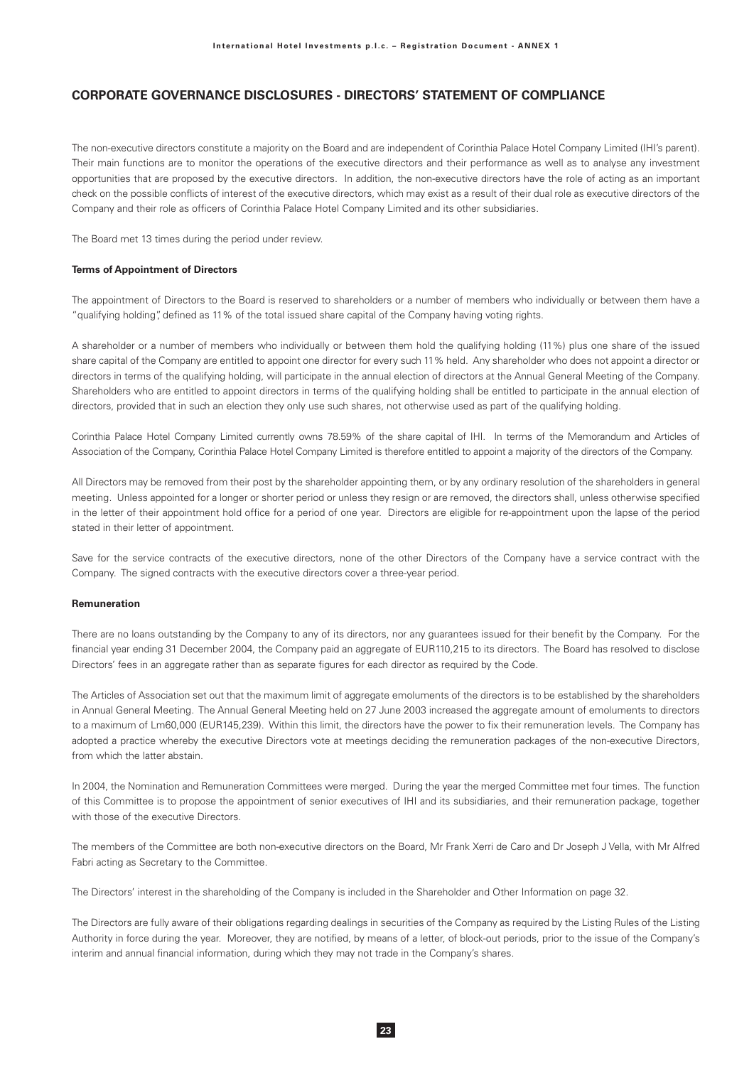The non-executive directors constitute a majority on the Board and are independent of Corinthia Palace Hotel Company Limited (IHI's parent). Their main functions are to monitor the operations of the executive directors and their performance as well as to analyse any investment opportunities that are proposed by the executive directors. In addition, the non-executive directors have the role of acting as an important check on the possible conflicts of interest of the executive directors, which may exist as a result of their dual role as executive directors of the Company and their role as officers of Corinthia Palace Hotel Company Limited and its other subsidiaries.

The Board met 13 times during the period under review.

### **Terms of Appointment of Directors**

The appointment of Directors to the Board is reserved to shareholders or a number of members who individually or between them have a "qualifying holding", defined as 11% of the total issued share capital of the Company having voting rights.

A shareholder or a number of members who individually or between them hold the qualifying holding (11%) plus one share of the issued share capital of the Company are entitled to appoint one director for every such 11% held. Any shareholder who does not appoint a director or directors in terms of the qualifying holding, will participate in the annual election of directors at the Annual General Meeting of the Company. Shareholders who are entitled to appoint directors in terms of the qualifying holding shall be entitled to participate in the annual election of directors, provided that in such an election they only use such shares, not otherwise used as part of the qualifying holding.

Corinthia Palace Hotel Company Limited currently owns 78.59% of the share capital of IHI. In terms of the Memorandum and Articles of Association of the Company, Corinthia Palace Hotel Company Limited is therefore entitled to appoint a majority of the directors of the Company.

All Directors may be removed from their post by the shareholder appointing them, or by any ordinary resolution of the shareholders in general meeting. Unless appointed for a longer or shorter period or unless they resign or are removed, the directors shall, unless otherwise specified in the letter of their appointment hold office for a period of one year. Directors are eligible for re-appointment upon the lapse of the period stated in their letter of appointment.

Save for the service contracts of the executive directors, none of the other Directors of the Company have a service contract with the Company. The signed contracts with the executive directors cover a three-year period.

### Remuneration

There are no loans outstanding by the Company to any of its directors, nor any guarantees issued for their benefit by the Company. For the financial year ending 31 December 2004, the Company paid an aggregate of EUR110,215 to its directors. The Board has resolved to disclose Directors' fees in an aggregate rather than as separate figures for each director as required by the Code.

The Articles of Association set out that the maximum limit of aggregate emoluments of the directors is to be established by the shareholders in Annual General Meeting. The Annual General Meeting held on 27 June 2003 increased the aggregate amount of emoluments to directors to a maximum of Lm60,000 (EUR145,239). Within this limit, the directors have the power to fix their remuneration levels. The Company has adopted a practice whereby the executive Directors vote at meetings deciding the remuneration packages of the non-executive Directors, from which the latter abstain.

In 2004, the Nomination and Remuneration Committees were merged. During the year the merged Committee met four times. The function of this Committee is to propose the appointment of senior executives of IHI and its subsidiaries, and their remuneration package, together with those of the executive Directors.

The members of the Committee are both non-executive directors on the Board, Mr Frank Xerri de Caro and Dr Joseph J Vella, with Mr Alfred Fabri acting as Secretary to the Committee.

The Directors' interest in the shareholding of the Company is included in the Shareholder and Other Information on page 32.

The Directors are fully aware of their obligations regarding dealings in securities of the Company as required by the Listing Rules of the Listing Authority in force during the year. Moreover, they are notified, by means of a letter, of block-out periods, prior to the issue of the Company's interim and annual financial information, during which they may not trade in the Company's shares.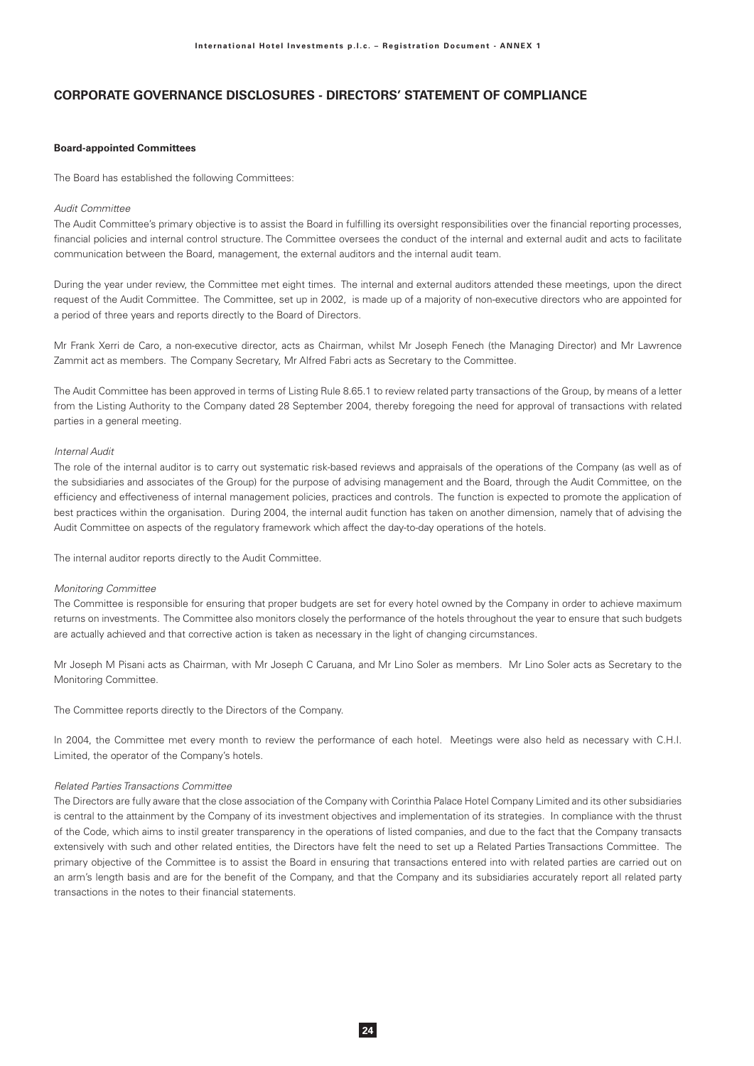### **Board-appointed Committees**

The Board has established the following Committees:

#### Audit Committee

The Audit Committee's primary objective is to assist the Board in fulfilling its oversight responsibilities over the financial reporting processes, financial policies and internal control structure. The Committee oversees the conduct of the internal and external audit and acts to facilitate communication between the Board, management, the external auditors and the internal audit team.

During the year under review, the Committee met eight times. The internal and external auditors attended these meetings, upon the direct request of the Audit Committee. The Committee, set up in 2002, is made up of a majority of non-executive directors who are appointed for a period of three years and reports directly to the Board of Directors.

Mr Frank Xerri de Caro, a non-executive director, acts as Chairman, whilst Mr Joseph Fenech (the Managing Director) and Mr Lawrence Zammit act as members. The Company Secretary, Mr Alfred Fabri acts as Secretary to the Committee.

The Audit Committee has been approved in terms of Listing Rule 8.65.1 to review related party transactions of the Group, by means of a letter from the Listing Authority to the Company dated 28 September 2004, thereby foregoing the need for approval of transactions with related parties in a general meeting.

### Internal Audit

The role of the internal auditor is to carry out systematic risk-based reviews and appraisals of the operations of the Company (as well as of the subsidiaries and associates of the Group) for the purpose of advising management and the Board, through the Audit Committee, on the efficiency and effectiveness of internal management policies, practices and controls. The function is expected to promote the application of best practices within the organisation. During 2004, the internal audit function has taken on another dimension, namely that of advising the Audit Committee on aspects of the regulatory framework which affect the day-to-day operations of the hotels.

The internal auditor reports directly to the Audit Committee.

#### Monitoring Committee

The Committee is responsible for ensuring that proper budgets are set for every hotel owned by the Company in order to achieve maximum returns on investments. The Committee also monitors closely the performance of the hotels throughout the year to ensure that such budgets are actually achieved and that corrective action is taken as necessary in the light of changing circumstances.

Mr Joseph M Pisani acts as Chairman, with Mr Joseph C Caruana, and Mr Lino Soler as members. Mr Lino Soler acts as Secretary to the Monitoring Committee.

The Committee reports directly to the Directors of the Company.

In 2004, the Committee met every month to review the performance of each hotel. Meetings were also held as necessary with C.H.I. Limited, the operator of the Company's hotels.

## Related Parties Transactions Committee

The Directors are fully aware that the close association of the Company with Corinthia Palace Hotel Company Limited and its other subsidiaries is central to the attainment by the Company of its investment objectives and implementation of its strategies. In compliance with the thrust of the Code, which aims to instil greater transparency in the operations of listed companies, and due to the fact that the Company transacts extensively with such and other related entities, the Directors have felt the need to set up a Related Parties Transactions Committee. The primary objective of the Committee is to assist the Board in ensuring that transactions entered into with related parties are carried out on an arm's length basis and are for the benefit of the Company, and that the Company and its subsidiaries accurately report all related party transactions in the notes to their financial statements.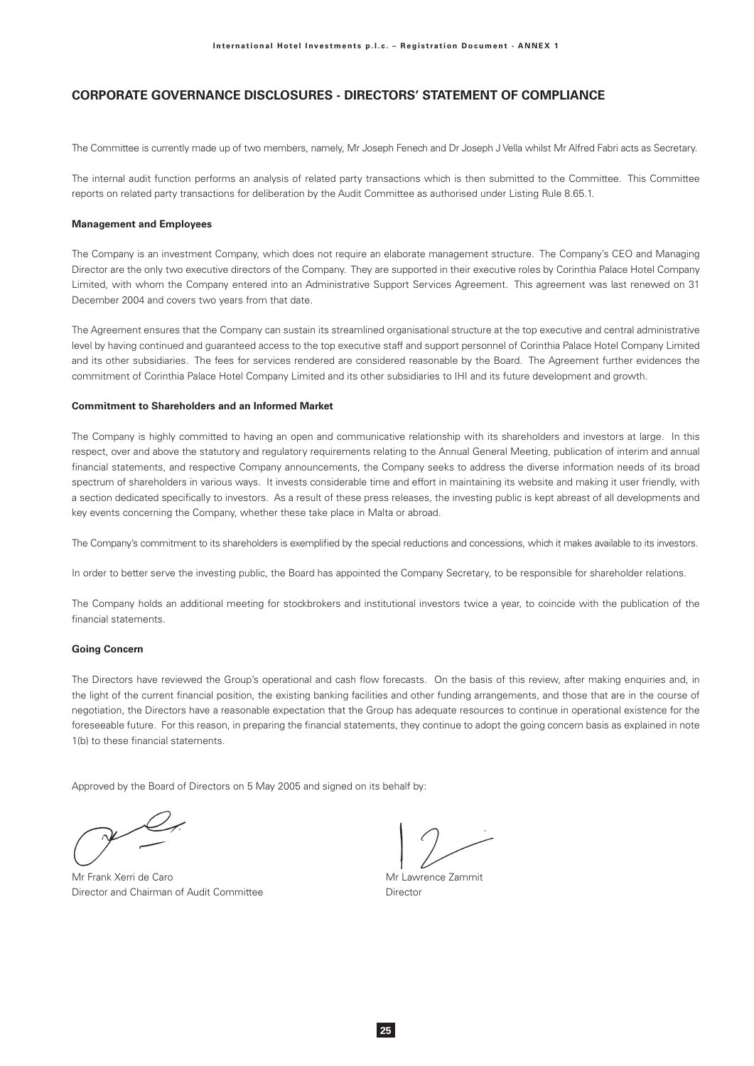The Committee is currently made up of two members, namely, Mr Joseph Fenech and Dr Joseph J Vella whilst Mr Alfred Fabri acts as Secretary.

The internal audit function performs an analysis of related party transactions which is then submitted to the Committee. This Committee reports on related party transactions for deliberation by the Audit Committee as authorised under Listing Rule 8.65.1.

### **Management and Employees**

The Company is an investment Company, which does not require an elaborate management structure. The Company's CEO and Managing Director are the only two executive directors of the Company. They are supported in their executive roles by Corinthia Palace Hotel Company Limited, with whom the Company entered into an Administrative Support Services Agreement. This agreement was last renewed on 31 December 2004 and covers two years from that date.

The Agreement ensures that the Company can sustain its streamlined organisational structure at the top executive and central administrative level by having continued and guaranteed access to the top executive staff and support personnel of Corinthia Palace Hotel Company Limited and its other subsidiaries. The fees for services rendered are considered reasonable by the Board. The Agreement further evidences the commitment of Corinthia Palace Hotel Company Limited and its other subsidiaries to IHI and its future development and growth.

### **Commitment to Shareholders and an Informed Market**

The Company is highly committed to having an open and communicative relationship with its shareholders and investors at large. In this respect, over and above the statutory and regulatory requirements relating to the Annual General Meeting, publication of interim and annual financial statements, and respective Company announcements, the Company seeks to address the diverse information needs of its broad spectrum of shareholders in various ways. It invests considerable time and effort in maintaining its website and making it user friendly, with a section dedicated specifically to investors. As a result of these press releases, the investing public is kept abreast of all developments and key events concerning the Company, whether these take place in Malta or abroad.

The Company's commitment to its shareholders is exemplified by the special reductions and concessions, which it makes available to its investors.

In order to better serve the investing public, the Board has appointed the Company Secretary, to be responsible for shareholder relations.

The Company holds an additional meeting for stockbrokers and institutional investors twice a year, to coincide with the publication of the financial statements.

#### **Going Concern**

The Directors have reviewed the Group's operational and cash flow forecasts. On the basis of this review, after making enquiries and, in the light of the current financial position, the existing banking facilities and other funding arrangements, and those that are in the course of negotiation, the Directors have a reasonable expectation that the Group has adequate resources to continue in operational existence for the foreseeable future. For this reason, in preparing the financial statements, they continue to adopt the going concern basis as explained in note 1(b) to these financial statements

Approved by the Board of Directors on 5 May 2005 and signed on its behalf by:

Mr Frank Xerri de Caro Director and Chairman of Audit Committee

Mr Lawrence Zammit Director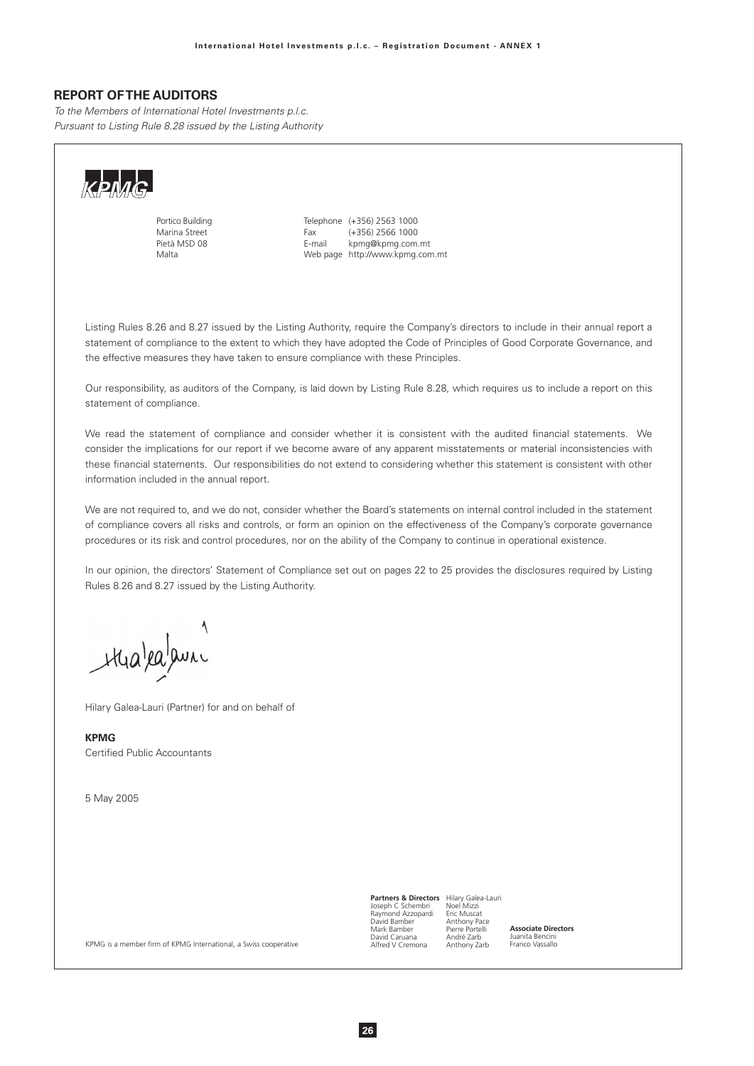## **REPORT OF THE AUDITORS**

To the Members of International Hotel Investments p.l.c. Pursuant to Listing Rule 8.28 issued by the Listing Authority



Portico Buildina Marina Street Pietà MSD 08 Malta

Telephone (+356) 2563 1000  $(+356)$  2566 1000 Fax F-mail kpmg@kpmg.com.mt Web page http://www.kpmg.com.mt

Listing Rules 8.26 and 8.27 issued by the Listing Authority, require the Company's directors to include in their annual report a statement of compliance to the extent to which they have adopted the Code of Principles of Good Corporate Governance, and the effective measures they have taken to ensure compliance with these Principles.

Our responsibility, as auditors of the Company, is laid down by Listing Rule 8.28, which requires us to include a report on this statement of compliance.

We read the statement of compliance and consider whether it is consistent with the audited financial statements. We consider the implications for our report if we become aware of any apparent misstatements or material inconsistencies with these financial statements. Our responsibilities do not extend to considering whether this statement is consistent with other information included in the annual report.

We are not required to, and we do not, consider whether the Board's statements on internal control included in the statement of compliance covers all risks and controls, or form an opinion on the effectiveness of the Company's corporate governance procedures or its risk and control procedures, nor on the ability of the Company to continue in operational existence.

In our opinion, the directors' Statement of Compliance set out on pages 22 to 25 provides the disclosures required by Listing Rules 8.26 and 8.27 issued by the Listing Authority.

Hialealauni

Hilary Galea-Lauri (Partner) for and on behalf of

KPMG Certified Public Accountants

5 May 2005

**Partners & Directors** Hilary Galea-Lauri<br>Joseph C Schembri Noel Mizzi<br>Raymond Azzopardi Eric Muscat<br>David Bamber Anthony Pace Pierre Portelli<br>André Zarb<br>Anthony Zarb Mark Bamber David Caruana<br>Alfred V Cremona

Associate Directors Juanita Bencini<br>Franco Vassallo

KPMG is a member firm of KPMG International, a Swiss cooperative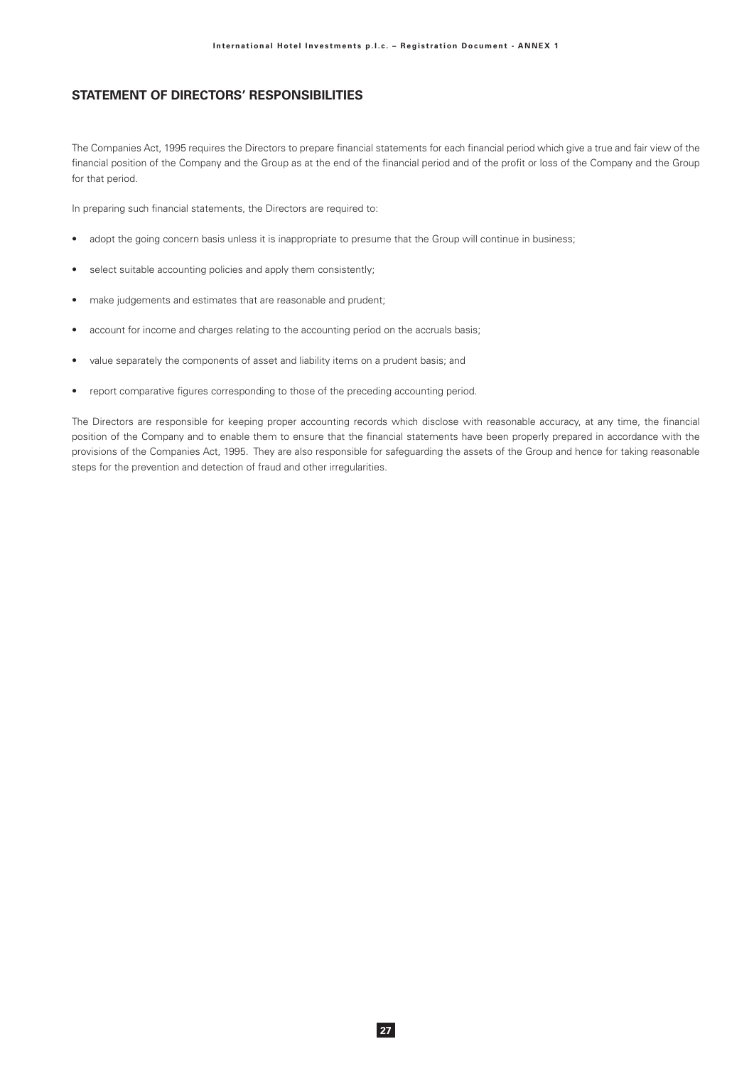# **STATEMENT OF DIRECTORS' RESPONSIBILITIES**

The Companies Act, 1995 requires the Directors to prepare financial statements for each financial period which give a true and fair view of the financial position of the Company and the Group as at the end of the financial period and of the profit or loss of the Company and the Group for that period.

In preparing such financial statements, the Directors are required to:

- adopt the going concern basis unless it is inappropriate to presume that the Group will continue in business;  $\bullet$
- select suitable accounting policies and apply them consistently;
- make judgements and estimates that are reasonable and prudent;  $\bullet$
- account for income and charges relating to the accounting period on the accruals basis;
- value separately the components of asset and liability items on a prudent basis; and
- report comparative figures corresponding to those of the preceding accounting period.

The Directors are responsible for keeping proper accounting records which disclose with reasonable accuracy, at any time, the financial position of the Company and to enable them to ensure that the financial statements have been properly prepared in accordance with the provisions of the Companies Act, 1995. They are also responsible for safeguarding the assets of the Group and hence for taking reasonable steps for the prevention and detection of fraud and other irregularities.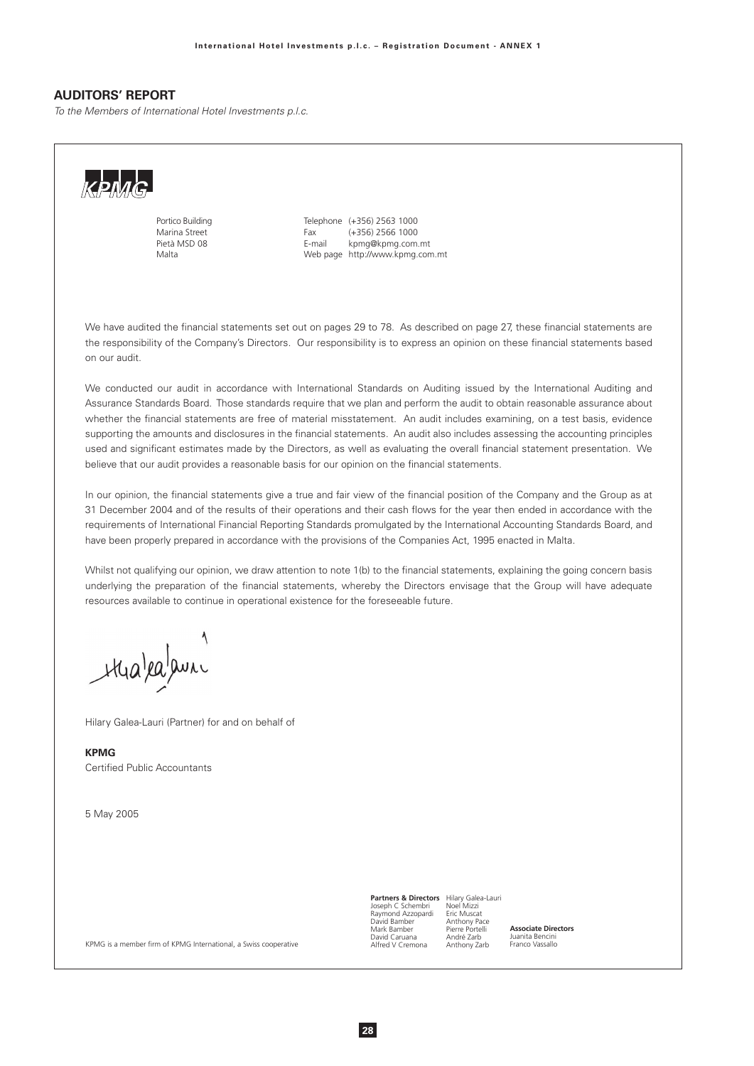## **AUDITORS' REPORT**

To the Members of International Hotel Investments p.l.c.



Portico Buildina Marina Street Pietà MSD 08 Malta

Telephone (+356) 2563 1000  $(+356)$  2566 1000 Fax F-mail kpmg@kpmg.com.mt Web page http://www.kpmg.com.mt

We have audited the financial statements set out on pages 29 to 78. As described on page 27, these financial statements are the responsibility of the Company's Directors. Our responsibility is to express an opinion on these financial statements based on our audit

We conducted our audit in accordance with International Standards on Auditing issued by the International Auditing and Assurance Standards Board. Those standards require that we plan and perform the audit to obtain reasonable assurance about whether the financial statements are free of material misstatement. An audit includes examining, on a test basis, evidence supporting the amounts and disclosures in the financial statements. An audit also includes assessing the accounting principles used and significant estimates made by the Directors, as well as evaluating the overall financial statement presentation. We believe that our audit provides a reasonable basis for our opinion on the financial statements.

In our opinion, the financial statements give a true and fair view of the financial position of the Company and the Group as at 31 December 2004 and of the results of their operations and their cash flows for the year then ended in accordance with the requirements of International Financial Reporting Standards promulgated by the International Accounting Standards Board, and have been properly prepared in accordance with the provisions of the Companies Act, 1995 enacted in Malta.

Whilst not qualifying our opinion, we draw attention to note 1(b) to the financial statements, explaining the going concern basis underlying the preparation of the financial statements, whereby the Directors envisage that the Group will have adequate resources available to continue in operational existence for the foreseeable future.

thalealauni

Hilary Galea-Lauri (Partner) for and on behalf of

**KPMG** Certified Public Accountants

5 May 2005

**Partners & Directors** Hilary Galea-Lauri<br>Joseph C Schembri Noel Mizzi<br>Raymond Azzopardi Eric Muscat<br>David Bamber Anthony Pace Mark Bamber Pierre Portelli David Caruana André Zarb Alfred V Cremona Anthony Zarb

Associate Directors Juanita Bencini<br>Franco Vassallo

KPMG is a member firm of KPMG International, a Swiss cooperative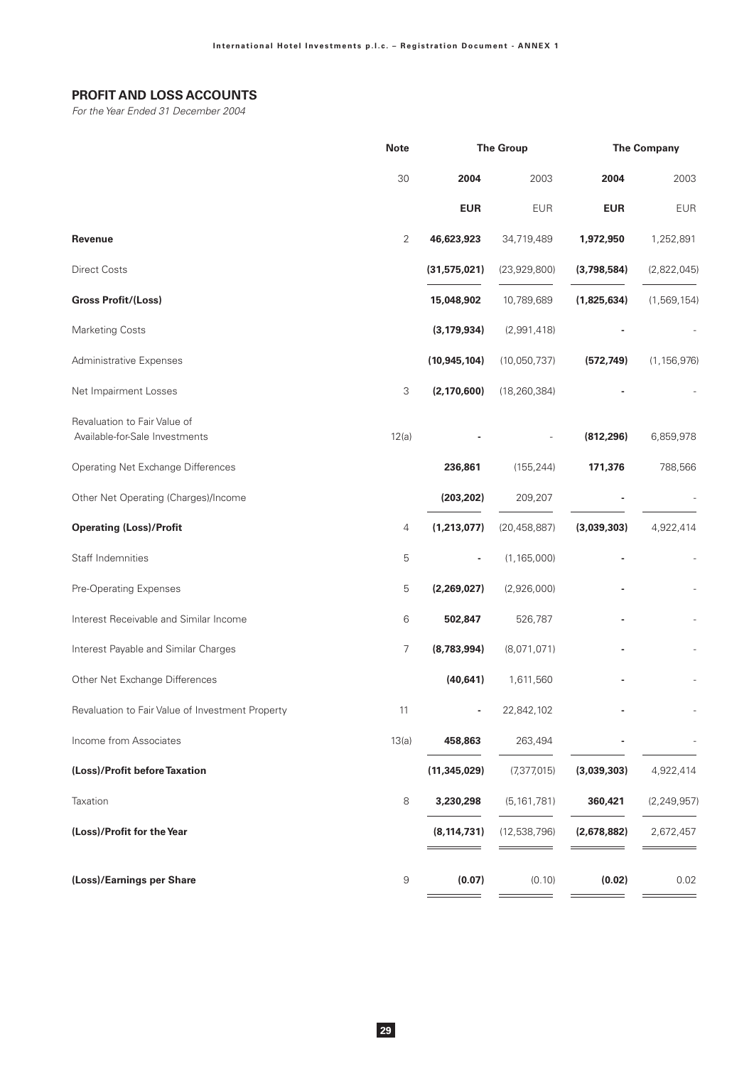# PROFIT AND LOSS ACCOUNTS

For the Year Ended 31 December 2004

|                                                  | <b>Note</b>    | <b>The Group</b> |                | <b>The Company</b> |               |
|--------------------------------------------------|----------------|------------------|----------------|--------------------|---------------|
|                                                  | 30             | 2004             | 2003           | 2004               | 2003          |
|                                                  |                | <b>EUR</b>       | <b>EUR</b>     | <b>EUR</b>         | <b>EUR</b>    |
| <b>Revenue</b>                                   | $\overline{2}$ | 46,623,923       | 34,719,489     | 1,972,950          | 1,252,891     |
| <b>Direct Costs</b>                              |                | (31,575,021)     | (23,929,800)   | (3,798,584)        | (2,822,045)   |
| <b>Gross Profit/(Loss)</b>                       |                | 15,048,902       | 10,789,689     | (1,825,634)        | (1,569,154)   |
| <b>Marketing Costs</b>                           |                | (3, 179, 934)    | (2,991,418)    |                    |               |
| Administrative Expenses                          |                | (10, 945, 104)   | (10,050,737)   | (572, 749)         | (1, 156, 976) |
| Net Impairment Losses                            | 3              | (2, 170, 600)    | (18, 260, 384) |                    |               |
| Revaluation to Fair Value of                     |                |                  |                |                    |               |
| Available-for-Sale Investments                   | 12(a)          |                  |                | (812, 296)         | 6,859,978     |
| Operating Net Exchange Differences               |                | 236,861          | (155, 244)     | 171,376            | 788,566       |
| Other Net Operating (Charges)/Income             |                | (203, 202)       | 209,207        |                    |               |
| <b>Operating (Loss)/Profit</b>                   | 4              | (1,213,077)      | (20, 458, 887) | (3,039,303)        | 4,922,414     |
| Staff Indemnities                                | 5              |                  | (1, 165, 000)  |                    |               |
| Pre-Operating Expenses                           | 5              | (2,269,027)      | (2,926,000)    |                    |               |
| Interest Receivable and Similar Income           | 6              | 502,847          | 526,787        |                    |               |
| Interest Payable and Similar Charges             | 7              | (8,783,994)      | (8,071,071)    |                    |               |
| Other Net Exchange Differences                   |                | (40, 641)        | 1,611,560      |                    |               |
| Revaluation to Fair Value of Investment Property | 11             |                  | 22,842,102     |                    |               |
| Income from Associates                           | 13(a)          | 458,863          | 263,494        |                    |               |
| (Loss)/Profit before Taxation                    |                | (11, 345, 029)   | (7, 377, 015)  | (3,039,303)        | 4,922,414     |
| Taxation                                         | 8              | 3,230,298        | (5, 161, 781)  | 360,421            | (2, 249, 957) |
| (Loss)/Profit for the Year                       |                | (8, 114, 731)    | (12,538,796)   | (2,678,882)        | 2,672,457     |
| (Loss)/Earnings per Share                        | 9              | (0.07)           | (0.10)         | (0.02)             | 0.02          |
|                                                  |                |                  |                |                    |               |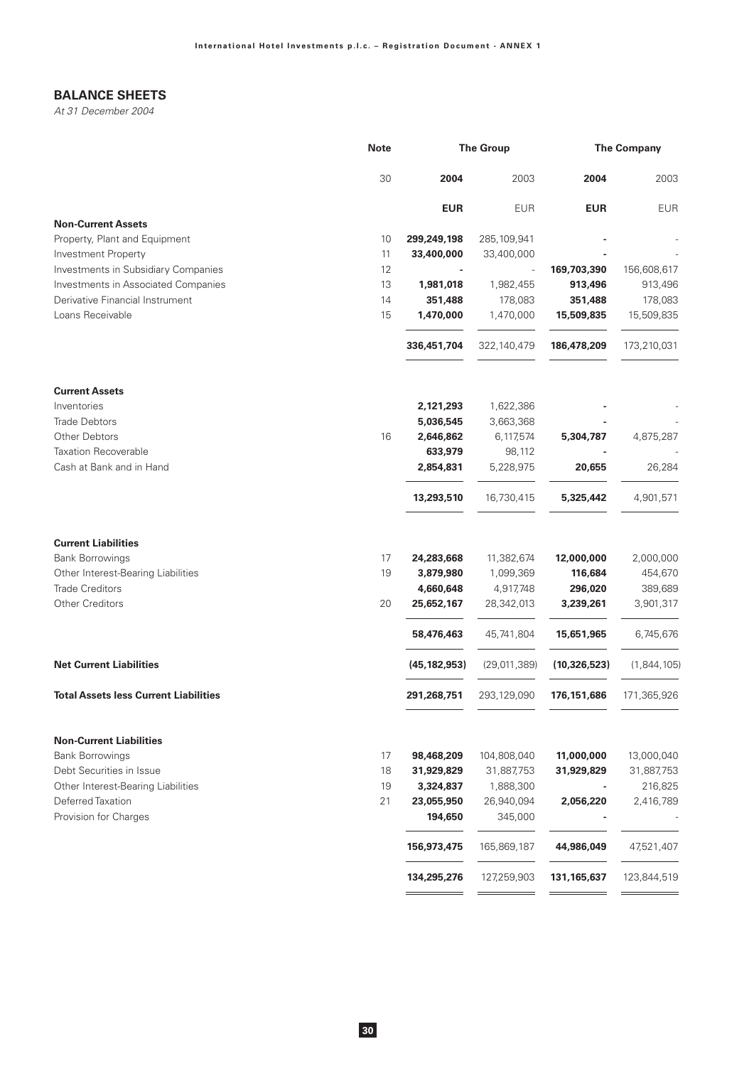# **BALANCE SHEETS**

At 31 December 2004

|                                              | <b>Note</b> |                | <b>The Group</b> | <b>The Company</b> |             |
|----------------------------------------------|-------------|----------------|------------------|--------------------|-------------|
|                                              | 30          | 2004           | 2003             | 2004               | 2003        |
|                                              |             | <b>EUR</b>     | <b>EUR</b>       | <b>EUR</b>         | <b>EUR</b>  |
| <b>Non-Current Assets</b>                    |             |                |                  |                    |             |
| Property, Plant and Equipment                | 10          | 299,249,198    | 285, 109, 941    |                    |             |
| <b>Investment Property</b>                   | 11          | 33,400,000     | 33,400,000       |                    |             |
| Investments in Subsidiary Companies          | 12          |                | $\overline{a}$   | 169,703,390        | 156,608,617 |
| Investments in Associated Companies          | 13          | 1,981,018      | 1,982,455        | 913,496            | 913,496     |
| Derivative Financial Instrument              | 14          | 351,488        | 178,083          | 351,488            | 178,083     |
| Loans Receivable                             | 15          | 1,470,000      | 1,470,000        | 15,509,835         | 15,509,835  |
|                                              |             | 336,451,704    | 322,140,479      | 186,478,209        | 173,210,031 |
| <b>Current Assets</b>                        |             |                |                  |                    |             |
| Inventories                                  |             | 2,121,293      | 1,622,386        |                    |             |
| <b>Trade Debtors</b>                         |             | 5,036,545      | 3,663,368        |                    |             |
| Other Debtors                                | 16          | 2,646,862      | 6,117,574        | 5,304,787          | 4,875,287   |
| <b>Taxation Recoverable</b>                  |             | 633,979        | 98,112           |                    |             |
| Cash at Bank and in Hand                     |             | 2,854,831      | 5,228,975        | 20,655             | 26,284      |
|                                              |             | 13,293,510     | 16,730,415       | 5,325,442          | 4,901,571   |
| <b>Current Liabilities</b>                   |             |                |                  |                    |             |
| <b>Bank Borrowings</b>                       | 17          | 24,283,668     | 11,382,674       | 12,000,000         | 2,000,000   |
| Other Interest-Bearing Liabilities           | 19          | 3,879,980      | 1,099,369        | 116,684            | 454,670     |
| <b>Trade Creditors</b>                       |             | 4,660,648      | 4,917,748        | 296,020            | 389,689     |
| <b>Other Creditors</b>                       | 20          | 25,652,167     | 28,342,013       | 3,239,261          | 3,901,317   |
|                                              |             | 58,476,463     | 45,741,804       | 15,651,965         | 6,745,676   |
| <b>Net Current Liabilities</b>               |             | (45, 182, 953) | (29,011,389)     | (10, 326, 523)     | (1,844,105) |
| <b>Total Assets less Current Liabilities</b> |             | 291,268,751    | 293,129,090      | 176, 151, 686      | 171,365,926 |
| <b>Non-Current Liabilities</b>               |             |                |                  |                    |             |
| <b>Bank Borrowings</b>                       | 17          | 98,468,209     | 104,808,040      | 11,000,000         | 13,000,040  |
| Debt Securities in Issue                     | 18          | 31,929,829     | 31,887,753       | 31,929,829         | 31,887,753  |
| Other Interest-Bearing Liabilities           | 19          | 3,324,837      | 1,888,300        |                    | 216,825     |
| Deferred Taxation                            | 21          | 23,055,950     | 26,940,094       | 2,056,220          | 2,416,789   |
| Provision for Charges                        |             | 194,650        | 345,000          |                    |             |
|                                              |             | 156,973,475    | 165,869,187      | 44,986,049         | 47,521,407  |
|                                              |             | 134,295,276    | 127,259,903      | 131,165,637        | 123,844,519 |
|                                              |             |                |                  |                    |             |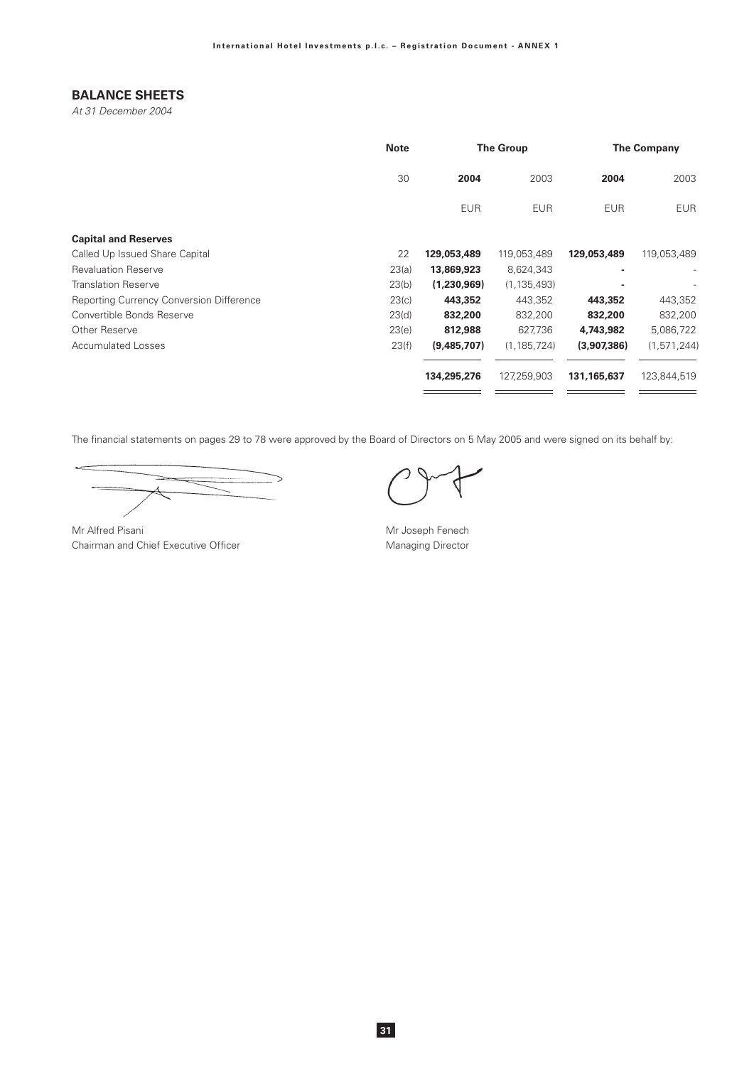# **BALANCE SHEETS**

At 31 December 2004

|                                                 | <b>Note</b> |             | <b>The Group</b> |             | <b>The Company</b> |  |
|-------------------------------------------------|-------------|-------------|------------------|-------------|--------------------|--|
|                                                 | 30          | 2004        | 2003             | 2004        | 2003               |  |
|                                                 |             | <b>EUR</b>  | <b>EUR</b>       | <b>EUR</b>  | <b>EUR</b>         |  |
| <b>Capital and Reserves</b>                     |             |             |                  |             |                    |  |
| Called Up Issued Share Capital                  | 22          | 129,053,489 | 119,053,489      | 129,053,489 | 119,053,489        |  |
| <b>Revaluation Reserve</b>                      | 23(a)       | 13,869,923  | 8,624,343        |             |                    |  |
| <b>Translation Reserve</b>                      | 23(b)       | (1,230,969) | (1, 135, 493)    |             |                    |  |
| <b>Reporting Currency Conversion Difference</b> | 23(c)       | 443,352     | 443,352          | 443,352     | 443,352            |  |
| Convertible Bonds Reserve                       | 23(d)       | 832,200     | 832,200          | 832,200     | 832,200            |  |
| Other Reserve                                   | 23(e)       | 812,988     | 627,736          | 4,743,982   | 5,086,722          |  |
| <b>Accumulated Losses</b>                       | 23(f)       | (9,485,707) | (1, 185, 724)    | (3,907,386) | (1, 571, 244)      |  |
|                                                 |             | 134,295,276 | 127,259,903      | 131,165,637 | 123,844,519        |  |
|                                                 |             |             |                  |             |                    |  |

The financial statements on pages 29 to 78 were approved by the Board of Directors on 5 May 2005 and were signed on its behalf by:

 $\leftarrow$  $\overline{\phantom{0}}$  $\overline{\mathcal{L}}$ 

Mr Alfred Pisani Chairman and Chief Executive Officer

Mr Joseph Fenech Managing Director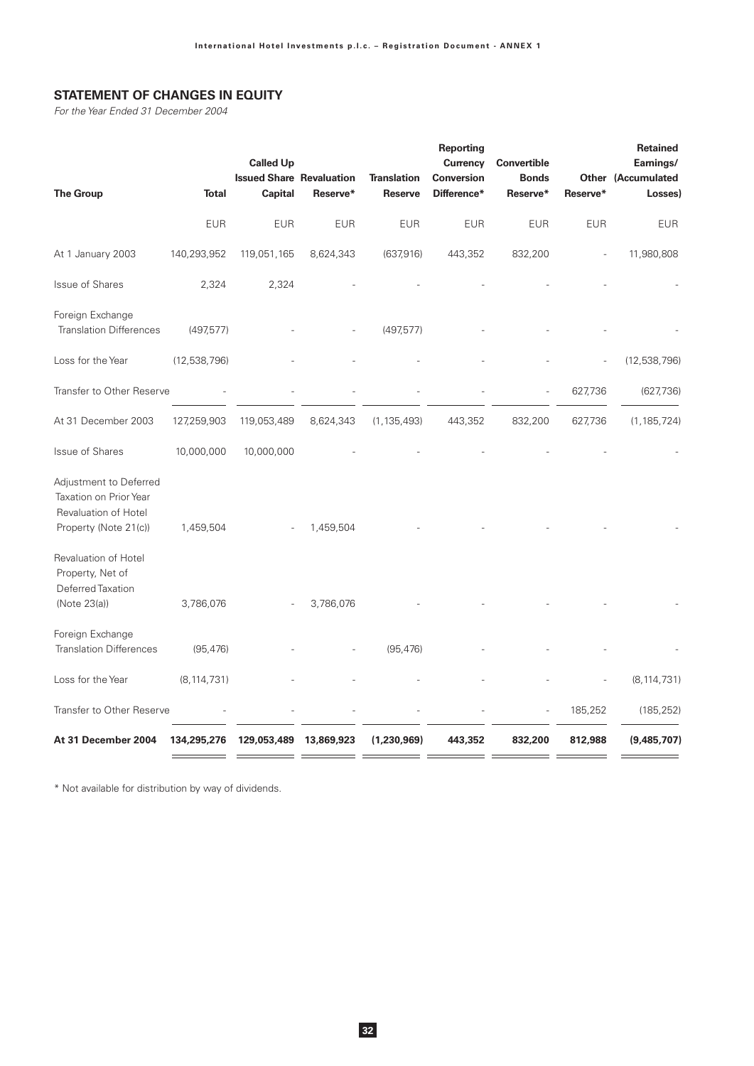# **STATEMENT OF CHANGES IN EQUITY**

For the Year Ended 31 December 2004

| <b>The Group</b>                                                                                  | <b>Total</b>  | <b>Called Up</b><br><b>Issued Share Revaluation</b><br><b>Capital</b> | Reserve*   | <b>Translation</b><br><b>Reserve</b> | <b>Reporting</b><br>Currency<br><b>Conversion</b><br>Difference* | <b>Convertible</b><br><b>Bonds</b><br>Reserve* | Reserve*   | Retained<br>Earnings/<br><b>Other (Accumulated</b><br>Losses) |
|---------------------------------------------------------------------------------------------------|---------------|-----------------------------------------------------------------------|------------|--------------------------------------|------------------------------------------------------------------|------------------------------------------------|------------|---------------------------------------------------------------|
|                                                                                                   | <b>EUR</b>    | <b>EUR</b>                                                            | <b>EUR</b> | <b>EUR</b>                           | <b>EUR</b>                                                       | <b>EUR</b>                                     | <b>EUR</b> | <b>EUR</b>                                                    |
| At 1 January 2003                                                                                 | 140,293,952   | 119,051,165                                                           | 8,624,343  | (637,916)                            | 443,352                                                          | 832,200                                        |            | 11,980,808                                                    |
| <b>Issue of Shares</b>                                                                            | 2,324         | 2,324                                                                 |            |                                      |                                                                  |                                                |            |                                                               |
| Foreign Exchange<br><b>Translation Differences</b>                                                | (497, 577)    |                                                                       |            | (497, 577)                           |                                                                  |                                                |            |                                                               |
| Loss for the Year                                                                                 | (12,538,796)  |                                                                       |            |                                      |                                                                  |                                                |            | (12,538,796)                                                  |
| Transfer to Other Reserve                                                                         |               |                                                                       |            |                                      |                                                                  | $\overline{a}$                                 | 627,736    | (627,736)                                                     |
| At 31 December 2003                                                                               | 127,259,903   | 119,053,489                                                           | 8,624,343  | (1, 135, 493)                        | 443,352                                                          | 832,200                                        | 627,736    | (1, 185, 724)                                                 |
| Issue of Shares                                                                                   | 10,000,000    | 10,000,000                                                            |            |                                      |                                                                  |                                                |            |                                                               |
| Adjustment to Deferred<br>Taxation on Prior Year<br>Revaluation of Hotel<br>Property (Note 21(c)) | 1,459,504     |                                                                       | 1,459,504  |                                      |                                                                  |                                                |            |                                                               |
| Revaluation of Hotel<br>Property, Net of<br>Deferred Taxation<br>(Note 23(a))                     | 3,786,076     |                                                                       | 3,786,076  |                                      |                                                                  |                                                |            |                                                               |
|                                                                                                   |               |                                                                       |            |                                      |                                                                  |                                                |            |                                                               |
| Foreign Exchange<br><b>Translation Differences</b>                                                | (95, 476)     |                                                                       |            | (95, 476)                            |                                                                  |                                                |            |                                                               |
| Loss for the Year                                                                                 | (8, 114, 731) |                                                                       |            |                                      |                                                                  |                                                |            | (8, 114, 731)                                                 |
| Transfer to Other Reserve                                                                         |               |                                                                       |            |                                      |                                                                  |                                                | 185,252    | (185, 252)                                                    |
| At 31 December 2004                                                                               | 134,295,276   | 129,053,489                                                           | 13,869,923 | (1,230,969)                          | 443,352                                                          | 832,200                                        | 812,988    | (9,485,707)                                                   |

\* Not available for distribution by way of dividends.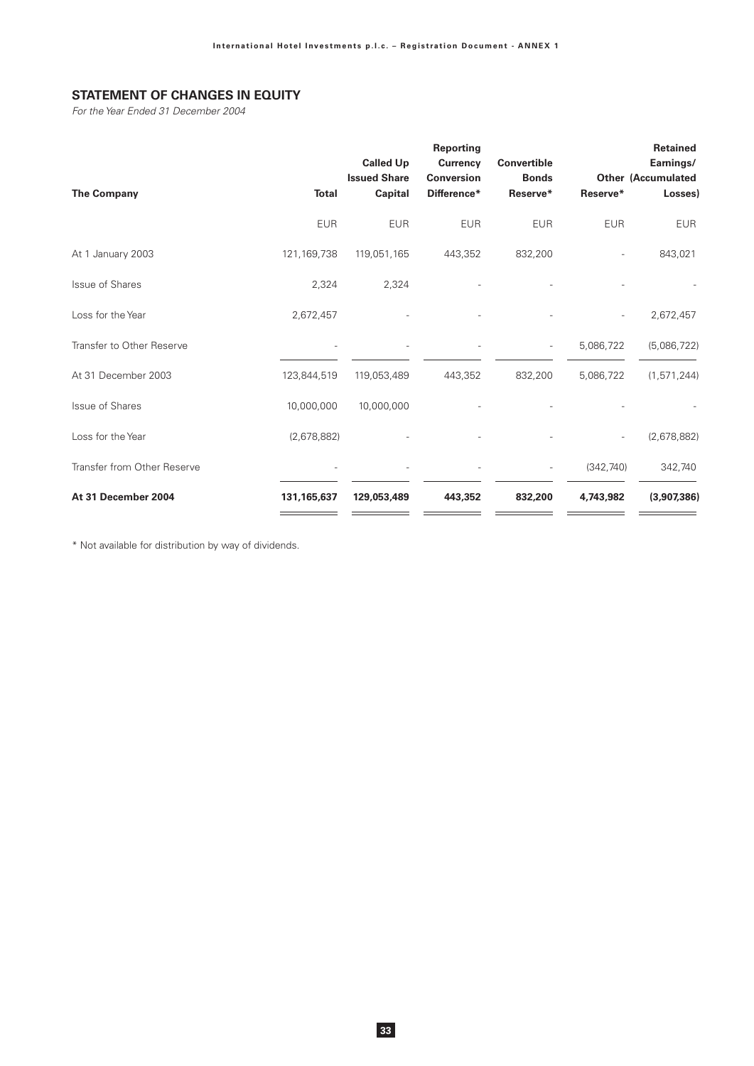# **STATEMENT OF CHANGES IN EQUITY**

For the Year Ended 31 December 2004

| <b>The Company</b>          | <b>Total</b>  | <b>Called Up</b><br><b>Issued Share</b><br><b>Capital</b> | Reporting<br><b>Currency</b><br><b>Conversion</b><br>Difference* | <b>Convertible</b><br><b>Bonds</b><br>Reserve* | Reserve*   | <b>Retained</b><br>Earnings/<br><b>Other (Accumulated</b><br>Losses) |
|-----------------------------|---------------|-----------------------------------------------------------|------------------------------------------------------------------|------------------------------------------------|------------|----------------------------------------------------------------------|
|                             | <b>EUR</b>    | <b>EUR</b>                                                | <b>EUR</b>                                                       | <b>EUR</b>                                     | <b>EUR</b> | <b>EUR</b>                                                           |
| At 1 January 2003           | 121, 169, 738 | 119,051,165                                               | 443,352                                                          | 832,200                                        | ÷,         | 843,021                                                              |
| <b>Issue of Shares</b>      | 2,324         | 2,324                                                     |                                                                  |                                                |            |                                                                      |
| Loss for the Year           | 2,672,457     |                                                           |                                                                  |                                                |            | 2,672,457                                                            |
| Transfer to Other Reserve   |               |                                                           |                                                                  |                                                | 5,086,722  | (5,086,722)                                                          |
| At 31 December 2003         | 123,844,519   | 119,053,489                                               | 443,352                                                          | 832,200                                        | 5,086,722  | (1, 571, 244)                                                        |
| Issue of Shares             | 10,000,000    | 10,000,000                                                |                                                                  |                                                |            |                                                                      |
| Loss for the Year           | (2,678,882)   |                                                           |                                                                  |                                                |            | (2,678,882)                                                          |
| Transfer from Other Reserve |               |                                                           |                                                                  |                                                | (342, 740) | 342,740                                                              |
| At 31 December 2004         | 131, 165, 637 | 129,053,489                                               | 443,352                                                          | 832,200                                        | 4,743,982  | (3,907,386)                                                          |

\* Not available for distribution by way of dividends.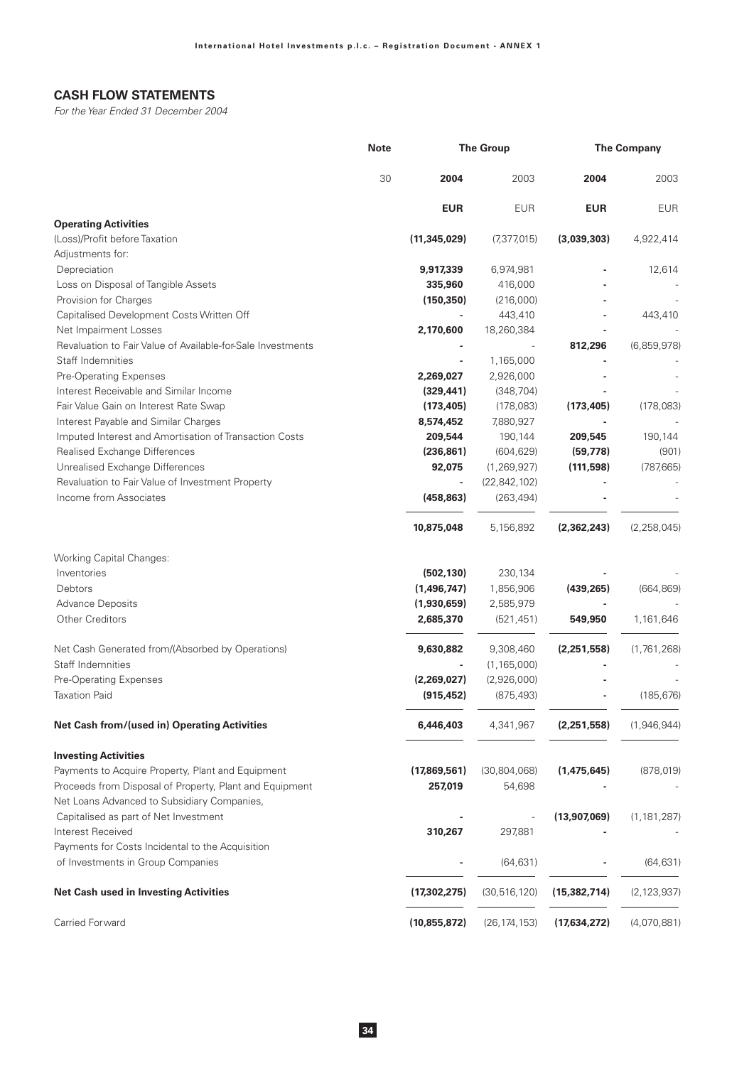# **CASH FLOW STATEMENTS**

For the Year Ended 31 December 2004

|                                                             | <b>Note</b> |                | <b>The Group</b> | <b>The Company</b> |               |  |
|-------------------------------------------------------------|-------------|----------------|------------------|--------------------|---------------|--|
|                                                             | 30          | 2004           | 2003             | 2004               | 2003          |  |
|                                                             |             | <b>EUR</b>     | <b>EUR</b>       | <b>EUR</b>         | <b>EUR</b>    |  |
| <b>Operating Activities</b>                                 |             |                |                  |                    |               |  |
| (Loss)/Profit before Taxation                               |             | (11, 345, 029) | (7,377,015)      | (3,039,303)        | 4,922,414     |  |
| Adjustments for:                                            |             |                |                  |                    |               |  |
| Depreciation                                                |             | 9,917,339      | 6,974,981        |                    | 12,614        |  |
| Loss on Disposal of Tangible Assets                         |             | 335,960        | 416,000          |                    |               |  |
| Provision for Charges                                       |             | (150, 350)     | (216,000)        |                    |               |  |
| Capitalised Development Costs Written Off                   |             |                | 443,410          |                    | 443,410       |  |
| Net Impairment Losses                                       |             | 2,170,600      | 18,260,384       |                    |               |  |
| Revaluation to Fair Value of Available-for-Sale Investments |             |                |                  | 812,296            | (6,859,978)   |  |
| Staff Indemnities                                           |             |                | 1,165,000        |                    |               |  |
| Pre-Operating Expenses                                      |             | 2,269,027      | 2,926,000        |                    |               |  |
| Interest Receivable and Similar Income                      |             | (329, 441)     | (348, 704)       |                    |               |  |
| Fair Value Gain on Interest Rate Swap                       |             | (173, 405)     | (178,083)        | (173, 405)         | (178,083)     |  |
| Interest Payable and Similar Charges                        |             | 8,574,452      | 7,880,927        |                    |               |  |
| Imputed Interest and Amortisation of Transaction Costs      |             | 209,544        | 190,144          | 209,545            | 190,144       |  |
| Realised Exchange Differences                               |             | (236, 861)     | (604, 629)       | (59, 778)          | (901)         |  |
| Unrealised Exchange Differences                             |             | 92,075         | (1, 269, 927)    | (111,598)          | (787, 665)    |  |
| Revaluation to Fair Value of Investment Property            |             |                | (22, 842, 102)   |                    |               |  |
| Income from Associates                                      |             | (458, 863)     | (263, 494)       |                    |               |  |
|                                                             |             | 10,875,048     | 5,156,892        | (2, 362, 243)      | (2, 258, 045) |  |
| <b>Working Capital Changes:</b>                             |             |                |                  |                    |               |  |
| Inventories                                                 |             | (502, 130)     | 230,134          |                    |               |  |
| Debtors                                                     |             | (1,496,747)    | 1,856,906        | (439, 265)         | (664, 869)    |  |
| <b>Advance Deposits</b>                                     |             | (1,930,659)    | 2,585,979        |                    |               |  |
| <b>Other Creditors</b>                                      |             | 2,685,370      | (521, 451)       | 549,950            | 1,161,646     |  |
| Net Cash Generated from/(Absorbed by Operations)            |             | 9,630,882      | 9,308,460        | (2,251,558)        | (1,761,268)   |  |
| Staff Indemnities                                           |             |                | (1, 165, 000)    |                    |               |  |
| Pre-Operating Expenses                                      |             | (2,269,027)    | (2,926,000)      |                    |               |  |
| <b>Taxation Paid</b>                                        |             | (915, 452)     | (875, 493)       |                    | (185, 676)    |  |
| Net Cash from/(used in) Operating Activities                |             | 6,446,403      | 4,341,967        | (2,251,558)        | (1,946,944)   |  |
| <b>Investing Activities</b>                                 |             |                |                  |                    |               |  |
| Payments to Acquire Property, Plant and Equipment           |             | (17,869,561)   | (30, 804, 068)   | (1,475,645)        | (878, 019)    |  |
| Proceeds from Disposal of Property, Plant and Equipment     |             | 257,019        | 54,698           |                    |               |  |
| Net Loans Advanced to Subsidiary Companies,                 |             |                |                  |                    |               |  |
| Capitalised as part of Net Investment                       |             |                |                  | (13,907,069)       | (1, 181, 287) |  |
| Interest Received                                           |             | 310,267        | 297,881          |                    |               |  |
| Payments for Costs Incidental to the Acquisition            |             |                |                  |                    |               |  |
| of Investments in Group Companies                           |             |                | (64, 631)        |                    | (64, 631)     |  |
| <b>Net Cash used in Investing Activities</b>                |             | (17, 302, 275) | (30, 516, 120)   | (15, 382, 714)     | (2, 123, 937) |  |
| Carried Forward                                             |             | (10, 855, 872) | (26, 174, 153)   | (17,634,272)       | (4,070,881)   |  |
|                                                             |             |                |                  |                    |               |  |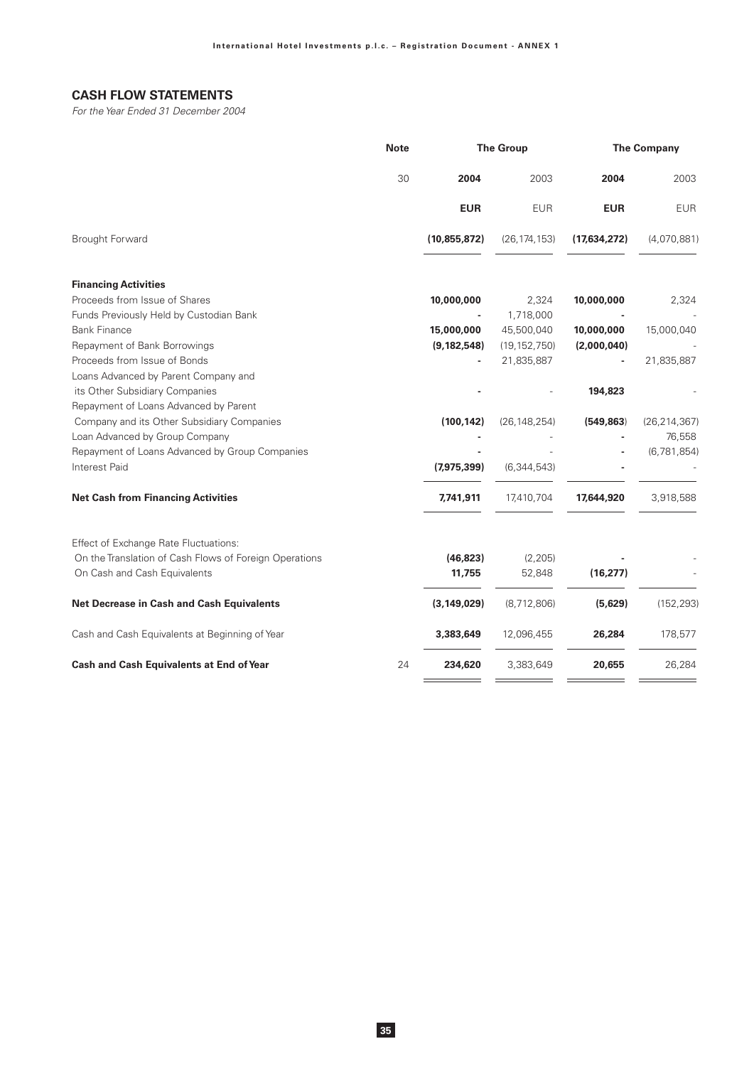# **CASH FLOW STATEMENTS**

For the Year Ended 31 December 2004

|                                                                 | <b>Note</b> |                | <b>The Group</b> |              | <b>The Company</b> |
|-----------------------------------------------------------------|-------------|----------------|------------------|--------------|--------------------|
|                                                                 | 30          | 2004           | 2003             | 2004         | 2003               |
|                                                                 |             | <b>EUR</b>     | <b>EUR</b>       | <b>EUR</b>   | <b>EUR</b>         |
| Brought Forward                                                 |             | (10, 855, 872) | (26, 174, 153)   | (17,634,272) | (4,070,881)        |
| <b>Financing Activities</b>                                     |             |                |                  |              |                    |
| Proceeds from Issue of Shares                                   |             | 10,000,000     | 2,324            | 10,000,000   | 2,324              |
| Funds Previously Held by Custodian Bank                         |             |                | 1,718,000        |              |                    |
| <b>Bank Finance</b>                                             |             | 15,000,000     | 45,500,040       | 10,000,000   | 15,000,040         |
| Repayment of Bank Borrowings                                    |             | (9, 182, 548)  | (19, 152, 750)   | (2,000,040)  |                    |
| Proceeds from Issue of Bonds                                    |             |                | 21,835,887       |              | 21,835,887         |
| Loans Advanced by Parent Company and                            |             |                |                  |              |                    |
| its Other Subsidiary Companies                                  |             |                |                  | 194,823      |                    |
| Repayment of Loans Advanced by Parent                           |             |                |                  |              |                    |
| Company and its Other Subsidiary Companies                      |             | (100, 142)     | (26, 148, 254)   | (549, 863)   | (26, 214, 367)     |
| Loan Advanced by Group Company                                  |             |                |                  |              | 76,558             |
| Repayment of Loans Advanced by Group Companies<br>Interest Paid |             | (7,975,399)    | (6, 344, 543)    |              | (6,781,854)        |
| <b>Net Cash from Financing Activities</b>                       |             | 7,741,911      | 17,410,704       | 17,644,920   | 3,918,588          |
| Effect of Exchange Rate Fluctuations:                           |             |                |                  |              |                    |
| On the Translation of Cash Flows of Foreign Operations          |             | (46, 823)      | (2, 205)         |              |                    |
| On Cash and Cash Equivalents                                    |             | 11,755         | 52,848           | (16, 277)    |                    |
| Net Decrease in Cash and Cash Equivalents                       |             | (3, 149, 029)  | (8,712,806)      | (5,629)      | (152, 293)         |
| Cash and Cash Equivalents at Beginning of Year                  |             | 3,383,649      | 12,096,455       | 26,284       | 178,577            |
| <b>Cash and Cash Equivalents at End of Year</b>                 | 24          | 234,620        | 3,383,649        | 20,655       | 26,284             |
|                                                                 |             |                |                  |              |                    |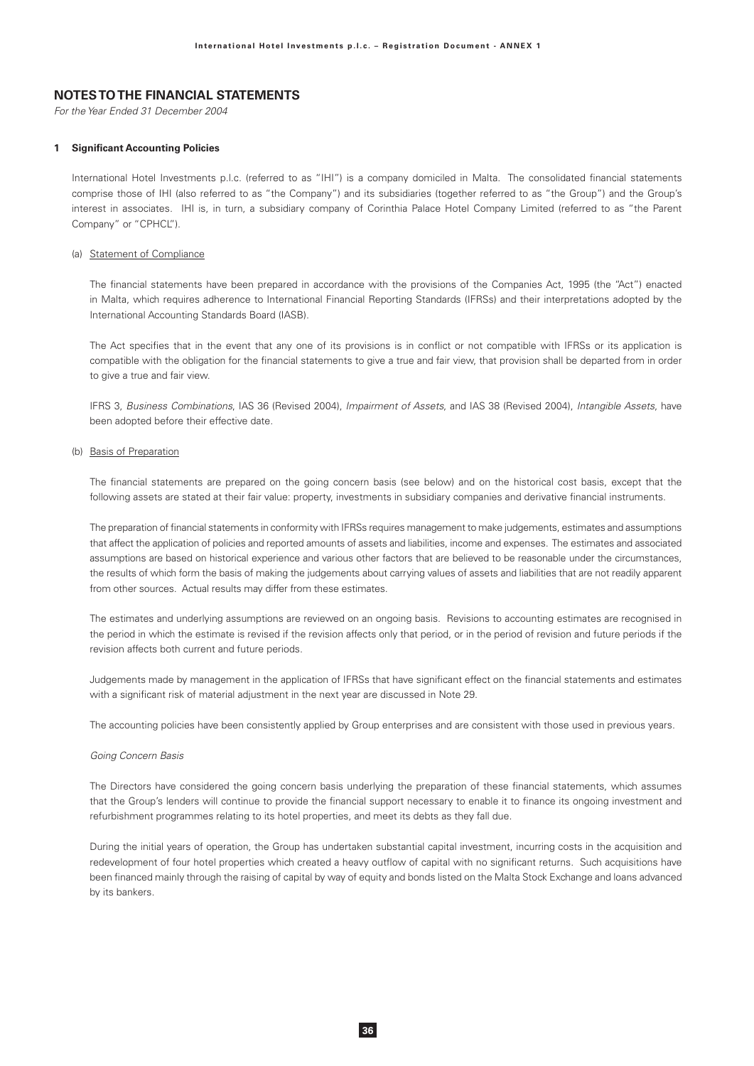## **NOTES TO THE FINANCIAL STATEMENTS**

For the Year Ended 31 December 2004

### **1 Significant Accounting Policies**

International Hotel Investments p.l.c. (referred to as "IHI") is a company domiciled in Malta. The consolidated financial statements comprise those of IHI (also referred to as "the Company") and its subsidiaries (together referred to as "the Group") and the Group's interest in associates. IHI is, in turn, a subsidiary company of Corinthia Palace Hotel Company Limited (referred to as "the Parent Company" or "CPHCL").

#### (a) Statement of Compliance

The financial statements have been prepared in accordance with the provisions of the Companies Act, 1995 (the "Act") enacted in Malta, which requires adherence to International Financial Reporting Standards (IFRSs) and their interpretations adopted by the International Accounting Standards Board (IASB).

The Act specifies that in the event that any one of its provisions is in conflict or not compatible with IFRSs or its application is compatible with the obligation for the financial statements to give a true and fair view, that provision shall be departed from in order to give a true and fair view.

IFRS 3, Business Combinations, IAS 36 (Revised 2004), Impairment of Assets, and IAS 38 (Revised 2004), Intangible Assets, have been adopted before their effective date.

### (b) Basis of Preparation

The financial statements are prepared on the going concern basis (see below) and on the historical cost basis, except that the following assets are stated at their fair value: property, investments in subsidiary companies and derivative financial instruments.

The preparation of financial statements in conformity with IFRSs requires management to make judgements, estimates and assumptions that affect the application of policies and reported amounts of assets and liabilities, income and expenses. The estimates and associated assumptions are based on historical experience and various other factors that are believed to be reasonable under the circumstances, the results of which form the basis of making the judgements about carrying values of assets and liabilities that are not readily apparent from other sources. Actual results may differ from these estimates.

The estimates and underlying assumptions are reviewed on an ongoing basis. Revisions to accounting estimates are recognised in the period in which the estimate is revised if the revision affects only that period, or in the period of revision and future periods if the revision affects both current and future periods.

Judgements made by management in the application of IFRSs that have significant effect on the financial statements and estimates with a significant risk of material adjustment in the next year are discussed in Note 29.

The accounting policies have been consistently applied by Group enterprises and are consistent with those used in previous years.

#### Going Concern Basis

The Directors have considered the going concern basis underlying the preparation of these financial statements, which assumes that the Group's lenders will continue to provide the financial support necessary to enable it to finance its ongoing investment and refurbishment programmes relating to its hotel properties, and meet its debts as they fall due.

During the initial years of operation, the Group has undertaken substantial capital investment, incurring costs in the acquisition and redevelopment of four hotel properties which created a heavy outflow of capital with no significant returns. Such acquisitions have been financed mainly through the raising of capital by way of equity and bonds listed on the Malta Stock Exchange and loans advanced by its bankers.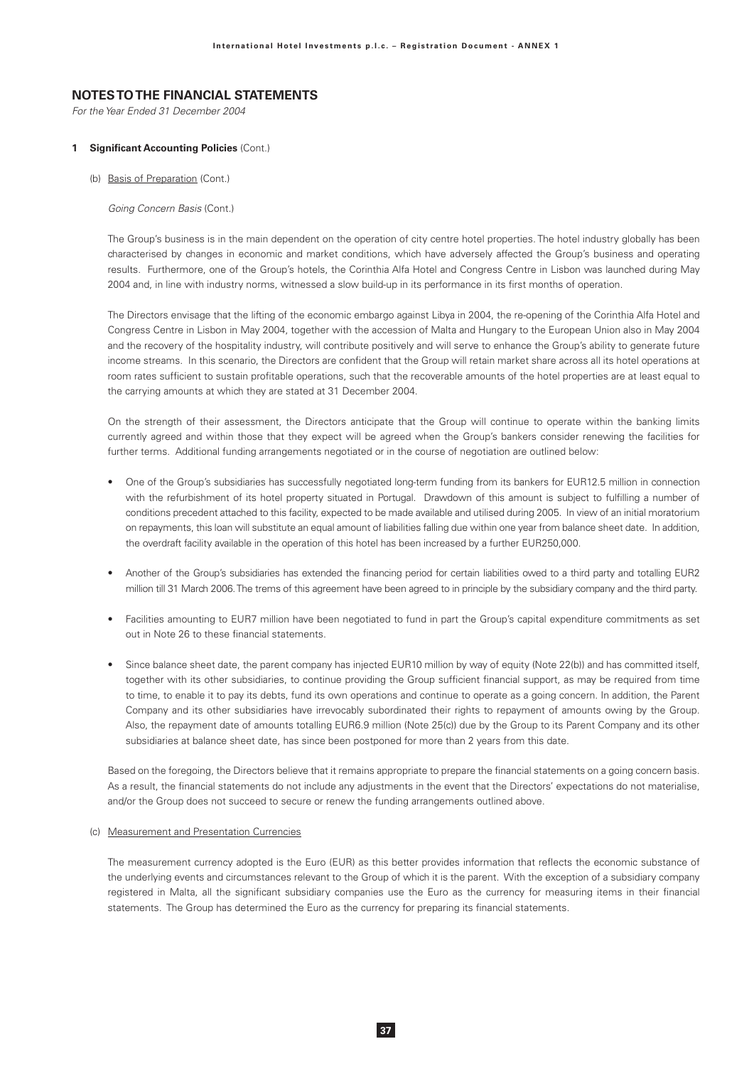For the Year Ended 31 December 2004

### 1 Significant Accounting Policies (Cont.)

(b) Basis of Preparation (Cont.)

Going Concern Basis (Cont.)

The Group's business is in the main dependent on the operation of city centre hotel properties. The hotel industry globally has been characterised by changes in economic and market conditions, which have adversely affected the Group's business and operating results. Furthermore, one of the Group's hotels, the Corinthia Alfa Hotel and Congress Centre in Lisbon was launched during May 2004 and, in line with industry norms, witnessed a slow build-up in its performance in its first months of operation.

The Directors envisage that the lifting of the economic embargo against Libya in 2004, the re-opening of the Corinthia Alfa Hotel and Congress Centre in Lisbon in May 2004, together with the accession of Malta and Hungary to the European Union also in May 2004 and the recovery of the hospitality industry, will contribute positively and will serve to enhance the Group's ability to generate future income streams. In this scenario, the Directors are confident that the Group will retain market share across all its hotel operations at room rates sufficient to sustain profitable operations, such that the recoverable amounts of the hotel properties are at least equal to the carrying amounts at which they are stated at 31 December 2004.

On the strength of their assessment, the Directors anticipate that the Group will continue to operate within the banking limits currently agreed and within those that they expect will be agreed when the Group's bankers consider renewing the facilities for further terms. Additional funding arrangements negotiated or in the course of negotiation are outlined below:

- One of the Group's subsidiaries has successfully negotiated long-term funding from its bankers for EUR12.5 million in connection with the refurbishment of its hotel property situated in Portugal. Drawdown of this amount is subject to fulfilling a number of conditions precedent attached to this facility, expected to be made available and utilised during 2005. In view of an initial moratorium on repayments, this loan will substitute an equal amount of liabilities falling due within one year from balance sheet date. In addition, the overdraft facility available in the operation of this hotel has been increased by a further EUR250,000.
- Another of the Group's subsidiaries has extended the financing period for certain liabilities owed to a third party and totalling EUR2 million till 31 March 2006. The trems of this agreement have been agreed to in principle by the subsidiary company and the third party.
- Facilities amounting to EUR7 million have been negotiated to fund in part the Group's capital expenditure commitments as set out in Note 26 to these financial statements.
- Since balance sheet date, the parent company has injected EUR10 million by way of equity (Note 22(b)) and has committed itself, together with its other subsidiaries, to continue providing the Group sufficient financial support, as may be required from time to time, to enable it to pay its debts, fund its own operations and continue to operate as a going concern. In addition, the Parent Company and its other subsidiaries have irrevocably subordinated their rights to repayment of amounts owing by the Group. Also, the repayment date of amounts totalling EUR6.9 million (Note 25(c)) due by the Group to its Parent Company and its other subsidiaries at balance sheet date, has since been postponed for more than 2 years from this date.

Based on the foregoing, the Directors believe that it remains appropriate to prepare the financial statements on a going concern basis. As a result, the financial statements do not include any adjustments in the event that the Directors' expectations do not materialise, and/or the Group does not succeed to secure or renew the funding arrangements outlined above.

### (c) Measurement and Presentation Currencies

The measurement currency adopted is the Euro (EUR) as this better provides information that reflects the economic substance of the underlying events and circumstances relevant to the Group of which it is the parent. With the exception of a subsidiary company registered in Malta, all the significant subsidiary companies use the Euro as the currency for measuring items in their financial statements. The Group has determined the Euro as the currency for preparing its financial statements.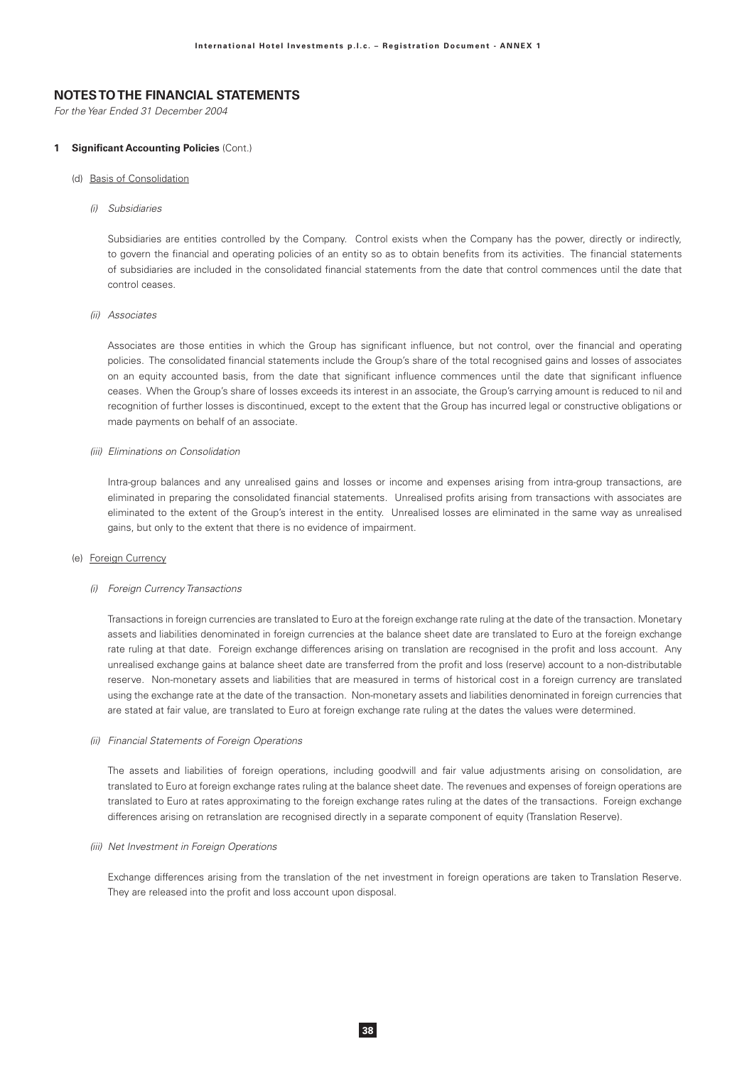For the Year Ended 31 December 2004

#### 1 Significant Accounting Policies (Cont.)

#### (d) Basis of Consolidation

(i) Subsidiaries

Subsidiaries are entities controlled by the Company. Control exists when the Company has the power, directly or indirectly, to govern the financial and operating policies of an entity so as to obtain benefits from its activities. The financial statements of subsidiaries are included in the consolidated financial statements from the date that control commences until the date that control ceases.

#### (ii) Associates

Associates are those entities in which the Group has significant influence, but not control, over the financial and operating policies. The consolidated financial statements include the Group's share of the total recognised gains and losses of associates on an equity accounted basis, from the date that significant influence commences until the date that significant influence ceases. When the Group's share of losses exceeds its interest in an associate, the Group's carrying amount is reduced to nil and recognition of further losses is discontinued, except to the extent that the Group has incurred legal or constructive obligations or made payments on behalf of an associate.

### (iii) Eliminations on Consolidation

Intra-group balances and any unrealised gains and losses or income and expenses arising from intra-group transactions, are eliminated in preparing the consolidated financial statements. Unrealised profits arising from transactions with associates are eliminated to the extent of the Group's interest in the entity. Unrealised losses are eliminated in the same way as unrealised gains, but only to the extent that there is no evidence of impairment.

### (e) Foreign Currency

#### (i) Foreign Currency Transactions

Transactions in foreign currencies are translated to Euro at the foreign exchange rate ruling at the date of the transaction. Monetary assets and liabilities denominated in foreign currencies at the balance sheet date are translated to Euro at the foreign exchange rate ruling at that date. Foreign exchange differences arising on translation are recognised in the profit and loss account. Any unrealised exchange gains at balance sheet date are transferred from the profit and loss (reserve) account to a non-distributable reserve. Non-monetary assets and liabilities that are measured in terms of historical cost in a foreign currency are translated using the exchange rate at the date of the transaction. Non-monetary assets and liabilities denominated in foreign currencies that are stated at fair value, are translated to Euro at foreign exchange rate ruling at the dates the values were determined.

#### (ii) Financial Statements of Foreign Operations

The assets and liabilities of foreign operations, including goodwill and fair value adjustments arising on consolidation, are translated to Euro at foreign exchange rates ruling at the balance sheet date. The revenues and expenses of foreign operations are translated to Euro at rates approximating to the foreign exchange rates ruling at the dates of the transactions. Foreign exchange differences arising on retranslation are recognised directly in a separate component of equity (Translation Reserve).

### (iii) Net Investment in Foreign Operations

Exchange differences arising from the translation of the net investment in foreign operations are taken to Translation Reserve. They are released into the profit and loss account upon disposal.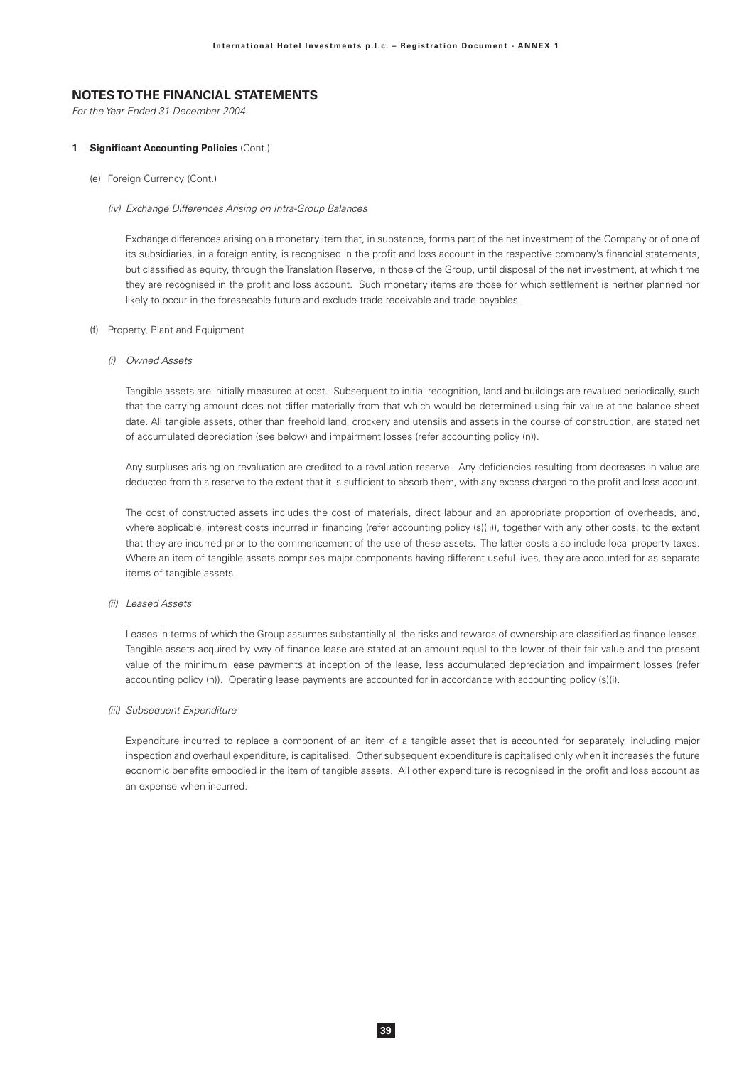For the Year Ended 31 December 2004

#### 1 Significant Accounting Policies (Cont.)

### (e) Foreign Currency (Cont.)

#### (iv) Exchange Differences Arising on Intra-Group Balances

Exchange differences arising on a monetary item that, in substance, forms part of the net investment of the Company or of one of its subsidiaries, in a foreign entity, is recognised in the profit and loss account in the respective company's financial statements, but classified as equity, through the Translation Reserve, in those of the Group, until disposal of the net investment, at which time they are recognised in the profit and loss account. Such monetary items are those for which settlement is neither planned nor likely to occur in the foreseeable future and exclude trade receivable and trade payables.

### (f) Property, Plant and Equipment

(i) Owned Assets

Tangible assets are initially measured at cost. Subsequent to initial recognition, land and buildings are revalued periodically, such that the carrying amount does not differ materially from that which would be determined using fair value at the balance sheet date. All tangible assets, other than freehold land, crockery and utensils and assets in the course of construction, are stated net of accumulated depreciation (see below) and impairment losses (refer accounting policy (n)).

Any surpluses arising on revaluation are credited to a revaluation reserve. Any deficiencies resulting from decreases in value are deducted from this reserve to the extent that it is sufficient to absorb them, with any excess charged to the profit and loss account.

The cost of constructed assets includes the cost of materials, direct labour and an appropriate proportion of overheads, and, where applicable, interest costs incurred in financing (refer accounting policy (s)(ii)), together with any other costs, to the extent that they are incurred prior to the commencement of the use of these assets. The latter costs also include local property taxes. Where an item of tangible assets comprises major components having different useful lives, they are accounted for as separate items of tangible assets.

### (ii) Leased Assets

Leases in terms of which the Group assumes substantially all the risks and rewards of ownership are classified as finance leases. Tangible assets acquired by way of finance lease are stated at an amount equal to the lower of their fair value and the present value of the minimum lease payments at inception of the lease, less accumulated depreciation and impairment losses (refer accounting policy (n)). Operating lease payments are accounted for in accordance with accounting policy (s)(i).

#### (iii) Subsequent Expenditure

Expenditure incurred to replace a component of an item of a tangible asset that is accounted for separately, including major inspection and overhaul expenditure, is capitalised. Other subsequent expenditure is capitalised only when it increases the future economic benefits embodied in the item of tangible assets. All other expenditure is recognised in the profit and loss account as an expense when incurred.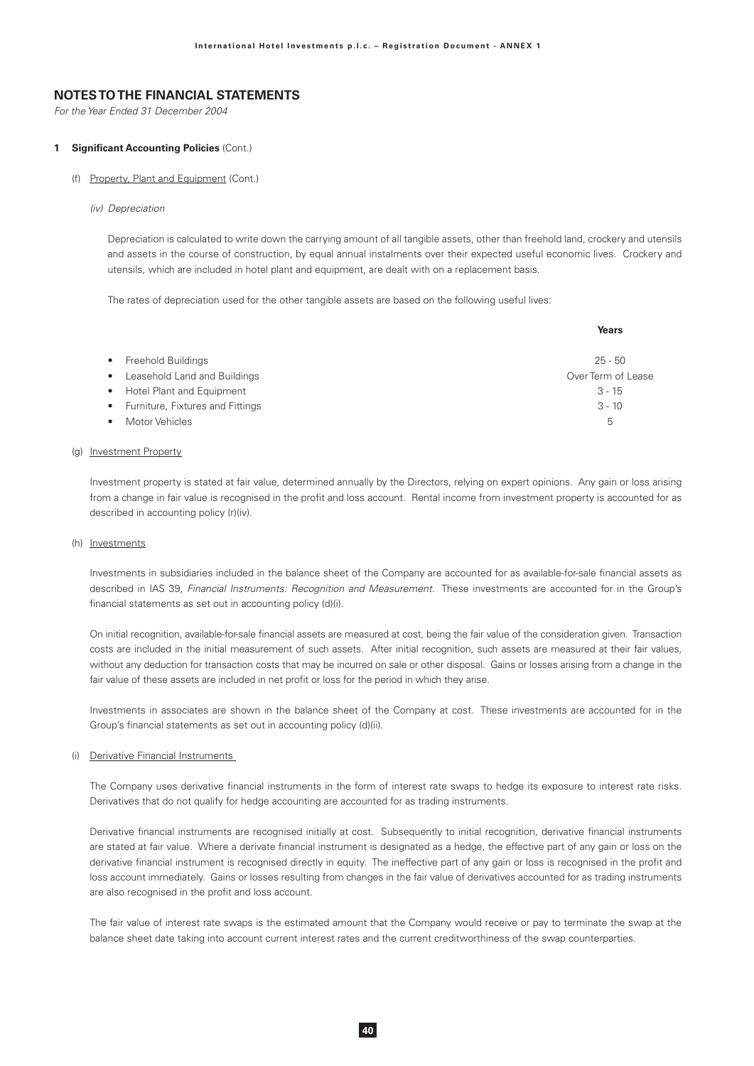For the Year Ended 31 December 2004

### 1 Significant Accounting Policies (Cont.)

### (f) Property, Plant and Equipment (Cont.)

(iv) Depreciation

Depreciation is calculated to write down the carrying amount of all tangible assets, other than freehold land, crockery and utensils and assets in the course of construction, by equal annual instalments over their expected useful economic lives. Crockery and utensils, which are included in hotel plant and equipment, are dealt with on a replacement basis.

The rates of depreciation used for the other tangible assets are based on the following useful lives:

|           |                                    | Years              |
|-----------|------------------------------------|--------------------|
|           | • Freehold Buildings               | $25 - 50$          |
| $\bullet$ | Leasehold Land and Buildings       | Over Term of Lease |
|           | • Hotel Plant and Equipment        | $3 - 15$           |
|           | • Furniture, Fixtures and Fittings | $3 - 10$           |
|           | Motor Vehicles                     | 5                  |

### (g) Investment Property

Investment property is stated at fair value, determined annually by the Directors, relying on expert opinions. Any gain or loss arising from a change in fair value is recognised in the profit and loss account. Rental income from investment property is accounted for as described in accounting policy (r)(iv).

#### (h) Investments

Investments in subsidiaries included in the balance sheet of the Company are accounted for as available-for-sale financial assets as described in IAS 39, Financial Instruments: Recognition and Measurement. These investments are accounted for in the Group's financial statements as set out in accounting policy (d)(i).

On initial recognition, available-for-sale financial assets are measured at cost, being the fair value of the consideration given. Transaction costs are included in the initial measurement of such assets. After initial recognition, such assets are measured at their fair values, without any deduction for transaction costs that may be incurred on sale or other disposal. Gains or losses arising from a change in the fair value of these assets are included in net profit or loss for the period in which they arise.

Investments in associates are shown in the balance sheet of the Company at cost. These investments are accounted for in the Group's financial statements as set out in accounting policy (d)(ii).

#### (i) Derivative Financial Instruments

The Company uses derivative financial instruments in the form of interest rate swaps to hedge its exposure to interest rate risks. Derivatives that do not qualify for hedge accounting are accounted for as trading instruments.

Derivative financial instruments are recognised initially at cost. Subsequently to initial recognition, derivative financial instruments are stated at fair value. Where a derivate financial instrument is designated as a hedge, the effective part of any gain or loss on the derivative financial instrument is recognised directly in equity. The ineffective part of any gain or loss is recognised in the profit and loss account immediately. Gains or losses resulting from changes in the fair value of derivatives accounted for as trading instruments are also recognised in the profit and loss account.

The fair value of interest rate swaps is the estimated amount that the Company would receive or pay to terminate the swap at the balance sheet date taking into account current interest rates and the current creditworthiness of the swap counterparties.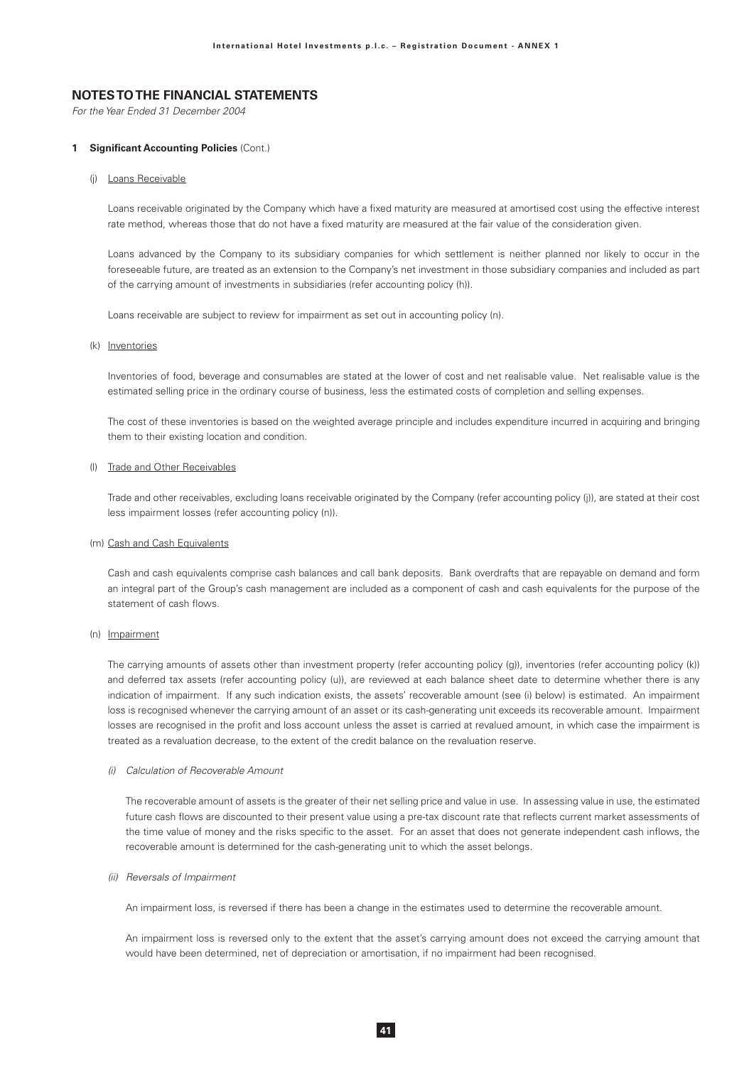For the Year Ended 31 December 2004

#### 1 Significant Accounting Policies (Cont.)

### (i) Loans Receivable

Loans receivable originated by the Company which have a fixed maturity are measured at amortised cost using the effective interest rate method, whereas those that do not have a fixed maturity are measured at the fair value of the consideration given.

Loans advanced by the Company to its subsidiary companies for which settlement is neither planned nor likely to occur in the foreseeable future, are treated as an extension to the Company's net investment in those subsidiary companies and included as part of the carrying amount of investments in subsidiaries (refer accounting policy (h)).

Loans receivable are subject to review for impairment as set out in accounting policy (n).

#### (k) Inventories

Inventories of food, beverage and consumables are stated at the lower of cost and net realisable value. Net realisable value is the estimated selling price in the ordinary course of business, less the estimated costs of completion and selling expenses.

The cost of these inventories is based on the weighted average principle and includes expenditure incurred in acquiring and bringing them to their existing location and condition.

### (I) Trade and Other Receivables

Trade and other receivables, excluding loans receivable originated by the Company (refer accounting policy (i)), are stated at their cost less impairment losses (refer accounting policy (n)).

#### (m) Cash and Cash Equivalents

Cash and cash equivalents comprise cash balances and call bank deposits. Bank overdrafts that are repayable on demand and form an integral part of the Group's cash management are included as a component of cash and cash equivalents for the purpose of the statement of cash flows.

### (n) Impairment

The carrying amounts of assets other than investment property (refer accounting policy (g)), inventories (refer accounting policy (k)) and deferred tax assets (refer accounting policy (u)), are reviewed at each balance sheet date to determine whether there is any indication of impairment. If any such indication exists, the assets' recoverable amount (see (i) below) is estimated. An impairment loss is recognised whenever the carrying amount of an asset or its cash-generating unit exceeds its recoverable amount. Impairment losses are recognised in the profit and loss account unless the asset is carried at revalued amount, in which case the impairment is treated as a revaluation decrease, to the extent of the credit balance on the revaluation reserve.

### (i) Calculation of Recoverable Amount

The recoverable amount of assets is the greater of their net selling price and value in use. In assessing value in use, the estimated future cash flows are discounted to their present value using a pre-tax discount rate that reflects current market assessments of the time value of money and the risks specific to the asset. For an asset that does not generate independent cash inflows, the recoverable amount is determined for the cash-generating unit to which the asset belongs.

#### (ii) Reversals of Impairment

An impairment loss, is reversed if there has been a change in the estimates used to determine the recoverable amount.

An impairment loss is reversed only to the extent that the asset's carrying amount does not exceed the carrying amount that would have been determined, net of depreciation or amortisation, if no impairment had been recognised.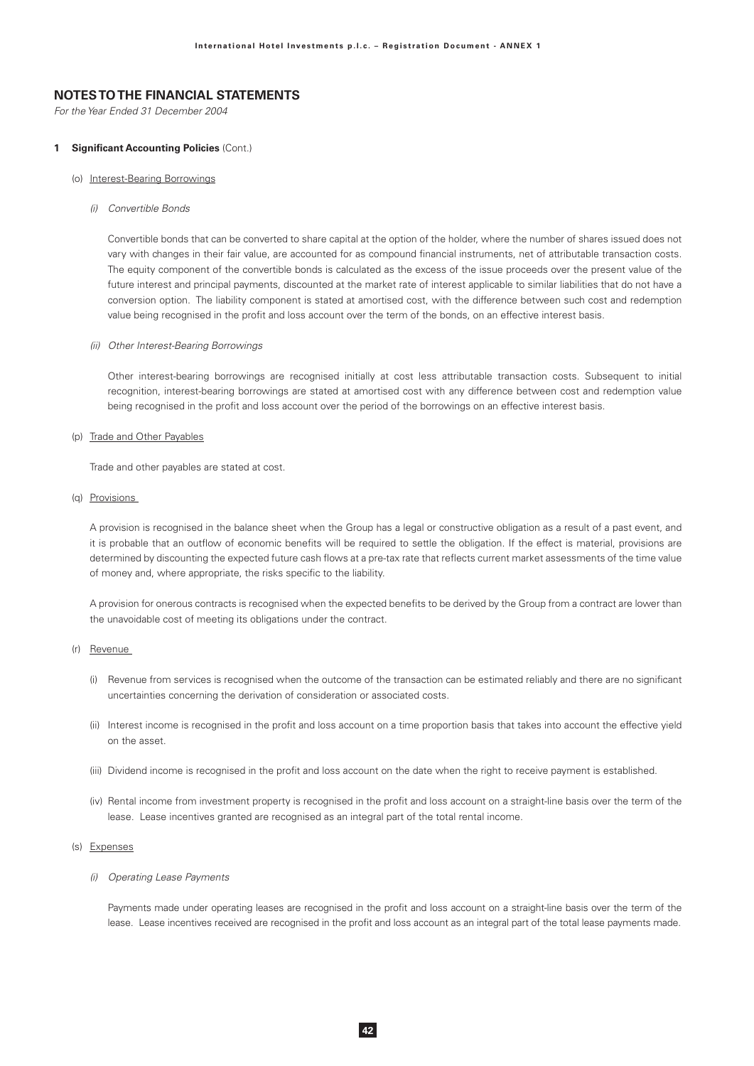For the Year Ended 31 December 2004

#### 1 Significant Accounting Policies (Cont.)

- (o) Interest-Bearing Borrowings
	- (i) Convertible Bonds

Convertible bonds that can be converted to share capital at the option of the holder, where the number of shares issued does not vary with changes in their fair value, are accounted for as compound financial instruments, net of attributable transaction costs. The equity component of the convertible bonds is calculated as the excess of the issue proceeds over the present value of the future interest and principal payments, discounted at the market rate of interest applicable to similar liabilities that do not have a conversion option. The liability component is stated at amortised cost, with the difference between such cost and redemption value being recognised in the profit and loss account over the term of the bonds, on an effective interest basis.

(ii) Other Interest-Bearing Borrowings

Other interest-bearing borrowings are recognised initially at cost less attributable transaction costs. Subsequent to initial recognition, interest-bearing borrowings are stated at amortised cost with any difference between cost and redemption value being recognised in the profit and loss account over the period of the borrowings on an effective interest basis.

### (p) Trade and Other Payables

Trade and other payables are stated at cost.

(g) Provisions

A provision is recognised in the balance sheet when the Group has a legal or constructive obligation as a result of a past event, and it is probable that an outflow of economic benefits will be required to settle the obligation. If the effect is material, provisions are determined by discounting the expected future cash flows at a pre-tax rate that reflects current market assessments of the time value of money and, where appropriate, the risks specific to the liability.

A provision for onerous contracts is recognised when the expected benefits to be derived by the Group from a contract are lower than the unavoidable cost of meeting its obligations under the contract.

### (r) Revenue

- (i) Revenue from services is recognised when the outcome of the transaction can be estimated reliably and there are no significant uncertainties concerning the derivation of consideration or associated costs.
- (ii) Interest income is recognised in the profit and loss account on a time proportion basis that takes into account the effective yield on the asset
- (iii) Dividend income is recognised in the profit and loss account on the date when the right to receive payment is established.
- (iv) Rental income from investment property is recognised in the profit and loss account on a straight-line basis over the term of the lease. Lease incentives granted are recognised as an integral part of the total rental income.

#### (s) Expenses

### (i) Operating Lease Payments

Payments made under operating leases are recognised in the profit and loss account on a straight-line basis over the term of the lease. Lease incentives received are recognised in the profit and loss account as an integral part of the total lease payments made.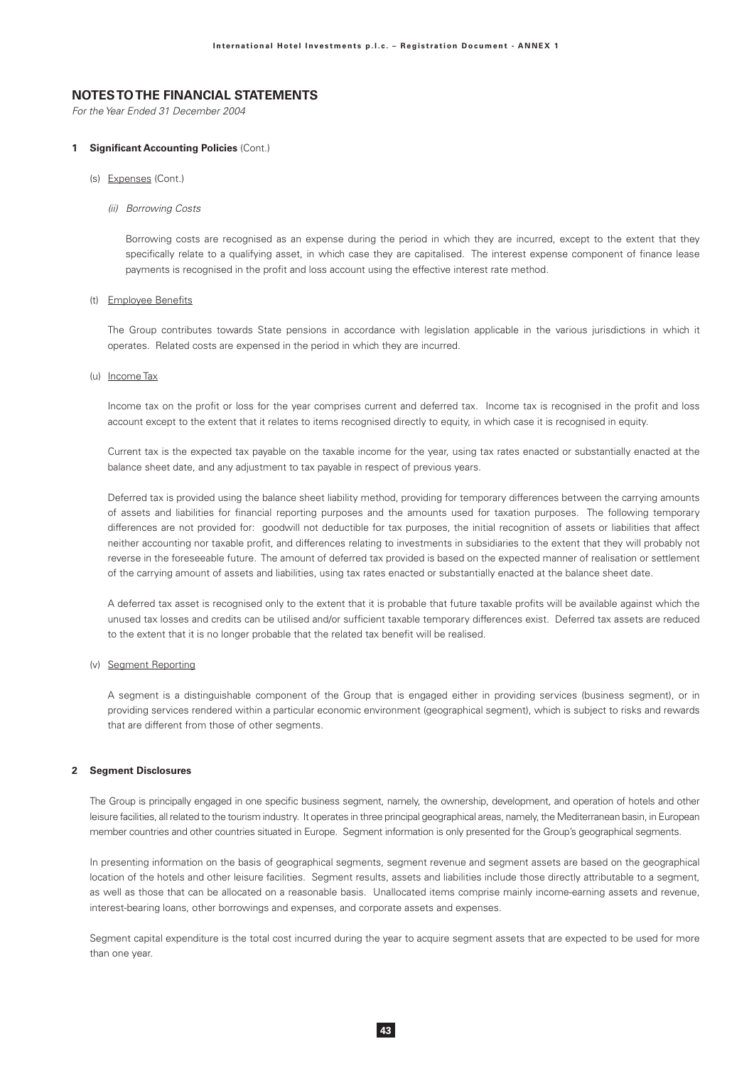For the Year Ended 31 December 2004

#### 1 Significant Accounting Policies (Cont.)

- (s) Expenses (Cont.)
	- (ii) Borrowing Costs

Borrowing costs are recognised as an expense during the period in which they are incurred, except to the extent that they specifically relate to a qualifying asset, in which case they are capitalised. The interest expense component of finance lease payments is recognised in the profit and loss account using the effective interest rate method.

### (t) Employee Benefits

The Group contributes towards State pensions in accordance with legislation applicable in the various jurisdictions in which it operates. Related costs are expensed in the period in which they are incurred.

#### (u) Income Tax

Income tax on the profit or loss for the year comprises current and deferred tax. Income tax is recognised in the profit and loss account except to the extent that it relates to items recognised directly to equity, in which case it is recognised in equity.

Current tax is the expected tax payable on the taxable income for the year, using tax rates enacted or substantially enacted at the balance sheet date, and any adjustment to tax payable in respect of previous years.

Deferred tax is provided using the balance sheet liability method, providing for temporary differences between the carrying amounts of assets and liabilities for financial reporting purposes and the amounts used for taxation purposes. The following temporary differences are not provided for: goodwill not deductible for tax purposes, the initial recognition of assets or liabilities that affect neither accounting nor taxable profit, and differences relating to investments in subsidiaries to the extent that they will probably not reverse in the foreseeable future. The amount of deferred tax provided is based on the expected manner of realisation or settlement of the carrying amount of assets and liabilities, using tax rates enacted or substantially enacted at the balance sheet date.

A deferred tax asset is recognised only to the extent that it is probable that future taxable profits will be available against which the unused tax losses and credits can be utilised and/or sufficient taxable temporary differences exist. Deferred tax assets are reduced to the extent that it is no longer probable that the related tax benefit will be realised.

### (v) Segment Reporting

A segment is a distinguishable component of the Group that is engaged either in providing services (business segment), or in providing services rendered within a particular economic environment (geographical segment), which is subject to risks and rewards that are different from those of other segments.

### 2 Segment Disclosures

The Group is principally engaged in one specific business segment, namely, the ownership, development, and operation of hotels and other leisure facilities, all related to the tourism industry. It operates in three principal geographical areas, namely, the Mediterranean basin, in European member countries and other countries situated in Europe. Segment information is only presented for the Group's geographical segments.

In presenting information on the basis of geographical segments, segment revenue and segment assets are based on the geographical location of the hotels and other leisure facilities. Segment results, assets and liabilities include those directly attributable to a segment, as well as those that can be allocated on a reasonable basis. Unallocated items comprise mainly income-earning assets and revenue, interest-bearing loans, other borrowings and expenses, and corporate assets and expenses.

Segment capital expenditure is the total cost incurred during the year to acquire segment assets that are expected to be used for more than one year.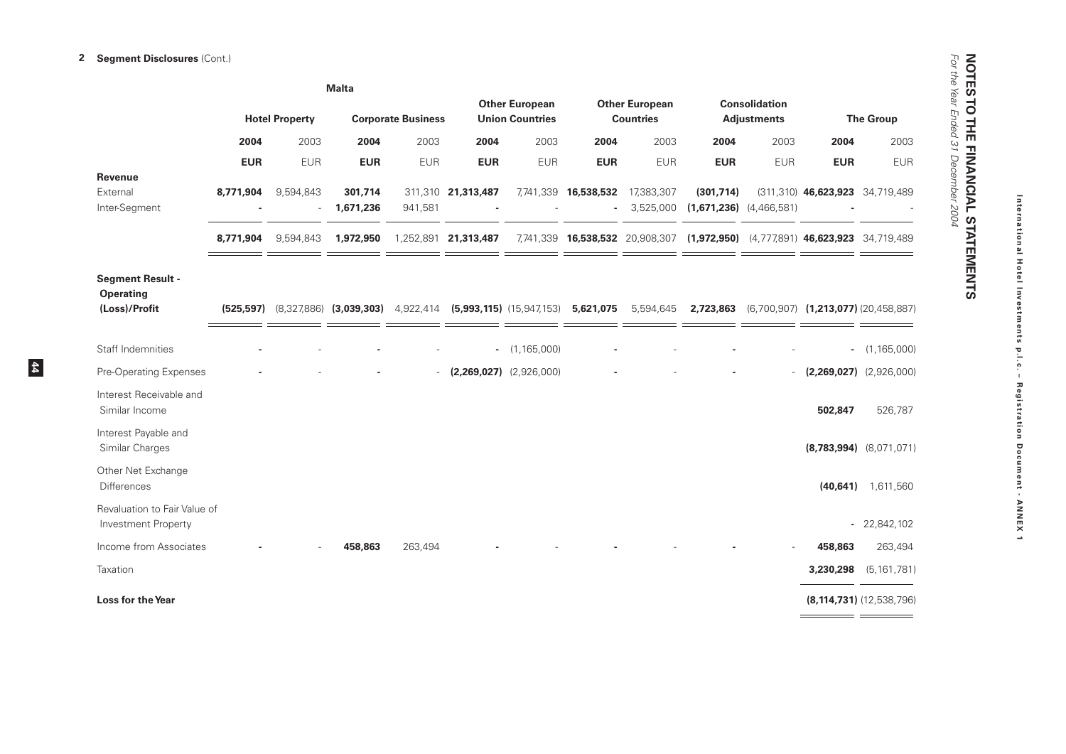|                                                              |            |                       | <b>Malta</b>                            |                           |                      |                                                 |                      |                                           |                                                                               |                                            |                                                |                              |
|--------------------------------------------------------------|------------|-----------------------|-----------------------------------------|---------------------------|----------------------|-------------------------------------------------|----------------------|-------------------------------------------|-------------------------------------------------------------------------------|--------------------------------------------|------------------------------------------------|------------------------------|
|                                                              |            | <b>Hotel Property</b> |                                         | <b>Corporate Business</b> |                      | <b>Other European</b><br><b>Union Countries</b> |                      | <b>Other European</b><br><b>Countries</b> |                                                                               | <b>Consolidation</b><br><b>Adjustments</b> |                                                | <b>The Group</b>             |
|                                                              | 2004       | 2003                  | 2004                                    | 2003                      | 2004                 | 2003                                            | 2004                 | 2003                                      | 2004                                                                          | 2003                                       | 2004                                           | 2003                         |
|                                                              | <b>EUR</b> | <b>EUR</b>            | <b>EUR</b>                              | <b>EUR</b>                | <b>EUR</b>           | <b>EUR</b>                                      | <b>EUR</b>           | <b>EUR</b>                                | <b>EUR</b>                                                                    | <b>EUR</b>                                 | <b>EUR</b>                                     | <b>EUR</b>                   |
| <b>Revenue</b><br>External<br>Inter-Segment                  | 8,771,904  | 9,594,843             | 301,714<br>1,671,236                    | 941,581                   | 311,310 21,313,487   |                                                 | 7,741,339 16,538,532 | 17,383,307<br>3,525,000                   | (301, 714)<br>$(1,671,236)$ $(4,466,581)$                                     |                                            | $(311, 310)$ <b>46,623,923</b> 34,719,489      |                              |
|                                                              | 8,771,904  | 9,594,843             | 1,972,950                               |                           | 1,252,891 21,313,487 |                                                 |                      |                                           | 7,741,339 16,538,532 20,908,307 (1,972,950) (4,777,891) 46,623,923 34,719,489 |                                            |                                                |                              |
| <b>Segment Result -</b><br><b>Operating</b><br>(Loss)/Profit |            |                       | $(525,597)$ $(8,327,886)$ $(3,039,303)$ | 4,922,414                 |                      | $(5,993,115)$ $(15,947,153)$                    | 5,621,075            | 5,594,645                                 |                                                                               |                                            | 2,723,863 (6,700,907) (1,213,077) (20,458,887) |                              |
| Staff Indemnities                                            |            |                       |                                         |                           |                      | $-$ (1,165,000)                                 |                      |                                           |                                                                               |                                            |                                                | $-$ (1,165,000)              |
| Pre-Operating Expenses                                       |            |                       |                                         |                           |                      | $(2,269,027)$ $(2,926,000)$                     |                      |                                           |                                                                               |                                            | $(2,269,027)$ $(2,926,000)$                    |                              |
| Interest Receivable and<br>Similar Income                    |            |                       |                                         |                           |                      |                                                 |                      |                                           |                                                                               |                                            | 502,847                                        | 526,787                      |
| Interest Payable and<br>Similar Charges                      |            |                       |                                         |                           |                      |                                                 |                      |                                           |                                                                               |                                            |                                                | $(8,783,994)$ $(8,071,071)$  |
| Other Net Exchange<br><b>Differences</b>                     |            |                       |                                         |                           |                      |                                                 |                      |                                           |                                                                               |                                            | (40, 641)                                      | 1,611,560                    |
| Revaluation to Fair Value of<br>Investment Property          |            |                       |                                         |                           |                      |                                                 |                      |                                           |                                                                               |                                            |                                                | $-22,842,102$                |
| Income from Associates                                       |            |                       | 458,863                                 | 263,494                   |                      |                                                 |                      |                                           |                                                                               |                                            | 458,863                                        | 263,494                      |
| Taxation                                                     |            |                       |                                         |                           |                      |                                                 |                      |                                           |                                                                               |                                            | 3,230,298                                      | (5, 161, 781)                |
| <b>Loss for the Year</b>                                     |            |                       |                                         |                           |                      |                                                 |                      |                                           |                                                                               |                                            | $=$ $=$                                        | $(8, 114, 731)$ (12,538,796) |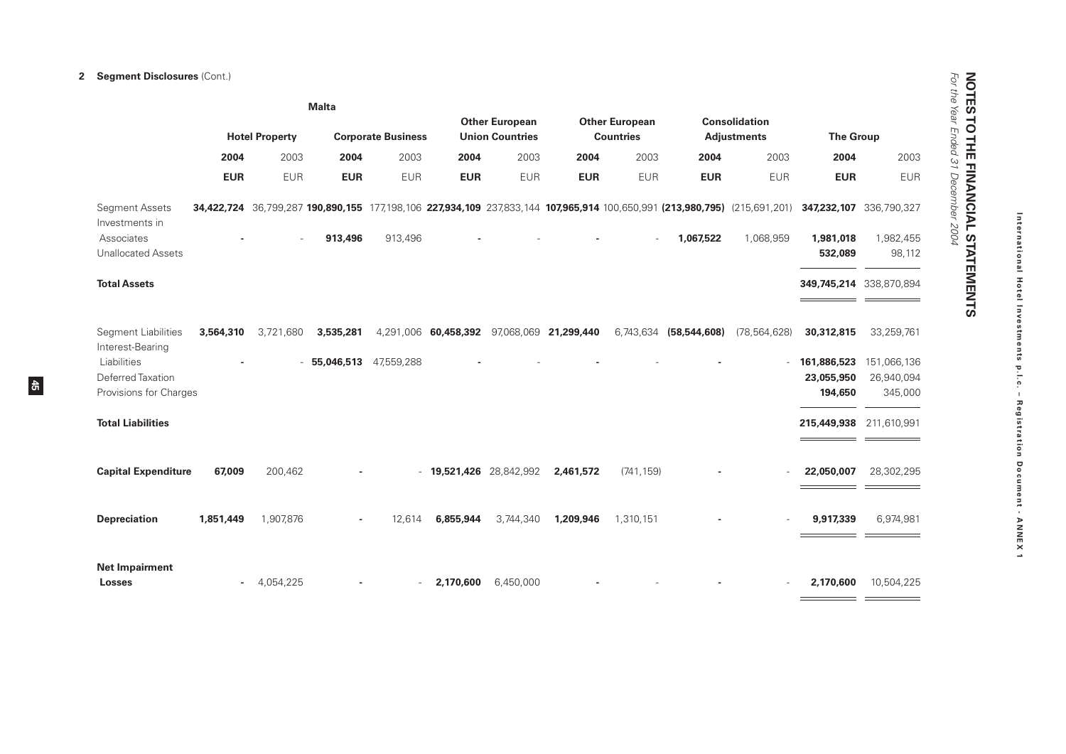## 2 Segment Disclosures (Cont.)

 $\frac{45}{12}$ 

|                                                            | <b>Malta</b>                                       |              |            |                                                 |                                            |                                           |                                            |            |                        |                                                                                                                           |                                      |                                      |
|------------------------------------------------------------|----------------------------------------------------|--------------|------------|-------------------------------------------------|--------------------------------------------|-------------------------------------------|--------------------------------------------|------------|------------------------|---------------------------------------------------------------------------------------------------------------------------|--------------------------------------|--------------------------------------|
|                                                            | <b>Hotel Property</b><br><b>Corporate Business</b> |              |            | <b>Other European</b><br><b>Union Countries</b> |                                            | <b>Other European</b><br><b>Countries</b> | <b>Consolidation</b><br><b>Adjustments</b> |            | <b>The Group</b>       |                                                                                                                           |                                      |                                      |
|                                                            | 2004                                               | 2003         | 2004       | 2003                                            | 2004                                       | 2003                                      | 2004                                       | 2003       | 2004                   | 2003                                                                                                                      | 2004                                 | 2003                                 |
|                                                            | <b>EUR</b>                                         | <b>EUR</b>   | <b>EUR</b> | <b>EUR</b>                                      | <b>EUR</b>                                 | <b>EUR</b>                                | <b>EUR</b>                                 | <b>EUR</b> | <b>EUR</b>             | <b>EUR</b>                                                                                                                | <b>EUR</b>                           | <b>EUR</b>                           |
| <b>Segment Assets</b><br>Investments in                    |                                                    |              |            |                                                 |                                            |                                           |                                            |            |                        | 34,422,724 36,799,287 190,890,155 177,198,106 227,934,109 237,833,144 107,965,914 100,650,991 (213,980,795) (215,691,201) |                                      | 347,232,107 336,790,327              |
| Associates<br><b>Unallocated Assets</b>                    |                                                    |              | 913,496    | 913,496                                         |                                            |                                           |                                            |            | 1,067,522              | 1,068,959                                                                                                                 | 1,981,018<br>532,089                 | 1,982,455<br>98,112                  |
| <b>Total Assets</b>                                        |                                                    |              |            |                                                 |                                            |                                           |                                            |            |                        |                                                                                                                           |                                      | 349,745,214 338,870,894              |
| <b>Segment Liabilities</b><br>Interest-Bearing             | 3,564,310                                          | 3,721,680    | 3,535,281  |                                                 | 4,291,006 60,458,392 97,068,069 21,299,440 |                                           |                                            |            | 6,743,634 (58,544,608) | (78, 564, 628)                                                                                                            | 30,312,815                           | 33,259,761                           |
| Liabilities<br>Deferred Taxation<br>Provisions for Charges |                                                    |              | 55,046,513 | 47,559,288                                      |                                            |                                           |                                            |            |                        | $\overline{\phantom{a}}$                                                                                                  | 161,886,523<br>23,055,950<br>194,650 | 151,066,136<br>26,940,094<br>345,000 |
| <b>Total Liabilities</b>                                   |                                                    |              |            |                                                 |                                            |                                           |                                            |            |                        |                                                                                                                           | 215,449,938 211,610,991              |                                      |
| <b>Capital Expenditure</b>                                 | 67.009                                             | 200,462      |            | $\overline{a}$                                  |                                            | 19,521,426 28,842,992                     | 2,461,572                                  | (741, 159) |                        |                                                                                                                           | 22,050,007                           | 28,302,295                           |
| <b>Depreciation</b>                                        | 1,851,449                                          | 1,907,876    |            | 12,614                                          | 6,855,944                                  | 3,744,340                                 | 1,209,946                                  | 1,310,151  |                        |                                                                                                                           | 9,917,339                            | 6,974,981                            |
| <b>Net Impairment</b><br><b>Losses</b>                     |                                                    | $-4.054.225$ |            | $ \,$                                           | 2,170,600                                  | 6.450.000                                 |                                            |            |                        |                                                                                                                           | 2.170.600                            | 10,504,225                           |

**NOTES TO THE FINANCIAL STATEMENTS**<br>For the Year Ended 31 December 2004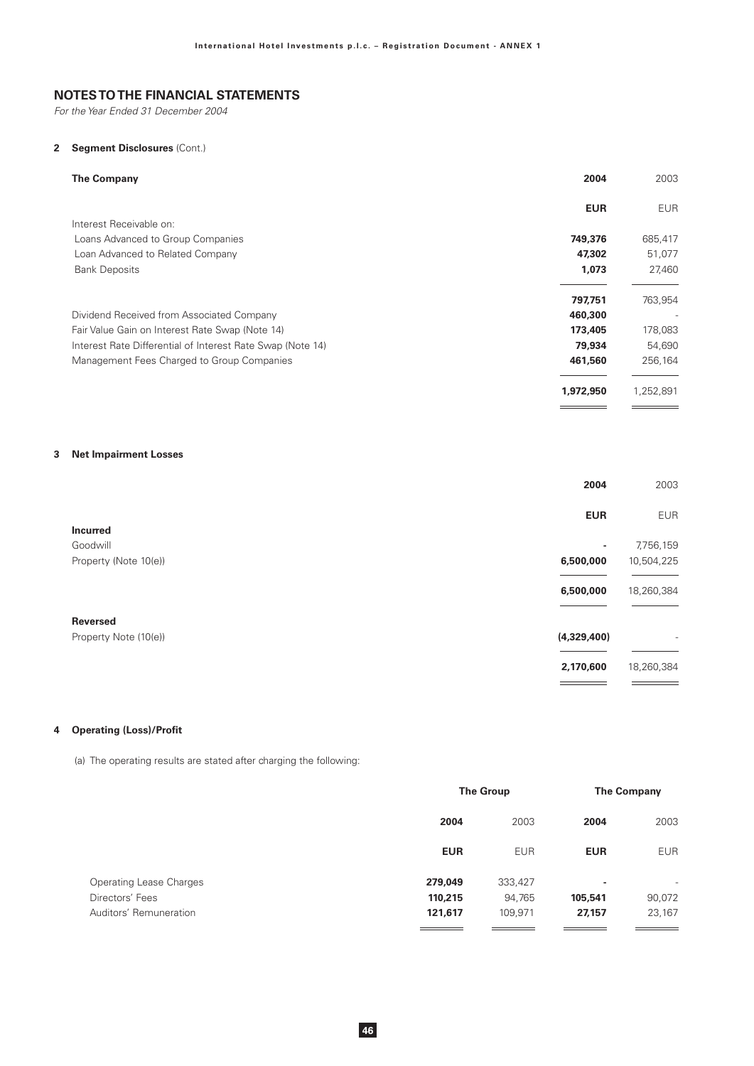For the Year Ended 31 December 2004

## 2 Segment Disclosures (Cont.)

| 2004<br><b>The Company</b>                                           | 2003       |
|----------------------------------------------------------------------|------------|
| <b>EUR</b>                                                           | <b>EUR</b> |
| Interest Receivable on:                                              |            |
| Loans Advanced to Group Companies<br>749,376                         | 685,417    |
| 47,302<br>Loan Advanced to Related Company                           | 51,077     |
| <b>Bank Deposits</b><br>1,073                                        | 27,460     |
| 797,751                                                              | 763,954    |
| Dividend Received from Associated Company<br>460,300                 |            |
| Fair Value Gain on Interest Rate Swap (Note 14)<br>173,405           | 178,083    |
| 79,934<br>Interest Rate Differential of Interest Rate Swap (Note 14) | 54,690     |
| Management Fees Charged to Group Companies<br>461,560                | 256,164    |
| 1,972,950                                                            | 1,252,891  |

### 3 Net Impairment Losses

|                       | 2004        | 2003                     |
|-----------------------|-------------|--------------------------|
|                       | <b>EUR</b>  | <b>EUR</b>               |
| <b>Incurred</b>       |             |                          |
| Goodwill              | ٠           | 7,756,159                |
| Property (Note 10(e)) | 6,500,000   | 10,504,225               |
|                       | 6,500,000   | 18,260,384               |
| <b>Reversed</b>       |             |                          |
| Property Note (10(e)) | (4,329,400) | $\overline{\phantom{a}}$ |
|                       | 2,170,600   | 18,260,384               |
|                       |             |                          |

## 4 Operating (Loss)/Profit

(a) The operating results are stated after charging the following:

|                                |            | <b>The Group</b> |            | The Company |
|--------------------------------|------------|------------------|------------|-------------|
|                                | 2004       | 2003             | 2004       | 2003        |
|                                | <b>EUR</b> | <b>EUR</b>       | <b>EUR</b> | <b>EUR</b>  |
| <b>Operating Lease Charges</b> | 279,049    | 333,427          | ۰          | ۰           |
| Directors' Fees                | 110,215    | 94,765           | 105,541    | 90,072      |
| Auditors' Remuneration         | 121,617    | 109,971          | 27,157     | 23,167      |
|                                |            |                  |            |             |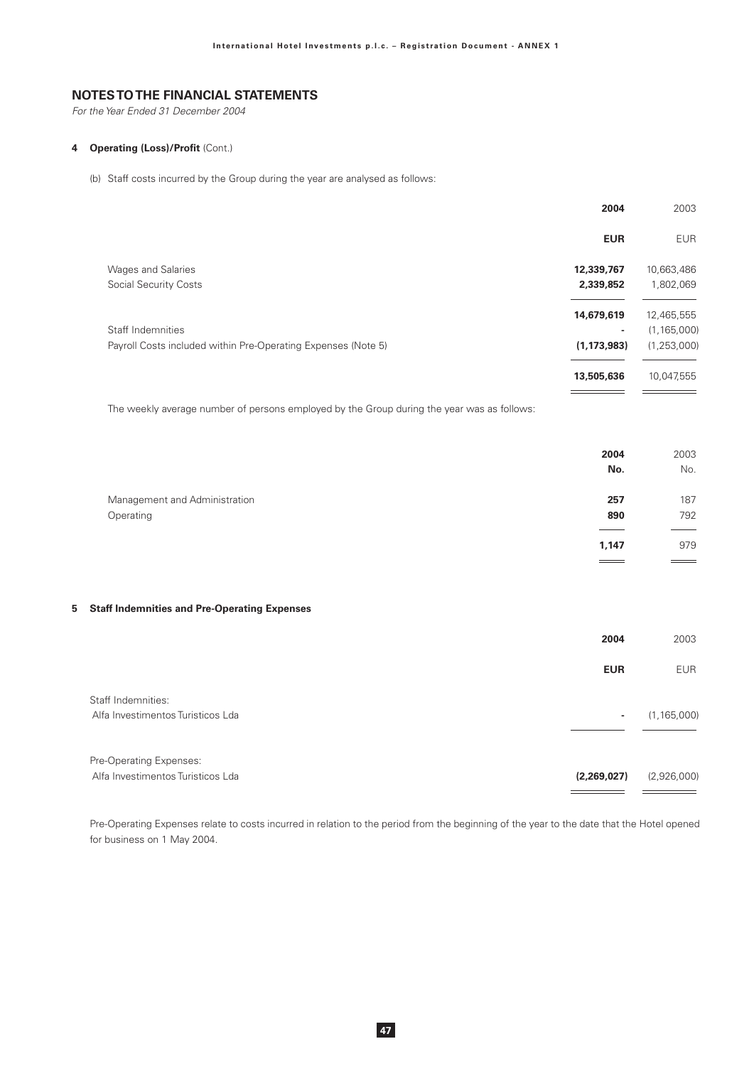For the Year Ended 31 December 2004

### 4 Operating (Loss)/Profit (Cont.)

(b) Staff costs incurred by the Group during the year are analysed as follows:

|                                                               | 2004          | 2003          |
|---------------------------------------------------------------|---------------|---------------|
|                                                               | <b>EUR</b>    | <b>EUR</b>    |
| <b>Wages and Salaries</b>                                     | 12,339,767    | 10,663,486    |
| <b>Social Security Costs</b>                                  | 2,339,852     | 1,802,069     |
|                                                               | 14,679,619    | 12,465,555    |
| Staff Indemnities                                             |               | (1, 165, 000) |
| Payroll Costs included within Pre-Operating Expenses (Note 5) | (1, 173, 983) | (1, 253, 000) |
|                                                               | 13,505,636    | 10,047,555    |
|                                                               |               |               |

The weekly average number of persons employed by the Group during the year was as follows:

|                               | 2004  | 2003              |
|-------------------------------|-------|-------------------|
|                               | No.   | No.               |
| Management and Administration | 257   | 187               |
| Operating                     | 890   | 792               |
|                               | 1,147 | 979               |
|                               | $=$   | $\equiv$ $\equiv$ |
|                               |       |                   |

### 5 Staff Indemnities and Pre-Operating Expenses

|                                                              | 2004        | 2003          |
|--------------------------------------------------------------|-------------|---------------|
|                                                              | <b>EUR</b>  | <b>EUR</b>    |
| Staff Indemnities:<br>Alfa Investimentos Turisticos Lda      | ۰           | (1, 165, 000) |
| Pre-Operating Expenses:<br>Alfa Investimentos Turisticos Lda | (2,269,027) | (2,926,000)   |

Pre-Operating Expenses relate to costs incurred in relation to the period from the beginning of the year to the date that the Hotel opened for business on 1 May 2004.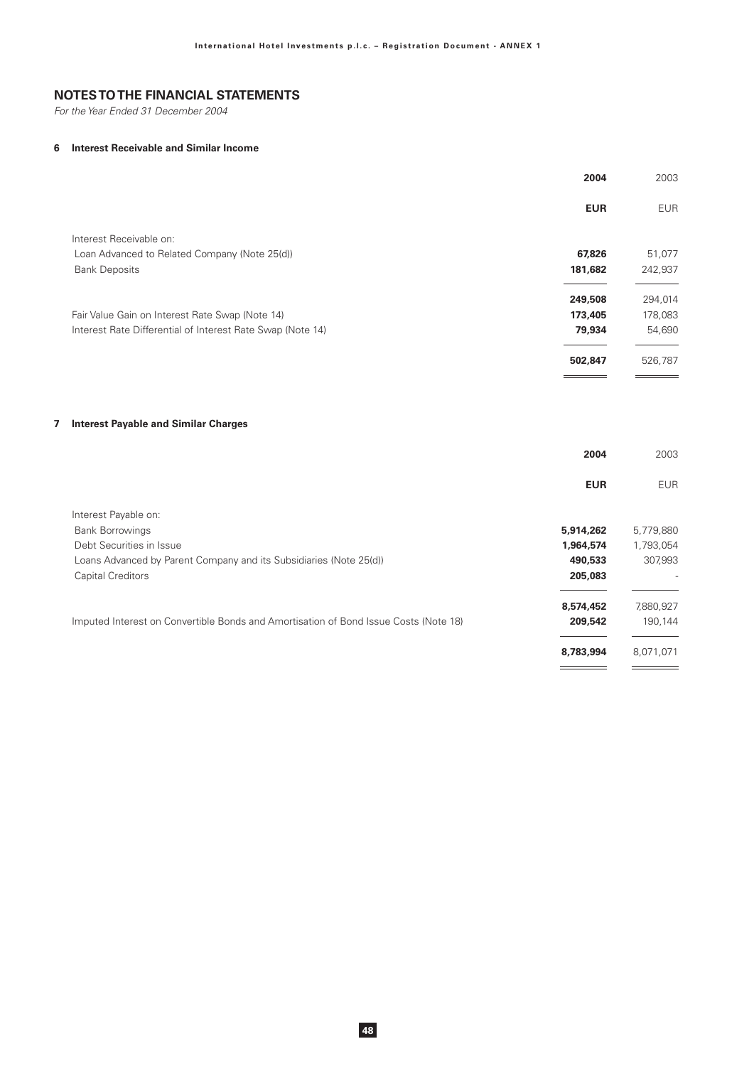For the Year Ended 31 December 2004

 $\overline{7}$ 

### 6 Interest Receivable and Similar Income

|                                                                                      | 2004              | 2003              |
|--------------------------------------------------------------------------------------|-------------------|-------------------|
|                                                                                      | <b>EUR</b>        | <b>EUR</b>        |
| Interest Receivable on:                                                              |                   |                   |
| Loan Advanced to Related Company (Note 25(d))<br><b>Bank Deposits</b>                | 67,826<br>181,682 | 51,077<br>242,937 |
|                                                                                      | 249,508           | 294,014           |
| Fair Value Gain on Interest Rate Swap (Note 14)                                      | 173,405           | 178,083           |
| Interest Rate Differential of Interest Rate Swap (Note 14)                           | 79,934            | 54,690            |
|                                                                                      | 502,847           | 526,787           |
| <b>Interest Payable and Similar Charges</b>                                          | 2004              | 2003              |
|                                                                                      | <b>EUR</b>        | <b>EUR</b>        |
| Interest Payable on:                                                                 |                   |                   |
| <b>Bank Borrowings</b>                                                               | 5,914,262         | 5,779,880         |
| Debt Securities in Issue                                                             | 1,964,574         | 1,793,054         |
| Loans Advanced by Parent Company and its Subsidiaries (Note 25(d))                   | 490,533           | 307,993           |
| <b>Capital Creditors</b>                                                             | 205,083           |                   |
|                                                                                      | 8,574,452         | 7,880,927         |
| Imputed Interest on Convertible Bonds and Amortisation of Bond Issue Costs (Note 18) | 209,542           | 190,144           |
|                                                                                      | 8,783,994         | 8,071,071         |
|                                                                                      |                   |                   |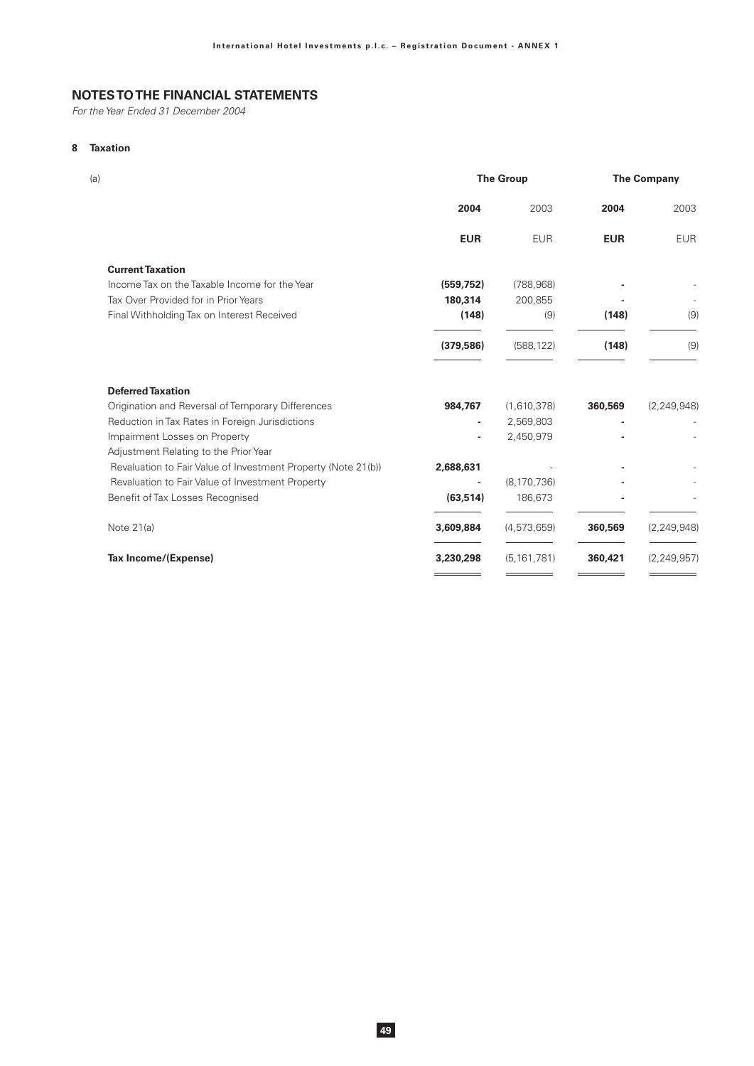For the Year Ended 31 December 2004

# 8 Taxation

| (a)                                                           |            | <b>The Group</b> | <b>The Company</b> |               |  |
|---------------------------------------------------------------|------------|------------------|--------------------|---------------|--|
|                                                               | 2004       | 2003             | 2004               | 2003          |  |
|                                                               | <b>EUR</b> | <b>EUR</b>       | <b>EUR</b>         | <b>EUR</b>    |  |
| <b>Current Taxation</b>                                       |            |                  |                    |               |  |
| Income Tax on the Taxable Income for the Year                 | (559, 752) | (788, 968)       |                    |               |  |
| Tax Over Provided for in Prior Years                          | 180,314    | 200,855          |                    |               |  |
| Final Withholding Tax on Interest Received                    | (148)      | (9)              | (148)              | (9)           |  |
|                                                               | (379, 586) | (588, 122)       | (148)              | (9)           |  |
| <b>Deferred Taxation</b>                                      |            |                  |                    |               |  |
| Origination and Reversal of Temporary Differences             | 984,767    | (1,610,378)      | 360,569            | (2, 249, 948) |  |
| Reduction in Tax Rates in Foreign Jurisdictions               | ٠          | 2,569,803        |                    |               |  |
| Impairment Losses on Property                                 |            | 2,450,979        |                    |               |  |
| Adjustment Relating to the Prior Year                         |            |                  |                    |               |  |
| Revaluation to Fair Value of Investment Property (Note 21(b)) | 2,688,631  |                  |                    |               |  |
| Revaluation to Fair Value of Investment Property              |            | (8, 170, 736)    |                    |               |  |
| Benefit of Tax Losses Recognised                              | (63, 514)  | 186,673          |                    |               |  |
| Note 21(a)                                                    | 3,609,884  | (4, 573, 659)    | 360,569            | (2, 249, 948) |  |
| Tax Income/(Expense)                                          | 3,230,298  | (5, 161, 781)    | 360,421            | (2, 249, 957) |  |
|                                                               |            |                  |                    |               |  |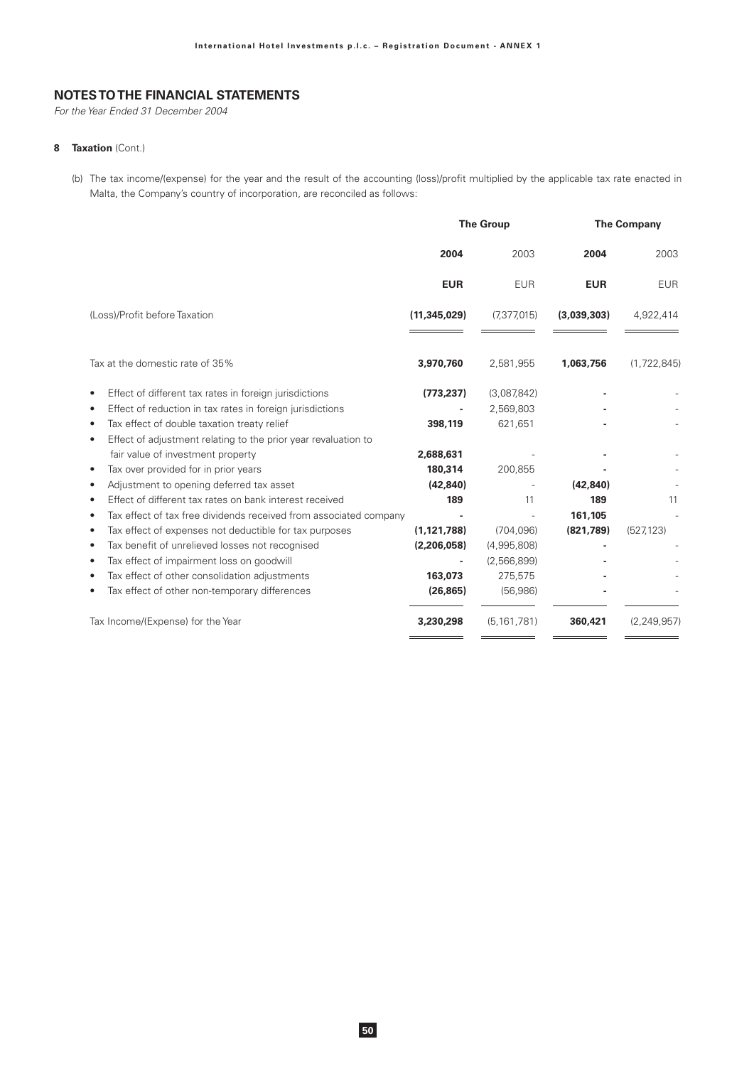For the Year Ended 31 December 2004

### 8 Taxation (Cont.)

(b) The tax income/(expense) for the year and the result of the accounting (loss)/profit multiplied by the applicable tax rate enacted in Malta, the Company's country of incorporation, are reconciled as follows:

|                                                                             |                | <b>The Group</b> | <b>The Company</b> |               |  |
|-----------------------------------------------------------------------------|----------------|------------------|--------------------|---------------|--|
|                                                                             | 2004           | 2003             | 2004               | 2003          |  |
|                                                                             | <b>EUR</b>     | <b>EUR</b>       | <b>EUR</b>         | <b>EUR</b>    |  |
| (Loss)/Profit before Taxation                                               | (11, 345, 029) | (7, 377, 015)    | (3,039,303)        | 4,922,414     |  |
| Tax at the domestic rate of 35%                                             | 3,970,760      | 2,581,955        | 1,063,756          | (1,722,845)   |  |
| Effect of different tax rates in foreign jurisdictions<br>$\bullet$         | (773, 237)     | (3,087,842)      |                    |               |  |
| Effect of reduction in tax rates in foreign jurisdictions<br>$\bullet$      |                | 2,569,803        |                    |               |  |
| Tax effect of double taxation treaty relief<br>$\bullet$                    | 398,119        | 621,651          |                    |               |  |
| Effect of adjustment relating to the prior year revaluation to<br>$\bullet$ |                |                  |                    |               |  |
| fair value of investment property                                           | 2,688,631      |                  |                    |               |  |
| Tax over provided for in prior years<br>$\bullet$                           | 180,314        | 200,855          |                    |               |  |
| Adjustment to opening deferred tax asset                                    | (42, 840)      |                  | (42, 840)          |               |  |
| Effect of different tax rates on bank interest received<br>$\bullet$        | 189            | 11               | 189                | 11            |  |
| Tax effect of tax free dividends received from associated company<br>٠      |                |                  | 161,105            |               |  |
| Tax effect of expenses not deductible for tax purposes                      | (1, 121, 788)  | (704, 096)       | (821,789)          | (527, 123)    |  |
| Tax benefit of unrelieved losses not recognised<br>$\bullet$                | (2,206,058)    | (4,995,808)      |                    |               |  |
| Tax effect of impairment loss on goodwill<br>٠                              |                | (2,566,899)      |                    |               |  |
| Tax effect of other consolidation adjustments                               | 163,073        | 275,575          |                    |               |  |
| Tax effect of other non-temporary differences                               | (26, 865)      | (56,986)         |                    |               |  |
| Tax Income/(Expense) for the Year                                           | 3,230,298      | (5, 161, 781)    | 360,421            | (2, 249, 957) |  |
|                                                                             |                |                  |                    |               |  |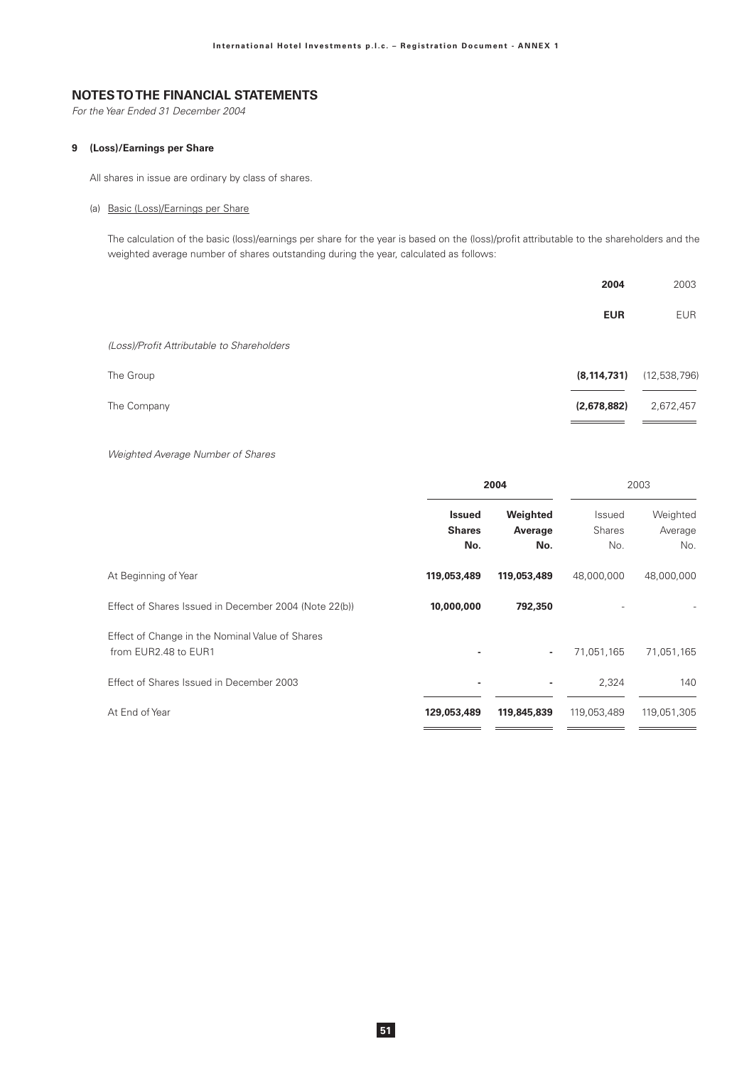For the Year Ended 31 December 2004

### 9 (Loss)/Earnings per Share

All shares in issue are ordinary by class of shares.

(a) Basic (Loss)/Earnings per Share

The calculation of the basic (loss)/earnings per share for the year is based on the (loss)/profit attributable to the shareholders and the weighted average number of shares outstanding during the year, calculated as follows:

|                                            | 2004          | 2003         |
|--------------------------------------------|---------------|--------------|
|                                            | <b>EUR</b>    | <b>EUR</b>   |
| (Loss)/Profit Attributable to Shareholders |               |              |
| The Group                                  | (8, 114, 731) | (12,538,796) |
| The Company                                | (2,678,882)   | 2,672,457    |

 $\equiv$  $\equiv$ 

Weighted Average Number of Shares

|                                                                         | 2004                                  |                            | 2003                           |                            |
|-------------------------------------------------------------------------|---------------------------------------|----------------------------|--------------------------------|----------------------------|
|                                                                         | <b>Issued</b><br><b>Shares</b><br>No. | Weighted<br>Average<br>No. | Issued<br><b>Shares</b><br>No. | Weighted<br>Average<br>No. |
| At Beginning of Year                                                    | 119,053,489                           | 119,053,489                | 48,000,000                     | 48,000,000                 |
| Effect of Shares Issued in December 2004 (Note 22(b))                   | 10,000,000                            | 792,350                    |                                |                            |
| Effect of Change in the Nominal Value of Shares<br>from EUR2.48 to EUR1 |                                       | ٠                          | 71,051,165                     | 71,051,165                 |
| Effect of Shares Issued in December 2003                                | $\overline{\phantom{a}}$              | ٠                          | 2,324                          | 140                        |
| At End of Year                                                          | 129,053,489                           | 119,845,839                | 119,053,489                    | 119,051,305                |
|                                                                         |                                       |                            |                                |                            |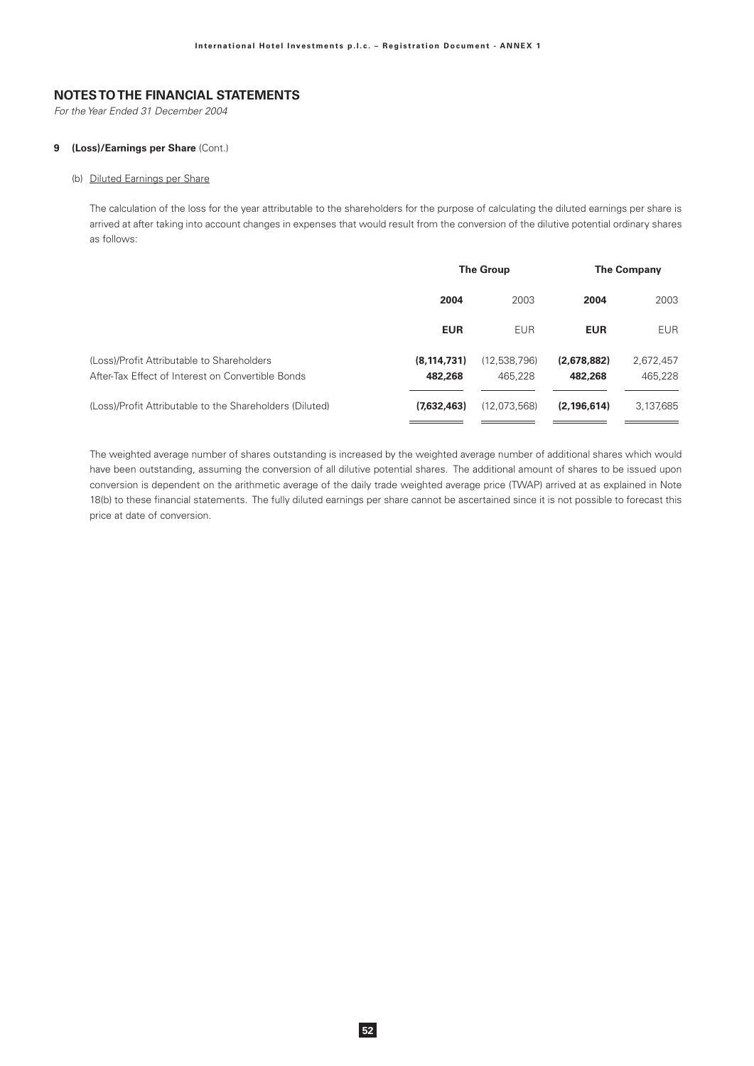For the Year Ended 31 December 2004

### 9 (Loss)/Earnings per Share (Cont.)

### (b) Diluted Earnings per Share

The calculation of the loss for the year attributable to the shareholders for the purpose of calculating the diluted earnings per share is arrived at after taking into account changes in expenses that would result from the conversion of the dilutive potential ordinary shares as follows:

|                                                                                                 | <b>The Group</b>         |                         | <b>The Company</b>     |                      |
|-------------------------------------------------------------------------------------------------|--------------------------|-------------------------|------------------------|----------------------|
|                                                                                                 | 2004                     | 2003                    | 2004                   | 2003                 |
|                                                                                                 | <b>EUR</b>               | <b>EUR</b>              | <b>EUR</b>             | <b>EUR</b>           |
| (Loss)/Profit Attributable to Shareholders<br>After-Tax Effect of Interest on Convertible Bonds | (8, 114, 731)<br>482,268 | (12,538,796)<br>465.228 | (2,678,882)<br>482,268 | 2,672,457<br>465,228 |
| (Loss)/Profit Attributable to the Shareholders (Diluted)                                        | (7,632,463)              | (12,073,568)            | (2, 196, 614)          | 3,137,685            |

The weighted average number of shares outstanding is increased by the weighted average number of additional shares which would have been outstanding, assuming the conversion of all dilutive potential shares. The additional amount of shares to be issued upon conversion is dependent on the arithmetic average of the daily trade weighted average price (TWAP) arrived at as explained in Note 18(b) to these financial statements. The fully diluted earnings per share cannot be ascertained since it is not possible to forecast this price at date of conversion.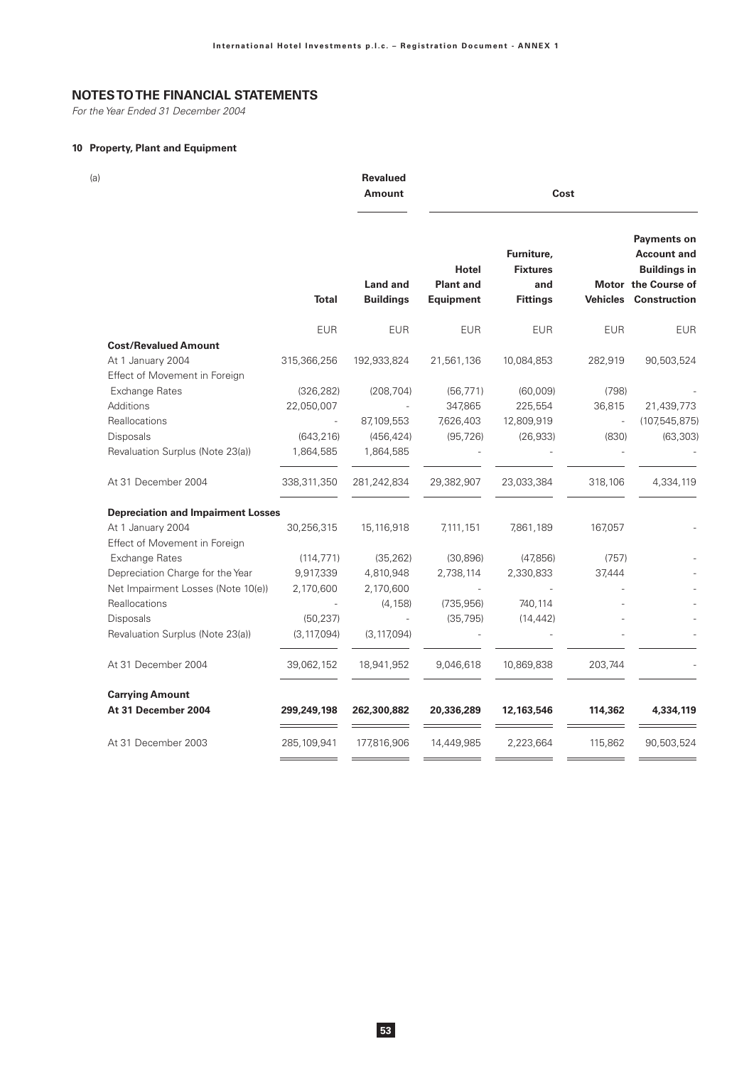For the Year Ended 31 December 2004

## 10 Property, Plant and Equipment

 $(a)$ 

Revalued Amount

 $Cost$ 

|                                           | <b>Total</b>  | <b>Land and</b><br><b>Buildings</b> | <b>Hotel</b><br><b>Plant and</b><br><b>Equipment</b> | Furniture,<br><b>Fixtures</b><br>and<br><b>Fittings</b> | <b>Vehicles</b> | <b>Payments on</b><br><b>Account and</b><br><b>Buildings in</b><br>Motor the Course of<br><b>Construction</b> |
|-------------------------------------------|---------------|-------------------------------------|------------------------------------------------------|---------------------------------------------------------|-----------------|---------------------------------------------------------------------------------------------------------------|
|                                           | <b>EUR</b>    | <b>EUR</b>                          | <b>EUR</b>                                           | <b>EUR</b>                                              | <b>EUR</b>      | <b>EUR</b>                                                                                                    |
| <b>Cost/Revalued Amount</b>               |               |                                     |                                                      |                                                         |                 |                                                                                                               |
| At 1 January 2004                         | 315,366,256   | 192,933,824                         | 21,561,136                                           | 10,084,853                                              | 282,919         | 90,503,524                                                                                                    |
| Effect of Movement in Foreign             |               |                                     |                                                      |                                                         |                 |                                                                                                               |
| <b>Exchange Rates</b>                     | (326, 282)    | (208, 704)                          | (56, 771)                                            | (60,009)                                                | (798)           |                                                                                                               |
| Additions                                 | 22,050,007    |                                     | 347,865                                              | 225,554                                                 | 36,815          | 21,439,773                                                                                                    |
| Reallocations                             |               | 87,109,553                          | 7,626,403                                            | 12,809,919                                              |                 | (107,545,875                                                                                                  |
| Disposals                                 | (643, 216)    | (456, 424)                          | (95, 726)                                            | (26, 933)                                               | (830)           | (63, 303)                                                                                                     |
| Revaluation Surplus (Note 23(a))          | 1,864,585     | 1,864,585                           |                                                      |                                                         |                 |                                                                                                               |
| At 31 December 2004                       | 338,311,350   | 281,242,834                         | 29,382,907                                           | 23,033,384                                              | 318,106         | 4,334,119                                                                                                     |
| <b>Depreciation and Impairment Losses</b> |               |                                     |                                                      |                                                         |                 |                                                                                                               |
| At 1 January 2004                         | 30,256,315    | 15,116,918                          | 7,111,151                                            | 7,861,189                                               | 167,057         |                                                                                                               |
| Effect of Movement in Foreign             |               |                                     |                                                      |                                                         |                 |                                                                                                               |
| Exchange Rates                            | (114, 771)    | (35, 262)                           | (30, 896)                                            | (47,856)                                                | (757)           |                                                                                                               |
| Depreciation Charge for the Year          | 9,917,339     | 4,810,948                           | 2,738,114                                            | 2,330,833                                               | 37,444          |                                                                                                               |
| Net Impairment Losses (Note 10(e))        | 2,170,600     | 2,170,600                           |                                                      |                                                         |                 |                                                                                                               |
| Reallocations                             |               | (4, 158)                            | (735, 956)                                           | 740,114                                                 |                 |                                                                                                               |
| Disposals                                 | (50, 237)     |                                     | (35, 795)                                            | (14, 442)                                               |                 |                                                                                                               |
| Revaluation Surplus (Note 23(a))          | (3, 117, 094) | (3, 117, 094)                       |                                                      |                                                         |                 |                                                                                                               |
| At 31 December 2004                       | 39,062,152    | 18,941,952                          | 9,046,618                                            | 10,869,838                                              | 203,744         |                                                                                                               |
| <b>Carrying Amount</b>                    |               |                                     |                                                      |                                                         |                 |                                                                                                               |
| At 31 December 2004                       | 299,249,198   | 262,300,882                         | 20,336,289                                           | 12,163,546                                              | 114,362         | 4,334,119                                                                                                     |
| At 31 December 2003                       | 285,109,941   | 177,816,906                         | 14,449,985                                           | 2,223,664                                               | 115,862         | 90,503,524                                                                                                    |
|                                           |               |                                     |                                                      |                                                         |                 |                                                                                                               |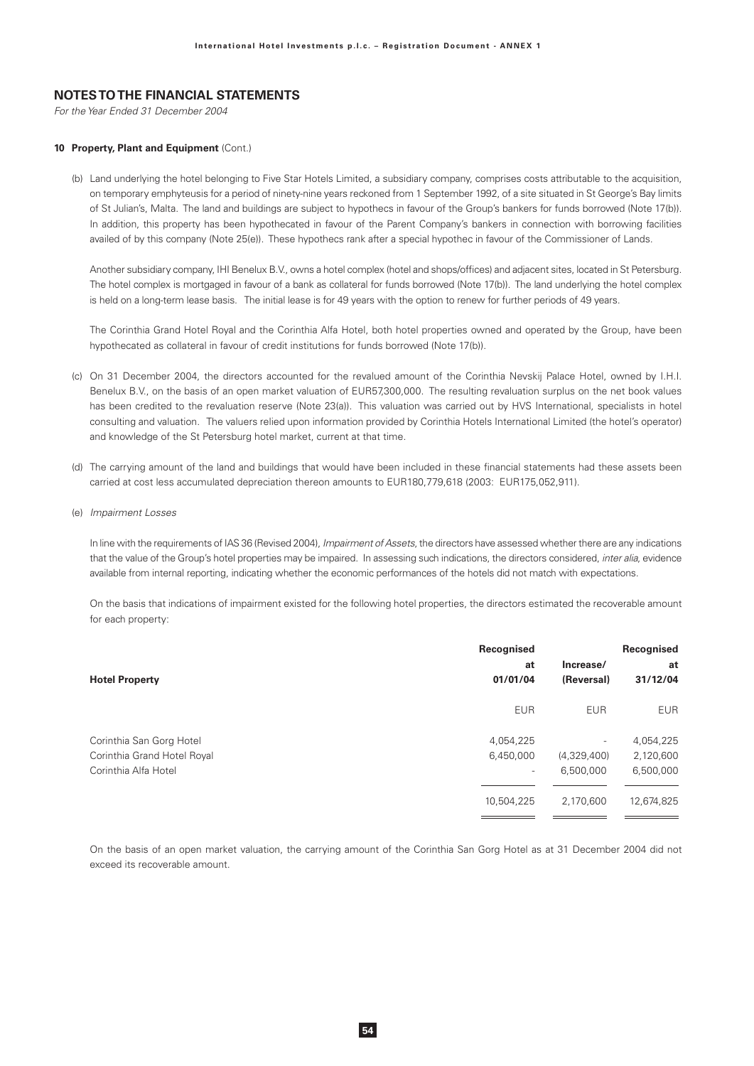For the Year Ended 31 December 2004

#### 10 Property, Plant and Equipment (Cont.)

(b) Land underlying the hotel belonging to Five Star Hotels Limited, a subsidiary company, comprises costs attributable to the acquisition, on temporary emphyteusis for a period of ninety-nine years reckoned from 1 September 1992, of a site situated in St George's Bay limits of St Julian's, Malta. The land and buildings are subject to hypothecs in favour of the Group's bankers for funds borrowed (Note 17(b)). In addition, this property has been hypothecated in favour of the Parent Company's bankers in connection with borrowing facilities availed of by this company (Note 25(e)). These hypothecs rank after a special hypothec in favour of the Commissioner of Lands.

Another subsidiary company, IHI Benelux B.V., owns a hotel complex (hotel and shops/offices) and adjacent sites, located in St Petersburg. The hotel complex is mortgaged in favour of a bank as collateral for funds borrowed (Note 17(b)). The land underlying the hotel complex is held on a long-term lease basis. The initial lease is for 49 years with the option to renew for further periods of 49 years.

The Corinthia Grand Hotel Royal and the Corinthia Alfa Hotel, both hotel properties owned and operated by the Group, have been hypothecated as collateral in favour of credit institutions for funds borrowed (Note 17(b)).

- (c) On 31 December 2004, the directors accounted for the revalued amount of the Corinthia Nevskij Palace Hotel, owned by I.H.I. Benelux B.V., on the basis of an open market valuation of EUR57,300,000. The resulting revaluation surplus on the net book values has been credited to the revaluation reserve (Note 23(a)). This valuation was carried out by HVS International, specialists in hotel consulting and valuation. The valuers relied upon information provided by Corinthia Hotels International Limited (the hotel's operator) and knowledge of the St Petersburg hotel market, current at that time.
- (d) The carrying amount of the land and buildings that would have been included in these financial statements had these assets been carried at cost less accumulated depreciation thereon amounts to EUR180,779,618 (2003: EUR175,052,911).
- (e) Impairment Losses

In line with the requirements of IAS 36 (Revised 2004), Impairment of Assets, the directors have assessed whether there are any indications that the value of the Group's hotel properties may be impaired. In assessing such indications, the directors considered, inter alia, evidence available from internal reporting, indicating whether the economic performances of the hotels did not match with expectations.

On the basis that indications of impairment existed for the following hotel properties, the directors estimated the recoverable amount for each property:

| <b>Hotel Property</b>                                                           | Recognised<br>at<br>01/01/04                       | Increase/<br>(Reversal)                    | Recognised<br>at<br>31/12/04        |
|---------------------------------------------------------------------------------|----------------------------------------------------|--------------------------------------------|-------------------------------------|
|                                                                                 | <b>EUR</b>                                         | <b>EUR</b>                                 | <b>EUR</b>                          |
| Corinthia San Gorg Hotel<br>Corinthia Grand Hotel Royal<br>Corinthia Alfa Hotel | 4,054,225<br>6,450,000<br>$\overline{\phantom{a}}$ | $\overline{a}$<br>(4,329,400)<br>6,500,000 | 4,054,225<br>2,120,600<br>6,500,000 |
|                                                                                 | 10,504,225                                         | 2,170,600                                  | 12,674,825                          |

On the basis of an open market valuation, the carrying amount of the Corinthia San Gorg Hotel as at 31 December 2004 did not exceed its recoverable amount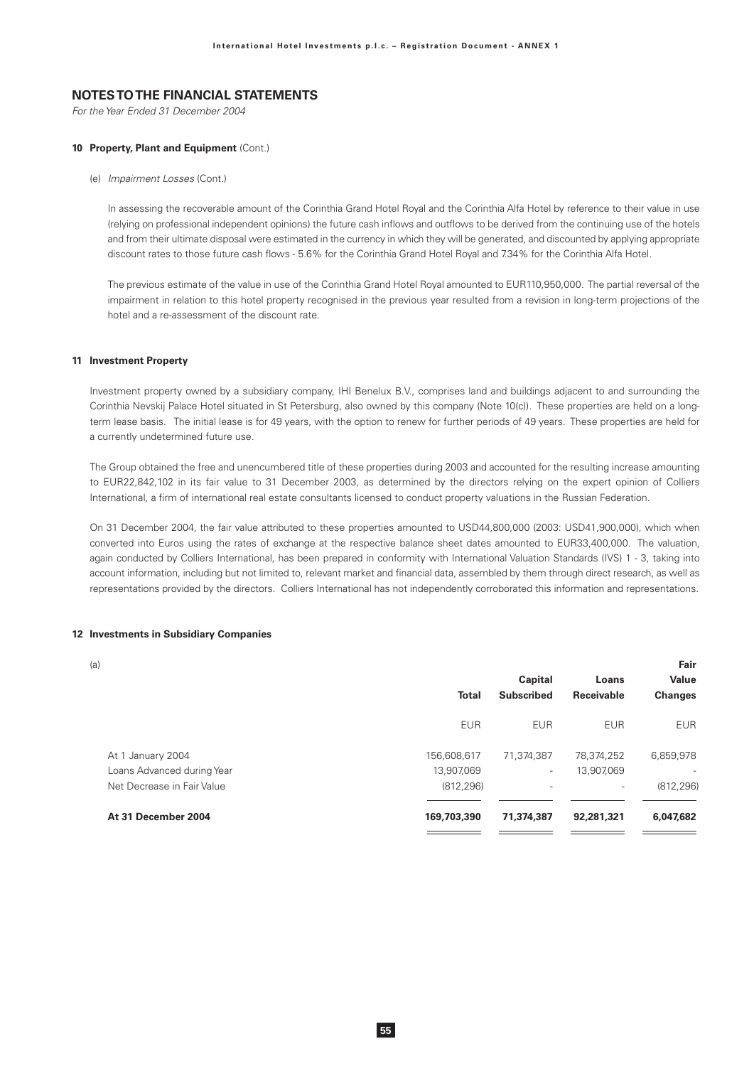For the Year Ended 31 December 2004

### 10 Property, Plant and Equipment (Cont.)

(e) Impairment Losses (Cont.)

In assessing the recoverable amount of the Corinthia Grand Hotel Royal and the Corinthia Alfa Hotel by reference to their value in use (relying on professional independent opinions) the future cash inflows and outflows to be derived from the continuing use of the hotels and from their ultimate disposal were estimated in the currency in which they will be generated, and discounted by applying appropriate discount rates to those future cash flows - 5.6% for the Corinthia Grand Hotel Royal and 7.34% for the Corinthia Alfa Hotel.

The previous estimate of the value in use of the Corinthia Grand Hotel Royal amounted to EUR110,950,000. The partial reversal of the impairment in relation to this hotel property recognised in the previous year resulted from a revision in long-term projections of the hotel and a re-assessment of the discount rate.

#### 11 Investment Property

Investment property owned by a subsidiary company, IHI Benelux B.V., comprises land and buildings adjacent to and surrounding the Corinthia Nevskij Palace Hotel situated in St Petersburg, also owned by this company (Note 10(c)). These properties are held on a longterm lease basis. The initial lease is for 49 years, with the option to renew for further periods of 49 years. These properties are held for a currently undetermined future use.

The Group obtained the free and unencumbered title of these properties during 2003 and accounted for the resulting increase amounting to EUR22,842,102 in its fair value to 31 December 2003, as determined by the directors relying on the expert opinion of Colliers International, a firm of international real estate consultants licensed to conduct property valuations in the Russian Federation.

On 31 December 2004, the fair value attributed to these properties amounted to USD44,800,000 (2003: USD41,900,000), which when converted into Euros using the rates of exchange at the respective balance sheet dates amounted to EUR33,400,000. The valuation, again conducted by Colliers International, has been prepared in conformity with International Valuation Standards (IVS) 1 - 3, taking into account information, including but not limited to, relevant market and financial data, assembled by them through direct research, as well as representations provided by the directors. Colliers International has not independently corroborated this information and representations.

#### 12 Investments in Subsidiary Companies

| a)                         |              |                          |                          | Fair           |
|----------------------------|--------------|--------------------------|--------------------------|----------------|
|                            |              | Capital                  | Loans                    | <b>Value</b>   |
|                            | <b>Total</b> | <b>Subscribed</b>        | Receivable               | <b>Changes</b> |
|                            | <b>EUR</b>   | <b>EUR</b>               | <b>EUR</b>               | <b>EUR</b>     |
| At 1 January 2004          | 156,608,617  | 71,374,387               | 78,374,252               | 6,859,978      |
| Loans Advanced during Year | 13,907,069   | $\overline{\phantom{a}}$ | 13,907,069               |                |
| Net Decrease in Fair Value | (812, 296)   | $\overline{\phantom{0}}$ | $\overline{\phantom{a}}$ | (812, 296)     |
| At 31 December 2004        | 169,703,390  | 71,374,387               | 92,281,321               | 6,047,682      |
|                            |              |                          |                          |                |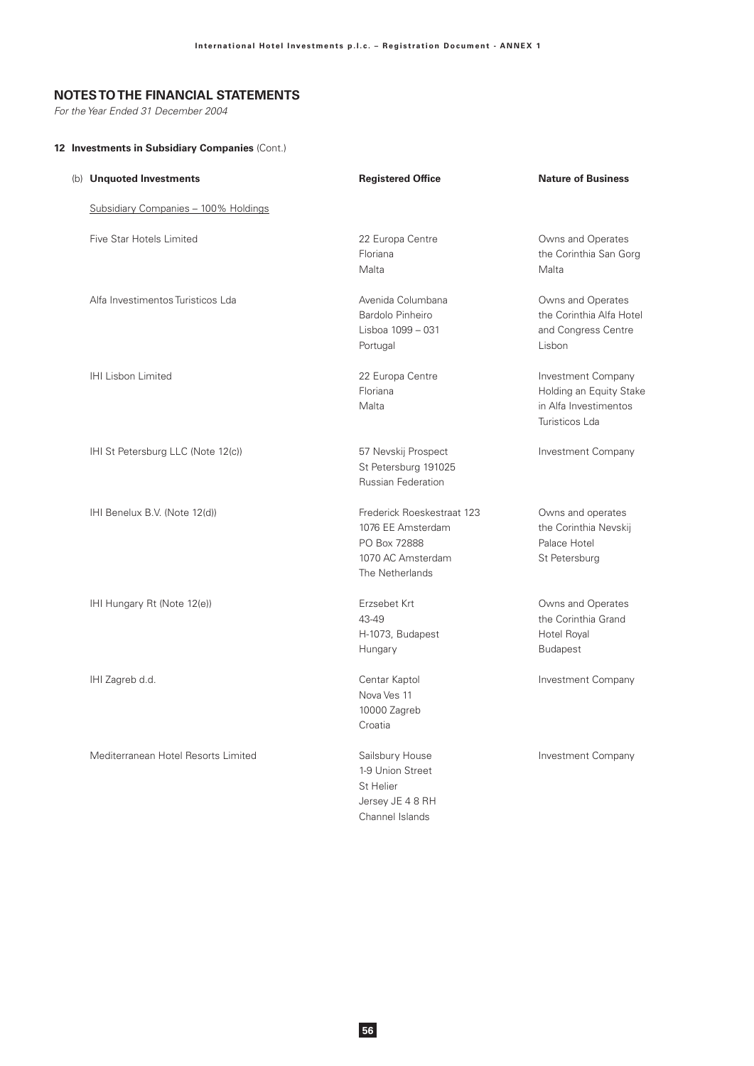For the Year Ended 31 December 2004

## 12 Investments in Subsidiary Companies (Cont.)

| (b) Unquoted Investments             | <b>Registered Office</b>                                                                                | <b>Nature of Business</b>                                                                |
|--------------------------------------|---------------------------------------------------------------------------------------------------------|------------------------------------------------------------------------------------------|
| Subsidiary Companies - 100% Holdings |                                                                                                         |                                                                                          |
| Five Star Hotels Limited             | 22 Europa Centre<br>Floriana<br>Malta                                                                   | Owns and Operates<br>the Corinthia San Gorg<br>Malta                                     |
| Alfa Investimentos Turisticos Lda    | Avenida Columbana<br>Bardolo Pinheiro<br>Lisboa 1099 - 031<br>Portugal                                  | Owns and Operates<br>the Corinthia Alfa Hotel<br>and Congress Centre<br>Lisbon           |
| IHI Lisbon Limited                   | 22 Europa Centre<br>Floriana<br>Malta                                                                   | Investment Company<br>Holding an Equity Stake<br>in Alfa Investimentos<br>Turisticos Lda |
| IHI St Petersburg LLC (Note 12(c))   | 57 Nevskij Prospect<br>St Petersburg 191025<br><b>Russian Federation</b>                                | Investment Company                                                                       |
| IHI Benelux B.V. (Note 12(d))        | Frederick Roeskestraat 123<br>1076 EE Amsterdam<br>PO Box 72888<br>1070 AC Amsterdam<br>The Netherlands | Owns and operates<br>the Corinthia Nevskij<br>Palace Hotel<br>St Petersburg              |
| IHI Hungary Rt (Note 12(e))          | Erzsebet Krt<br>43-49<br>H-1073, Budapest<br>Hungary                                                    | Owns and Operates<br>the Corinthia Grand<br>Hotel Royal<br><b>Budapest</b>               |
| IHI Zagreb d.d.                      | Centar Kaptol<br>Nova Ves 11<br>10000 Zagreb<br>Croatia                                                 | Investment Company                                                                       |
| Mediterranean Hotel Resorts Limited  | Sailsbury House<br>1-9 Union Street<br>St Helier<br>Jersey JE 4 8 RH<br>Channel Islands                 | <b>Investment Company</b>                                                                |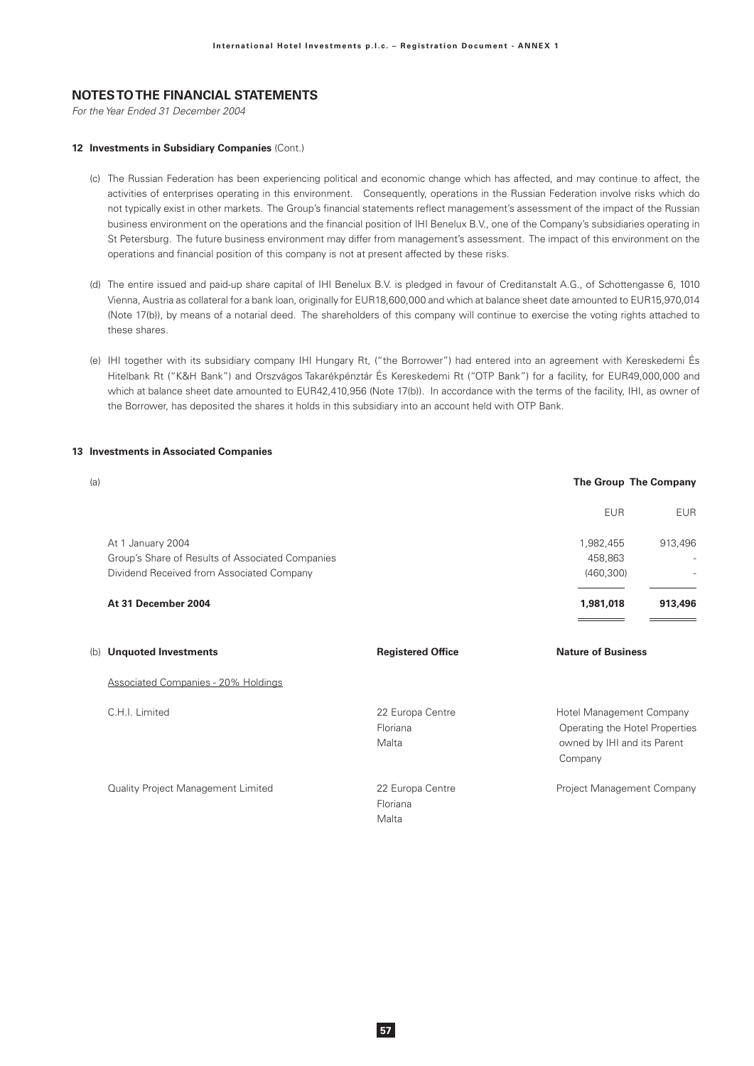For the Year Ended 31 December 2004

#### 12 Investments in Subsidiary Companies (Cont.)

- (c) The Russian Federation has been experiencing political and economic change which has affected, and may continue to affect, the activities of enterprises operating in this environment. Consequently, operations in the Russian Federation involve risks which do not typically exist in other markets. The Group's financial statements reflect management's assessment of the impact of the Russian business environment on the operations and the financial position of IHI Benelux B.V., one of the Company's subsidiaries operating in St Petersburg. The future business environment may differ from management's assessment. The impact of this environment on the operations and financial position of this company is not at present affected by these risks.
- (d) The entire issued and paid-up share capital of IHI Benelux B.V. is pledged in favour of Creditanstalt A.G., of Schottengasse 6, 1010 Vienna, Austria as collateral for a bank loan, originally for EUR18,600,000 and which at balance sheet date amounted to EUR15,970,014 (Note 17(b)), by means of a notarial deed. The shareholders of this company will continue to exercise the voting rights attached to these shares.
- (e) IHI together with its subsidiary company IHI Hungary Rt, ("the Borrower") had entered into an agreement with Kereskedemi És Hitelbank Rt ("K&H Bank") and Orszvágos Takarékpénztár És Kereskedemi Rt ("OTP Bank") for a facility, for EUR49,000,000 and which at balance sheet date amounted to EUR42,410,956 (Note 17(b)). In accordance with the terms of the facility, IHI, as owner of the Borrower, has deposited the shares it holds in this subsidiary into an account held with OTP Bank.

### 13 Investments in Associated Companies

| (a) |                                                                                                                    |                                       |                                                                    | The Group The Company          |
|-----|--------------------------------------------------------------------------------------------------------------------|---------------------------------------|--------------------------------------------------------------------|--------------------------------|
|     |                                                                                                                    |                                       | <b>EUR</b>                                                         | <b>EUR</b>                     |
|     | At 1 January 2004<br>Group's Share of Results of Associated Companies<br>Dividend Received from Associated Company |                                       | 1,982,455<br>458,863<br>(460, 300)                                 | 913,496                        |
|     | At 31 December 2004                                                                                                |                                       | 1,981,018                                                          | 913,496                        |
|     | (b) Unquoted Investments                                                                                           | <b>Registered Office</b>              | <b>Nature of Business</b>                                          |                                |
|     | <b>Associated Companies - 20% Holdings</b>                                                                         |                                       |                                                                    |                                |
|     | C.H.I. Limited                                                                                                     | 22 Europa Centre<br>Floriana<br>Malta | Hotel Management Company<br>owned by IHI and its Parent<br>Company | Operating the Hotel Properties |
|     | Quality Project Management Limited                                                                                 | 22 Europa Centre<br>Floriana<br>Malta | Project Management Company                                         |                                |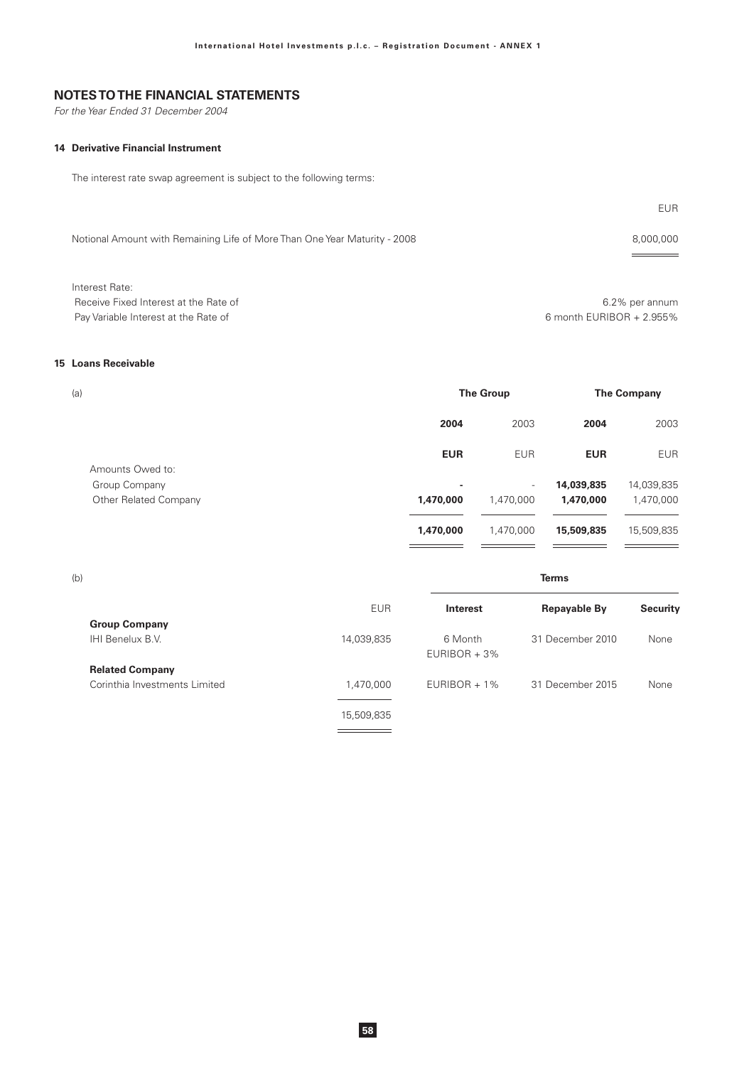For the Year Ended 31 December 2004

# **14 Derivative Financial Instrument**

The interest rate swap agreement is subject to the following terms:

|                                                                           | EUR.           |
|---------------------------------------------------------------------------|----------------|
| Notional Amount with Remaining Life of More Than One Year Maturity - 2008 | 8,000,000      |
| Interest Rate:                                                            |                |
| Receive Fixed Interest at the Rate of                                     | 6.2% per annum |

Pay Variable Interest at the Rate of

6.2% per annum 6 month EURIBOR + 2.955%

**Terms** 

#### 15 Loans Receivable

| (a)                   | <b>The Group</b> |                          | <b>The Company</b> |            |
|-----------------------|------------------|--------------------------|--------------------|------------|
|                       | 2004             | 2003                     | 2004               | 2003       |
| Amounts Owed to:      | <b>EUR</b>       | <b>EUR</b>               | <b>EUR</b>         | <b>EUR</b> |
| Group Company         | ۰                | $\overline{\phantom{a}}$ | 14,039,835         | 14,039,835 |
| Other Related Company | 1,470,000        | 1,470,000                | 1,470,000          | 1,470,000  |
|                       | 1,470,000        | 1,470,000                | 15,509,835         | 15,509,835 |

 $(b)$ 

|                               | <b>EUR</b> | Interest                   | <b>Repayable By</b> | <b>Security</b> |
|-------------------------------|------------|----------------------------|---------------------|-----------------|
| <b>Group Company</b>          |            |                            |                     |                 |
| IHI Benelux B.V.              | 14,039,835 | 6 Month<br>$EURIBOR + 3\%$ | 31 December 2010    | None            |
| <b>Related Company</b>        |            |                            |                     |                 |
| Corinthia Investments Limited | 1.470.000  | $EURIBOR + 1%$             | 31 December 2015    | None            |
|                               | 15,509,835 |                            |                     |                 |

 $\frac{1}{\sqrt{1-\frac{1}{2}}\left(1-\frac{1}{2}\right)}=\frac{1}{2\sqrt{1-\frac{1}{2}}\left(1-\frac{1}{2}\right)}=\frac{1}{2\sqrt{1-\frac{1}{2}}\left(1-\frac{1}{2}\right)}=\frac{1}{2\sqrt{1-\frac{1}{2}}\left(1-\frac{1}{2}\right)}=\frac{1}{2\sqrt{1-\frac{1}{2}}\left(1-\frac{1}{2}\right)}=\frac{1}{2\sqrt{1-\frac{1}{2}}\left(1-\frac{1}{2}\right)}=\frac{1}{2\sqrt{1-\frac{1}{2}}\left(1-\frac{1}{2}\right)}=\frac{1}{2\sqrt{1-\$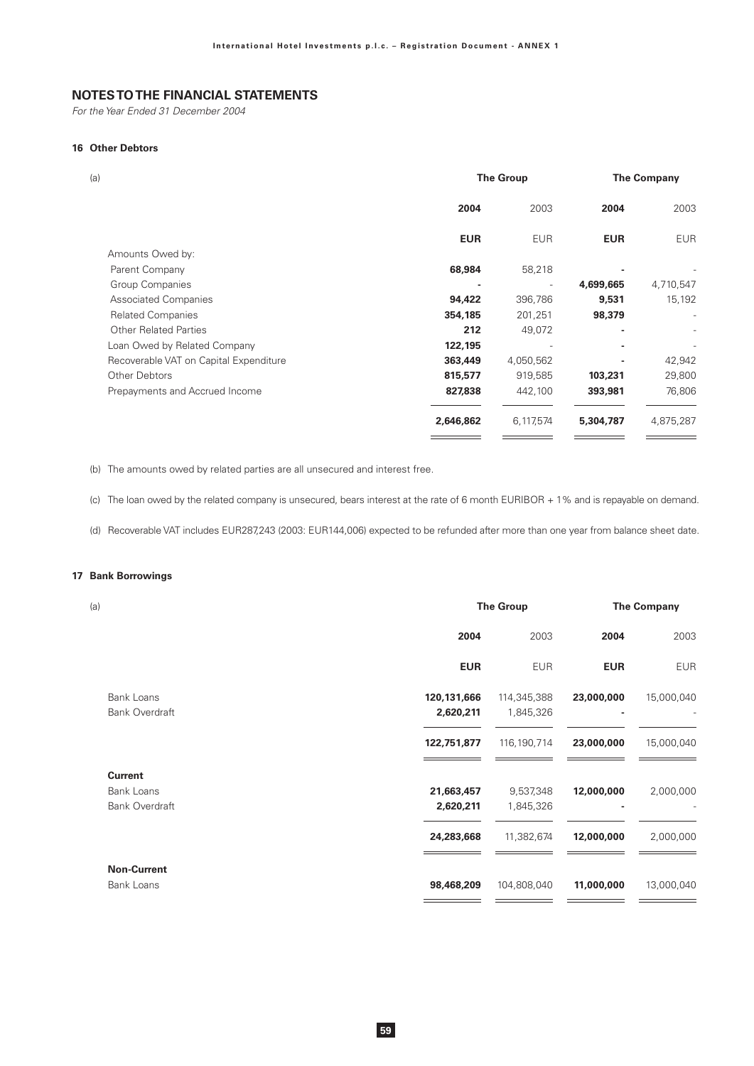For the Year Ended 31 December 2004

### 16 Other Debtors

| (a)                                    | <b>The Group</b> |            | <b>The Company</b> |                |
|----------------------------------------|------------------|------------|--------------------|----------------|
|                                        | 2004             | 2003       | 2004               | 2003           |
|                                        | <b>EUR</b>       | <b>EUR</b> | <b>EUR</b>         | <b>EUR</b>     |
| Amounts Owed by:                       |                  |            |                    |                |
| Parent Company                         | 68,984           | 58,218     |                    |                |
| Group Companies                        |                  |            | 4,699,665          | 4,710,547      |
| <b>Associated Companies</b>            | 94,422           | 396,786    | 9,531              | 15,192         |
| <b>Related Companies</b>               | 354,185          | 201,251    | 98,379             | $\overline{a}$ |
| <b>Other Related Parties</b>           | 212              | 49,072     |                    |                |
| Loan Owed by Related Company           | 122,195          |            |                    |                |
| Recoverable VAT on Capital Expenditure | 363,449          | 4,050,562  |                    | 42,942         |
| Other Debtors                          | 815,577          | 919,585    | 103,231            | 29,800         |
| Prepayments and Accrued Income         | 827,838          | 442,100    | 393,981            | 76,806         |
|                                        | 2,646,862        | 6,117,574  | 5,304,787          | 4,875,287      |
|                                        |                  |            |                    |                |

(b) The amounts owed by related parties are all unsecured and interest free.

(c) The loan owed by the related company is unsecured, bears interest at the rate of 6 month EURIBOR + 1% and is repayable on demand.

(d) Recoverable VAT includes EUR287,243 (2003: EUR144,006) expected to be refunded after more than one year from balance sheet date.

### 17 Bank Borrowings

| (a)                   | <b>The Group</b> |               |            | <b>The Company</b> |  |
|-----------------------|------------------|---------------|------------|--------------------|--|
|                       | 2004             | 2003          | 2004       | 2003               |  |
|                       | <b>EUR</b>       | <b>EUR</b>    | <b>EUR</b> | <b>EUR</b>         |  |
| Bank Loans            | 120,131,666      | 114,345,388   | 23,000,000 | 15,000,040         |  |
| <b>Bank Overdraft</b> | 2,620,211        | 1,845,326     |            |                    |  |
|                       | 122,751,877      | 116, 190, 714 | 23,000,000 | 15,000,040         |  |
| <b>Current</b>        |                  |               |            |                    |  |
| Bank Loans            | 21,663,457       | 9,537,348     | 12,000,000 | 2,000,000          |  |
| <b>Bank Overdraft</b> | 2,620,211        | 1,845,326     |            |                    |  |
|                       | 24,283,668       | 11,382,674    | 12,000,000 | 2,000,000          |  |
| <b>Non-Current</b>    |                  |               |            |                    |  |
| Bank Loans            | 98,468,209       | 104,808,040   | 11,000,000 | 13,000,040         |  |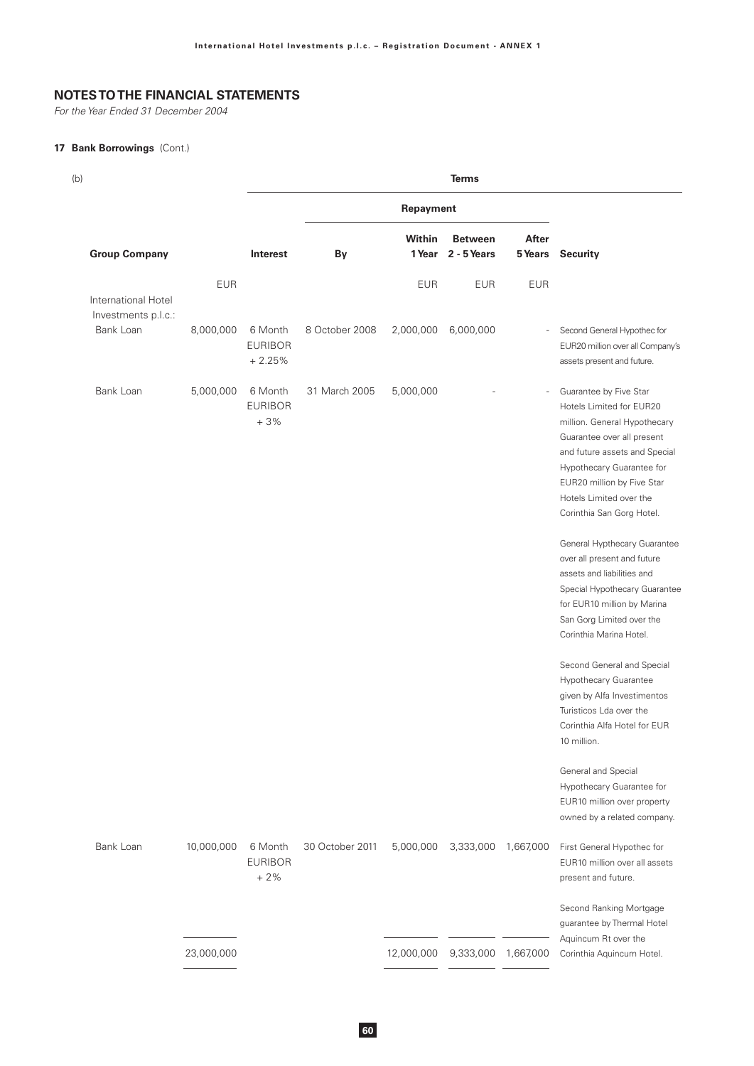For the Year Ended 31 December 2004

## 17 Bank Borrowings (Cont.)

| (b)                                        |            |                                       |                 |                         | <b>Terms</b>                  |            |                                                                                                                                                                                                                                                                      |
|--------------------------------------------|------------|---------------------------------------|-----------------|-------------------------|-------------------------------|------------|----------------------------------------------------------------------------------------------------------------------------------------------------------------------------------------------------------------------------------------------------------------------|
|                                            |            | Repayment                             |                 |                         |                               |            |                                                                                                                                                                                                                                                                      |
| <b>Group Company</b>                       |            | Interest                              | By              | <b>Within</b><br>1 Year | <b>Between</b><br>2 - 5 Years | After      | <b>5 Years</b> Security                                                                                                                                                                                                                                              |
| International Hotel<br>Investments p.l.c.: | <b>EUR</b> |                                       |                 | <b>EUR</b>              | <b>EUR</b>                    | <b>EUR</b> |                                                                                                                                                                                                                                                                      |
| Bank Loan                                  | 8,000,000  | 6 Month<br><b>EURIBOR</b><br>$+2.25%$ | 8 October 2008  | 2,000,000               | 6,000,000                     |            | Second General Hypothec for<br>EUR20 million over all Company's<br>assets present and future.                                                                                                                                                                        |
| Bank Loan                                  | 5,000,000  | 6 Month<br><b>EURIBOR</b><br>$+3%$    | 31 March 2005   | 5,000,000               |                               |            | Guarantee by Five Star<br>Hotels Limited for EUR20<br>million. General Hypothecary<br>Guarantee over all present<br>and future assets and Special<br>Hypothecary Guarantee for<br>EUR20 million by Five Star<br>Hotels Limited over the<br>Corinthia San Gorg Hotel. |
|                                            |            |                                       |                 |                         |                               |            | General Hypthecary Guarantee<br>over all present and future<br>assets and liabilities and<br>Special Hypothecary Guarantee<br>for EUR10 million by Marina<br>San Gorg Limited over the<br>Corinthia Marina Hotel.                                                    |
|                                            |            |                                       |                 |                         |                               |            | Second General and Special<br>Hypothecary Guarantee<br>given by Alfa Investimentos<br>Turisticos Lda over the<br>Corinthia Alfa Hotel for EUR<br>10 million.                                                                                                         |
|                                            |            |                                       |                 |                         |                               |            | General and Special<br>Hypothecary Guarantee for<br>EUR10 million over property<br>owned by a related company.                                                                                                                                                       |
| Bank Loan                                  | 10,000,000 | 6 Month<br><b>EURIBOR</b><br>$+2%$    | 30 October 2011 | 5,000,000               | 3,333,000                     | 1,667,000  | First General Hypothec for<br>EUR10 million over all assets<br>present and future.                                                                                                                                                                                   |
|                                            |            |                                       |                 |                         |                               |            | Second Ranking Mortgage<br>guarantee by Thermal Hotel<br>Aquincum Rt over the                                                                                                                                                                                        |
|                                            | 23,000,000 |                                       |                 | 12,000,000              | 9,333,000                     | 1,667,000  | Corinthia Aquincum Hotel.                                                                                                                                                                                                                                            |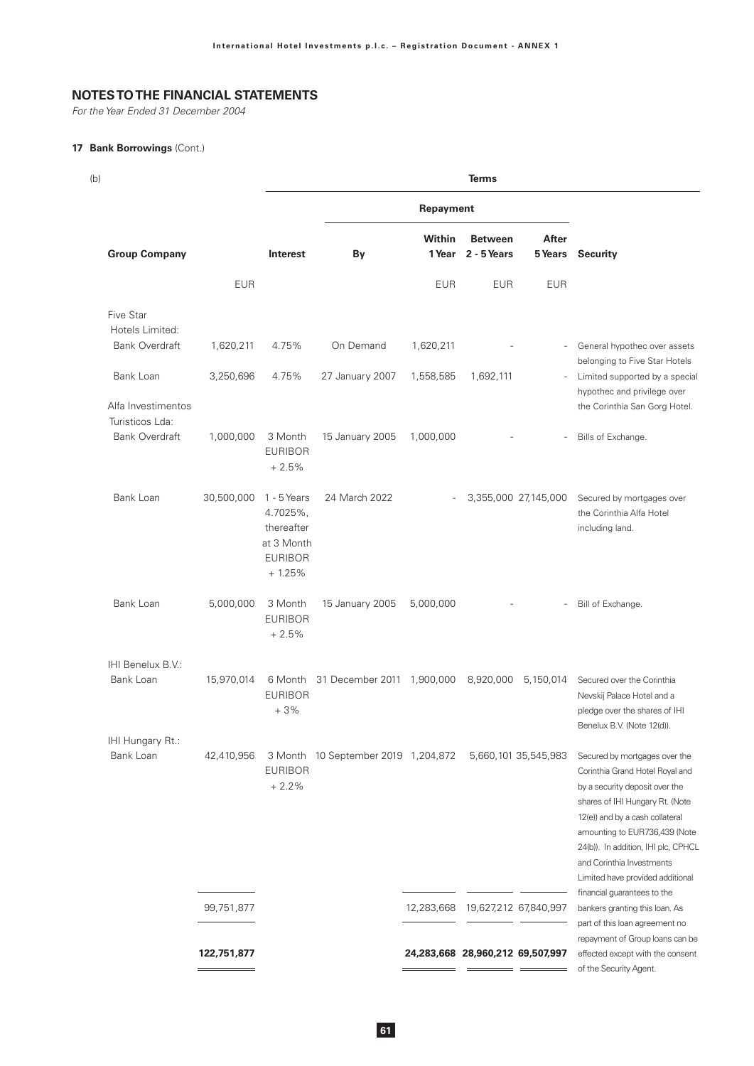For the Year Ended 31 December 2004

## 17 Bank Borrowings (Cont.)

| (b)                                      |             |                                                                                     |                                     |                          | <b>Terms</b>                     |                          |                                                                                                                                                                                                                                                                                                                   |
|------------------------------------------|-------------|-------------------------------------------------------------------------------------|-------------------------------------|--------------------------|----------------------------------|--------------------------|-------------------------------------------------------------------------------------------------------------------------------------------------------------------------------------------------------------------------------------------------------------------------------------------------------------------|
|                                          |             |                                                                                     |                                     | Repayment                |                                  |                          |                                                                                                                                                                                                                                                                                                                   |
| <b>Group Company</b>                     |             | <b>Interest</b>                                                                     | By                                  | Within<br>1 Year         | <b>Between</b><br>2 - 5 Years    | After<br><b>5 Years</b>  | <b>Security</b>                                                                                                                                                                                                                                                                                                   |
|                                          | <b>EUR</b>  |                                                                                     |                                     | <b>EUR</b>               | <b>EUR</b>                       | <b>EUR</b>               |                                                                                                                                                                                                                                                                                                                   |
| Five Star<br>Hotels Limited:             |             |                                                                                     |                                     |                          |                                  |                          |                                                                                                                                                                                                                                                                                                                   |
| <b>Bank Overdraft</b>                    | 1,620,211   | 4.75%                                                                               | On Demand                           | 1,620,211                |                                  | $\sim$                   | General hypothec over assets<br>belonging to Five Star Hotels                                                                                                                                                                                                                                                     |
| Bank Loan<br>Alfa Investimentos          | 3,250,696   | 4.75%                                                                               | 27 January 2007                     | 1,558,585                | 1,692,111                        | $\sim$                   | Limited supported by a special<br>hypothec and privilege over<br>the Corinthia San Gorg Hotel.                                                                                                                                                                                                                    |
| Turisticos Lda:<br><b>Bank Overdraft</b> | 1,000,000   | 3 Month<br><b>EURIBOR</b><br>$+2.5%$                                                | 15 January 2005                     | 1,000,000                |                                  | $\overline{\phantom{a}}$ | Bills of Exchange.                                                                                                                                                                                                                                                                                                |
| Bank Loan                                | 30,500,000  | $1 - 5$ Years<br>4.7025%,<br>thereafter<br>at 3 Month<br><b>EURIBOR</b><br>$+1.25%$ | 24 March 2022                       | $\overline{\phantom{a}}$ |                                  | 3,355,000 27,145,000     | Secured by mortgages over<br>the Corinthia Alfa Hotel<br>including land.                                                                                                                                                                                                                                          |
| Bank Loan                                | 5,000,000   | 3 Month<br><b>EURIBOR</b><br>$+2.5%$                                                | 15 January 2005                     | 5,000,000                |                                  | $\overline{\phantom{a}}$ | Bill of Exchange.                                                                                                                                                                                                                                                                                                 |
| IHI Benelux B.V.:                        |             |                                                                                     |                                     |                          |                                  |                          |                                                                                                                                                                                                                                                                                                                   |
| Bank Loan                                | 15,970,014  | <b>EURIBOR</b><br>$+3%$                                                             | 6 Month 31 December 2011 1,900,000  |                          | 8,920,000                        | 5,150,014                | Secured over the Corinthia<br>Nevskij Palace Hotel and a<br>pledge over the shares of IHI<br>Benelux B.V. (Note 12(d)).                                                                                                                                                                                           |
| IHI Hungary Rt.:<br>Bank Loan            | 42,410,956  | <b>EURIBOR</b><br>$+2.2%$                                                           | 3 Month 10 September 2019 1,204,872 |                          |                                  | 5,660,101 35,545,983     | Secured by mortgages over the<br>Corinthia Grand Hotel Royal and<br>by a security deposit over the<br>shares of IHI Hungary Rt. (Note<br>12(e)) and by a cash collateral<br>amounting to EUR736,439 (Note<br>24(b)). In addition, IHI plc, CPHCL<br>and Corinthia Investments<br>Limited have provided additional |
|                                          | 99,751,877  |                                                                                     |                                     | 12,283,668               | 19,627,212 67,840,997            |                          | financial guarantees to the<br>bankers granting this loan. As<br>part of this loan agreement no                                                                                                                                                                                                                   |
|                                          | 122,751,877 |                                                                                     |                                     |                          | 24,283,668 28,960,212 69,507,997 |                          | repayment of Group loans can be<br>effected except with the consent<br>of the Security Agent.                                                                                                                                                                                                                     |
|                                          |             |                                                                                     |                                     |                          |                                  |                          |                                                                                                                                                                                                                                                                                                                   |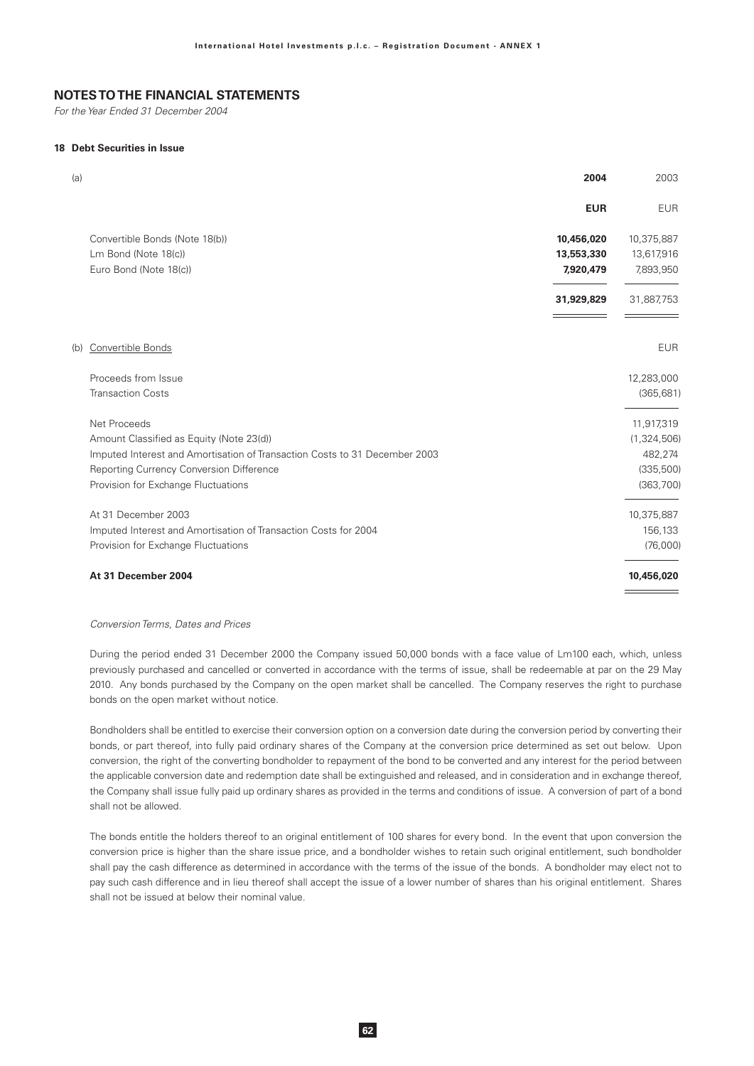For the Year Ended 31 December 2004

### 18 Debt Securities in Issue

| (a) |                                                                            | 2004       | 2003        |
|-----|----------------------------------------------------------------------------|------------|-------------|
|     |                                                                            | <b>EUR</b> | <b>EUR</b>  |
|     | Convertible Bonds (Note 18(b))                                             | 10,456,020 | 10,375,887  |
|     | Lm Bond (Note 18(c))                                                       | 13,553,330 | 13,617,916  |
|     | Euro Bond (Note 18(c))                                                     | 7,920,479  | 7,893,950   |
|     |                                                                            | 31,929,829 | 31,887,753  |
|     |                                                                            |            |             |
|     | (b) Convertible Bonds                                                      |            | <b>EUR</b>  |
|     | Proceeds from Issue                                                        |            | 12,283,000  |
|     | <b>Transaction Costs</b>                                                   |            | (365, 681)  |
|     | Net Proceeds                                                               |            | 11,917,319  |
|     | Amount Classified as Equity (Note 23(d))                                   |            | (1,324,506) |
|     | Imputed Interest and Amortisation of Transaction Costs to 31 December 2003 |            | 482,274     |
|     | Reporting Currency Conversion Difference                                   |            | (335, 500)  |
|     | Provision for Exchange Fluctuations                                        |            | (363, 700)  |
|     | At 31 December 2003                                                        |            | 10,375,887  |
|     | Imputed Interest and Amortisation of Transaction Costs for 2004            |            | 156,133     |
|     | Provision for Exchange Fluctuations                                        |            | (76,000)    |
|     | At 31 December 2004                                                        |            | 10,456,020  |
|     |                                                                            |            |             |

#### Conversion Terms, Dates and Prices

During the period ended 31 December 2000 the Company issued 50,000 bonds with a face value of Lm100 each, which, unless previously purchased and cancelled or converted in accordance with the terms of issue, shall be redeemable at par on the 29 May 2010. Any bonds purchased by the Company on the open market shall be cancelled. The Company reserves the right to purchase bonds on the open market without notice.

Bondholders shall be entitled to exercise their conversion option on a conversion date during the conversion period by converting their bonds, or part thereof, into fully paid ordinary shares of the Company at the conversion price determined as set out below. Upon conversion, the right of the converting bondholder to repayment of the bond to be converted and any interest for the period between the applicable conversion date and redemption date shall be extinguished and released, and in consideration and in exchange thereof, the Company shall issue fully paid up ordinary shares as provided in the terms and conditions of issue. A conversion of part of a bond shall not be allowed.

The bonds entitle the holders thereof to an original entitlement of 100 shares for every bond. In the event that upon conversion the conversion price is higher than the share issue price, and a bondholder wishes to retain such original entitlement, such bondholder shall pay the cash difference as determined in accordance with the terms of the issue of the bonds. A bondholder may elect not to pay such cash difference and in lieu thereof shall accept the issue of a lower number of shares than his original entitlement. Shares shall not be issued at below their nominal value.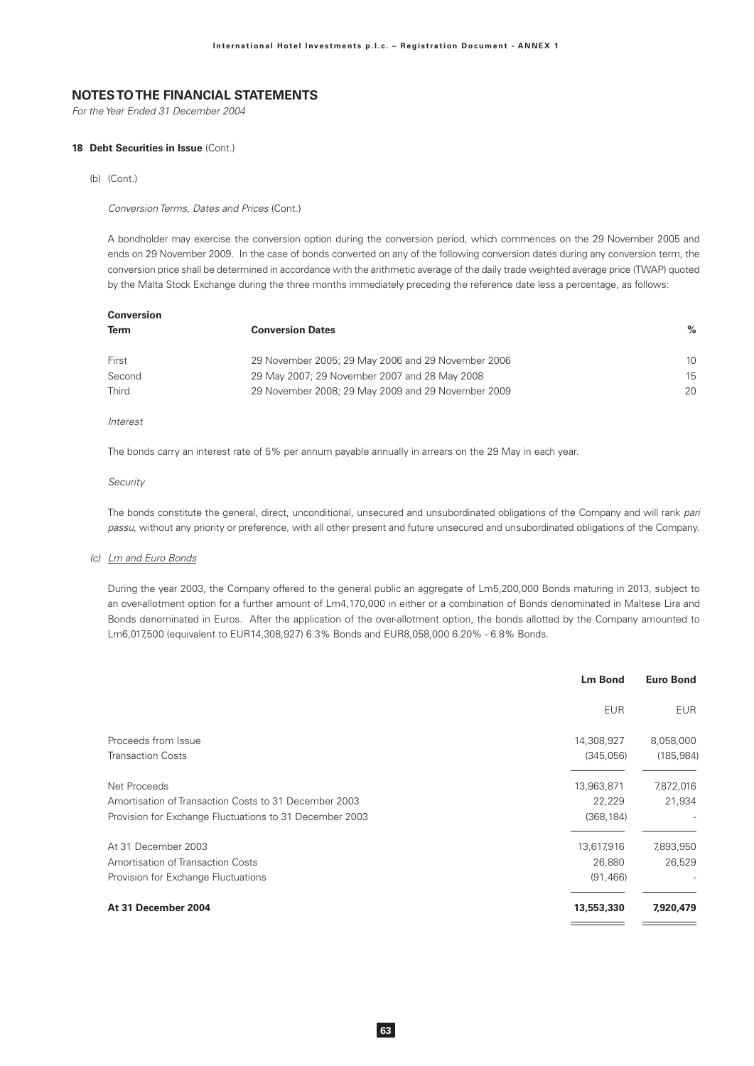For the Year Ended 31 December 2004

#### 18 Debt Securities in Issue (Cont.)

 $(b)$  (Cont.)

Conversion Terms, Dates and Prices (Cont.)

A bondholder may exercise the conversion option during the conversion period, which commences on the 29 November 2005 and ends on 29 November 2009. In the case of bonds converted on any of the following conversion dates during any conversion term, the conversion price shall be determined in accordance with the arithmetic average of the daily trade weighted average price (TWAP) quoted by the Malta Stock Exchange during the three months immediately preceding the reference date less a percentage, as follows:

| Conversion   |                                                    |               |
|--------------|----------------------------------------------------|---------------|
| Term         | <b>Conversion Dates</b>                            | $\frac{0}{0}$ |
| First        | 29 November 2005; 29 May 2006 and 29 November 2006 | 10            |
| Second       | 29 May 2007; 29 November 2007 and 28 May 2008      | 15            |
| <b>Third</b> | 29 November 2008; 29 May 2009 and 29 November 2009 | 20            |

#### Interest

The bonds carry an interest rate of 5% per annum payable annually in arrears on the 29 May in each year.

#### Security

The bonds constitute the general, direct, unconditional, unsecured and unsubordinated obligations of the Company and will rank pari passu, without any priority or preference, with all other present and future unsecured and unsubordinated obligations of the Company.

#### (c) Lm and Euro Bonds

During the year 2003, the Company offered to the general public an aggregate of Lm5,200,000 Bonds maturing in 2013, subject to an over-allotment option for a further amount of Lm4,170,000 in either or a combination of Bonds denominated in Maltese Lira and Bonds denominated in Euros. After the application of the over-allotment option, the bonds allotted by the Company amounted to Lm6,017,500 (equivalent to EUR14,308,927) 6.3% Bonds and EUR8,058,000 6.20% - 6.8% Bonds.

|                                                         | <b>Lm Bond</b> | <b>Euro Bond</b> |
|---------------------------------------------------------|----------------|------------------|
|                                                         | <b>EUR</b>     | <b>EUR</b>       |
| Proceeds from Issue                                     | 14,308,927     | 8,058,000        |
| <b>Transaction Costs</b>                                | (345,056)      | (185, 984)       |
| Net Proceeds                                            | 13,963,871     | 7,872,016        |
| Amortisation of Transaction Costs to 31 December 2003   | 22,229         | 21,934           |
| Provision for Exchange Fluctuations to 31 December 2003 | (368, 184)     |                  |
| At 31 December 2003                                     | 13,617,916     | 7,893,950        |
| Amortisation of Transaction Costs                       | 26,880         | 26,529           |
| Provision for Exchange Fluctuations                     | (91, 466)      |                  |
| At 31 December 2004                                     | 13,553,330     | 7,920,479        |
|                                                         |                |                  |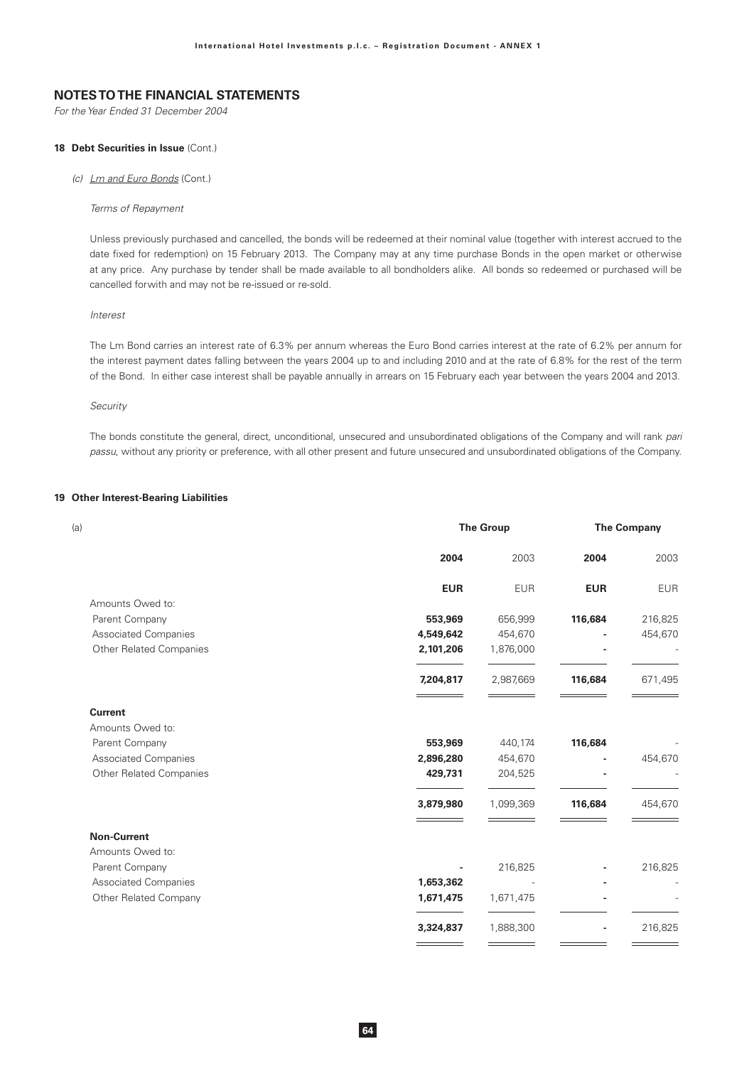For the Year Ended 31 December 2004

### 18 Debt Securities in Issue (Cont.)

(c) Lm and Euro Bonds (Cont.)

#### Terms of Repayment

Unless previously purchased and cancelled, the bonds will be redeemed at their nominal value (together with interest accrued to the date fixed for redemption) on 15 February 2013. The Company may at any time purchase Bonds in the open market or otherwise at any price. Any purchase by tender shall be made available to all bondholders alike. All bonds so redeemed or purchased will be cancelled forwith and may not be re-issued or re-sold.

### Interest

The Lm Bond carries an interest rate of 6.3% per annum whereas the Euro Bond carries interest at the rate of 6.2% per annum for the interest payment dates falling between the years 2004 up to and including 2010 and at the rate of 6.8% for the rest of the term of the Bond. In either case interest shall be payable annually in arrears on 15 February each year between the years 2004 and 2013.

### Security

The bonds constitute the general, direct, unconditional, unsecured and unsubordinated obligations of the Company and will rank pari passu, without any priority or preference, with all other present and future unsecured and unsubordinated obligations of the Company.

### 19 Other Interest-Bearing Liabilities

| (a)                            |            | <b>The Group</b> |            |            |
|--------------------------------|------------|------------------|------------|------------|
|                                | 2004       | 2003             | 2004       | 2003       |
|                                | <b>EUR</b> | <b>EUR</b>       | <b>EUR</b> | <b>EUR</b> |
| Amounts Owed to:               |            |                  |            |            |
| Parent Company                 | 553,969    | 656,999          | 116,684    | 216,825    |
| <b>Associated Companies</b>    | 4,549,642  | 454,670          |            | 454,670    |
| <b>Other Related Companies</b> | 2,101,206  | 1,876,000        |            |            |
|                                | 7,204,817  | 2,987,669        | 116,684    | 671,495    |
| <b>Current</b>                 |            |                  |            |            |
| Amounts Owed to:               |            |                  |            |            |
| Parent Company                 | 553,969    | 440,174          | 116,684    |            |
| <b>Associated Companies</b>    | 2,896,280  | 454,670          |            | 454,670    |
| <b>Other Related Companies</b> | 429,731    | 204,525          |            |            |
|                                | 3,879,980  | 1,099,369        | 116,684    | 454,670    |
| <b>Non-Current</b>             |            |                  |            |            |
| Amounts Owed to:               |            |                  |            |            |
| Parent Company                 |            | 216,825          |            | 216,825    |
| <b>Associated Companies</b>    | 1,653,362  |                  |            |            |
| Other Related Company          | 1,671,475  | 1,671,475        |            |            |
|                                | 3,324,837  | 1,888,300        |            | 216,825    |
|                                |            |                  |            |            |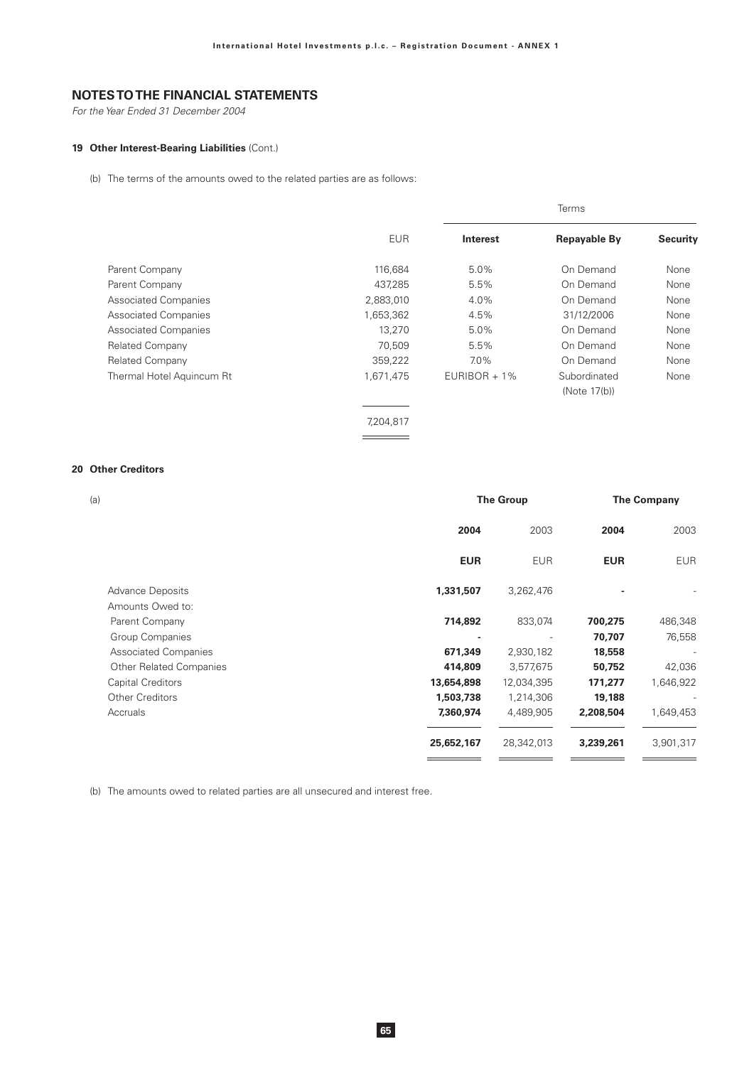For the Year Ended 31 December 2004

## 19 Other Interest-Bearing Liabilities (Cont.)

(b) The terms of the amounts owed to the related parties are as follows:

|                             | <b>EUR</b> | <b>Interest</b> | <b>Repayable By</b> | <b>Security</b> |
|-----------------------------|------------|-----------------|---------------------|-----------------|
| Parent Company              | 116,684    | 5.0%            | On Demand           | None            |
| Parent Company              | 437,285    | 5.5%            | On Demand           | None            |
| <b>Associated Companies</b> | 2,883,010  | 4.0%            | On Demand           | None            |
| <b>Associated Companies</b> | 1,653,362  | 4.5%            | 31/12/2006          | None            |
| <b>Associated Companies</b> | 13,270     | 5.0%            | On Demand           | None            |
| <b>Related Company</b>      | 70,509     | 5.5%            | On Demand           | None            |
| <b>Related Company</b>      | 359,222    | $7.0\%$         | On Demand           | None            |
| Thermal Hotel Aquincum Rt   | 1,671,475  | $EURIBOR + 1\%$ | Subordinated        | None            |
|                             |            |                 | (Note 17(b))        |                 |
|                             |            |                 |                     |                 |
|                             | 7,204,817  |                 |                     |                 |
|                             |            |                 |                     |                 |

### 20 Other Creditors

| (a)                            |            | <b>The Group</b> |            | <b>The Company</b> |
|--------------------------------|------------|------------------|------------|--------------------|
|                                | 2004       | 2003             | 2004       | 2003               |
|                                | <b>EUR</b> | <b>EUR</b>       | <b>EUR</b> | <b>EUR</b>         |
| <b>Advance Deposits</b>        | 1,331,507  | 3,262,476        |            |                    |
| Amounts Owed to:               |            |                  |            |                    |
| Parent Company                 | 714,892    | 833,074          | 700,275    | 486,348            |
| Group Companies                |            |                  | 70,707     | 76,558             |
| <b>Associated Companies</b>    | 671,349    | 2,930,182        | 18,558     |                    |
| <b>Other Related Companies</b> | 414,809    | 3,577,675        | 50,752     | 42,036             |
| Capital Creditors              | 13,654,898 | 12,034,395       | 171,277    | 1,646,922          |
| <b>Other Creditors</b>         | 1,503,738  | 1,214,306        | 19,188     |                    |
| Accruals                       | 7,360,974  | 4,489,905        | 2,208,504  | 1,649,453          |
|                                | 25,652,167 | 28,342,013       | 3,239,261  | 3,901,317          |
|                                |            |                  |            |                    |

(b) The amounts owed to related parties are all unsecured and interest free.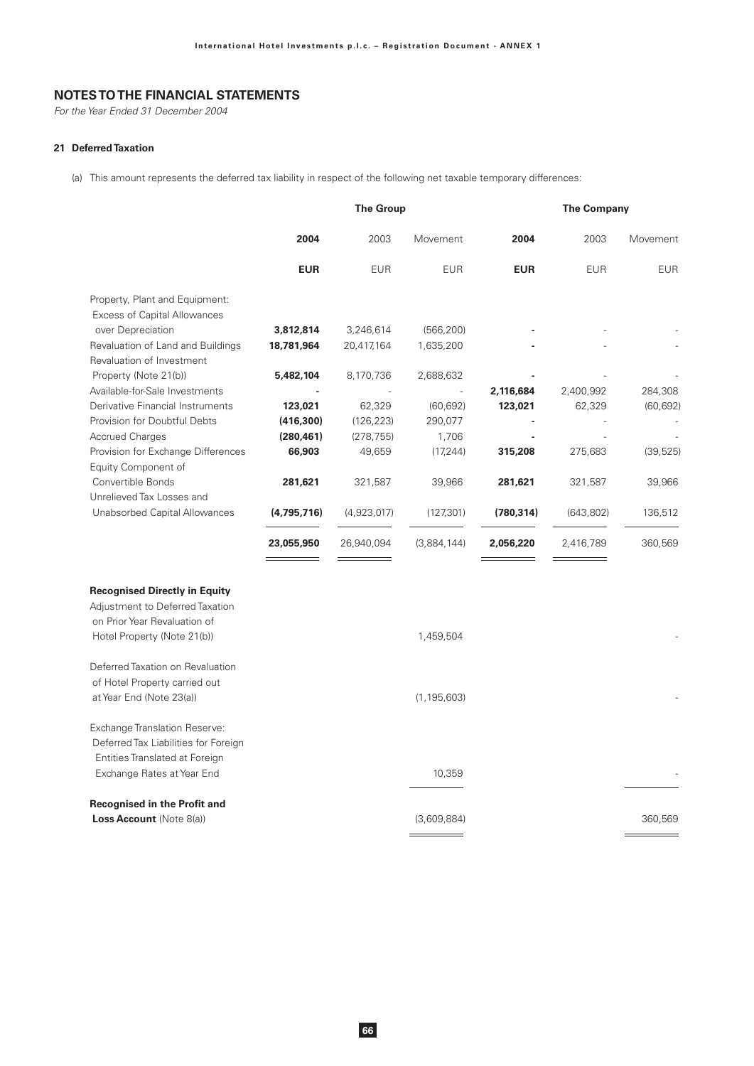For the Year Ended 31 December 2004

### 21 Deferred Taxation

(a) This amount represents the deferred tax liability in respect of the following net taxable temporary differences:

|                                                                         | <b>The Group</b> |             |               |            | <b>The Company</b> |            |  |
|-------------------------------------------------------------------------|------------------|-------------|---------------|------------|--------------------|------------|--|
|                                                                         | 2004             | 2003        | Movement      | 2004       | 2003               | Movement   |  |
|                                                                         | <b>EUR</b>       | <b>EUR</b>  | <b>EUR</b>    | <b>EUR</b> | <b>EUR</b>         | <b>EUR</b> |  |
| Property, Plant and Equipment:                                          |                  |             |               |            |                    |            |  |
| <b>Excess of Capital Allowances</b>                                     |                  |             |               |            |                    |            |  |
| over Depreciation                                                       | 3,812,814        | 3,246,614   | (566, 200)    |            |                    |            |  |
| Revaluation of Land and Buildings<br>Revaluation of Investment          | 18,781,964       | 20,417,164  | 1,635,200     |            |                    |            |  |
| Property (Note 21(b))                                                   | 5,482,104        | 8,170,736   | 2,688,632     |            |                    |            |  |
| Available-for-Sale Investments                                          |                  |             | $\frac{1}{2}$ | 2,116,684  | 2,400,992          | 284,308    |  |
| Derivative Financial Instruments                                        | 123,021          | 62,329      | (60, 692)     | 123,021    | 62,329             | (60, 692)  |  |
| Provision for Doubtful Debts                                            | (416, 300)       | (126, 223)  | 290,077       |            |                    |            |  |
| <b>Accrued Charges</b>                                                  | (280, 461)       | (278, 755)  | 1,706         |            |                    |            |  |
| Provision for Exchange Differences<br>Equity Component of               | 66,903           | 49,659      | (17, 244)     | 315,208    | 275,683            | (39, 525)  |  |
| Convertible Bonds<br>Unrelieved Tax Losses and                          | 281,621          | 321,587     | 39,966        | 281,621    | 321,587            | 39,966     |  |
| Unabsorbed Capital Allowances                                           | (4,795,716)      | (4,923,017) | (127, 301)    | (780, 314) | (643, 802)         | 136,512    |  |
|                                                                         | 23,055,950       | 26,940,094  | (3,884,144)   | 2,056,220  | 2,416,789          | 360,569    |  |
| <b>Recognised Directly in Equity</b><br>Adjustment to Deferred Taxation |                  |             |               |            |                    |            |  |
| on Prior Year Revaluation of<br>Hotel Property (Note 21(b))             |                  |             | 1,459,504     |            |                    |            |  |
| Deferred Taxation on Revaluation<br>of Hotel Property carried out       |                  |             |               |            |                    |            |  |
| at Year End (Note 23(a))                                                |                  |             | (1, 195, 603) |            |                    |            |  |
| Exchange Translation Reserve:<br>Deferred Tax Liabilities for Foreign   |                  |             |               |            |                    |            |  |
| Entities Translated at Foreign<br>Exchange Rates at Year End            |                  |             | 10,359        |            |                    |            |  |
| <b>Recognised in the Profit and</b><br><b>Loss Account (Note 8(a))</b>  |                  |             | (3,609,884)   |            |                    | 360,569    |  |
|                                                                         |                  |             |               |            |                    |            |  |

 $\frac{1}{1} \left( \frac{1}{1} \right)^{2} \left( \frac{1}{1} \right)^{2} \left( \frac{1}{1} \right)^{2} \left( \frac{1}{1} \right)^{2} \left( \frac{1}{1} \right)^{2} \left( \frac{1}{1} \right)^{2} \left( \frac{1}{1} \right)^{2} \left( \frac{1}{1} \right)^{2} \left( \frac{1}{1} \right)^{2} \left( \frac{1}{1} \right)^{2} \left( \frac{1}{1} \right)^{2} \left( \frac{1}{1} \right)^{2} \left( \frac{1}{1} \right)^{2} \left( \frac$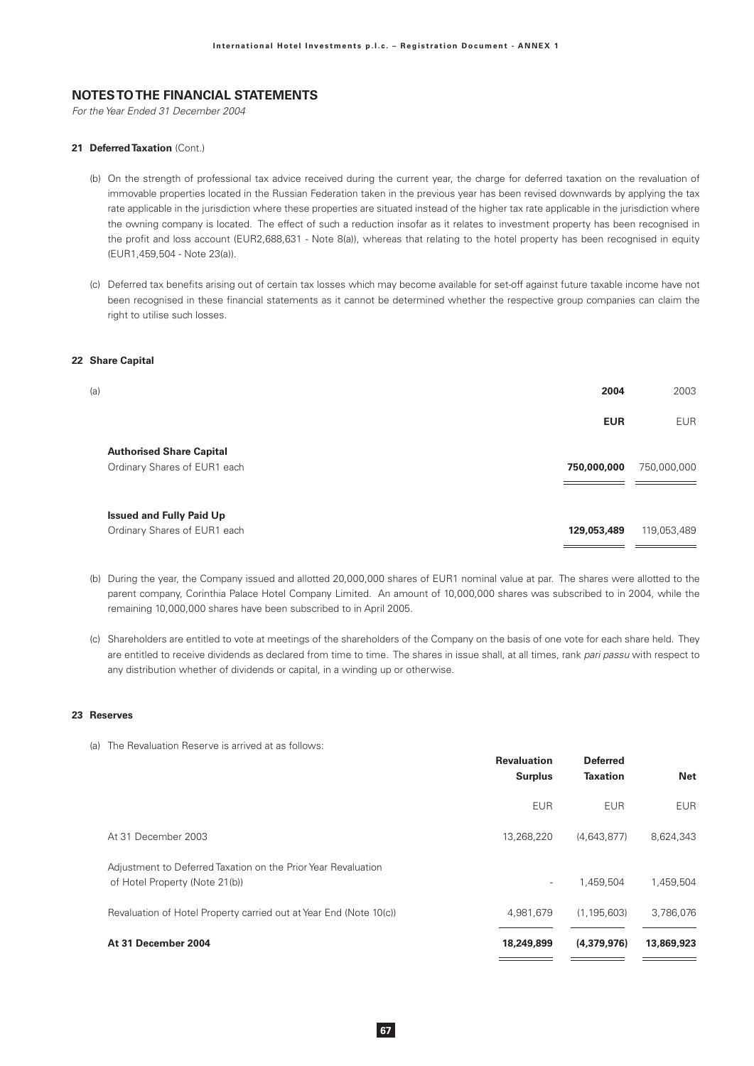For the Year Ended 31 December 2004

### 21 Deferred Taxation (Cont.)

- (b) On the strength of professional tax advice received during the current year, the charge for deferred taxation on the revaluation of immovable properties located in the Russian Federation taken in the previous year has been revised downwards by applying the tax rate applicable in the jurisdiction where these properties are situated instead of the higher tax rate applicable in the jurisdiction where the owning company is located. The effect of such a reduction insofar as it relates to investment property has been recognised in the profit and loss account (EUR2,688,631 - Note 8(a)), whereas that relating to the hotel property has been recognised in equity (EUR1,459,504 - Note 23(a)).
- (c) Deferred tax benefits arising out of certain tax losses which may become available for set-off against future taxable income have not been recognised in these financial statements as it cannot be determined whether the respective group companies can claim the right to utilise such losses.

### 22 Share Capital

| (a)                                                             | 2004        | 2003        |
|-----------------------------------------------------------------|-------------|-------------|
|                                                                 | <b>EUR</b>  | <b>EUR</b>  |
| <b>Authorised Share Capital</b><br>Ordinary Shares of EUR1 each | 750,000,000 | 750,000,000 |
| <b>Issued and Fully Paid Up</b><br>Ordinary Shares of EUR1 each | 129,053,489 | 119,053,489 |

- (b) During the year, the Company issued and allotted 20,000,000 shares of EUR1 nominal value at par. The shares were allotted to the parent company, Corinthia Palace Hotel Company Limited. An amount of 10,000,000 shares was subscribed to in 2004, while the remaining 10,000,000 shares have been subscribed to in April 2005.
- (c) Shareholders are entitled to vote at meetings of the shareholders of the Company on the basis of one vote for each share held. They are entitled to receive dividends as declared from time to time. The shares in issue shall, at all times, rank pari passu with respect to any distribution whether of dividends or capital, in a winding up or otherwise.

### 23 Reserves

|                                                                                                 | <b>Revaluation</b><br><b>Surplus</b> | <b>Deferred</b><br><b>Taxation</b> | <b>Net</b> |
|-------------------------------------------------------------------------------------------------|--------------------------------------|------------------------------------|------------|
|                                                                                                 | <b>EUR</b>                           | <b>EUR</b>                         | <b>EUR</b> |
| At 31 December 2003                                                                             | 13,268,220                           | (4,643,877)                        | 8,624,343  |
| Adjustment to Deferred Taxation on the Prior Year Revaluation<br>of Hotel Property (Note 21(b)) | $\overline{\phantom{a}}$             | 1.459.504                          | 1,459,504  |
| Revaluation of Hotel Property carried out at Year End (Note 10(c))                              | 4,981,679                            | (1, 195, 603)                      | 3,786,076  |
| At 31 December 2004                                                                             | 18,249,899                           | (4,379,976)                        | 13,869,923 |

(a) The Revaluation Reserve is arrived at as follows: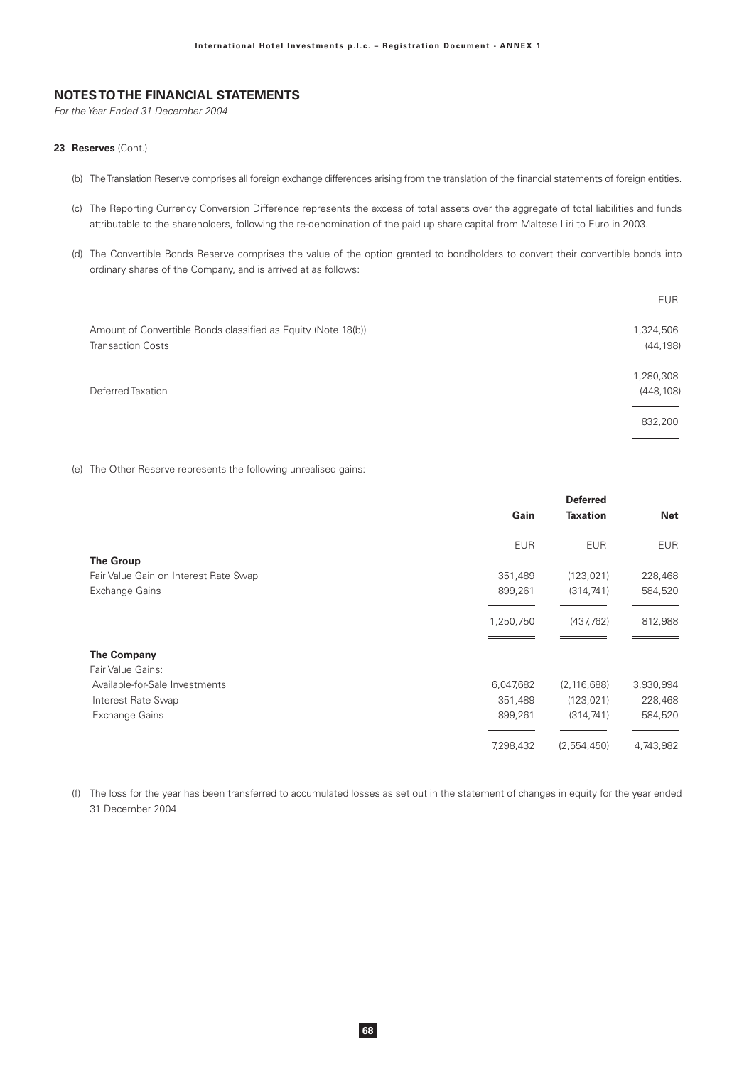For the Year Ended 31 December 2004

### 23 Reserves (Cont.)

- (b) The Translation Reserve comprises all foreign exchange differences arising from the translation of the financial statements of foreign entities.
- (c) The Reporting Currency Conversion Difference represents the excess of total assets over the aggregate of total liabilities and funds attributable to the shareholders, following the re-denomination of the paid up share capital from Maltese Liri to Euro in 2003.
- (d) The Convertible Bonds Reserve comprises the value of the option granted to bondholders to convert their convertible bonds into ordinary shares of the Company, and is arrived at as follows:

| <b>EUR</b> |
|------------|
| 1,324,506  |
| (44, 198)  |
| 1,280,308  |
| (448, 108) |
| 832,200    |
|            |

(e) The Other Reserve represents the following unrealised gains:

|                                       | Gain       | <b>Deferred</b><br><b>Taxation</b> | <b>Net</b> |
|---------------------------------------|------------|------------------------------------|------------|
|                                       | <b>EUR</b> | <b>EUR</b>                         | <b>EUR</b> |
| <b>The Group</b>                      |            |                                    |            |
| Fair Value Gain on Interest Rate Swap | 351,489    | (123, 021)                         | 228,468    |
| Exchange Gains                        | 899,261    | (314, 741)                         | 584,520    |
|                                       | 1,250,750  | (437,762)                          | 812,988    |
| <b>The Company</b>                    |            |                                    |            |
| Fair Value Gains:                     |            |                                    |            |
| Available-for-Sale Investments        | 6,047,682  | (2, 116, 688)                      | 3,930,994  |
| Interest Rate Swap                    | 351,489    | (123, 021)                         | 228,468    |
| Exchange Gains                        | 899,261    | (314, 741)                         | 584,520    |
|                                       | 7,298,432  | (2,554,450)                        | 4,743,982  |
|                                       |            |                                    |            |

(f) The loss for the year has been transferred to accumulated losses as set out in the statement of changes in equity for the year ended 31 December 2004.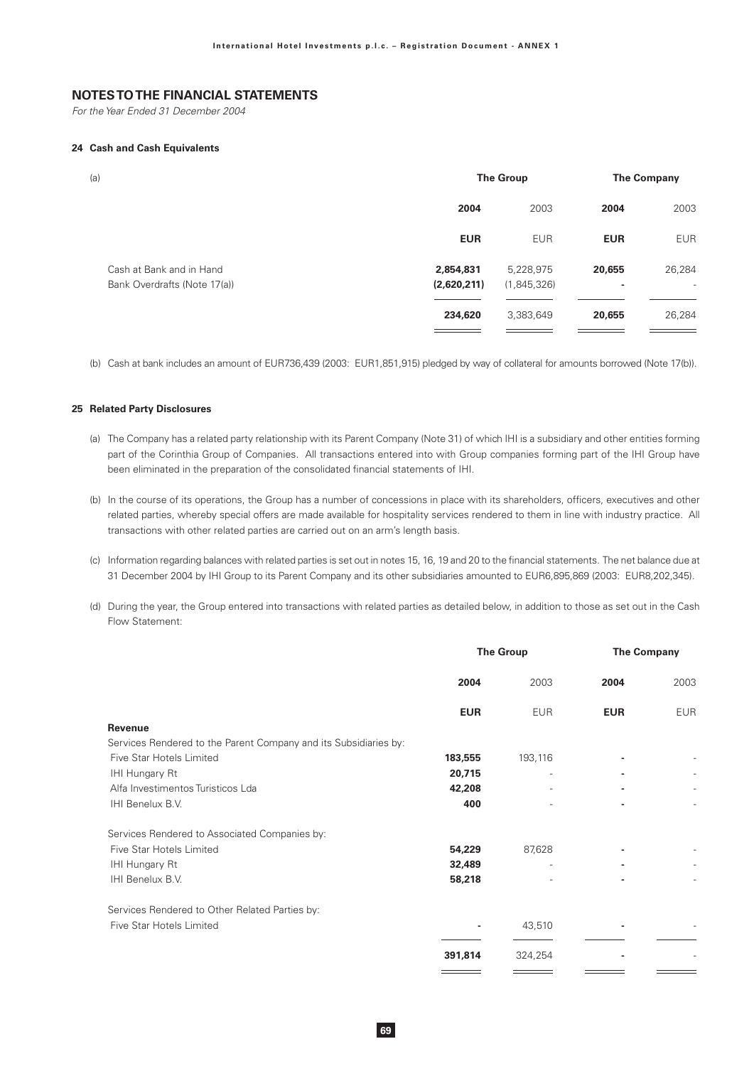For the Year Ended 31 December 2004

### 24 Cash and Cash Equivalents

| (a)                                                      |                          | <b>The Group</b>         | <b>The Company</b> |                                    |
|----------------------------------------------------------|--------------------------|--------------------------|--------------------|------------------------------------|
|                                                          | 2004                     | 2003                     | 2004               | 2003                               |
|                                                          | <b>EUR</b>               | <b>EUR</b>               | <b>EUR</b>         | <b>EUR</b>                         |
| Cash at Bank and in Hand<br>Bank Overdrafts (Note 17(a)) | 2,854,831<br>(2,620,211) | 5,228,975<br>(1,845,326) | 20,655<br>۰        | 26,284<br>$\overline{\phantom{a}}$ |
|                                                          | 234,620                  | 3,383,649                | 20,655             | 26,284                             |
|                                                          |                          |                          |                    |                                    |

(b) Cash at bank includes an amount of EUR736.439 (2003; EUR1.851.915) pledged by way of collateral for amounts borrowed (Note 17(b)).

### **25 Related Party Disclosures**

- (a) The Company has a related party relationship with its Parent Company (Note 31) of which IHI is a subsidiary and other entities forming part of the Corinthia Group of Companies. All transactions entered into with Group companies forming part of the IHI Group have been eliminated in the preparation of the consolidated financial statements of IHI.
- (b) In the course of its operations, the Group has a number of concessions in place with its shareholders, officers, executives and other related parties, whereby special offers are made available for hospitality services rendered to them in line with industry practice. All transactions with other related parties are carried out on an arm's length basis.
- (c) Information regarding balances with related parties is set out in notes 15, 16, 19 and 20 to the financial statements. The net balance due at 31 December 2004 by IHI Group to its Parent Company and its other subsidiaries amounted to EUR6,895,869 (2003: EUR8,202,345).
- (d) During the year, the Group entered into transactions with related parties as detailed below, in addition to those as set out in the Cash Flow Statement:

|                                                                  | <b>The Group</b> |            | <b>The Company</b> |            |
|------------------------------------------------------------------|------------------|------------|--------------------|------------|
|                                                                  | 2004             | 2003       | 2004               | 2003       |
|                                                                  | <b>EUR</b>       | <b>EUR</b> | <b>EUR</b>         | <b>EUR</b> |
| <b>Revenue</b>                                                   |                  |            |                    |            |
| Services Rendered to the Parent Company and its Subsidiaries by: |                  |            |                    |            |
| Five Star Hotels Limited                                         | 183,555          | 193,116    |                    |            |
| IHI Hungary Rt                                                   | 20,715           |            |                    |            |
| Alfa Investimentos Turisticos Lda                                | 42,208           |            |                    |            |
| IHI Benelux B.V.                                                 | 400              |            |                    |            |
| Services Rendered to Associated Companies by:                    |                  |            |                    |            |
| Five Star Hotels Limited                                         | 54,229           | 87,628     |                    |            |
| IHI Hungary Rt                                                   | 32,489           |            |                    |            |
| IHI Benelux B.V.                                                 | 58,218           |            |                    |            |
| Services Rendered to Other Related Parties by:                   |                  |            |                    |            |
| Five Star Hotels Limited                                         |                  | 43,510     |                    |            |
|                                                                  | 391,814          | 324,254    |                    |            |
|                                                                  |                  |            |                    |            |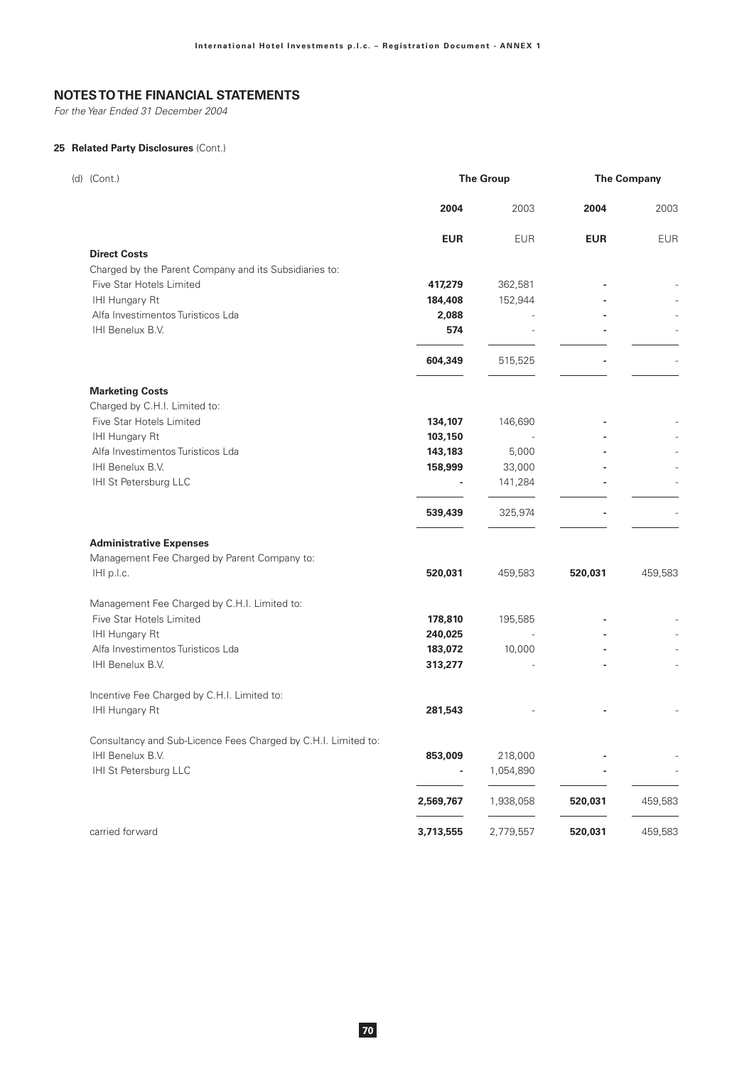For the Year Ended 31 December 2004

## 25 Related Party Disclosures (Cont.)

| (d) (Cont.)                                                    |            | <b>The Group</b> |            | <b>The Company</b> |
|----------------------------------------------------------------|------------|------------------|------------|--------------------|
|                                                                | 2004       | 2003             | 2004       | 2003               |
|                                                                | <b>EUR</b> | <b>EUR</b>       | <b>EUR</b> | EUR                |
| <b>Direct Costs</b>                                            |            |                  |            |                    |
| Charged by the Parent Company and its Subsidiaries to:         |            |                  |            |                    |
| Five Star Hotels Limited                                       | 417,279    | 362,581          |            |                    |
| IHI Hungary Rt                                                 | 184,408    | 152,944          |            |                    |
| Alfa Investimentos Turisticos Lda                              | 2,088      |                  |            |                    |
| IHI Benelux B.V.                                               | 574        |                  |            |                    |
|                                                                | 604,349    | 515,525          |            |                    |
| <b>Marketing Costs</b>                                         |            |                  |            |                    |
| Charged by C.H.I. Limited to:                                  |            |                  |            |                    |
| Five Star Hotels Limited                                       | 134,107    | 146,690          |            |                    |
| IHI Hungary Rt                                                 | 103,150    |                  |            |                    |
| Alfa Investimentos Turisticos Lda                              | 143,183    | 5,000            |            |                    |
| IHI Benelux B.V.                                               | 158,999    | 33,000           |            |                    |
| IHI St Petersburg LLC                                          |            | 141,284          |            |                    |
|                                                                | 539,439    | 325,974          |            |                    |
| <b>Administrative Expenses</b>                                 |            |                  |            |                    |
| Management Fee Charged by Parent Company to:                   |            |                  |            |                    |
| IHI p.l.c.                                                     | 520,031    | 459,583          | 520,031    | 459,583            |
| Management Fee Charged by C.H.I. Limited to:                   |            |                  |            |                    |
| Five Star Hotels Limited                                       | 178,810    | 195,585          |            |                    |
| IHI Hungary Rt                                                 | 240,025    |                  |            |                    |
| Alfa Investimentos Turisticos Lda                              | 183,072    | 10,000           |            |                    |
| IHI Benelux B.V.                                               | 313,277    |                  |            |                    |
| Incentive Fee Charged by C.H.I. Limited to:                    |            |                  |            |                    |
| IHI Hungary Rt                                                 | 281,543    |                  |            |                    |
| Consultancy and Sub-Licence Fees Charged by C.H.I. Limited to: |            |                  |            |                    |
| IHI Benelux B.V.                                               | 853,009    | 218,000          |            |                    |
| IHI St Petersburg LLC                                          |            | 1,054,890        |            |                    |
|                                                                | 2,569,767  | 1,938,058        | 520,031    | 459,583            |
| carried forward                                                | 3,713,555  | 2,779,557        | 520,031    | 459,583            |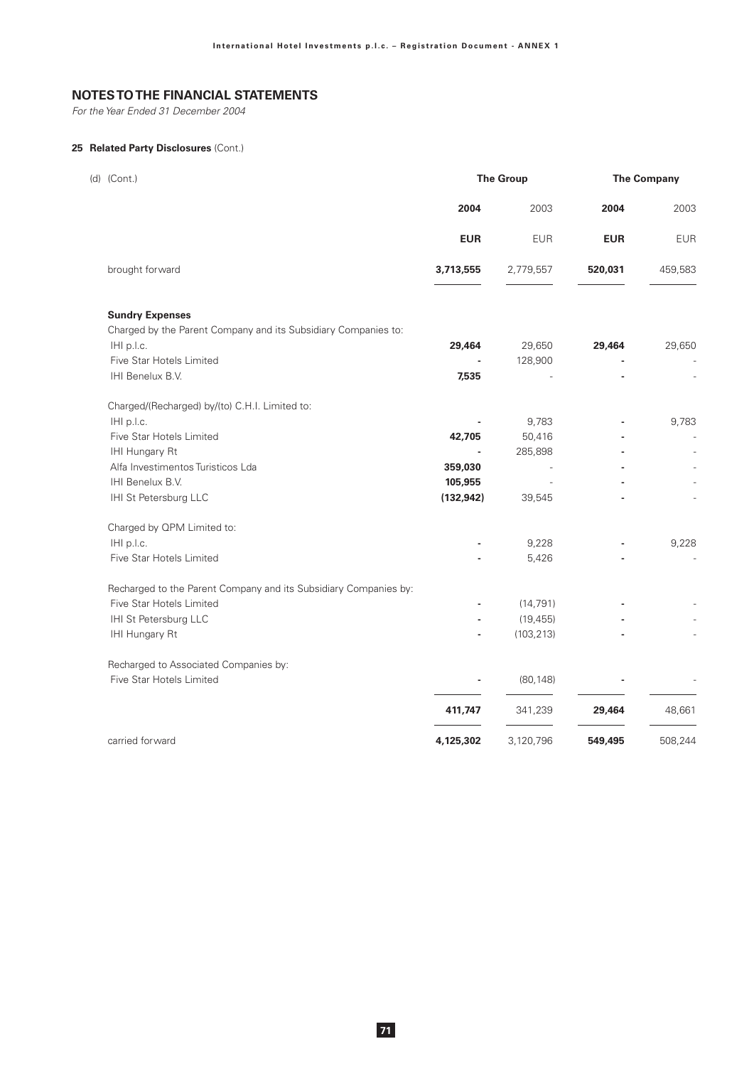For the Year Ended 31 December 2004

## **25 Related Party Disclosures** (Cont.)

| (d) (Cont.)                                                      | <b>The Group</b> |                | <b>The Company</b> |                |
|------------------------------------------------------------------|------------------|----------------|--------------------|----------------|
|                                                                  | 2004             | 2003           | 2004               | 2003           |
|                                                                  | <b>EUR</b>       | <b>EUR</b>     | <b>EUR</b>         | <b>EUR</b>     |
| brought forward                                                  | 3,713,555        | 2,779,557      | 520,031            | 459,583        |
| <b>Sundry Expenses</b>                                           |                  |                |                    |                |
| Charged by the Parent Company and its Subsidiary Companies to:   |                  |                |                    |                |
| IHI p.l.c.                                                       | 29,464           | 29,650         | 29,464             | 29,650         |
| Five Star Hotels Limited                                         |                  | 128,900        |                    |                |
| IHI Benelux B.V.                                                 | 7,535            |                |                    |                |
| Charged/(Recharged) by/(to) C.H.I. Limited to:                   |                  |                |                    |                |
| IHI p.l.c.                                                       |                  | 9,783          |                    | 9,783          |
| Five Star Hotels Limited                                         | 42,705           | 50,416         |                    | $\overline{a}$ |
| IHI Hungary Rt                                                   |                  | 285,898        |                    |                |
| Alfa Investimentos Turisticos Lda                                | 359,030          | $\overline{a}$ |                    |                |
| IHI Benelux B.V.                                                 | 105,955          |                |                    |                |
| IHI St Petersburg LLC                                            | (132, 942)       | 39,545         |                    |                |
| Charged by QPM Limited to:                                       |                  |                |                    |                |
| IHI p.l.c.                                                       |                  | 9,228          |                    | 9,228          |
| Five Star Hotels Limited                                         |                  | 5,426          |                    | $\overline{a}$ |
| Recharged to the Parent Company and its Subsidiary Companies by: |                  |                |                    |                |
| Five Star Hotels Limited                                         |                  | (14, 791)      |                    |                |
| IHI St Petersburg LLC                                            |                  | (19, 455)      |                    |                |
| IHI Hungary Rt                                                   |                  | (103, 213)     |                    |                |
| Recharged to Associated Companies by:                            |                  |                |                    |                |
| Five Star Hotels Limited                                         |                  | (80, 148)      |                    |                |
|                                                                  | 411,747          | 341,239        | 29,464             | 48,661         |
| carried forward                                                  | 4,125,302        | 3,120,796      | 549,495            | 508,244        |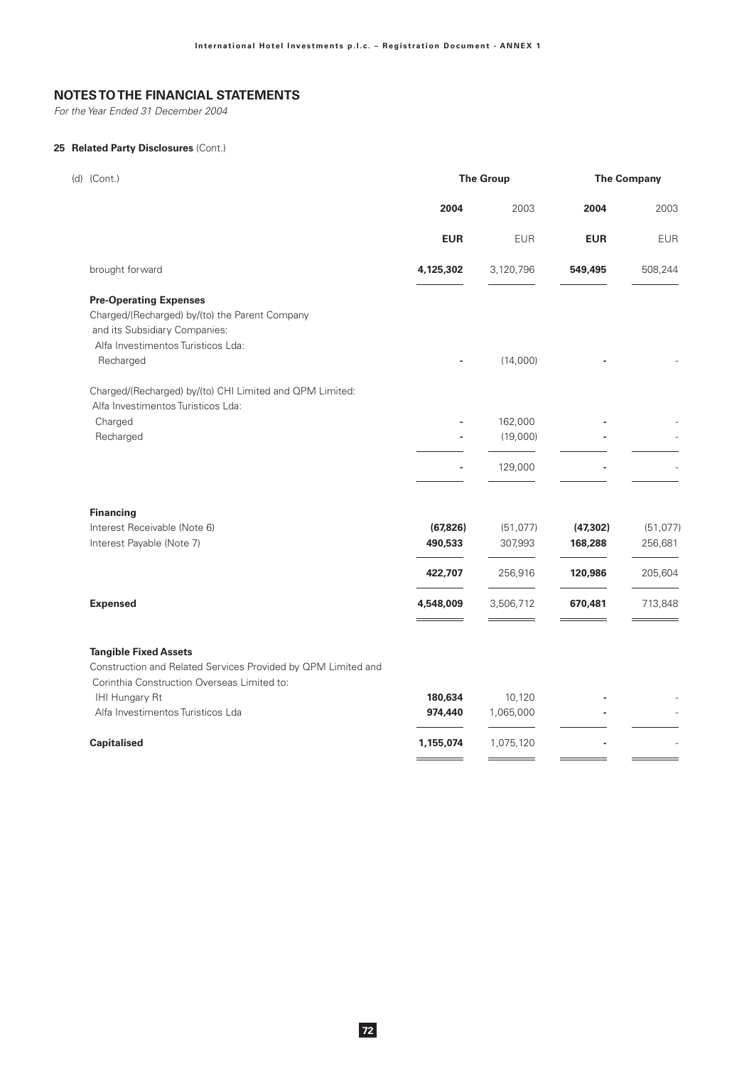For the Year Ended 31 December 2004

## **25 Related Party Disclosures** (Cont.)

| (d) (Cont.)        |                                                                                               |            | <b>The Group</b> |            | <b>The Company</b> |  |
|--------------------|-----------------------------------------------------------------------------------------------|------------|------------------|------------|--------------------|--|
|                    |                                                                                               | 2004       | 2003             | 2004       | 2003               |  |
|                    |                                                                                               | <b>EUR</b> | <b>EUR</b>       | <b>EUR</b> | <b>EUR</b>         |  |
|                    | brought forward                                                                               | 4,125,302  | 3,120,796        | 549,495    | 508,244            |  |
|                    | <b>Pre-Operating Expenses</b>                                                                 |            |                  |            |                    |  |
|                    | Charged/(Recharged) by/(to) the Parent Company                                                |            |                  |            |                    |  |
|                    | and its Subsidiary Companies:                                                                 |            |                  |            |                    |  |
|                    | Alfa Investimentos Turisticos Lda:                                                            |            |                  |            |                    |  |
| Recharged          |                                                                                               |            | (14,000)         |            |                    |  |
|                    | Charged/(Recharged) by/(to) CHI Limited and QPM Limited:                                      |            |                  |            |                    |  |
|                    | Alfa Investimentos Turisticos Lda:                                                            |            |                  |            |                    |  |
| Charged            |                                                                                               |            | 162,000          |            |                    |  |
| Recharged          |                                                                                               |            | (19,000)         |            |                    |  |
|                    |                                                                                               |            | 129,000          |            |                    |  |
| <b>Financing</b>   |                                                                                               |            |                  |            |                    |  |
|                    | Interest Receivable (Note 6)                                                                  | (67, 826)  | (51, 077)        | (47, 302)  | (51, 077)          |  |
|                    | Interest Payable (Note 7)                                                                     | 490,533    | 307,993          | 168,288    | 256,681            |  |
|                    |                                                                                               | 422,707    | 256,916          | 120,986    | 205,604            |  |
| <b>Expensed</b>    |                                                                                               | 4,548,009  | 3,506,712        | 670,481    | 713,848            |  |
|                    | <b>Tangible Fixed Assets</b><br>Construction and Related Services Provided by QPM Limited and |            |                  |            |                    |  |
|                    | Corinthia Construction Overseas Limited to:                                                   |            |                  |            |                    |  |
|                    | IHI Hungary Rt                                                                                | 180,634    | 10,120           |            |                    |  |
|                    | Alfa Investimentos Turisticos Lda                                                             | 974,440    | 1,065,000        |            |                    |  |
| <b>Capitalised</b> |                                                                                               | 1,155,074  | 1,075,120        |            |                    |  |
|                    |                                                                                               |            |                  |            |                    |  |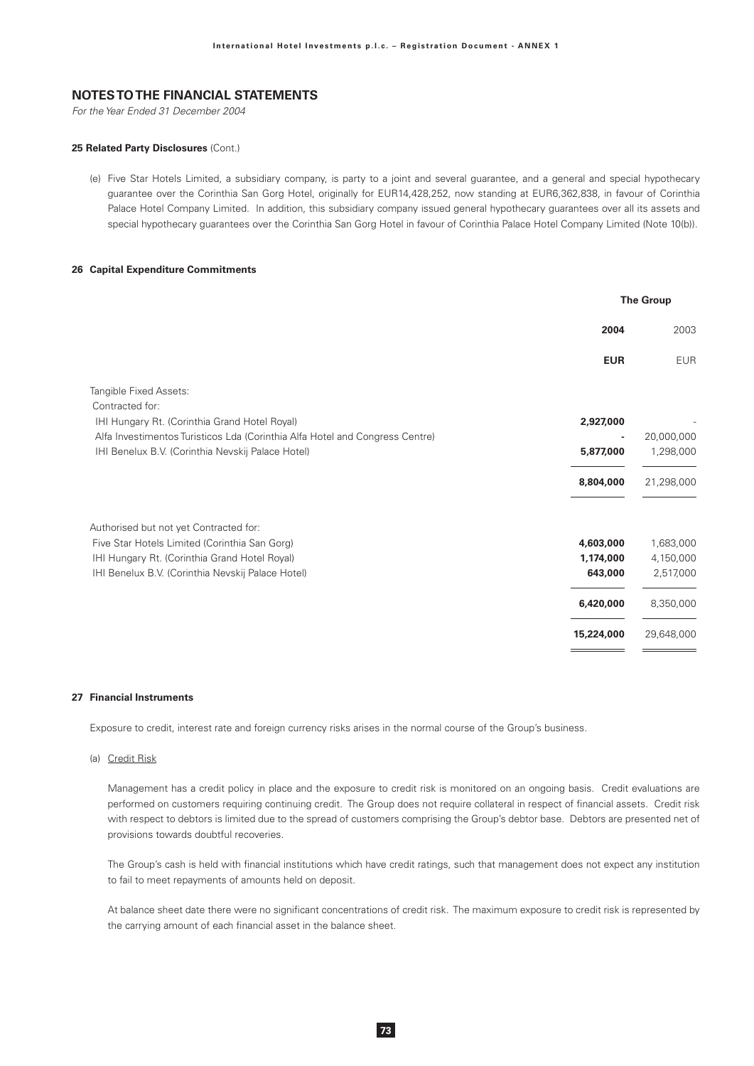For the Year Ended 31 December 2004

#### 25 Related Party Disclosures (Cont.)

(e) Five Star Hotels Limited, a subsidiary company, is party to a joint and several guarantee, and a general and special hypothecary guarantee over the Corinthia San Gorg Hotel, originally for EUR14,428,252, now standing at EUR6,362,838, in favour of Corinthia Palace Hotel Company Limited. In addition, this subsidiary company issued general hypothecary guarantees over all its assets and special hypothecary guarantees over the Corinthia San Gorg Hotel in favour of Corinthia Palace Hotel Company Limited (Note 10(b)).

### 26 Capital Expenditure Commitments

|                                                                              | <b>The Group</b> |            |  |
|------------------------------------------------------------------------------|------------------|------------|--|
|                                                                              | 2004             | 2003       |  |
|                                                                              | <b>EUR</b>       | <b>EUR</b> |  |
| <b>Tangible Fixed Assets:</b>                                                |                  |            |  |
| Contracted for:                                                              |                  |            |  |
| IHI Hungary Rt. (Corinthia Grand Hotel Royal)                                | 2,927,000        |            |  |
| Alfa Investimentos Turisticos Lda (Corinthia Alfa Hotel and Congress Centre) |                  | 20,000,000 |  |
| IHI Benelux B.V. (Corinthia Nevskij Palace Hotel)                            | 5,877,000        | 1,298,000  |  |
|                                                                              | 8,804,000        | 21,298,000 |  |
| Authorised but not yet Contracted for:                                       |                  |            |  |
| Five Star Hotels Limited (Corinthia San Gorg)                                | 4,603,000        | 1,683,000  |  |
| IHI Hungary Rt. (Corinthia Grand Hotel Royal)                                | 1,174,000        | 4,150,000  |  |
| IHI Benelux B.V. (Corinthia Nevskij Palace Hotel)                            | 643,000          | 2,517,000  |  |
|                                                                              | 6,420,000        | 8,350,000  |  |
|                                                                              | 15,224,000       | 29,648,000 |  |
|                                                                              |                  |            |  |

#### 27 Financial Instruments

Exposure to credit, interest rate and foreign currency risks arises in the normal course of the Group's business.

#### (a) Credit Risk

Management has a credit policy in place and the exposure to credit risk is monitored on an ongoing basis. Credit evaluations are performed on customers requiring continuing credit. The Group does not require collateral in respect of financial assets. Credit risk with respect to debtors is limited due to the spread of customers comprising the Group's debtor base. Debtors are presented net of provisions towards doubtful recoveries.

The Group's cash is held with financial institutions which have credit ratings, such that management does not expect any institution to fail to meet repayments of amounts held on deposit.

At balance sheet date there were no significant concentrations of credit risk. The maximum exposure to credit risk is represented by the carrying amount of each financial asset in the balance sheet.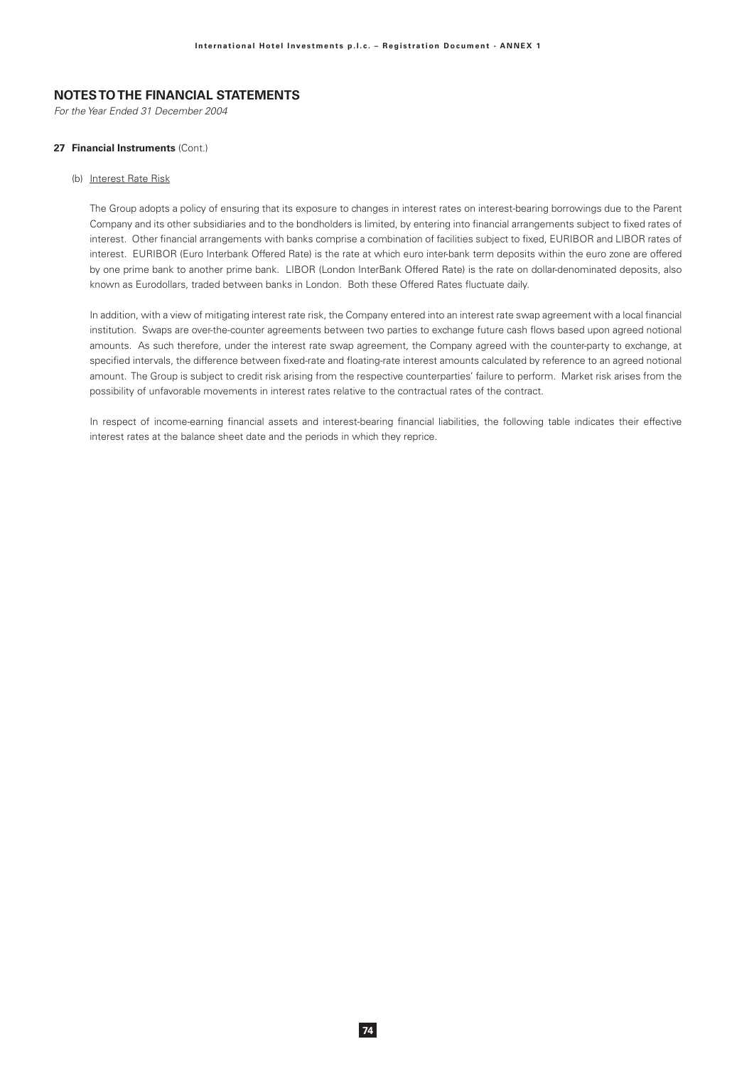For the Year Ended 31 December 2004

#### 27 Financial Instruments (Cont.)

#### (b) Interest Rate Risk

The Group adopts a policy of ensuring that its exposure to changes in interest rates on interest-bearing borrowings due to the Parent Company and its other subsidiaries and to the bondholders is limited, by entering into financial arrangements subject to fixed rates of interest. Other financial arrangements with banks comprise a combination of facilities subject to fixed, EURIBOR and LIBOR rates of interest. EURIBOR (Euro Interbank Offered Rate) is the rate at which euro inter-bank term deposits within the euro zone are offered by one prime bank to another prime bank. LIBOR (London InterBank Offered Rate) is the rate on dollar-denominated deposits, also known as Eurodollars, traded between banks in London. Both these Offered Rates fluctuate daily.

In addition, with a view of mitigating interest rate risk, the Company entered into an interest rate swap agreement with a local financial institution. Swaps are over-the-counter agreements between two parties to exchange future cash flows based upon agreed notional amounts. As such therefore, under the interest rate swap agreement, the Company agreed with the counter-party to exchange, at specified intervals, the difference between fixed-rate and floating-rate interest amounts calculated by reference to an agreed notional amount. The Group is subject to credit risk arising from the respective counterparties' failure to perform. Market risk arises from the possibility of unfavorable movements in interest rates relative to the contractual rates of the contract.

In respect of income-earning financial assets and interest-bearing financial liabilities, the following table indicates their effective interest rates at the balance sheet date and the periods in which they reprice.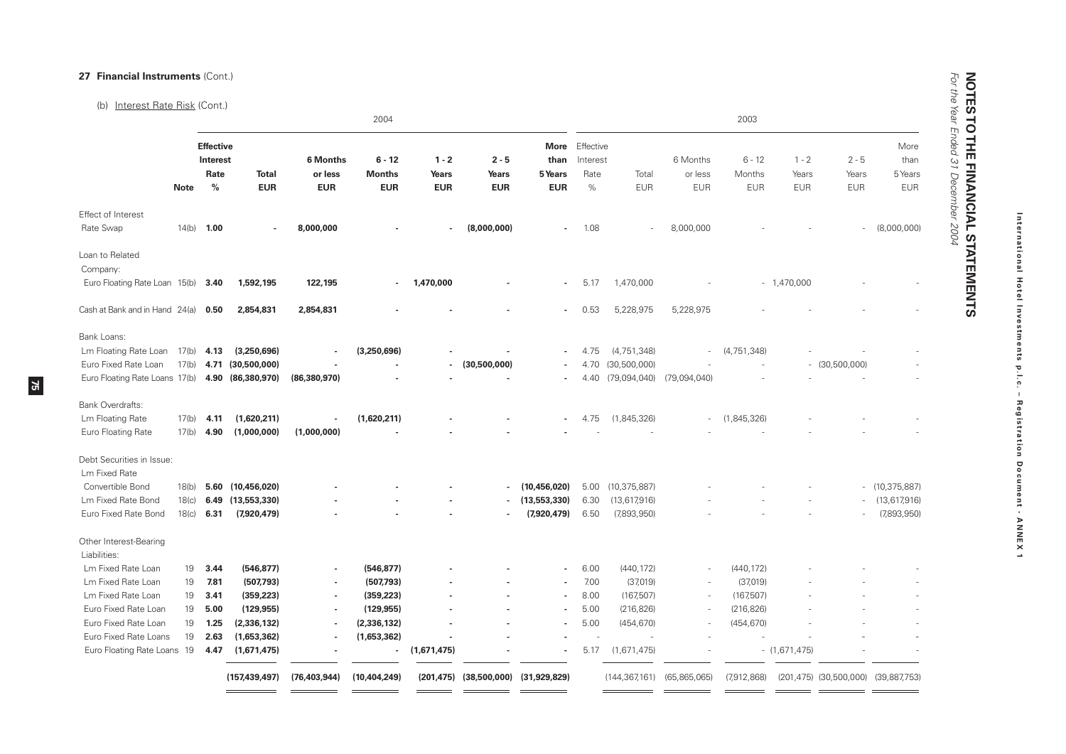# 27 Financial Instruments (Cont.)

 $75$ 

### (b) Interest Rate Risk (Cont.)

|                                                                                                |                   |                                                       | 2004                                          |                                          |                                         |                                |                                                | 2003                                  |                                       |                                                 |                                   |                                  |                                |                                     |                                       |
|------------------------------------------------------------------------------------------------|-------------------|-------------------------------------------------------|-----------------------------------------------|------------------------------------------|-----------------------------------------|--------------------------------|------------------------------------------------|---------------------------------------|---------------------------------------|-------------------------------------------------|-----------------------------------|----------------------------------|--------------------------------|-------------------------------------|---------------------------------------|
|                                                                                                | <b>Note</b>       | <b>Effective</b><br>Interest<br>Rate<br>$\frac{0}{0}$ | <b>Total</b><br><b>EUR</b>                    | <b>6 Months</b><br>or less<br><b>EUR</b> | $6 - 12$<br><b>Months</b><br><b>EUR</b> | $1 - 2$<br>Years<br><b>EUR</b> | $2 - 5$<br>Years<br><b>EUR</b>                 | More<br>than<br>5 Years<br><b>EUR</b> | Effective<br>Interest<br>Rate<br>$\%$ | Total<br><b>EUR</b>                             | 6 Months<br>or less<br><b>EUR</b> | $6 - 12$<br>Months<br><b>EUR</b> | $1 - 2$<br>Years<br><b>EUR</b> | $2 - 5$<br>Years<br><b>EUR</b>      | More<br>than<br>5 Years<br><b>EUR</b> |
| Effect of Interest<br>Rate Swap                                                                | 14(b)             | 1.00                                                  |                                               | 8,000,000                                |                                         | ä,                             | (8,000,000)                                    |                                       | 1.08                                  |                                                 | 8,000,000                         |                                  |                                |                                     | (8,000,000)                           |
| Loan to Related<br>Company:<br>Euro Floating Rate Loan 15(b)                                   |                   | 3.40                                                  | 1,592,195                                     | 122,195                                  | $\blacksquare$                          | 1,470,000                      |                                                |                                       | 5.17                                  | 1,470,000                                       |                                   |                                  | $-1,470,000$                   |                                     |                                       |
| Cash at Bank and in Hand 24(a)                                                                 |                   | 0.50                                                  | 2,854,831                                     | 2,854,831                                |                                         |                                |                                                |                                       | 0.53                                  | 5,228,975                                       | 5,228,975                         |                                  |                                |                                     |                                       |
| Bank Loans:<br>Lm Floating Rate Loan<br>Euro Fixed Rate Loan<br>Euro Floating Rate Loans 17(b) | 17(b)<br>17(b)    | 4.13<br>4.71<br>4.90                                  | (3,250,696)<br>(30,500,000)<br>(86, 380, 970) | (86, 380, 970)                           | (3,250,696)                             |                                | (30,500,000)                                   |                                       | 4.75<br>4.70<br>4.40                  | (4, 751, 348)<br>(30, 500, 000)<br>(79,094,040) | (79,094,040)                      | (4, 751, 348)                    |                                | $-$ (30,500,000)                    |                                       |
| Bank Overdrafts:                                                                               |                   |                                                       |                                               |                                          |                                         |                                |                                                |                                       |                                       |                                                 |                                   |                                  |                                |                                     |                                       |
| Lm Floating Rate<br>Euro Floating Rate                                                         | 17(b)<br>17(b)    | 4.11<br>4.90                                          | (1,620,211)<br>(1,000,000)                    | (1,000,000)                              | (1,620,211)                             |                                |                                                |                                       | 4.75                                  | (1,845,326)                                     |                                   | (1,845,326)                      |                                |                                     |                                       |
| Debt Securities in Issue:<br><b>Lm Fixed Rate</b>                                              |                   |                                                       |                                               |                                          |                                         |                                |                                                |                                       |                                       |                                                 |                                   |                                  |                                |                                     |                                       |
| Convertible Bond                                                                               | 18(b)             | 5.60                                                  | (10, 456, 020)                                |                                          |                                         |                                | $\overline{a}$                                 | (10, 456, 020)                        | 5.00                                  | (10, 375, 887)                                  |                                   |                                  |                                | $\sim$                              | (10, 375, 887)                        |
| <b>Lm Fixed Rate Bond</b>                                                                      | 18 <sub>(c)</sub> | 6.49                                                  | (13, 553, 330)                                |                                          |                                         |                                |                                                | (13,553,330)                          | 6.30                                  | (13,617,916)                                    |                                   |                                  |                                |                                     | (13,617,916)                          |
| Euro Fixed Rate Bond                                                                           | 18 <sub>(c)</sub> | 6.31                                                  | (7,920,479)                                   |                                          |                                         |                                |                                                | (7,920,479)                           | 6.50                                  | (7,893,950)                                     |                                   |                                  |                                |                                     | (7,893,950)                           |
| Other Interest-Bearing<br>Liabilities:                                                         |                   |                                                       |                                               |                                          |                                         |                                |                                                |                                       |                                       |                                                 |                                   |                                  |                                |                                     |                                       |
| Lm Fixed Rate Loan                                                                             | 19                | 3.44                                                  | (546, 877)                                    | $\blacksquare$                           | (546, 877)                              |                                |                                                |                                       | 6.00                                  | (440, 172)                                      |                                   | (440, 172)                       |                                |                                     |                                       |
| Lm Fixed Rate Loan                                                                             | 19                | 7.81                                                  | (507,793)                                     | $\blacksquare$                           | (507,793)                               |                                |                                                |                                       | 7.00                                  | (37,019)                                        |                                   | (37,019)                         |                                |                                     |                                       |
| Lm Fixed Rate Loan                                                                             | 19                | 3.41                                                  | (359, 223)                                    | $\blacksquare$                           | (359, 223)                              |                                |                                                | ÷,                                    | 8.00                                  | (167, 507)                                      |                                   | (167, 507)                       |                                |                                     |                                       |
| Euro Fixed Rate Loan                                                                           | 19                | 5.00                                                  | (129, 955)                                    |                                          | (129, 955)                              |                                |                                                |                                       | 5.00                                  | (216, 826)                                      |                                   | (216, 826)                       |                                |                                     |                                       |
| Euro Fixed Rate Loan                                                                           | 19                | 1.25                                                  | (2, 336, 132)                                 | $\blacksquare$                           | (2, 336, 132)                           |                                |                                                | ä,                                    | 5.00                                  | (454, 670)                                      |                                   | (454, 670)                       |                                |                                     |                                       |
| Euro Fixed Rate Loans                                                                          | 19                | 2.63                                                  | (1,653,362)                                   |                                          | (1,653,362)                             |                                |                                                |                                       |                                       |                                                 |                                   |                                  |                                |                                     |                                       |
| Euro Floating Rate Loans 19                                                                    |                   | 4.47                                                  | (1,671,475)                                   |                                          | $\overline{\phantom{a}}$                | (1,671,475)                    |                                                | ä,                                    | 5.17                                  | (1,671,475)                                     |                                   |                                  | $-$ (1,671,475)                |                                     |                                       |
|                                                                                                |                   |                                                       | (157, 439, 497)                               | (76, 403, 944)                           | (10, 404, 249)                          |                                | $(201, 475)$ $(38, 500, 000)$ $(31, 929, 829)$ |                                       |                                       | (144, 367, 161)                                 | (65,865,065)                      | (7,912,868)                      |                                | (201,475) (30,500,000) (39,887,753) |                                       |
|                                                                                                |                   |                                                       |                                               |                                          |                                         |                                |                                                |                                       |                                       |                                                 |                                   |                                  |                                |                                     |                                       |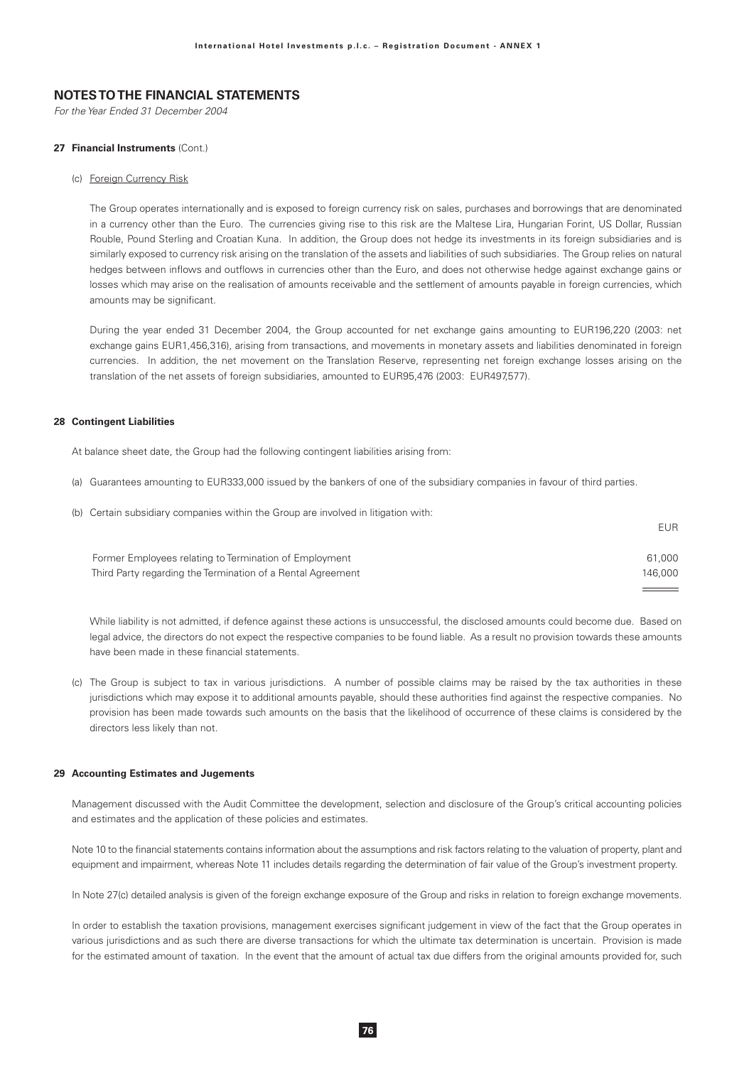For the Year Ended 31 December 2004

#### 27 Financial Instruments (Cont.)

#### (c) Foreign Currency Risk

The Group operates internationally and is exposed to foreign currency risk on sales, purchases and borrowings that are denominated in a currency other than the Euro. The currencies giving rise to this risk are the Maltese Lira, Hungarian Forint, US Dollar, Russian Rouble, Pound Sterling and Croatian Kuna. In addition, the Group does not hedge its investments in its foreign subsidiaries and is similarly exposed to currency risk arising on the translation of the assets and liabilities of such subsidiaries. The Group relies on natural hedges between inflows and outflows in currencies other than the Euro, and does not otherwise hedge against exchange gains or losses which may arise on the realisation of amounts receivable and the settlement of amounts payable in foreign currencies, which amounts may be significant.

During the year ended 31 December 2004, the Group accounted for net exchange gains amounting to EUR196,220 (2003: net exchange gains EUR1,456,316), arising from transactions, and movements in monetary assets and liabilities denominated in foreign currencies. In addition, the net movement on the Translation Reserve, representing net foreign exchange losses arising on the translation of the net assets of foreign subsidiaries, amounted to EUR95,476 (2003: EUR497,577).

#### **28 Contingent Liabilities**

At balance sheet date, the Group had the following contingent liabilities arising from:

- (a) Guarantees amounting to EUR333,000 issued by the bankers of one of the subsidiary companies in favour of third parties.
- (b) Certain subsidiary companies within the Group are involved in litigation with:

| Former Employees relating to Termination of Employment      | 61,000  |
|-------------------------------------------------------------|---------|
| Third Party regarding the Termination of a Rental Agreement | 146.000 |

**FUR** 

While liability is not admitted, if defence against these actions is unsuccessful, the disclosed amounts could become due. Based on legal advice, the directors do not expect the respective companies to be found liable. As a result no provision towards these amounts have been made in these financial statements

(c) The Group is subject to tax in various jurisdictions. A number of possible claims may be raised by the tax authorities in these jurisdictions which may expose it to additional amounts payable, should these authorities find against the respective companies. No provision has been made towards such amounts on the basis that the likelihood of occurrence of these claims is considered by the directors less likely than not.

#### 29 Accounting Estimates and Jugements

Management discussed with the Audit Committee the development, selection and disclosure of the Group's critical accounting policies and estimates and the application of these policies and estimates.

Note 10 to the financial statements contains information about the assumptions and risk factors relating to the valuation of property, plant and equipment and impairment, whereas Note 11 includes details regarding the determination of fair value of the Group's investment property.

In Note 27(c) detailed analysis is given of the foreign exchange exposure of the Group and risks in relation to foreign exchange movements.

In order to establish the taxation provisions, management exercises significant judgement in view of the fact that the Group operates in various jurisdictions and as such there are diverse transactions for which the ultimate tax determination is uncertain. Provision is made for the estimated amount of taxation. In the event that the amount of actual tax due differs from the original amounts provided for, such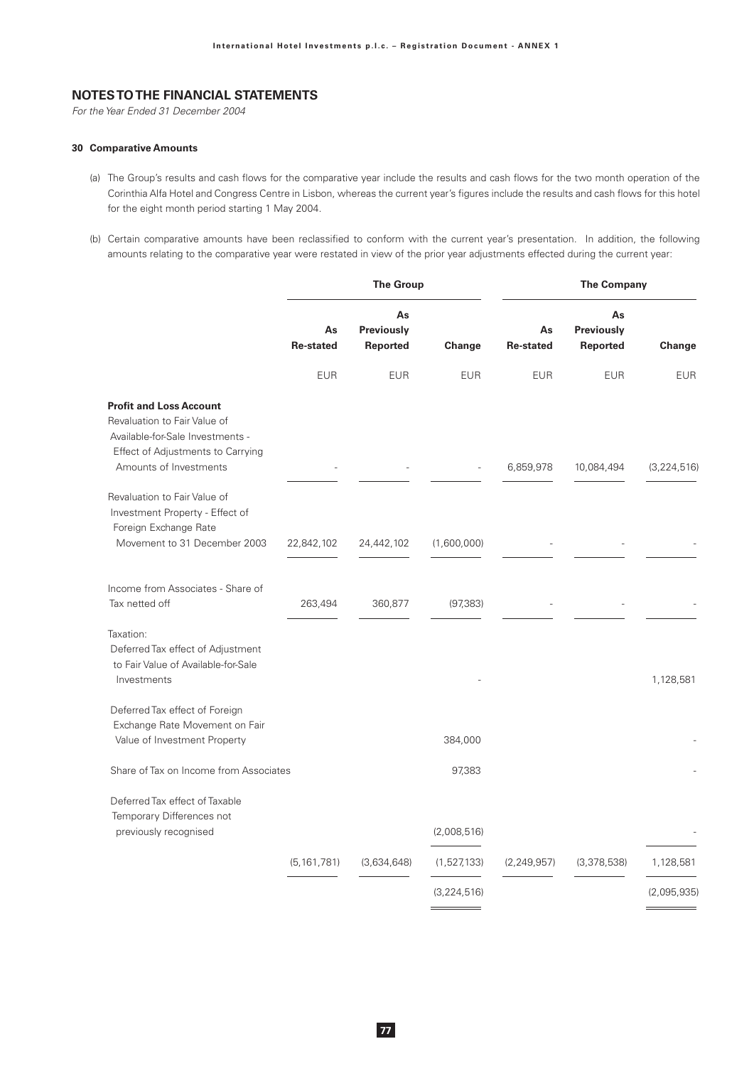For the Year Ended 31 December 2004

#### 30 Comparative Amounts

- (a) The Group's results and cash flows for the comparative year include the results and cash flows for the two month operation of the Corinthia Alfa Hotel and Congress Centre in Lisbon, whereas the current year's figures include the results and cash flows for this hotel for the eight month period starting 1 May 2004.
- (b) Certain comparative amounts have been reclassified to conform with the current year's presentation. In addition, the following amounts relating to the comparative year were restated in view of the prior year adjustments effected during the current year:

|                                        |                              |               | <b>The Company</b>     |                              |             |  |
|----------------------------------------|------------------------------|---------------|------------------------|------------------------------|-------------|--|
| As<br><b>Re-stated</b>                 | As<br>Previously<br>Reported | Change        | As<br><b>Re-stated</b> | As<br>Previously<br>Reported | Change      |  |
| <b>EUR</b>                             | <b>EUR</b>                   | <b>EUR</b>    | <b>EUR</b>             | <b>EUR</b>                   | <b>EUR</b>  |  |
|                                        |                              |               |                        |                              | (3,224,516) |  |
|                                        |                              |               |                        |                              |             |  |
| 22,842,102                             | 24,442,102                   | (1,600,000)   |                        |                              |             |  |
| 263,494                                | 360,877                      | (97, 383)     |                        |                              |             |  |
|                                        |                              |               |                        |                              | 1,128,581   |  |
|                                        |                              | 384,000       |                        |                              |             |  |
| Share of Tax on Income from Associates |                              | 97,383        |                        |                              |             |  |
|                                        |                              | (2,008,516)   |                        |                              |             |  |
| (5, 161, 781)                          | (3,634,648)                  | (1,527,133)   | (2, 249, 957)          | (3,378,538)                  | 1,128,581   |  |
|                                        |                              | (3, 224, 516) |                        |                              | (2,095,935) |  |
|                                        |                              |               | <b>The Group</b>       | 6,859,978                    | 10,084,494  |  |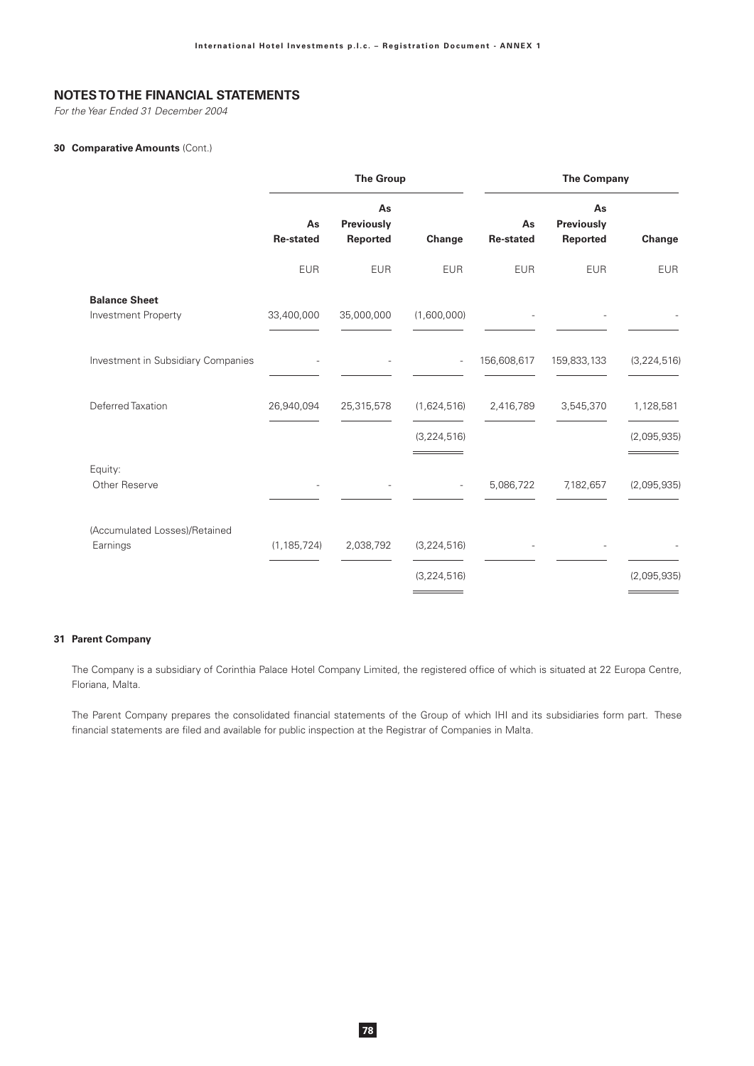For the Year Ended 31 December 2004

### 30 Comparative Amounts (Cont.)

|                                             |                        | <b>The Group</b>             |                          | <b>The Company</b>     |                                     |               |  |
|---------------------------------------------|------------------------|------------------------------|--------------------------|------------------------|-------------------------------------|---------------|--|
|                                             | As<br><b>Re-stated</b> | As<br>Previously<br>Reported | Change                   | As<br><b>Re-stated</b> | As<br><b>Previously</b><br>Reported | Change        |  |
|                                             | <b>EUR</b>             | <b>EUR</b>                   | <b>EUR</b>               | <b>EUR</b>             | <b>EUR</b>                          | <b>EUR</b>    |  |
| <b>Balance Sheet</b><br>Investment Property | 33,400,000             | 35,000,000                   | (1,600,000)              |                        |                                     |               |  |
| Investment in Subsidiary Companies          |                        |                              | $\overline{\phantom{a}}$ | 156,608,617            | 159,833,133                         | (3, 224, 516) |  |
| Deferred Taxation                           | 26,940,094             | 25,315,578                   | (1,624,516)              | 2,416,789              | 3,545,370                           | 1,128,581     |  |
|                                             |                        |                              | (3, 224, 516)            |                        |                                     | (2,095,935)   |  |
| Equity:<br>Other Reserve                    |                        |                              | $\overline{\phantom{a}}$ | 5,086,722              | 7,182,657                           | (2,095,935)   |  |
| (Accumulated Losses)/Retained<br>Earnings   | (1, 185, 724)          | 2,038,792                    | (3, 224, 516)            |                        |                                     |               |  |
|                                             |                        |                              | (3, 224, 516)            |                        |                                     | (2,095,935)   |  |

#### 31 Parent Company

The Company is a subsidiary of Corinthia Palace Hotel Company Limited, the registered office of which is situated at 22 Europa Centre, Floriana, Malta.

The Parent Company prepares the consolidated financial statements of the Group of which IHI and its subsidiaries form part. These financial statements are filed and available for public inspection at the Registrar of Companies in Malta.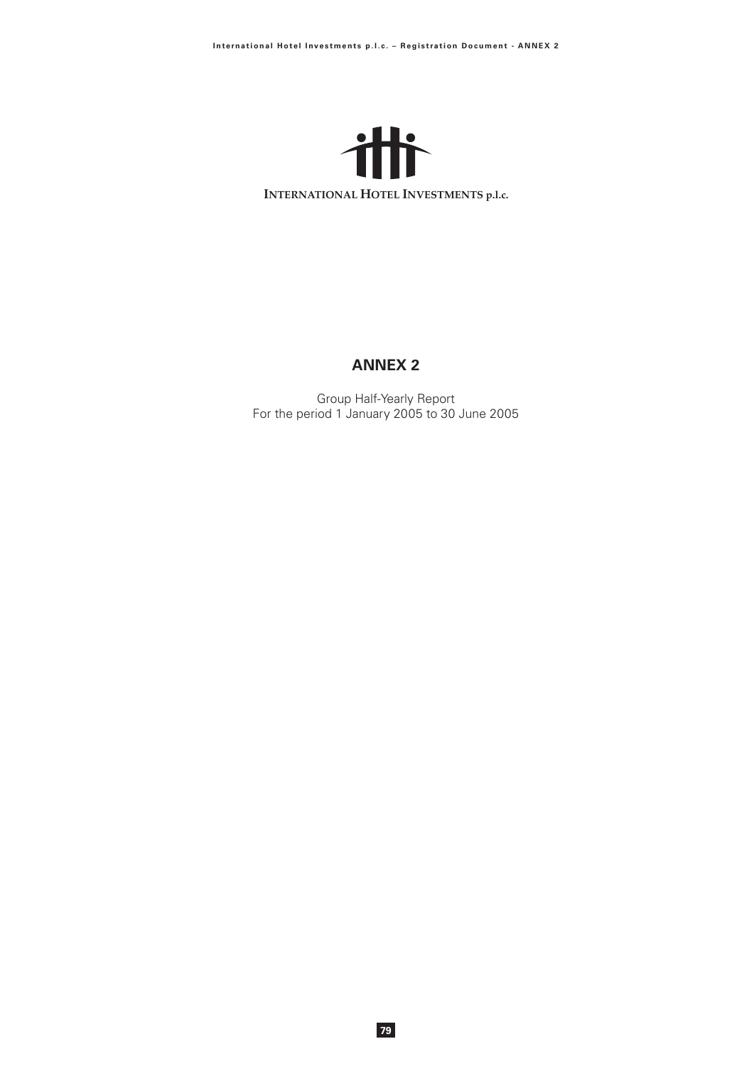

# **ANNEX 2**

Group Half-Yearly Report<br>For the period 1 January 2005 to 30 June 2005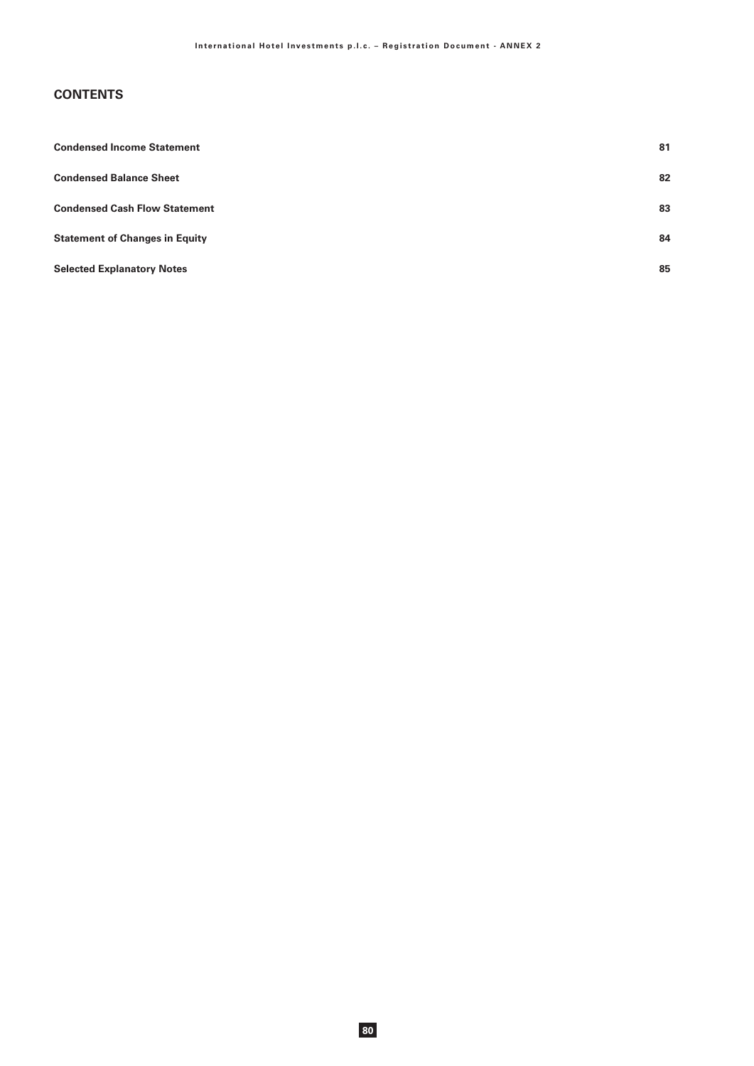# **CONTENTS**

| <b>Condensed Income Statement</b>     | 81 |
|---------------------------------------|----|
| <b>Condensed Balance Sheet</b>        | 82 |
| <b>Condensed Cash Flow Statement</b>  | 83 |
| <b>Statement of Changes in Equity</b> | 84 |
| <b>Selected Explanatory Notes</b>     | 85 |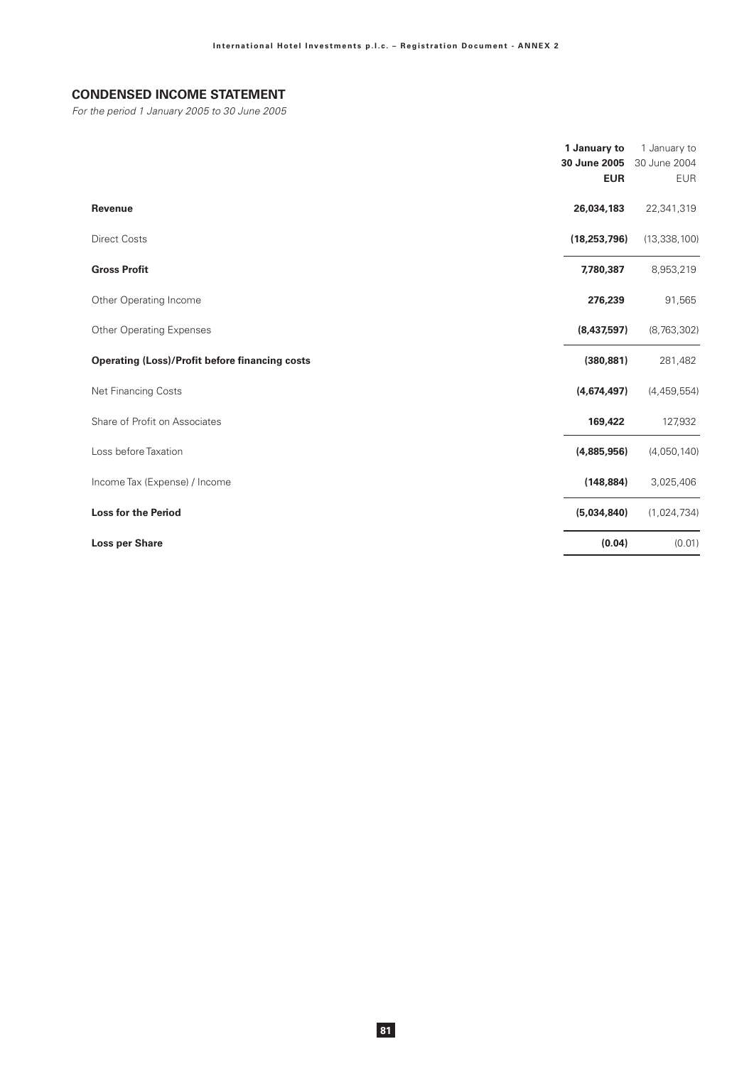# **CONDENSED INCOME STATEMENT**

For the period 1 January 2005 to 30 June 2005

|                                                       | 1 January to<br>30 June 2005<br><b>EUR</b> | 1 January to<br>30 June 2004<br><b>EUR</b> |
|-------------------------------------------------------|--------------------------------------------|--------------------------------------------|
| <b>Revenue</b>                                        | 26,034,183                                 | 22,341,319                                 |
| <b>Direct Costs</b>                                   | (18, 253, 796)                             | (13, 338, 100)                             |
| <b>Gross Profit</b>                                   | 7,780,387                                  | 8,953,219                                  |
| Other Operating Income                                | 276,239                                    | 91,565                                     |
| <b>Other Operating Expenses</b>                       | (8,437,597)                                | (8,763,302)                                |
| <b>Operating (Loss)/Profit before financing costs</b> | (380, 881)                                 | 281,482                                    |
| Net Financing Costs                                   | (4,674,497)                                | (4,459,554)                                |
| Share of Profit on Associates                         | 169,422                                    | 127,932                                    |
| Loss before Taxation                                  | (4,885,956)                                | (4,050,140)                                |
| Income Tax (Expense) / Income                         | (148, 884)                                 | 3,025,406                                  |
| <b>Loss for the Period</b>                            | (5,034,840)                                | (1,024,734)                                |
| <b>Loss per Share</b>                                 | (0.04)                                     | (0.01)                                     |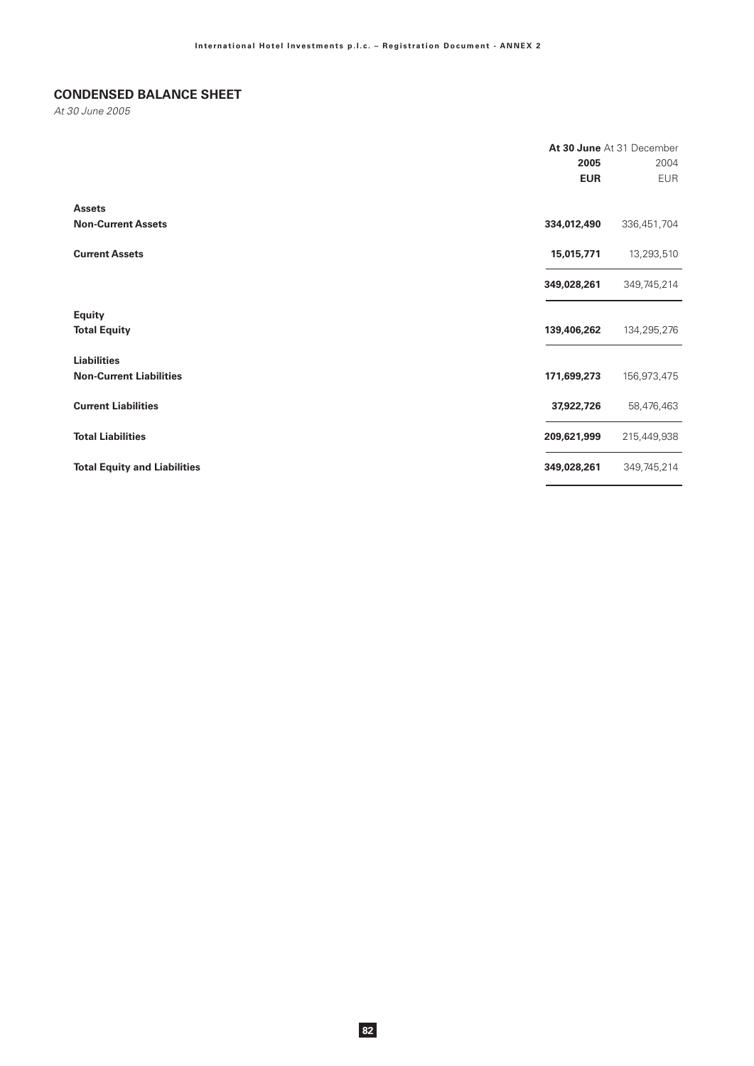# **CONDENSED BALANCE SHEET**

At 30 June 2005

|                                     | At 30 June At 31 December |             |  |
|-------------------------------------|---------------------------|-------------|--|
|                                     | 2005                      | 2004        |  |
|                                     | <b>EUR</b>                | <b>EUR</b>  |  |
| <b>Assets</b>                       |                           |             |  |
| <b>Non-Current Assets</b>           | 334,012,490               | 336,451,704 |  |
| <b>Current Assets</b>               | 15,015,771                | 13,293,510  |  |
|                                     | 349,028,261               | 349,745,214 |  |
| <b>Equity</b>                       |                           |             |  |
| <b>Total Equity</b>                 | 139,406,262               | 134,295,276 |  |
| <b>Liabilities</b>                  |                           |             |  |
| <b>Non-Current Liabilities</b>      | 171,699,273               | 156,973,475 |  |
| <b>Current Liabilities</b>          | 37,922,726                | 58,476,463  |  |
| <b>Total Liabilities</b>            | 209,621,999               | 215,449,938 |  |
| <b>Total Equity and Liabilities</b> | 349,028,261               | 349,745,214 |  |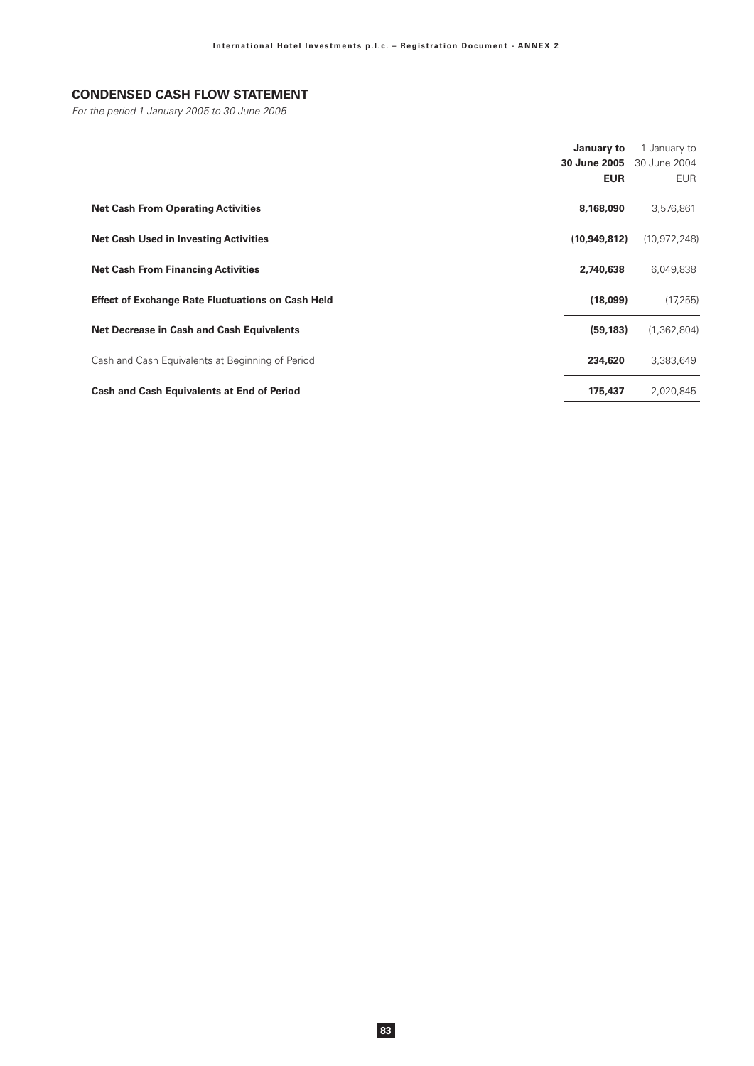# **CONDENSED CASH FLOW STATEMENT**

For the period 1 January 2005 to 30 June 2005

|                                                          | January to<br>30 June 2005<br><b>EUR</b> | 1 January to<br>30 June 2004<br><b>EUR</b> |
|----------------------------------------------------------|------------------------------------------|--------------------------------------------|
| <b>Net Cash From Operating Activities</b>                | 8,168,090                                | 3,576,861                                  |
| <b>Net Cash Used in Investing Activities</b>             | (10,949,812)                             | (10, 972, 248)                             |
| <b>Net Cash From Financing Activities</b>                | 2,740,638                                | 6,049,838                                  |
| <b>Effect of Exchange Rate Fluctuations on Cash Held</b> | (18,099)                                 | (17, 255)                                  |
| <b>Net Decrease in Cash and Cash Equivalents</b>         | (59, 183)                                | (1, 362, 804)                              |
| Cash and Cash Equivalents at Beginning of Period         | 234,620                                  | 3,383,649                                  |
| <b>Cash and Cash Equivalents at End of Period</b>        | 175,437                                  | 2,020,845                                  |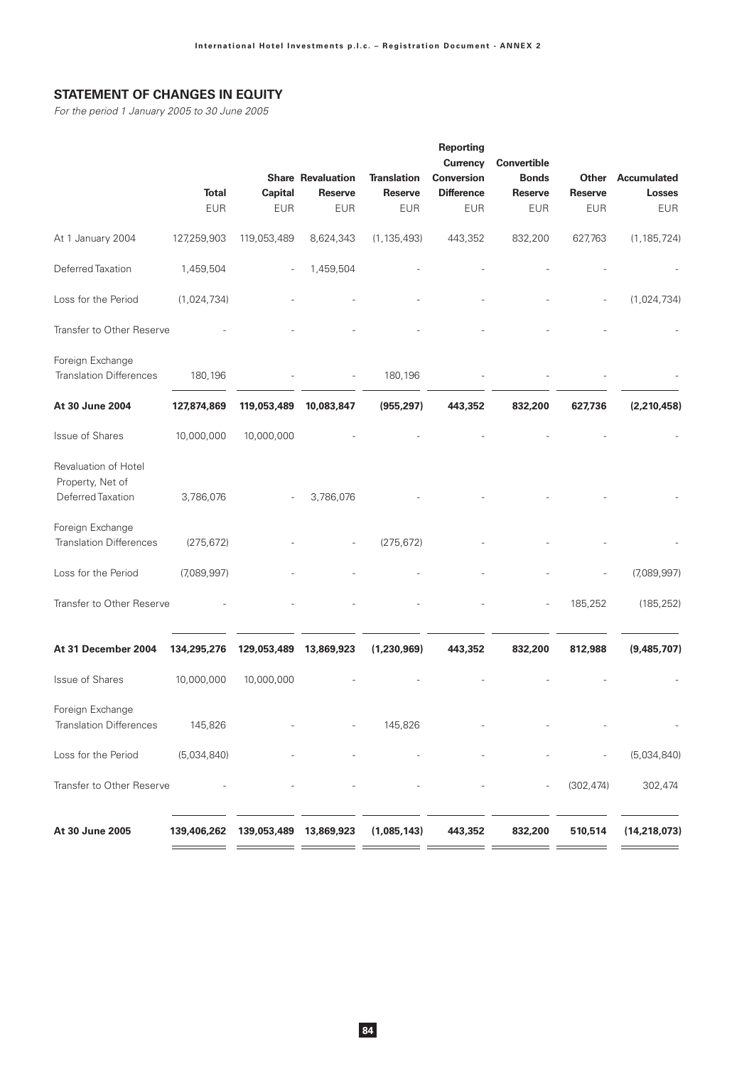# **STATEMENT OF CHANGES IN EQUITY**

For the period 1 January 2005 to 30 June 2005

|                                          |             |                        | <b>Share Revaluation</b> | <b>Translation</b> | Reporting<br>Currency<br><b>Conversion</b> | Convertible<br><b>Bonds</b> | Other          | Accumulated              |
|------------------------------------------|-------------|------------------------|--------------------------|--------------------|--------------------------------------------|-----------------------------|----------------|--------------------------|
|                                          | Total       | <b>Capital</b>         | <b>Reserve</b>           | <b>Reserve</b>     | <b>Difference</b>                          | <b>Reserve</b>              | <b>Reserve</b> | <b>Losses</b>            |
|                                          | <b>EUR</b>  | <b>EUR</b>             | <b>EUR</b>               | <b>EUR</b>         | <b>EUR</b>                                 | <b>EUR</b>                  | <b>EUR</b>     | <b>EUR</b>               |
| At 1 January 2004                        | 127,259,903 | 119,053,489            | 8,624,343                | (1, 135, 493)      | 443,352                                    | 832,200                     | 627,763        | (1, 185, 724)            |
| Deferred Taxation                        | 1,459,504   |                        | 1,459,504                |                    |                                            |                             |                |                          |
| Loss for the Period                      | (1,024,734) |                        |                          |                    |                                            |                             |                | (1,024,734)              |
| Transfer to Other Reserve                |             |                        |                          |                    |                                            |                             |                |                          |
| Foreign Exchange                         |             |                        |                          |                    |                                            |                             |                |                          |
| <b>Translation Differences</b>           | 180,196     |                        |                          | 180,196            |                                            |                             |                |                          |
| At 30 June 2004                          | 127,874,869 | 119,053,489            | 10,083,847               | (955, 297)         | 443,352                                    | 832,200                     | 627,736        | (2,210,458)              |
| Issue of Shares                          | 10,000,000  | 10,000,000             |                          |                    |                                            |                             |                |                          |
| Revaluation of Hotel<br>Property, Net of |             |                        |                          |                    |                                            |                             |                |                          |
| Deferred Taxation                        | 3,786,076   |                        | 3,786,076                |                    |                                            |                             |                |                          |
| Foreign Exchange                         |             |                        |                          |                    |                                            |                             |                |                          |
| <b>Translation Differences</b>           | (275, 672)  |                        |                          | (275, 672)         |                                            |                             |                |                          |
| Loss for the Period                      | (7,089,997) |                        |                          |                    |                                            |                             |                | (7,089,997)              |
| Transfer to Other Reserve                |             |                        |                          |                    |                                            |                             | 185,252        | (185, 252)               |
| At 31 December 2004                      | 134,295,276 | 129,053,489            | 13,869,923               | (1,230,969)        | 443,352                                    | 832,200                     | 812,988        | (9,485,707)              |
| Issue of Shares                          | 10,000,000  | 10,000,000             |                          |                    |                                            |                             |                |                          |
| Foreign Exchange                         |             |                        |                          |                    |                                            |                             |                |                          |
| <b>Translation Differences</b>           | 145,826     |                        |                          | 145,826            |                                            |                             |                | $\overline{\phantom{a}}$ |
| Loss for the Period                      | (5,034,840) |                        |                          |                    |                                            |                             | $\overline{a}$ | (5,034,840)              |
| Transfer to Other Reserve                |             |                        |                          |                    |                                            | $\overline{\phantom{a}}$    | (302, 474)     | 302,474                  |
| At 30 June 2005                          | 139,406,262 | 139,053,489 13,869,923 |                          | (1,085,143)        | 443,352                                    | 832,200                     | 510,514        | (14, 218, 073)           |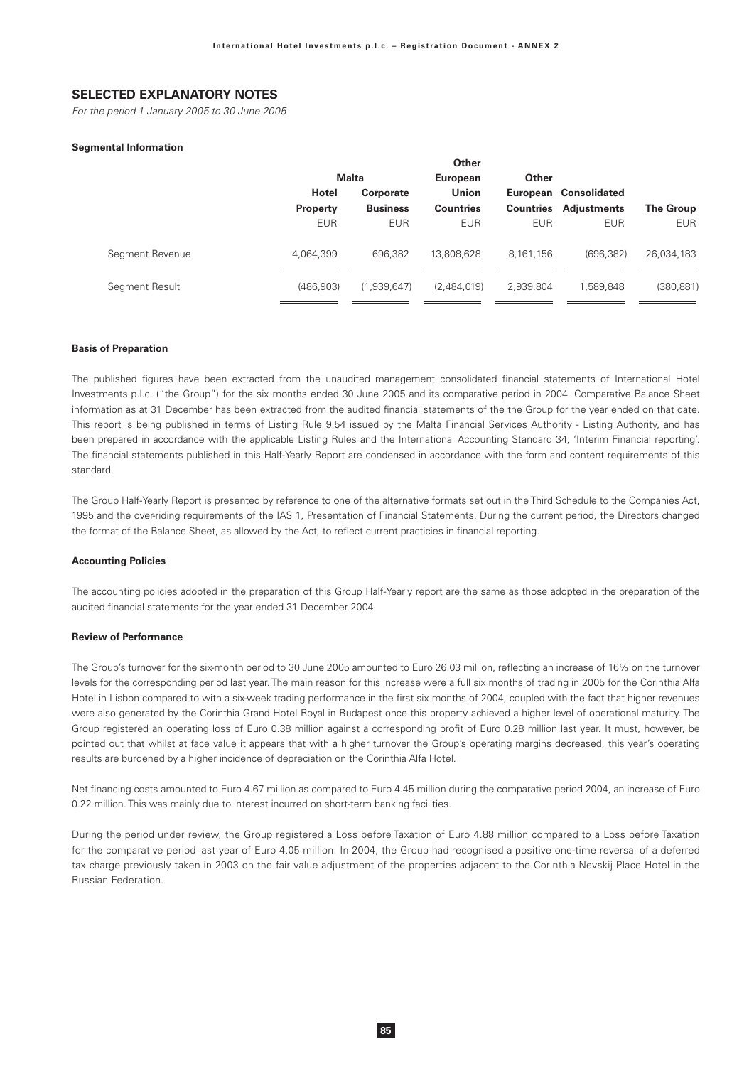# **SELECTED EXPLANATORY NOTES**

For the period 1 January 2005 to 30 June 2005

#### **Seamental Information**

|                 |                 |                 | Other            |             |                              |                  |
|-----------------|-----------------|-----------------|------------------|-------------|------------------------------|------------------|
|                 |                 | <b>Malta</b>    |                  | Other       |                              |                  |
|                 | <b>Hotel</b>    | Corporate       | <b>Union</b>     |             | European Consolidated        |                  |
|                 | <b>Property</b> | <b>Business</b> | <b>Countries</b> |             | <b>Countries Adjustments</b> | <b>The Group</b> |
|                 | <b>EUR</b>      | <b>EUR</b>      | <b>EUR</b>       | <b>EUR</b>  | <b>EUR</b>                   | <b>EUR</b>       |
| Segment Revenue | 4,064,399       | 696.382         | 13,808,628       | 8, 161, 156 | (696.382)                    | 26,034,183       |
| Segment Result  | (486.903)       | (1,939,647)     | (2,484,019)      | 2,939,804   | 1,589,848                    | (380, 881)       |

#### **Basis of Preparation**

The published figures have been extracted from the unaudited management consolidated financial statements of International Hotel Investments p.l.c. ("the Group") for the six months ended 30 June 2005 and its comparative period in 2004. Comparative Balance Sheet information as at 31 December has been extracted from the audited financial statements of the the Group for the year ended on that date. This report is being published in terms of Listing Rule 9.54 issued by the Malta Financial Services Authority - Listing Authority, and has been prepared in accordance with the applicable Listing Rules and the International Accounting Standard 34, 'Interim Financial reporting'. The financial statements published in this Half-Yearly Report are condensed in accordance with the form and content requirements of this standard

The Group Half-Yearly Report is presented by reference to one of the alternative formats set out in the Third Schedule to the Companies Act, 1995 and the over-riding requirements of the IAS 1, Presentation of Financial Statements. During the current period, the Directors changed the format of the Balance Sheet, as allowed by the Act, to reflect current practicies in financial reporting.

#### **Accounting Policies**

The accounting policies adopted in the preparation of this Group Half-Yearly report are the same as those adopted in the preparation of the audited financial statements for the year ended 31 December 2004.

#### **Review of Performance**

The Group's turnover for the six-month period to 30 June 2005 amounted to Euro 26.03 million, reflecting an increase of 16% on the turnover levels for the corresponding period last year. The main reason for this increase were a full six months of trading in 2005 for the Corinthia Alfa Hotel in Lisbon compared to with a six-week trading performance in the first six months of 2004, coupled with the fact that higher revenues were also generated by the Corinthia Grand Hotel Royal in Budapest once this property achieved a higher level of operational maturity. The Group registered an operating loss of Euro 0.38 million against a corresponding profit of Euro 0.28 million last year. It must, however, be pointed out that whilst at face value it appears that with a higher turnover the Group's operating margins decreased, this year's operating results are burdened by a higher incidence of depreciation on the Corinthia Alfa Hotel.

Net financing costs amounted to Euro 4.67 million as compared to Euro 4.45 million during the comparative period 2004, an increase of Euro 0.22 million. This was mainly due to interest incurred on short-term banking facilities.

During the period under review, the Group registered a Loss before Taxation of Euro 4.88 million compared to a Loss before Taxation for the comparative period last year of Euro 4.05 million. In 2004, the Group had recognised a positive one-time reversal of a deferred tax charge previously taken in 2003 on the fair value adjustment of the properties adjacent to the Corinthia Nevskij Place Hotel in the Russian Federation.

85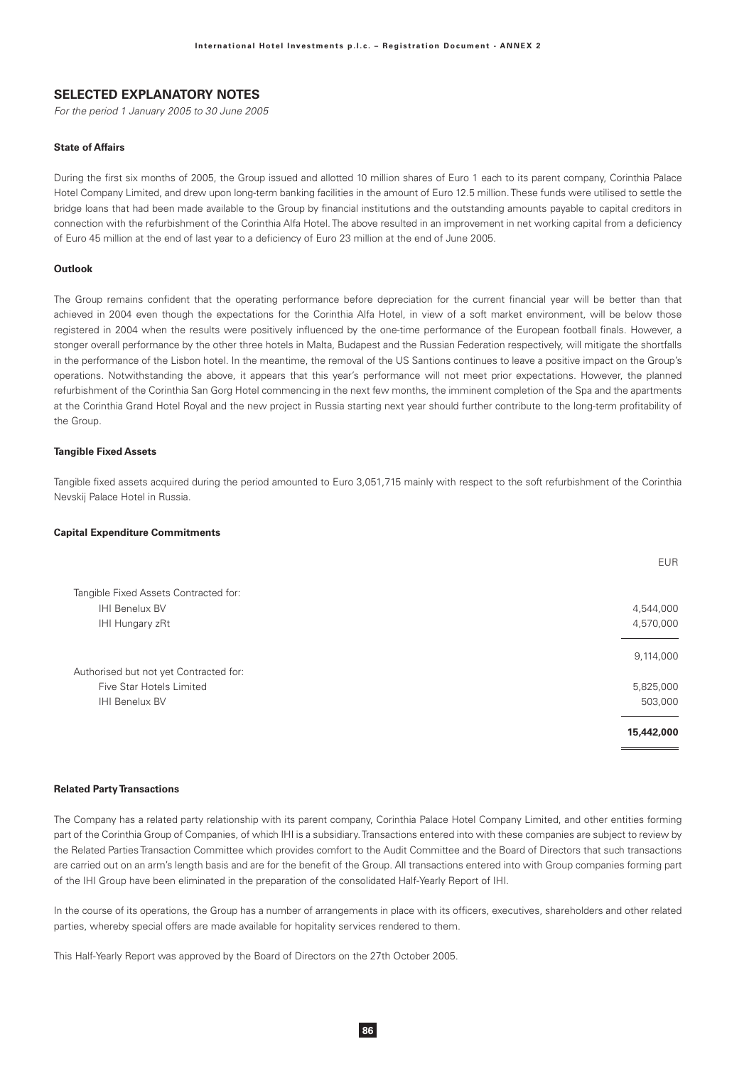### **SELECTED EXPLANATORY NOTES**

For the period 1 January 2005 to 30 June 2005

### **State of Affairs**

During the first six months of 2005, the Group issued and allotted 10 million shares of Euro 1 each to its parent company. Corinthia Palace Hotel Company Limited, and drew upon long-term banking facilities in the amount of Euro 12.5 million. These funds were utilised to settle the bridge loans that had been made available to the Group by financial institutions and the outstanding amounts payable to capital creditors in connection with the refurbishment of the Corinthia Alfa Hotel. The above resulted in an improvement in net working capital from a deficiency of Euro 45 million at the end of last year to a deficiency of Euro 23 million at the end of June 2005.

#### Outlook

The Group remains confident that the operating performance before depreciation for the current financial year will be better than that achieved in 2004 even though the expectations for the Corinthia Alfa Hotel, in view of a soft market environment, will be below those registered in 2004 when the results were positively influenced by the one-time performance of the European football finals. However, a stonger overall performance by the other three hotels in Malta. Budapest and the Russian Federation respectively, will mitigate the shortfalls in the performance of the Lisbon hotel. In the meantime, the removal of the US Santions continues to leave a positive impact on the Group's operations. Notwithstanding the above, it appears that this year's performance will not meet prior expectations. However, the planned refurbishment of the Corinthia San Gorg Hotel commencing in the next few months, the imminent completion of the Spa and the apartments at the Corinthia Grand Hotel Royal and the new project in Russia starting next year should further contribute to the long-term profitability of the Group.

#### **Tangible Fixed Assets**

Tangible fixed assets acquired during the period amounted to Euro 3,051,715 mainly with respect to the soft refurbishment of the Corinthia Nevskij Palace Hotel in Russia.

#### **Capital Expenditure Commitments**

|                                        | <b>EUR</b> |
|----------------------------------------|------------|
| Tangible Fixed Assets Contracted for:  |            |
| <b>IHI Benelux BV</b>                  | 4,544,000  |
| IHI Hungary zRt                        | 4,570,000  |
|                                        | 9,114,000  |
| Authorised but not yet Contracted for: |            |
| Five Star Hotels Limited               | 5,825,000  |
| <b>IHI Benelux BV</b>                  | 503,000    |
|                                        | 15,442,000 |

#### **Related Party Transactions**

The Company has a related party relationship with its parent company, Corinthia Palace Hotel Company Limited, and other entities forming part of the Corinthia Group of Companies, of which IHI is a subsidiary. Transactions entered into with these companies are subject to review by the Related Parties Transaction Committee which provides comfort to the Audit Committee and the Board of Directors that such transactions are carried out on an arm's length basis and are for the benefit of the Group. All transactions entered into with Group companies forming part of the IHI Group have been eliminated in the preparation of the consolidated Half-Yearly Report of IHI.

In the course of its operations, the Group has a number of arrangements in place with its officers, executives, shareholders and other related parties, whereby special offers are made available for hopitality services rendered to them.

This Half-Yearly Report was approved by the Board of Directors on the 27th October 2005.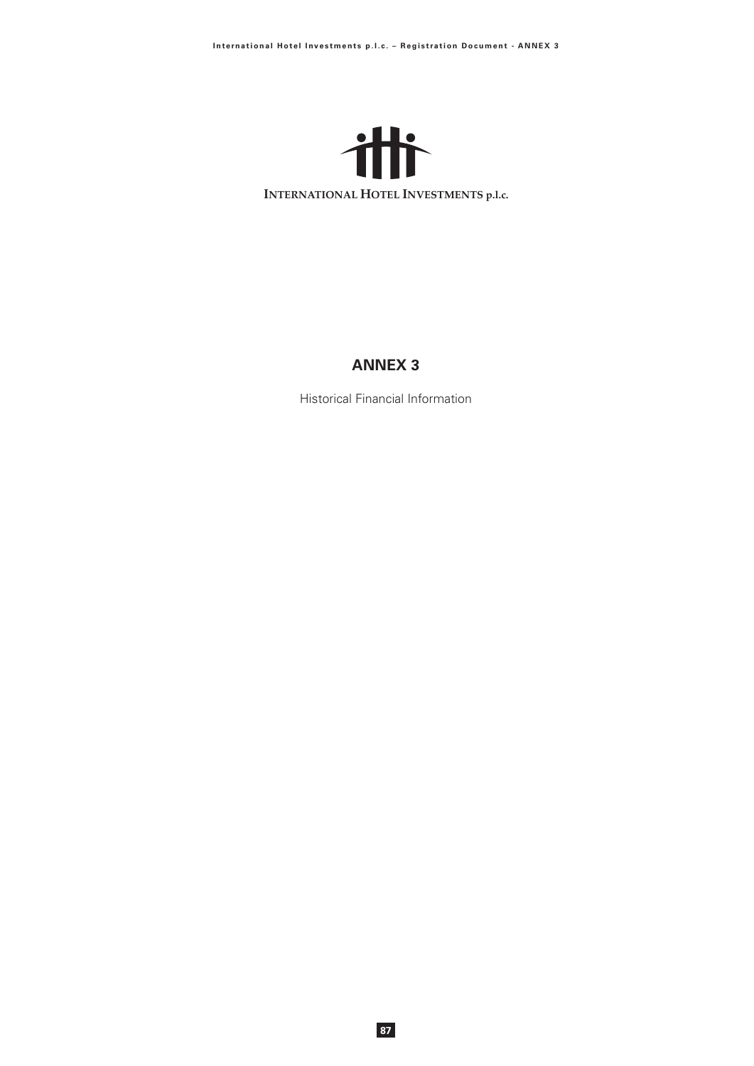

# **ANNEX 3**

Historical Financial Information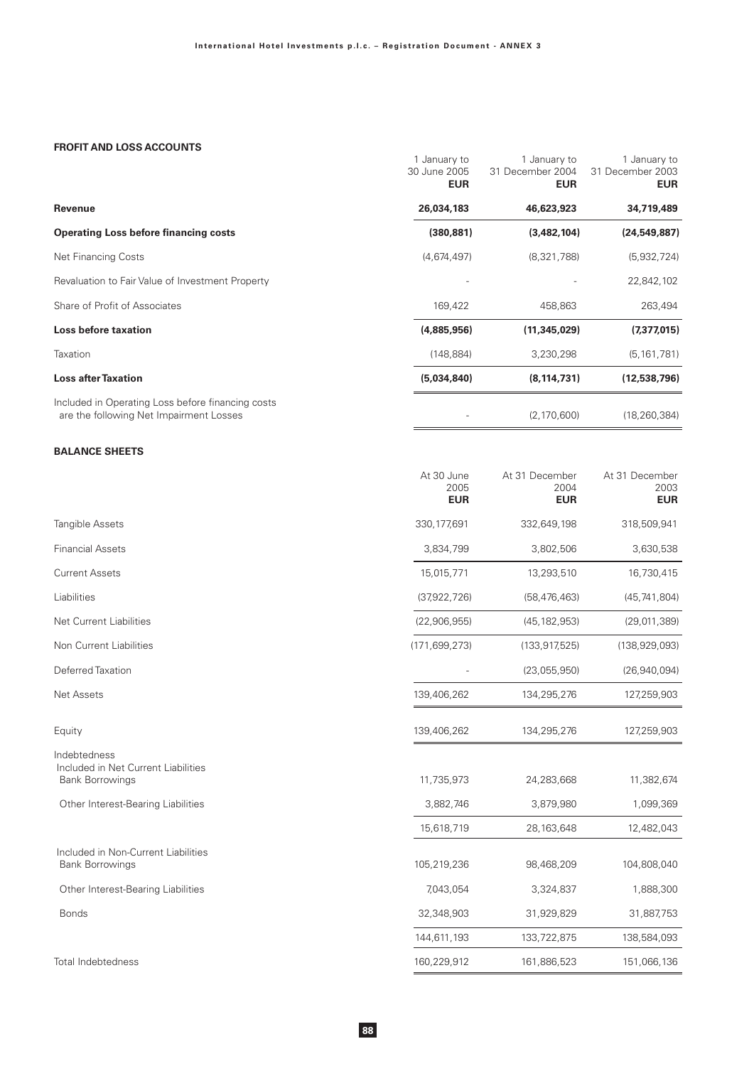# **FROFIT AND LOSS ACCOUNTS**

|                                                                                              | 1 January to<br>30 June 2005<br><b>EUR</b> | 1 January to<br>31 December 2004<br><b>EUR</b> | 1 January to<br>31 December 2003<br><b>EUR</b> |
|----------------------------------------------------------------------------------------------|--------------------------------------------|------------------------------------------------|------------------------------------------------|
| Revenue                                                                                      | 26,034,183                                 | 46,623,923                                     | 34,719,489                                     |
| <b>Operating Loss before financing costs</b>                                                 | (380, 881)                                 | (3,482,104)                                    | (24, 549, 887)                                 |
| <b>Net Financing Costs</b>                                                                   | (4,674,497)                                | (8,321,788)                                    | (5,932,724)                                    |
| Revaluation to Fair Value of Investment Property                                             |                                            |                                                | 22,842,102                                     |
| Share of Profit of Associates                                                                | 169,422                                    | 458,863                                        | 263,494                                        |
| <b>Loss before taxation</b>                                                                  | (4,885,956)                                | (11, 345, 029)                                 | (7, 377, 015)                                  |
| Taxation                                                                                     | (148, 884)                                 | 3,230,298                                      | (5, 161, 781)                                  |
| <b>Loss after Taxation</b>                                                                   | (5,034,840)                                | (8, 114, 731)                                  | (12,538,796)                                   |
| Included in Operating Loss before financing costs<br>are the following Net Impairment Losses |                                            | (2, 170, 600)                                  | (18, 260, 384)                                 |

# **BALANCE SHEETS**

|                                                                               | At 30 June<br>2005<br><b>EUR</b> | At 31 December<br>2004<br><b>EUR</b> | At 31 December<br>2003<br><b>EUR</b> |
|-------------------------------------------------------------------------------|----------------------------------|--------------------------------------|--------------------------------------|
| <b>Tangible Assets</b>                                                        | 330, 177, 691                    | 332,649,198                          | 318,509,941                          |
| <b>Financial Assets</b>                                                       | 3,834,799                        | 3,802,506                            | 3,630,538                            |
| <b>Current Assets</b>                                                         | 15,015,771                       | 13,293,510                           | 16,730,415                           |
| Liabilities                                                                   | (37,922,726)                     | (58, 476, 463)                       | (45, 741, 804)                       |
| <b>Net Current Liabilities</b>                                                | (22,906,955)                     | (45, 182, 953)                       | (29,011,389)                         |
| Non Current Liabilities                                                       | (171, 699, 273)                  | (133, 917, 525)                      | (138, 929, 093)                      |
| Deferred Taxation                                                             |                                  | (23,055,950)                         | (26,940,094)                         |
| <b>Net Assets</b>                                                             | 139,406,262                      | 134,295,276                          | 127,259,903                          |
| Equity                                                                        | 139,406,262                      | 134,295,276                          | 127,259,903                          |
| Indebtedness<br>Included in Net Current Liabilities<br><b>Bank Borrowings</b> | 11,735,973                       | 24,283,668                           | 11,382,674                           |
| Other Interest-Bearing Liabilities                                            | 3,882,746                        | 3,879,980                            | 1,099,369                            |
|                                                                               | 15,618,719                       | 28, 163, 648                         | 12,482,043                           |
| Included in Non-Current Liabilities<br><b>Bank Borrowings</b>                 | 105,219,236                      | 98,468,209                           | 104,808,040                          |
| Other Interest-Bearing Liabilities                                            | 7,043,054                        | 3,324,837                            | 1,888,300                            |
| <b>Bonds</b>                                                                  | 32,348,903                       | 31,929,829                           | 31,887,753                           |
|                                                                               | 144,611,193                      | 133,722,875                          | 138,584,093                          |
| <b>Total Indebtedness</b>                                                     | 160,229,912                      | 161,886,523                          | 151,066,136                          |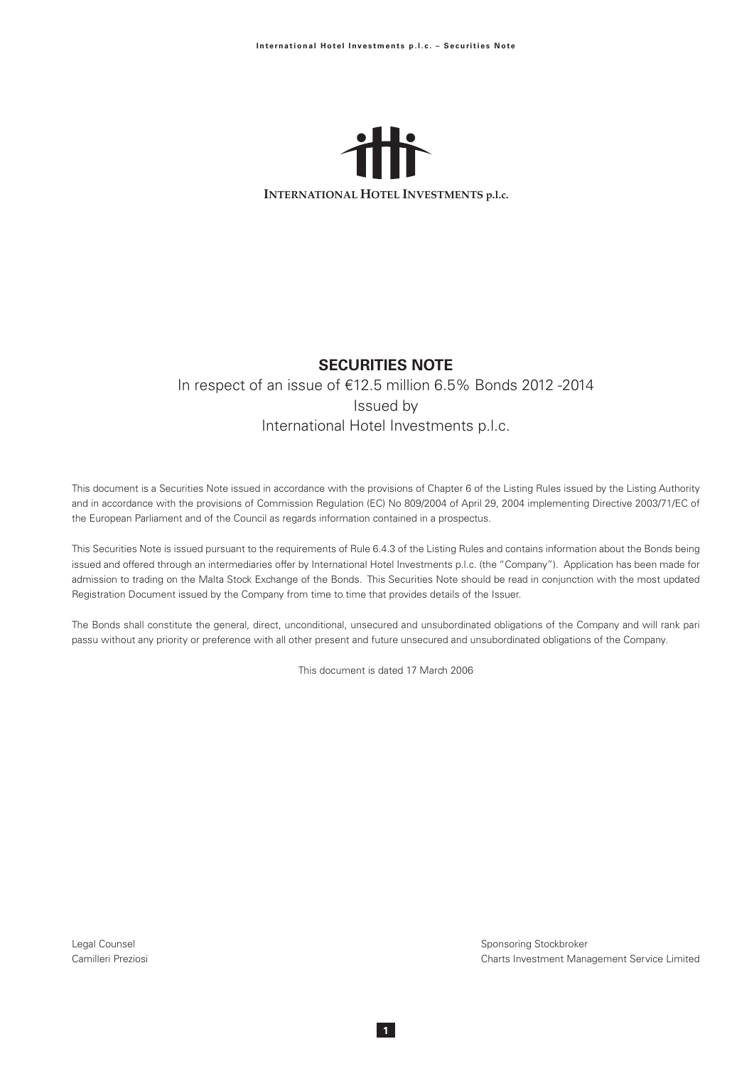

# **SECURITIES NOTE**

# In respect of an issue of €12.5 million 6.5% Bonds 2012 -2014 Issued by International Hotel Investments p.l.c.

This document is a Securities Note issued in accordance with the provisions of Chapter 6 of the Listing Rules issued by the Listing Authority and in accordance with the provisions of Commission Regulation (EC) No 809/2004 of April 29, 2004 implementing Directive 2003/71/EC of the European Parliament and of the Council as regards information contained in a prospectus.

This Securities Note is issued pursuant to the requirements of Rule 6.4.3 of the Listing Rules and contains information about the Bonds being issued and offered through an intermediaries offer by International Hotel Investments p.l.c. (the "Company"). Application has been made for admission to trading on the Malta Stock Exchange of the Bonds. This Securities Note should be read in conjunction with the most updated Registration Document issued by the Company from time to time that provides details of the Issuer.

The Bonds shall constitute the general, direct, unconditional, unsecured and unsubordinated obligations of the Company and will rank pari passu without any priority or preference with all other present and future unsecured and unsubordinated obligations of the Company.

This document is dated 17 March 2006

 $\overline{1}$ 

Legal Counsel Camilleri Preziosi Sponsoring Stockbroker Charts Investment Management Service Limited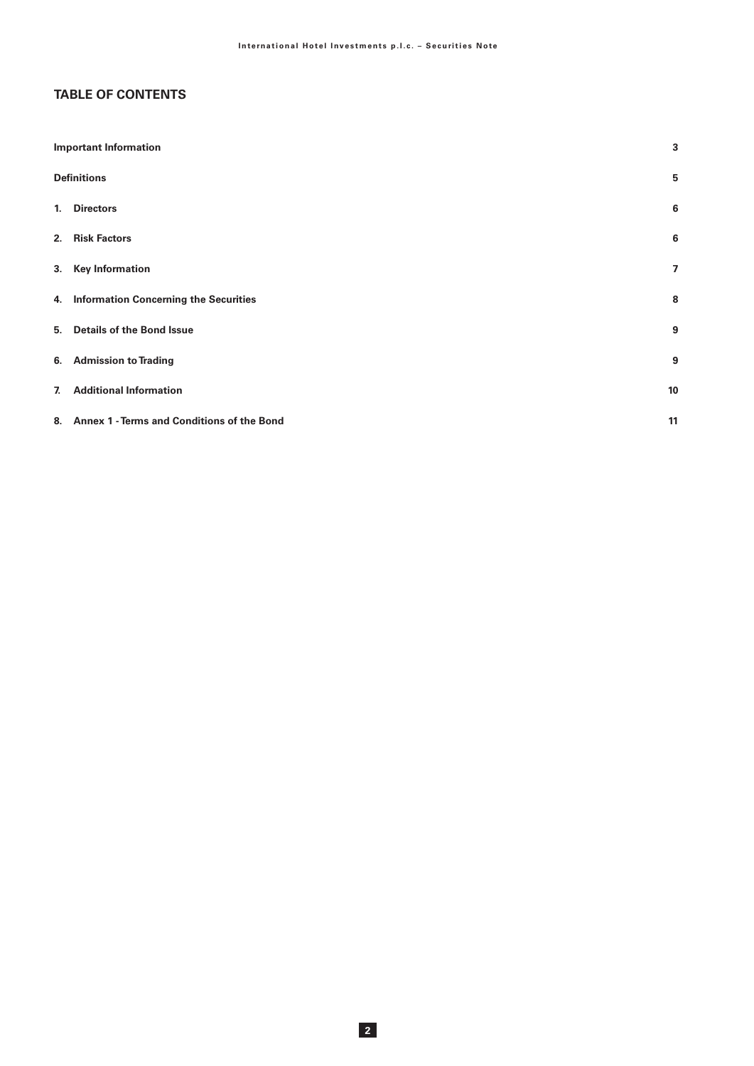# **TABLE OF CONTENTS**

| <b>Important Information</b>                  | 3                       |
|-----------------------------------------------|-------------------------|
| <b>Definitions</b>                            | 5                       |
| 1. Directors                                  | 6                       |
| 2. Risk Factors                               | 6                       |
| 3. Key Information                            | $\overline{\mathbf{z}}$ |
| 4. Information Concerning the Securities      | 8                       |
| 5. Details of the Bond Issue                  | 9                       |
| 6. Admission to Trading                       | 9                       |
| 7. Additional Information                     | 10                      |
| 8. Annex 1 - Terms and Conditions of the Bond | 11                      |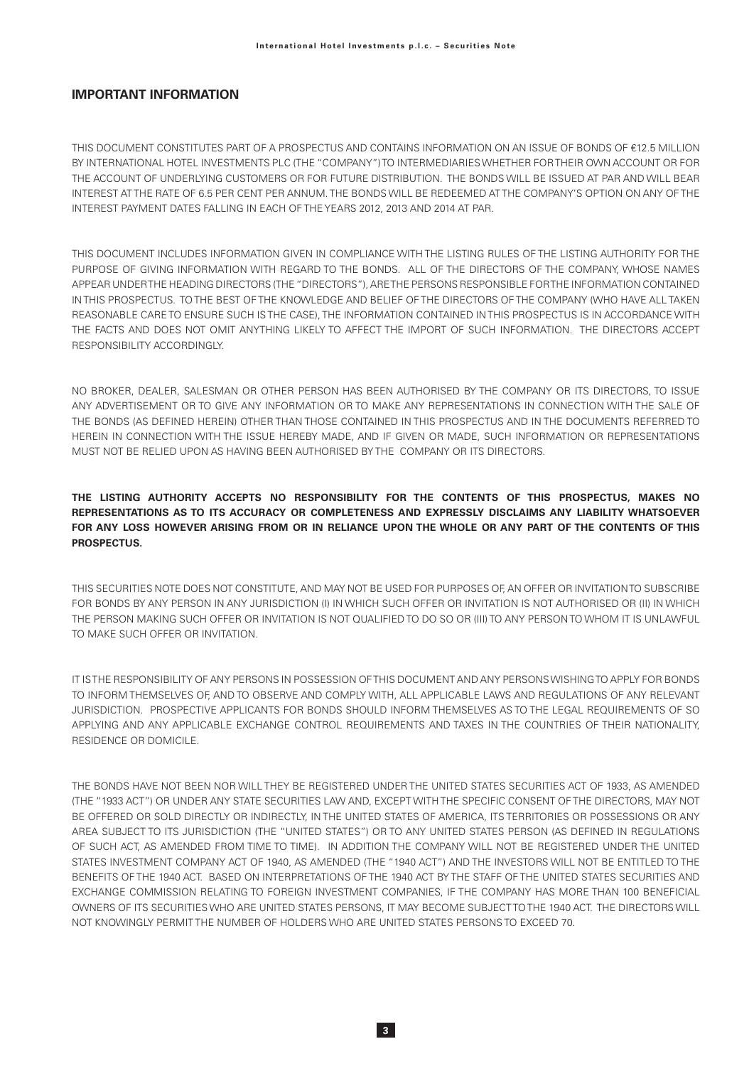### **IMPORTANT INFORMATION**

THIS DOCUMENT CONSTITUTES PART OF A PROSPECTUS AND CONTAINS INFORMATION ON AN ISSUE OF BONDS OF €12.5 MILLION BY INTERNATIONAL HOTEL INVESTMENTS PLC (THE "COMPANY") TO INTERMEDIARIES WHETHER FOR THEIR OWN ACCOUNT OR FOR THE ACCOUNT OF UNDERLYING CUSTOMERS OR FOR FUTURE DISTRIBUTION. THE BONDS WILL BE ISSUED AT PAR AND WILL BEAR INTEREST ATTHE RATE OF 6.5 PER CENT PER ANNUM. THE BONDS WILL BE REDEEMED ATTHE COMPANY'S OPTION ON ANY OFTHE INTEREST PAYMENT DATES FALLING IN EACH OF THE YEARS 2012, 2013 AND 2014 AT PAR.

THIS DOCUMENT INCLUDES INFORMATION GIVEN IN COMPLIANCE WITH THE LISTING RULES OF THE LISTING AUTHORITY FOR THE PURPOSE OF GIVING INFORMATION WITH REGARD TO THE BONDS. ALL OF THE DIRECTORS OF THE COMPANY, WHOSE NAMES APPEAR UNDERTHE HEADING DIRECTORS (THE "DIRECTORS"), ARETHE PERSONS RESPONSIBLE FORTHE INFORMATION CONTAINED IN THIS PROSPECTUS. TO THE BEST OF THE KNOWLEDGE AND BELIEF OF THE DIRECTORS OF THE COMPANY (WHO HAVE ALL TAKEN REASONABLE CARE TO ENSURE SUCH IS THE CASE), THE INFORMATION CONTAINED IN THIS PROSPECTUS IS IN ACCORDANCE WITH THE FACTS AND DOES NOT OMIT ANYTHING LIKELY TO AFFECT THE IMPORT OF SUCH INFORMATION. THE DIRECTORS ACCEPT RESPONSIBILITY ACCORDINGLY.

NO BROKER, DEALER, SALESMAN OR OTHER PERSON HAS BEEN AUTHORISED BY THE COMPANY OR ITS DIRECTORS, TO ISSUE ANY ADVERTISEMENT OR TO GIVE ANY INFORMATION OR TO MAKE ANY REPRESENTATIONS IN CONNECTION WITH THE SALE OF THE BONDS (AS DEFINED HEREIN) OTHER THAN THOSE CONTAINED IN THIS PROSPECTUS AND IN THE DOCUMENTS REFERRED TO HEREIN IN CONNECTION WITH THE ISSUE HEREBY MADE, AND IF GIVEN OR MADE, SUCH INFORMATION OR REPRESENTATIONS MUST NOT BE RELIED UPON AS HAVING BEEN AUTHORISED BY THE COMPANY OR ITS DIRECTORS.

# THE LISTING AUTHORITY ACCEPTS NO RESPONSIBILITY FOR THE CONTENTS OF THIS PROSPECTUS, MAKES NO REPRESENTATIONS AS TO ITS ACCURACY OR COMPLETENESS AND EXPRESSLY DISCLAIMS ANY LIABILITY WHATSOEVER FOR ANY LOSS HOWEVER ARISING FROM OR IN RELIANCE UPON THE WHOLE OR ANY PART OF THE CONTENTS OF THIS **PROSPECTUS.**

THIS SECURITIES NOTE DOES NOT CONSTITUTE, AND MAY NOT BE USED FOR PURPOSES OF, AN OFFER OR INVITATION TO SUBSCRIBE FOR BONDS BY ANY PERSON IN ANY JURISDICTION (I) IN WHICH SUCH OFFER OR INVITATION IS NOT AUTHORISED OR (II) IN WHICH THE PERSON MAKING SUCH OFFER OR INVITATION IS NOT QUALIFIED TO DO SO OR (III) TO ANY PERSON TO WHOM IT IS UNLAWFUL TO MAKE SLICH OFFER OR INVITATION

IT ISTHE RESPONSIBILITY OF ANY PERSONS IN POSSESSION OF THIS DOCUMENT AND ANY PERSONS WISHING TO APPLY FOR BONDS TO INFORM THEMSELVES OF, AND TO OBSERVE AND COMPLY WITH, ALL APPLICABLE LAWS AND REGULATIONS OF ANY RELEVANT JURISDICTION. PROSPECTIVE APPLICANTS FOR BONDS SHOULD INFORM THEMSELVES AS TO THE LEGAL REQUIREMENTS OF SO APPLYING AND ANY APPLICABLE EXCHANGE CONTROL REQUIREMENTS AND TAXES IN THE COUNTRIES OF THEIR NATIONALITY. RESIDENCE OR DOMICILE.

THE BONDS HAVE NOT BEEN NOR WILL THEY BE REGISTERED UNDER THE UNITED STATES SECURITIES ACT OF 1933. AS AMENDED (THE "1933 ACT") OR UNDER ANY STATE SECURITIES LAW AND, EXCEPT WITH THE SPECIFIC CONSENT OF THE DIRECTORS, MAY NOT BE OFFERED OR SOLD DIRECTLY OR INDIRECTLY, IN THE UNITED STATES OF AMERICA, ITS TERRITORIES OR POSSESSIONS OR ANY AREA SUBJECT TO ITS JURISDICTION (THE "UNITED STATES") OR TO ANY UNITED STATES PERSON (AS DEFINED IN REGULATIONS OF SUCH ACT, AS AMENDED FROM TIME TO TIME). IN ADDITION THE COMPANY WILL NOT BE REGISTERED UNDER THE UNITED STATES INVESTMENT COMPANY ACT OF 1940, AS AMENDED (THE "1940 ACT") AND THE INVESTORS WILL NOT BE ENTITLED TO THE BENEFITS OF THE 1940 ACT. BASED ON INTERPRETATIONS OF THE 1940 ACT BY THE STAFF OF THE UNITED STATES SECURITIES AND EXCHANGE COMMISSION RELATING TO FOREIGN INVESTMENT COMPANIES, IF THE COMPANY HAS MORE THAN 100 BENEFICIAL OWNERS OF ITS SECURITIES WHO ARE UNITED STATES PERSONS, IT MAY BECOME SUBJECT TO THE 1940 ACT. THE DIRECTORS WILL NOT KNOWINGLY PERMITTHE NUMBER OF HOLDERS WHO ARE UNITED STATES PERSONS TO EXCEED 70.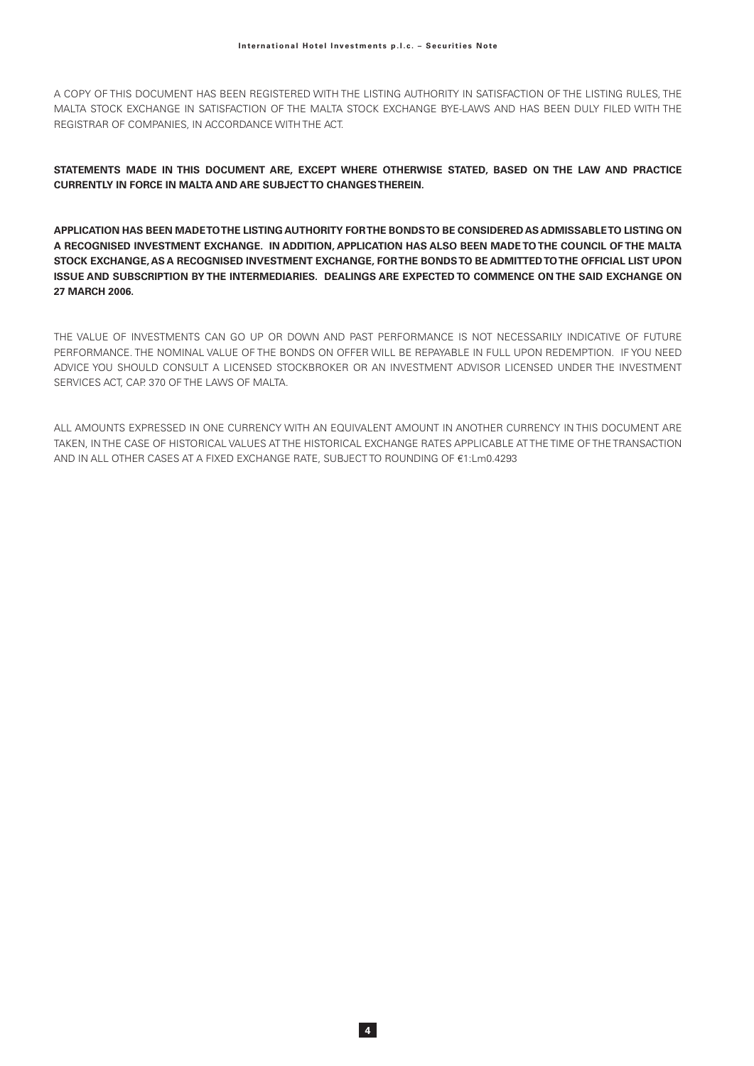A COPY OF THIS DOCUMENT HAS BEEN REGISTERED WITH THE LISTING AUTHORITY IN SATISFACTION OF THE LISTING RULES. THE MALTA STOCK EXCHANGE IN SATISFACTION OF THE MALTA STOCK EXCHANGE BYE-LAWS AND HAS BEEN DULY FILED WITH THE REGISTRAR OF COMPANIES, IN ACCORDANCE WITH THE ACT.

STATEMENTS MADE IN THIS DOCUMENT ARE, EXCEPT WHERE OTHERWISE STATED, BASED ON THE LAW AND PRACTICE **CURRENTLY IN FORCE IN MALTA AND ARE SUBJECT TO CHANGES THEREIN.** 

APPLICATION HAS BEEN MADE TO THE LISTING AUTHORITY FOR THE BONDS TO BE CONSIDERED AS ADMISSABLE TO LISTING ON A RECOGNISED INVESTMENT EXCHANGE. IN ADDITION. APPLICATION HAS ALSO BEEN MADE TO THE COUNCIL OF THE MALTA STOCK EXCHANGE. AS A RECOGNISED INVESTMENT EXCHANGE. FOR THE BONDS TO BE ADMITTED TO THE OFFICIAL LIST UPON ISSUE AND SUBSCRIPTION BY THE INTERMEDIARIES. DEALINGS ARE EXPECTED TO COMMENCE ON THE SAID EXCHANGE ON 27 MARCH 2006.

THE VALUE OF INVESTMENTS CAN GO UP OR DOWN AND PAST PERFORMANCE IS NOT NECESSARILY INDICATIVE OF FUTURE PERFORMANCE. THE NOMINAL VALUE OF THE BONDS ON OFFER WILL BE REPAYABLE IN FULL UPON REDEMPTION. IF YOU NEED ADVICE YOU SHOULD CONSULT A LICENSED STOCKBROKER OR AN INVESTMENT ADVISOR LICENSED UNDER THE INVESTMENT SERVICES ACT, CAP. 370 OF THE LAWS OF MALTA.

ALL AMOUNTS EXPRESSED IN ONE CURRENCY WITH AN EQUIVALENT AMOUNT IN ANOTHER CURRENCY IN THIS DOCUMENT ARE TAKEN, IN THE CASE OF HISTORICAL VALUES AT THE HISTORICAL EXCHANGE RATES APPLICABLE AT THE TIME OF THE TRANSACTION AND IN ALL OTHER CASES AT A FIXED EXCHANGE RATE, SUBJECT TO ROUNDING OF €1:Lm0.4293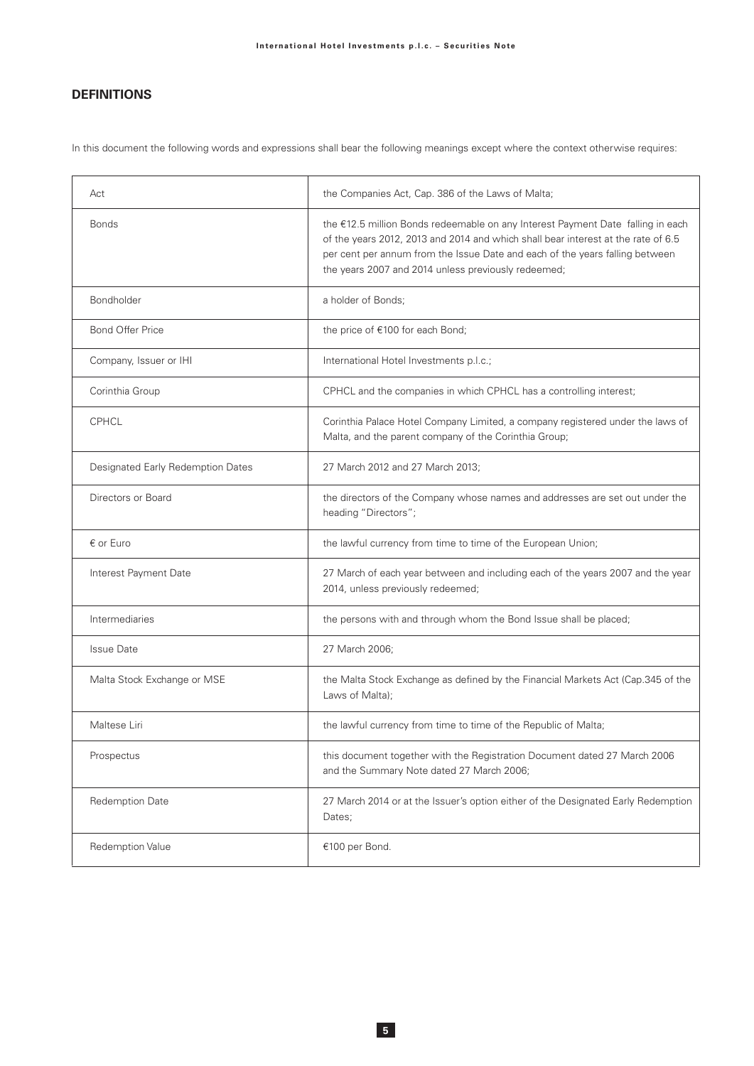# **DEFINITIONS**

In this document the following words and expressions shall bear the following meanings except where the context otherwise requires:

| Act                               | the Companies Act, Cap. 386 of the Laws of Malta;                                                                                                                                                                                                                                                           |
|-----------------------------------|-------------------------------------------------------------------------------------------------------------------------------------------------------------------------------------------------------------------------------------------------------------------------------------------------------------|
| <b>Bonds</b>                      | the €12.5 million Bonds redeemable on any Interest Payment Date falling in each<br>of the years 2012, 2013 and 2014 and which shall bear interest at the rate of 6.5<br>per cent per annum from the Issue Date and each of the years falling between<br>the years 2007 and 2014 unless previously redeemed; |
| Bondholder                        | a holder of Bonds;                                                                                                                                                                                                                                                                                          |
| <b>Bond Offer Price</b>           | the price of €100 for each Bond;                                                                                                                                                                                                                                                                            |
| Company, Issuer or IHI            | International Hotel Investments p.l.c.;                                                                                                                                                                                                                                                                     |
| Corinthia Group                   | CPHCL and the companies in which CPHCL has a controlling interest;                                                                                                                                                                                                                                          |
| <b>CPHCL</b>                      | Corinthia Palace Hotel Company Limited, a company registered under the laws of<br>Malta, and the parent company of the Corinthia Group;                                                                                                                                                                     |
| Designated Early Redemption Dates | 27 March 2012 and 27 March 2013;                                                                                                                                                                                                                                                                            |
| Directors or Board                | the directors of the Company whose names and addresses are set out under the<br>heading "Directors";                                                                                                                                                                                                        |
| $\epsilon$ or Euro                | the lawful currency from time to time of the European Union;                                                                                                                                                                                                                                                |
| Interest Payment Date             | 27 March of each year between and including each of the years 2007 and the year<br>2014, unless previously redeemed;                                                                                                                                                                                        |
| Intermediaries                    | the persons with and through whom the Bond Issue shall be placed;                                                                                                                                                                                                                                           |
| <b>Issue Date</b>                 | 27 March 2006;                                                                                                                                                                                                                                                                                              |
| Malta Stock Exchange or MSE       | the Malta Stock Exchange as defined by the Financial Markets Act (Cap.345 of the<br>Laws of Malta);                                                                                                                                                                                                         |
| Maltese Liri                      | the lawful currency from time to time of the Republic of Malta;                                                                                                                                                                                                                                             |
| Prospectus                        | this document together with the Registration Document dated 27 March 2006<br>and the Summary Note dated 27 March 2006;                                                                                                                                                                                      |
| <b>Redemption Date</b>            | 27 March 2014 or at the Issuer's option either of the Designated Early Redemption<br>Dates;                                                                                                                                                                                                                 |
| <b>Redemption Value</b>           | €100 per Bond.                                                                                                                                                                                                                                                                                              |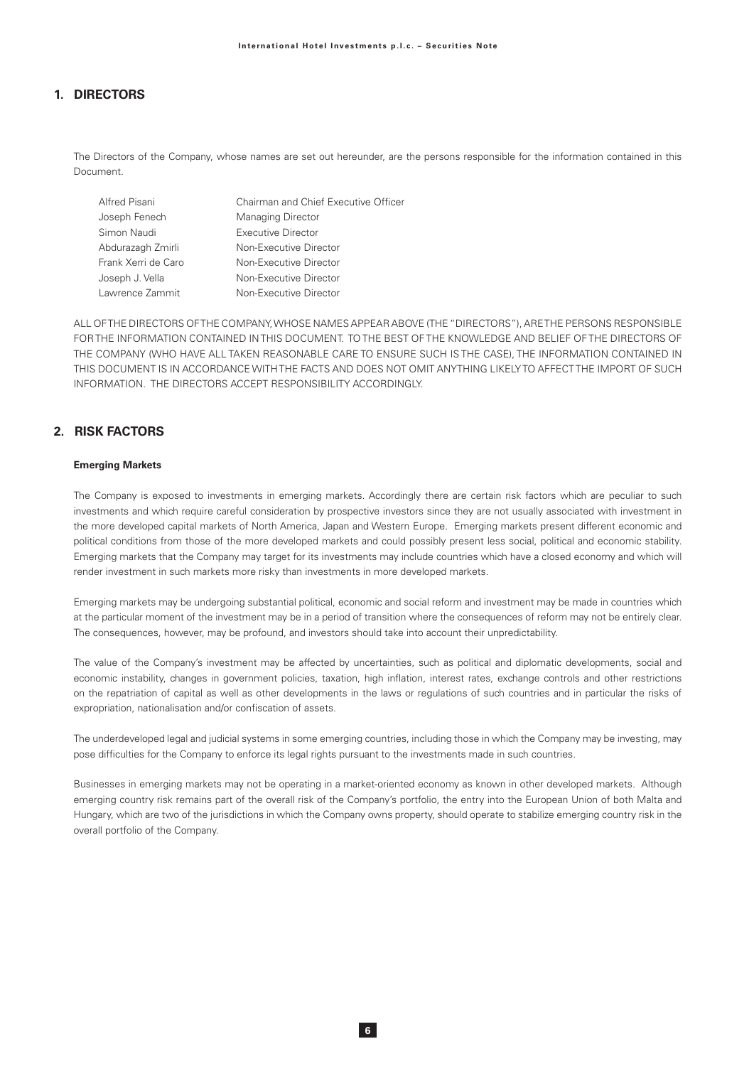# 1. DIRECTORS

The Directors of the Company, whose names are set out hereunder, are the persons responsible for the information contained in this Document

| Alfred Pisani       | Chairman and Chief Executive Officer |
|---------------------|--------------------------------------|
| Joseph Fenech       | <b>Managing Director</b>             |
| Simon Naudi         | <b>Executive Director</b>            |
| Abdurazagh Zmirli   | Non-Executive Director               |
| Frank Xerri de Caro | Non-Executive Director               |
| Joseph J. Vella     | Non-Executive Director               |
| Lawrence Zammit     | Non-Executive Director               |

ALL OF THE DIRECTORS OF THE COMPANY, WHOSE NAMES APPEAR ABOVE (THE "DIRECTORS"), ARE THE PERSONS RESPONSIBLE FOR THE INFORMATION CONTAINED IN THIS DOCUMENT. TO THE BEST OF THE KNOWLEDGE AND BELIEF OF THE DIRECTORS OF THE COMPANY (WHO HAVE ALL TAKEN REASONABLE CARE TO ENSURE SUCH IS THE CASE), THE INFORMATION CONTAINED IN THIS DOCUMENT IS IN ACCORDANCE WITH THE FACTS AND DOES NOT OMIT ANYTHING LIKELY TO AFFECT THE IMPORT OF SUCH INFORMATION. THE DIRECTORS ACCEPT RESPONSIBILITY ACCORDINGLY.

# 2 RISK FACTORS

### **Emerging Markets**

The Company is exposed to investments in emerging markets. Accordingly there are certain risk factors which are peculiar to such investments and which require careful consideration by prospective investors since they are not usually associated with investment in the more developed capital markets of North America, Japan and Western Europe. Emerging markets present different economic and political conditions from those of the more developed markets and could possibly present less social, political and economic stability. Emerging markets that the Company may target for its investments may include countries which have a closed economy and which will render investment in such markets more risky than investments in more developed markets.

Emerging markets may be undergoing substantial political, economic and social reform and investment may be made in countries which at the particular moment of the investment may be in a period of transition where the consequences of reform may not be entirely clear. The consequences, however, may be profound, and investors should take into account their unpredictability.

The value of the Company's investment may be affected by uncertainties, such as political and diplomatic developments, social and economic instability, changes in government policies, taxation, high inflation, interest rates, exchange controls and other restrictions on the repatriation of capital as well as other developments in the laws or requlations of such countries and in particular the risks of expropriation, nationalisation and/or confiscation of assets.

The underdeveloped legal and judicial systems in some emerging countries, including those in which the Company may be investing, may pose difficulties for the Company to enforce its legal rights pursuant to the investments made in such countries.

Businesses in emerging markets may not be operating in a market-oriented economy as known in other developed markets. Although emerging country risk remains part of the overall risk of the Company's portfolio, the entry into the European Union of both Malta and Hungary, which are two of the jurisdictions in which the Company owns property, should operate to stabilize emerging country risk in the overall portfolio of the Company.

 $6<sup>1</sup>$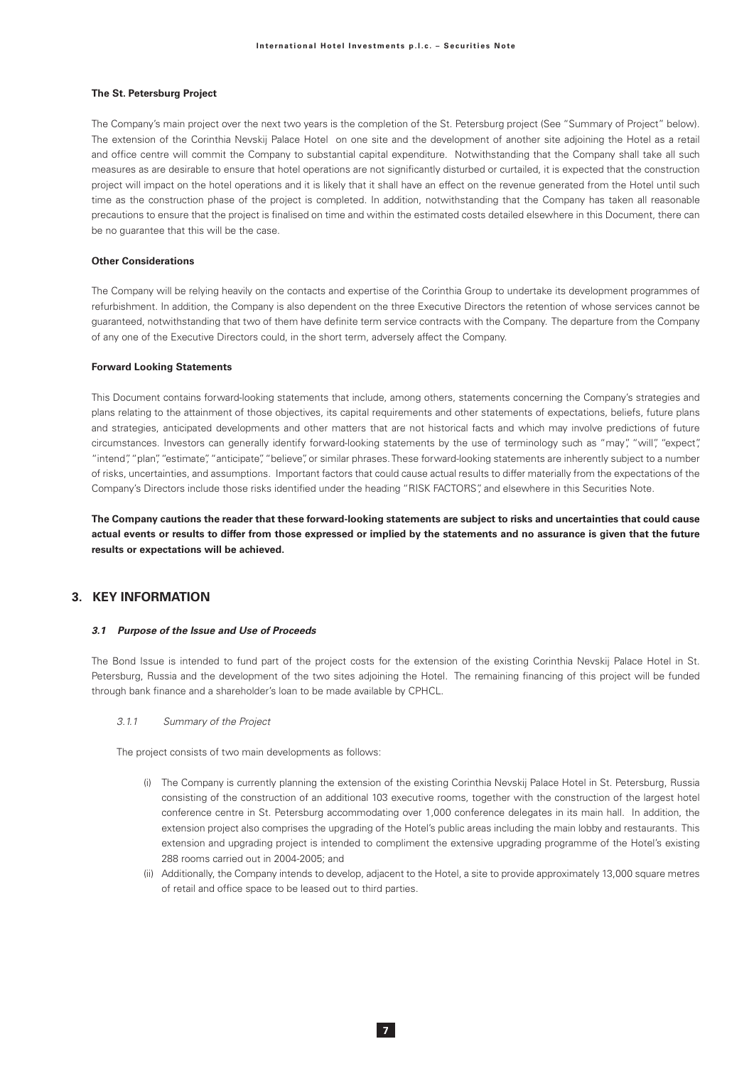#### The St. Petersburg Project

The Company's main project over the next two years is the completion of the St. Petersburg project (See "Summary of Project" below). The extension of the Corinthia Nevskij Palace Hotel on one site and the development of another site adjoining the Hotel as a retail and office centre will commit the Company to substantial capital expenditure. Notwithstanding that the Company shall take all such measures as are desirable to ensure that hotel operations are not significantly disturbed or curtailed, it is expected that the construction project will impact on the hotel operations and it is likely that it shall have an effect on the revenue generated from the Hotel until such time as the construction phase of the project is completed. In addition, notwithstanding that the Company has taken all reasonable precautions to ensure that the project is finalised on time and within the estimated costs detailed elsewhere in this Document, there can be no guarantee that this will be the case.

#### Other Considerations

The Company will be relying heavily on the contacts and expertise of the Corinthia Group to undertake its development programmes of refurbishment. In addition, the Company is also dependent on the three Executive Directors the retention of whose services cannot be guaranteed, notwithstanding that two of them have definite term service contracts with the Company. The departure from the Company of any one of the Executive Directors could, in the short term, adversely affect the Company.

#### **Forward Looking Statements**

This Document contains forward-looking statements that include, among others, statements concerning the Company's strategies and plans relating to the attainment of those objectives, its capital requirements and other statements of expectations, beliefs, future plans and strategies, anticipated developments and other matters that are not historical facts and which may involve predictions of future circumstances. Investors can generally identify forward-looking statements by the use of terminology such as "may", "will", "expect", "intend", "plan", "estimate", "anticipate", "believe", or similar phrases. These forward-looking statements are inherently subject to a number of risks, uncertainties, and assumptions. Important factors that could cause actual results to differ materially from the expectations of the Company's Directors include those risks identified under the heading "RISK FACTORS", and elsewhere in this Securities Note.

The Company cautions the reader that these forward-looking statements are subject to risks and uncertainties that could cause actual events or results to differ from those expressed or implied by the statements and no assurance is given that the future results or expectations will be achieved.

### 3 KFY INFORMATION

#### 3.1 Purpose of the Issue and Use of Proceeds

The Bond Issue is intended to fund part of the project costs for the extension of the existing Corinthia Nevskij Palace Hotel in St. Petersburg, Russia and the development of the two sites adjoining the Hotel. The remaining financing of this project will be funded through bank finance and a shareholder's loan to be made available by CPHCL.

#### $3.1.1$ Summary of the Project

The project consists of two main developments as follows:

- (i) The Company is currently planning the extension of the existing Corinthia Nevskij Palace Hotel in St. Petersburg, Russia consisting of the construction of an additional 103 executive rooms, together with the construction of the largest hotel conference centre in St. Petersburg accommodating over 1,000 conference delegates in its main hall. In addition, the extension project also comprises the upgrading of the Hotel's public areas including the main lobby and restaurants. This extension and upgrading project is intended to compliment the extensive upgrading programme of the Hotel's existing 288 rooms carried out in 2004-2005; and
- (ii) Additionally, the Company intends to develop, adjacent to the Hotel, a site to provide approximately 13,000 square metres of retail and office space to be leased out to third parties.

 $\overline{7}$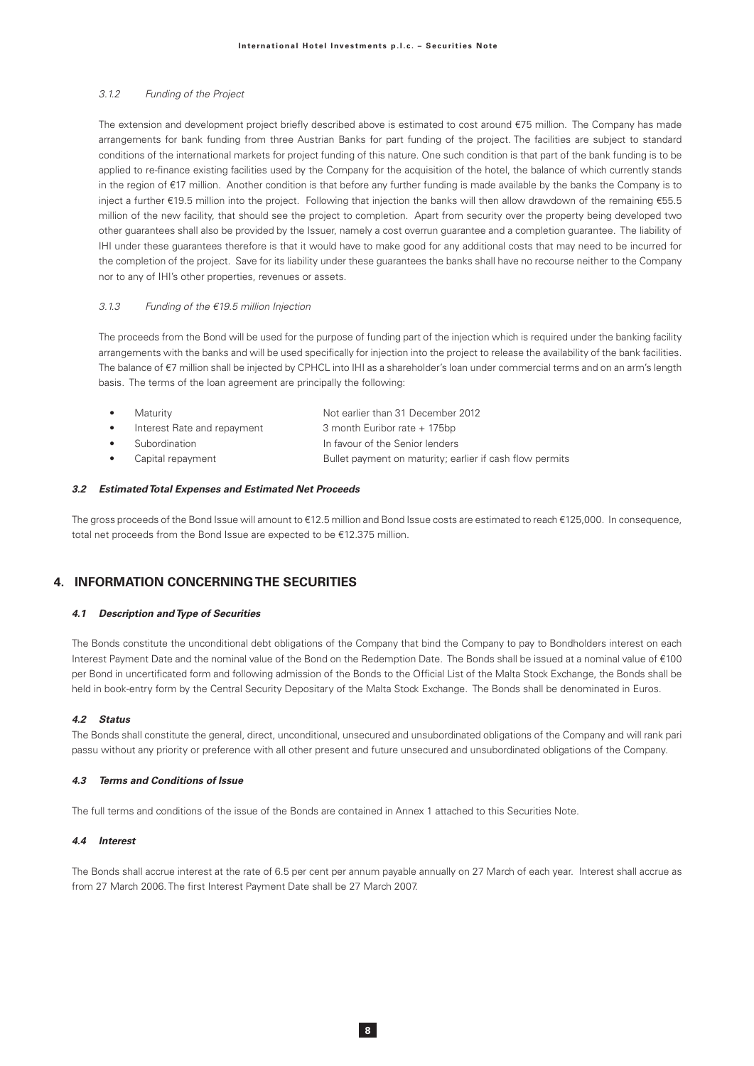#### $312$ Funding of the Project

The extension and development project briefly described above is estimated to cost around €75 million. The Company has made arrangements for bank funding from three Austrian Banks for part funding of the project. The facilities are subject to standard conditions of the international markets for project funding of this nature. One such condition is that part of the bank funding is to be applied to re-finance existing facilities used by the Company for the acquisition of the hotel, the balance of which currently stands in the region of €17 million. Another condition is that before any further funding is made available by the banks the Company is to inject a further €19.5 million into the project. Following that injection the banks will then allow drawdown of the remaining €55.5 million of the new facility, that should see the project to completion. Apart from security over the property being developed two other quarantees shall also be provided by the Issuer, namely a cost overrun quarantee and a completion quarantee. The liability of IHI under these guarantees therefore is that it would have to make good for any additional costs that may need to be incurred for the completion of the project. Save for its liability under these guarantees the banks shall have no recourse neither to the Company nor to any of IHI's other properties, revenues or assets.

#### $313$ Funding of the  $€19.5$  million Injection

The proceeds from the Bond will be used for the purpose of funding part of the injection which is required under the banking facility arrangements with the banks and will be used specifically for injection into the project to release the availability of the bank facilities. The balance of €7 million shall be injected by CPHCL into IHI as a shareholder's loan under commercial terms and on an arm's length basis. The terms of the loan agreement are principally the following:

| Maturity                    | Not earlier than 31 December 2012                        |
|-----------------------------|----------------------------------------------------------|
| Interest Rate and repayment | 3 month Euribor rate + 175bp                             |
| Subordination               | In favour of the Senior lenders                          |
| Capital repayment           | Bullet payment on maturity; earlier if cash flow permits |

#### 3.2 Estimated Total Expenses and Estimated Net Proceeds

The gross proceeds of the Bond Issue will amount to €12.5 million and Bond Issue costs are estimated to reach €125,000. In consequence, total net proceeds from the Bond Issue are expected to be €12.375 million.

### **4. INFORMATION CONCERNING THE SECURITIES**

#### 4.1 Description and Type of Securities

The Bonds constitute the unconditional debt obligations of the Company that bind the Company to pay to Bondholders interest on each Interest Payment Date and the nominal value of the Bond on the Redemption Date. The Bonds shall be issued at a nominal value of €100 per Bond in uncertificated form and following admission of the Bonds to the Official List of the Malta Stock Exchange, the Bonds shall be held in book-entry form by the Central Security Depositary of the Malta Stock Exchange. The Bonds shall be denominated in Euros.

#### 42 Status

The Bonds shall constitute the general, direct, unconditional, unsecured and unsubordinated obligations of the Company and will rank pari passu without any priority or preference with all other present and future unsecured and unsubordinated obligations of the Company.

#### 4.3 Terms and Conditions of Issue

The full terms and conditions of the issue of the Bonds are contained in Annex 1 attached to this Securities Note.

#### 44 Interest

The Bonds shall accrue interest at the rate of 6.5 per cent per annum payable annually on 27 March of each year. Interest shall accrue as from 27 March 2006. The first Interest Payment Date shall be 27 March 2007.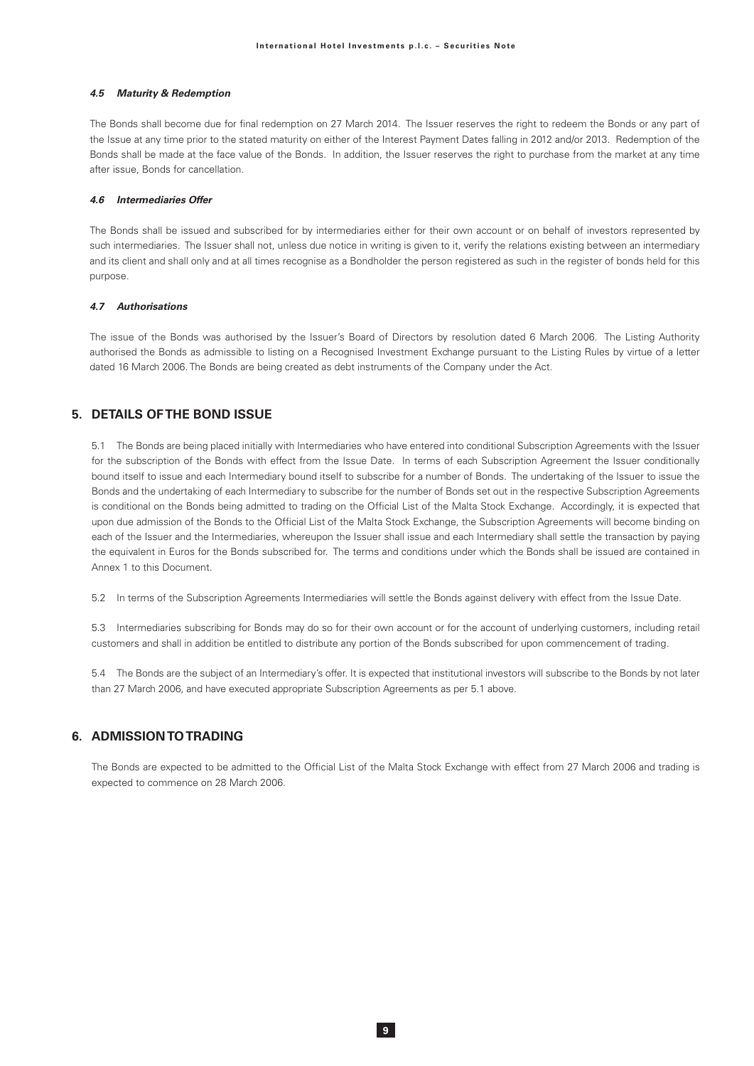#### 4.5 Maturity & Redemption

The Bonds shall become due for final redemption on 27 March 2014. The Issuer reserves the right to redeem the Bonds or any part of the Issue at any time prior to the stated maturity on either of the Interest Payment Dates falling in 2012 and/or 2013. Redemption of the Bonds shall be made at the face value of the Bonds. In addition, the Issuer reserves the right to purchase from the market at any time after issue, Bonds for cancellation.

#### 4.6 Intermediaries Offer

The Bonds shall be issued and subscribed for by intermediaries either for their own account or on behalf of investors represented by such intermediaries. The Issuer shall not, unless due notice in writing is given to it, verify the relations existing between an intermediary and its client and shall only and at all times recognise as a Bondholder the person registered as such in the register of bonds held for this purpose.

#### 4.7 Authorisations

The issue of the Bonds was authorised by the Issuer's Board of Directors by resolution dated 6 March 2006. The Listing Authority authorised the Bonds as admissible to listing on a Recognised Investment Exchange pursuant to the Listing Rules by virtue of a letter dated 16 March 2006. The Bonds are being created as debt instruments of the Company under the Act.

# 5. DETAILS OF THE BOND ISSUE

5.1 The Bonds are being placed initially with Intermediaries who have entered into conditional Subscription Agreements with the Issuer for the subscription of the Bonds with effect from the Issue Date. In terms of each Subscription Agreement the Issuer conditionally bound itself to issue and each Intermediary bound itself to subscribe for a number of Bonds. The undertaking of the Issuer to issue the Bonds and the undertaking of each Intermediary to subscribe for the number of Bonds set out in the respective Subscription Agreements is conditional on the Bonds being admitted to trading on the Official List of the Malta Stock Exchange. Accordingly, it is expected that upon due admission of the Bonds to the Official List of the Malta Stock Exchange, the Subscription Agreements will become binding on each of the Issuer and the Intermediaries, whereupon the Issuer shall issue and each Intermediary shall settle the transaction by paying the equivalent in Euros for the Bonds subscribed for. The terms and conditions under which the Bonds shall be issued are contained in Anney 1 to this Document

5.2 In terms of the Subscription Agreements Intermediaries will settle the Bonds against delivery with effect from the Issue Date.

5.3 Intermediaries subscribing for Bonds may do so for their own account or for the account of underlying customers, including retail customers and shall in addition be entitled to distribute any portion of the Bonds subscribed for upon commencement of trading.

5.4 The Bonds are the subject of an Intermediary's offer. It is expected that institutional investors will subscribe to the Bonds by not later than 27 March 2006, and have executed appropriate Subscription Agreements as per 5.1 above.

# 6. ADMISSION TO TRADING

The Bonds are expected to be admitted to the Official List of the Malta Stock Exchange with effect from 27 March 2006 and trading is expected to commence on 28 March 2006.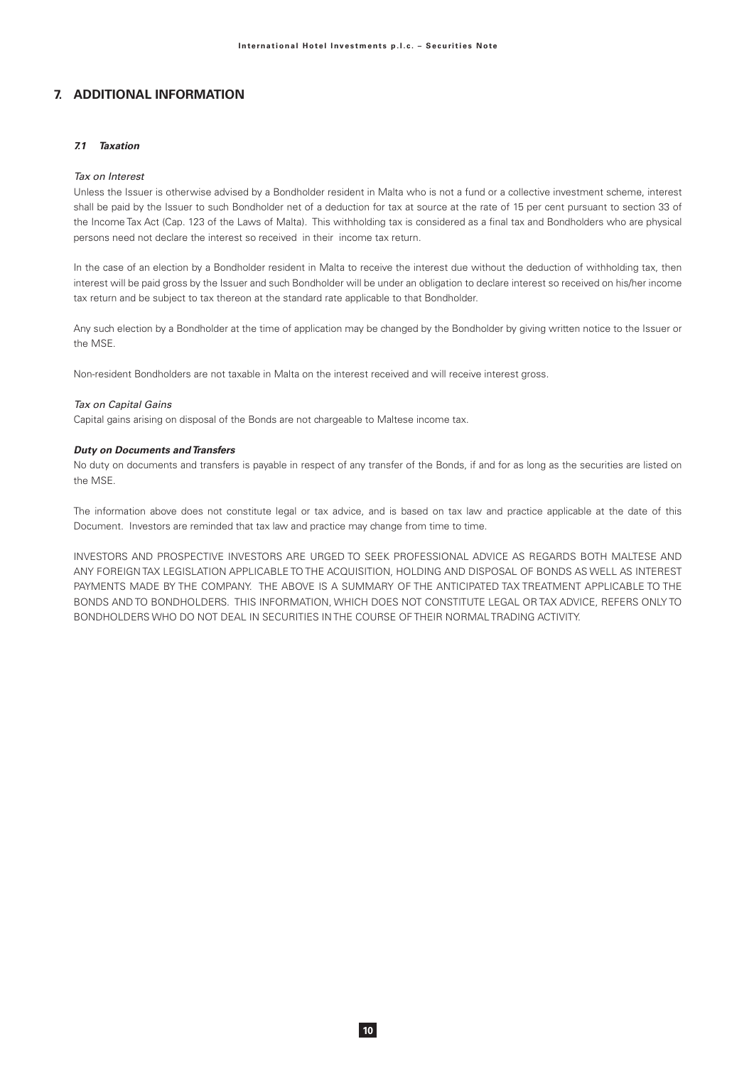# 7. ADDITIONAL INFORMATION

### 7.1 Taxation

#### Tax on Interest

Unless the Issuer is otherwise advised by a Bondholder resident in Malta who is not a fund or a collective investment scheme, interest shall be paid by the Issuer to such Bondholder net of a deduction for tax at source at the rate of 15 per cent pursuant to section 33 of the Income Tax Act (Cap. 123 of the Laws of Malta). This withholding tax is considered as a final tax and Bondholders who are physical persons need not declare the interest so received in their income tax return.

In the case of an election by a Bondholder resident in Malta to receive the interest due without the deduction of withholding tax, then interest will be paid gross by the Issuer and such Bondholder will be under an obligation to declare interest so received on his/her income tax return and be subject to tax thereon at the standard rate applicable to that Bondholder.

Any such election by a Bondholder at the time of application may be changed by the Bondholder by giving written notice to the Issuer or the MSF

Non-resident Bondholders are not taxable in Malta on the interest received and will receive interest gross.

#### Tax on Capital Gains

Capital gains arising on disposal of the Bonds are not chargeable to Maltese income tax.

#### **Duty on Documents and Transfers**

No duty on documents and transfers is payable in respect of any transfer of the Bonds, if and for as long as the securities are listed on the MSE.

The information above does not constitute legal or tax advice, and is based on tax law and practice applicable at the date of this Document. Investors are reminded that tax law and practice may change from time to time.

INVESTORS AND PROSPECTIVE INVESTORS ARE URGED TO SEEK PROFESSIONAL ADVICE AS REGARDS BOTH MALTESE AND ANY FOREIGN TAX LEGISLATION APPLICABLE TO THE ACQUISITION, HOLDING AND DISPOSAL OF BONDS AS WELL AS INTEREST PAYMENTS MADE BY THE COMPANY. THE ABOVE IS A SUMMARY OF THE ANTICIPATED TAX TREATMENT APPLICABLE TO THE BONDS AND TO BONDHOLDERS. THIS INFORMATION, WHICH DOES NOT CONSTITUTE LEGAL OR TAX ADVICE, REFERS ONLY TO BONDHOLDERS WHO DO NOT DEAL IN SECURITIES IN THE COURSE OF THEIR NORMAL TRADING ACTIVITY.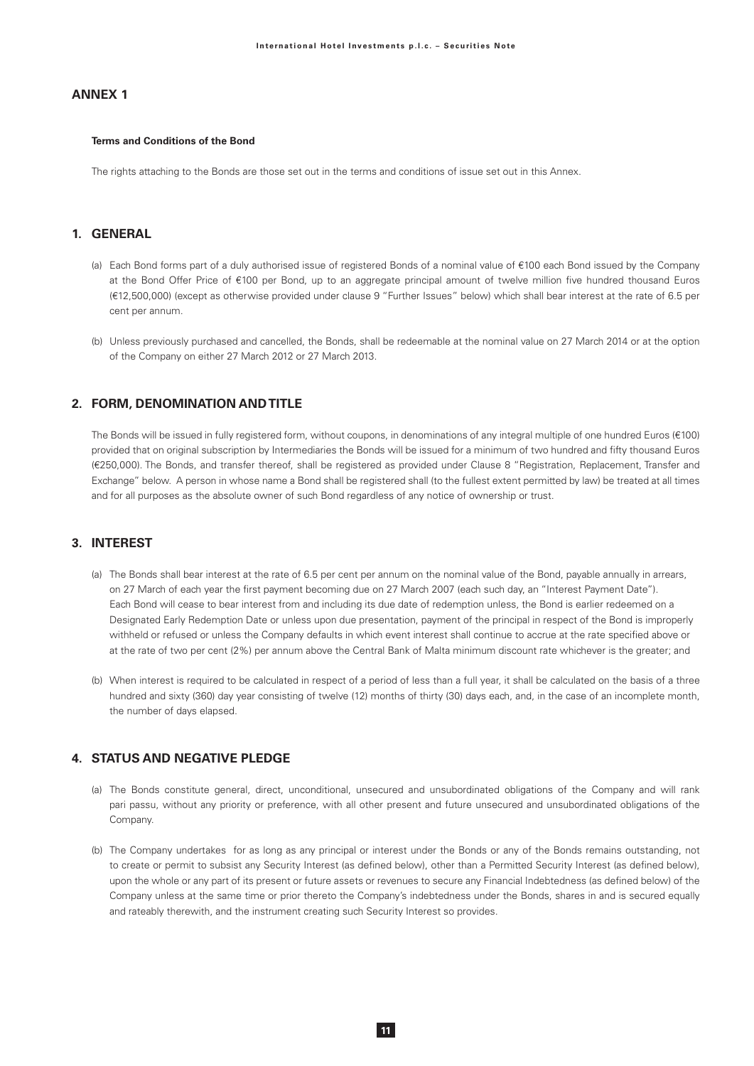# **ANNEX1**

#### **Terms and Conditions of the Bond**

The rights attaching to the Bonds are those set out in the terms and conditions of issue set out in this Annex.

# 1 GENERAL

- (a) Each Bond forms part of a duly authorised issue of registered Bonds of a nominal value of €100 each Bond issued by the Company at the Bond Offer Price of €100 per Bond, up to an aggregate principal amount of twelve million five hundred thousand Euros (€12.500.000) (except as otherwise provided under clause 9 "Further Issues" below) which shall bear interest at the rate of 6.5 per cent per annum.
- (b) Unless previously purchased and cancelled, the Bonds, shall be redeemable at the nominal value on 27 March 2014 or at the option of the Company on either 27 March 2012 or 27 March 2013.

### 2. FORM, DENOMINATION AND TITLE

The Bonds will be issued in fully registered form, without coupons, in denominations of any integral multiple of one hundred Euros (€100) provided that on original subscription by Intermediaries the Bonds will be issued for a minimum of two hundred and fifty thousand Euros (€250,000). The Bonds, and transfer thereof, shall be registered as provided under Clause 8 "Registration, Replacement, Transfer and Exchange" below. A person in whose name a Bond shall be registered shall (to the fullest extent permitted by law) be treated at all times and for all purposes as the absolute owner of such Bond regardless of any notice of ownership or trust.

### 3. INTEREST

- (a) The Bonds shall bear interest at the rate of 6.5 per cent per annum on the nominal value of the Bond, payable annually in arrears, on 27 March of each year the first payment becoming due on 27 March 2007 (each such day, an "Interest Payment Date"). Each Bond will cease to bear interest from and including its due date of redemption unless, the Bond is earlier redeemed on a Designated Early Redemption Date or unless upon due presentation, payment of the principal in respect of the Bond is improperly withheld or refused or unless the Company defaults in which event interest shall continue to accrue at the rate specified above or at the rate of two per cent (2%) per annum above the Central Bank of Malta minimum discount rate whichever is the greater; and
- (b) When interest is required to be calculated in respect of a period of less than a full year, it shall be calculated on the basis of a three hundred and sixty (360) day year consisting of twelve (12) months of thirty (30) days each, and, in the case of an incomplete month, the number of days elapsed.

# 4 STATUS AND NEGATIVE PI FDGE

- (a) The Bonds constitute general, direct, unconditional, unsecured and unsubordinated obligations of the Company and will rank pari passu, without any priority or preference, with all other present and future unsecured and unsubordinated obligations of the Company.
- (b) The Company undertakes for as long as any principal or interest under the Bonds or any of the Bonds remains outstanding, not to create or permit to subsist any Security Interest (as defined below), other than a Permitted Security Interest (as defined below), upon the whole or any part of its present or future assets or revenues to secure any Financial Indebtedness (as defined below) of the Company unless at the same time or prior thereto the Company's indebtedness under the Bonds, shares in and is secured equally and rateably therewith, and the instrument creating such Security Interest so provides.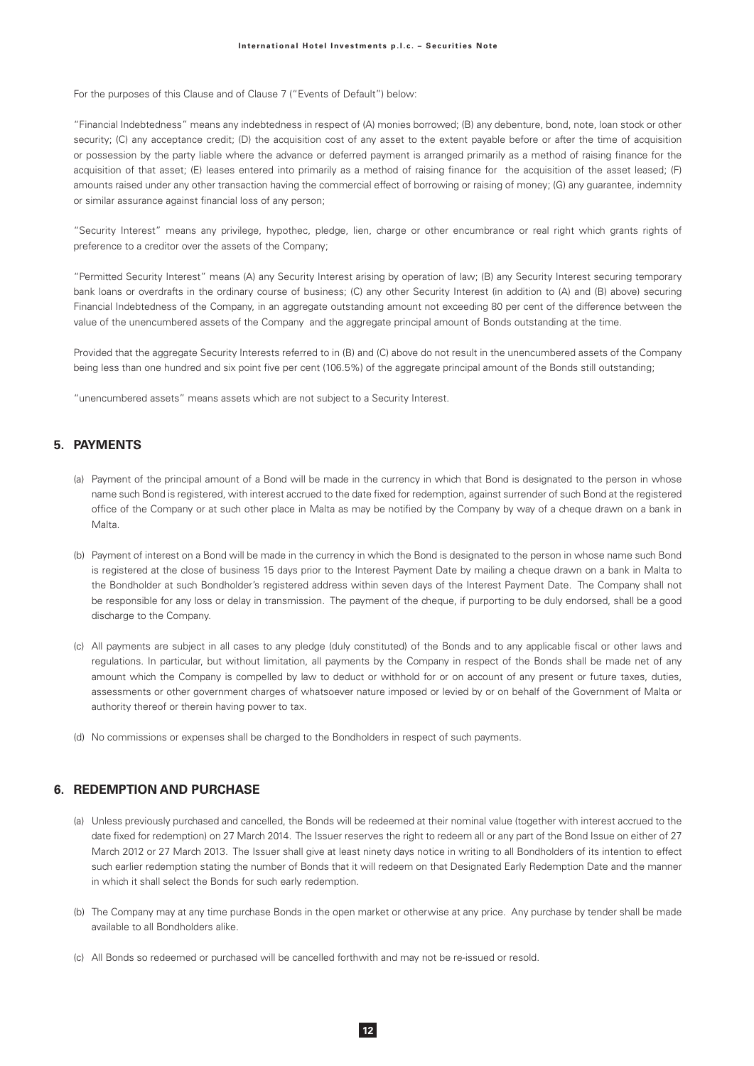For the purposes of this Clause and of Clause 7 ("Events of Default") below:

"Financial Indebtedness" means any indebtedness in respect of (A) monies borrowed; (B) any debenture, bond, note, loan stock or other security; (C) any acceptance credit; (D) the acquisition cost of any asset to the extent payable before or after the time of acquisition or possession by the party liable where the advance or deferred payment is arranged primarily as a method of raising finance for the acquisition of that asset; (E) leases entered into primarily as a method of raising finance for the acquisition of the asset leased; (F) amounts raised under any other transaction having the commercial effect of borrowing or raising of money; (G) any quarantee, indemnity or similar assurance against financial loss of any person;

"Security Interest" means any privilege, hypothec, pledge, lien, charge or other encumbrance or real right which grants rights of preference to a creditor over the assets of the Company:

"Permitted Security Interest" means (A) any Security Interest arising by operation of law; (B) any Security Interest securing temporary bank loans or overdrafts in the ordinary course of business; (C) any other Security Interest (in addition to (A) and (B) above) securing Financial Indebtedness of the Company, in an aggregate outstanding amount not exceeding 80 per cent of the difference between the value of the unencumbered assets of the Company and the aggregate principal amount of Bonds outstanding at the time.

Provided that the aggregate Security Interests referred to in (B) and (C) above do not result in the unencumbered assets of the Company being less than one hundred and six point five per cent (106.5%) of the aggregate principal amount of the Bonds still outstanding;

"unencumbered assets" means assets which are not subject to a Security Interest.

# 5. PAYMENTS

- (a) Payment of the principal amount of a Bond will be made in the currency in which that Bond is designated to the person in whose name such Bond is registered, with interest accrued to the date fixed for redemption, against surrender of such Bond at the registered office of the Company or at such other place in Malta as may be notified by the Company by way of a cheque drawn on a bank in Malta.
- (b) Payment of interest on a Bond will be made in the currency in which the Bond is designated to the person in whose name such Bond is registered at the close of business 15 days prior to the Interest Payment Date by mailing a cheque drawn on a bank in Malta to the Bondholder at such Bondholder's registered address within seven days of the Interest Payment Date. The Company shall not be responsible for any loss or delay in transmission. The payment of the cheque, if purporting to be duly endorsed, shall be a good discharge to the Company.
- (c) All payments are subject in all cases to any pledge (duly constituted) of the Bonds and to any applicable fiscal or other laws and regulations. In particular, but without limitation, all payments by the Company in respect of the Bonds shall be made net of any amount which the Company is compelled by law to deduct or withhold for or on account of any present or future taxes, duties, assessments or other government charges of whatsoever nature imposed or levied by or on behalf of the Government of Malta or authority thereof or therein having power to tax.
- (d) No commissions or expenses shall be charged to the Bondholders in respect of such payments.

# **6. REDEMPTION AND PURCHASE**

- (a) Unless previously purchased and cancelled, the Bonds will be redeemed at their nominal value (together with interest accrued to the date fixed for redemption) on 27 March 2014. The Issuer reserves the right to redeem all or any part of the Bond Issue on either of 27 March 2012 or 27 March 2013. The Issuer shall give at least ninety days notice in writing to all Bondholders of its intention to effect such earlier redemption stating the number of Bonds that it will redeem on that Designated Early Redemption Date and the manner in which it shall select the Bonds for such early redemption.
- (b) The Company may at any time purchase Bonds in the open market or otherwise at any price. Any purchase by tender shall be made available to all Bondholders alike.
- (c) All Bonds so redeemed or purchased will be cancelled forthwith and may not be re-issued or resold.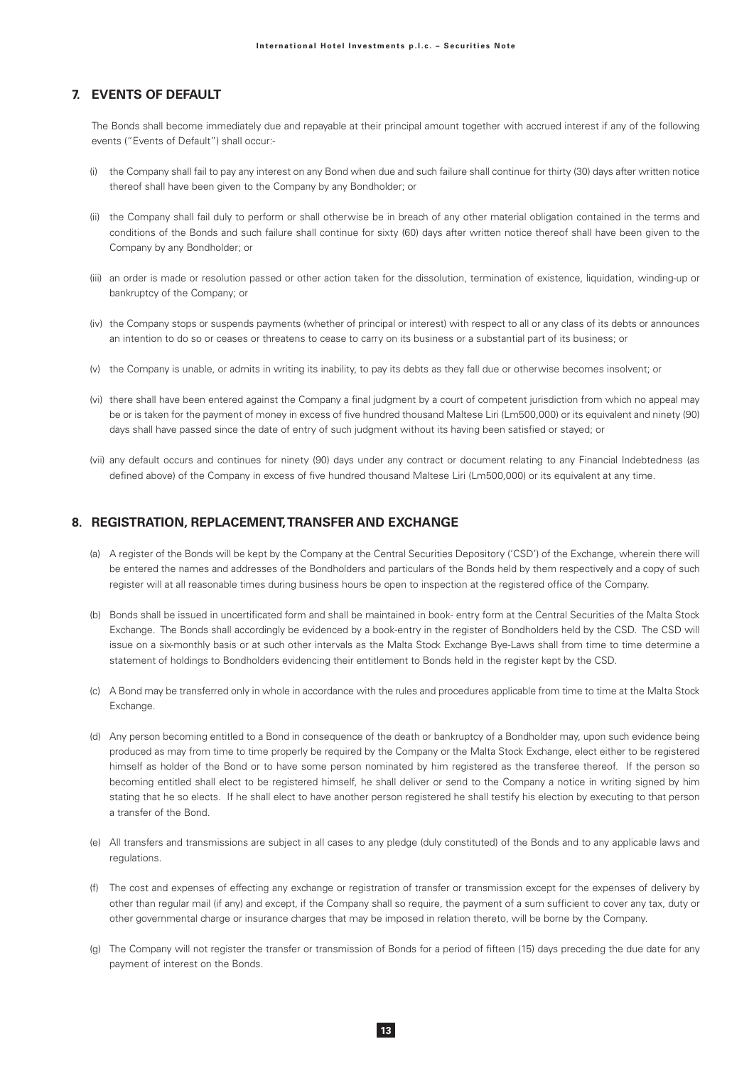# 7. EVENTS OF DEFAULT

The Bonds shall become immediately due and repayable at their principal amount together with accrued interest if any of the following events ("Events of Default") shall occur:-

- (i) the Company shall fail to pay any interest on any Bond when due and such failure shall continue for thirty (30) days after written notice thereof shall have been given to the Company by any Bondholder; or
- (ii) the Company shall fail duly to perform or shall otherwise be in breach of any other material obligation contained in the terms and conditions of the Bonds and such failure shall continue for sixty (60) days after written notice thereof shall have been given to the Company by any Bondholder; or
- (iii) an order is made or resolution passed or other action taken for the dissolution, termination of existence, liquidation, winding-up or bankruptcy of the Company; or
- (iv) the Company stops or suspends payments (whether of principal or interest) with respect to all or any class of its debts or announces an intention to do so or ceases or threatens to cease to carry on its business or a substantial part of its business; or
- (v) the Company is unable, or admits in writing its inability, to pay its debts as they fall due or otherwise becomes insolvent; or
- (vi) there shall have been entered against the Company a final judgment by a court of competent jurisdiction from which no appeal may be or is taken for the payment of money in excess of five hundred thousand Maltese Liri (Lm500,000) or its equivalent and ninety (90) days shall have passed since the date of entry of such judgment without its having been satisfied or stayed; or
- (vii) any default occurs and continues for ninety (90) days under any contract or document relating to any Financial Indebtedness (as defined above) of the Company in excess of five hundred thousand Maltese Liri (Lm500,000) or its equivalent at any time.

### 8. REGISTRATION, REPLACEMENT, TRANSFER AND EXCHANGE

- (a) A register of the Bonds will be kept by the Company at the Central Securities Depository ('CSD') of the Exchange, wherein there will be entered the names and addresses of the Bondholders and particulars of the Bonds held by them respectively and a copy of such register will at all reasonable times during business hours be open to inspection at the registered office of the Company.
- (b) Bonds shall be issued in uncertificated form and shall be maintained in book-entry form at the Central Securities of the Malta Stock Exchange. The Bonds shall accordingly be evidenced by a book-entry in the register of Bondholders held by the CSD. The CSD will issue on a six-monthly basis or at such other intervals as the Malta Stock Exchange Bye-Laws shall from time to time determine a statement of holdings to Bondholders evidencing their entitlement to Bonds held in the register kept by the CSD.
- (c) A Bond may be transferred only in whole in accordance with the rules and procedures applicable from time to time at the Malta Stock Exchange.
- (d) Any person becoming entitled to a Bond in consequence of the death or bankruptcy of a Bondholder may, upon such evidence being produced as may from time to time properly be required by the Company or the Malta Stock Exchange, elect either to be registered himself as holder of the Bond or to have some person nominated by him registered as the transferee thereof. If the person so becoming entitled shall elect to be registered himself, he shall deliver or send to the Company a notice in writing signed by him stating that he so elects. If he shall elect to have another person registered he shall testify his election by executing to that person a transfer of the Bond.
- (e) All transfers and transmissions are subject in all cases to any pledge (duly constituted) of the Bonds and to any applicable laws and regulations.
- (f) The cost and expenses of effecting any exchange or registration of transfer or transmission except for the expenses of delivery by other than regular mail (if any) and except, if the Company shall so require, the payment of a sum sufficient to cover any tax, duty or other governmental charge or insurance charges that may be imposed in relation thereto, will be borne by the Company.
- (g) The Company will not register the transfer or transmission of Bonds for a period of fifteen (15) days preceding the due date for any payment of interest on the Bonds.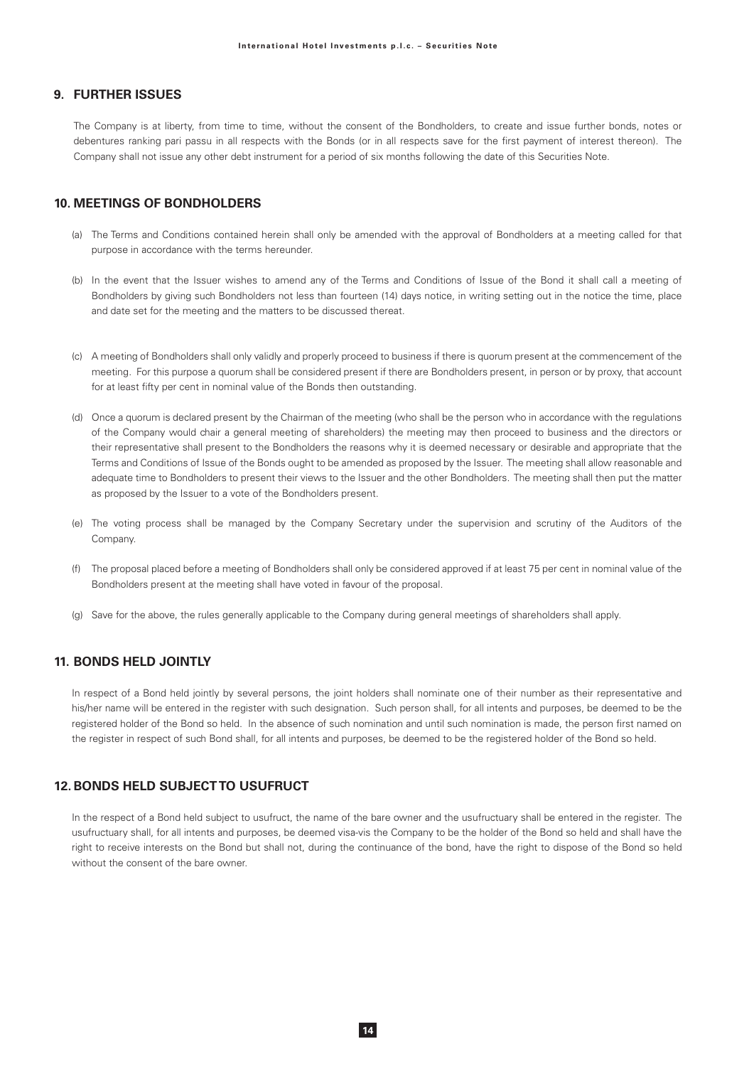# **9. FURTHER ISSUES**

The Company is at liberty, from time to time, without the consent of the Bondholders, to create and issue further bonds, notes or debentures ranking pari passu in all respects with the Bonds (or in all respects save for the first payment of interest thereon). The Company shall not issue any other debt instrument for a period of six months following the date of this Securities Note.

# **10. MEETINGS OF BONDHOLDERS**

- (a) The Terms and Conditions contained herein shall only be amended with the approval of Bondholders at a meeting called for that purpose in accordance with the terms hereunder.
- (b) In the event that the Issuer wishes to amend any of the Terms and Conditions of Issue of the Bond it shall call a meeting of Bondholders by giving such Bondholders not less than fourteen (14) days notice, in writing setting out in the notice the time, place and date set for the meeting and the matters to be discussed thereat.
- (c) A meeting of Bondholders shall only validly and properly proceed to business if there is quorum present at the commencement of the meeting. For this purpose a quorum shall be considered present if there are Bondholders present, in person or by proxy, that account for at least fifty per cent in nominal value of the Bonds then outstanding.
- (d) Once a quorum is declared present by the Chairman of the meeting (who shall be the person who in accordance with the regulations of the Company would chair a general meeting of shareholders) the meeting may then proceed to business and the directors or their representative shall present to the Bondholders the reasons why it is deemed necessary or desirable and appropriate that the Terms and Conditions of Issue of the Bonds ought to be amended as proposed by the Issuer. The meeting shall allow reasonable and adequate time to Bondholders to present their views to the Issuer and the other Bondholders. The meeting shall then put the matter as proposed by the Issuer to a vote of the Bondholders present.
- (e) The voting process shall be managed by the Company Secretary under the supervision and scrutiny of the Auditors of the Company.
- (f) The proposal placed before a meeting of Bondholders shall only be considered approved if at least 75 per cent in nominal value of the Bondholders present at the meeting shall have voted in favour of the proposal.
- (g) Save for the above, the rules generally applicable to the Company during general meetings of shareholders shall apply.

# **11. BONDS HELD JOINTLY**

In respect of a Bond held jointly by several persons, the joint holders shall nominate one of their number as their representative and his/her name will be entered in the register with such designation. Such person shall, for all intents and purposes, be deemed to be the registered holder of the Bond so held. In the absence of such nomination and until such nomination is made, the person first named on the register in respect of such Bond shall, for all intents and purposes, be deemed to be the registered holder of the Bond so held.

# **12. BONDS HELD SUBJECTTO USUFRUCT**

In the respect of a Bond held subject to usufruct, the name of the bare owner and the usufructuary shall be entered in the register. The usufructuary shall, for all intents and purposes, be deemed visa-vis the Company to be the holder of the Bond so held and shall have the right to receive interests on the Bond but shall not, during the continuance of the bond, have the right to dispose of the Bond so held without the consent of the bare owner.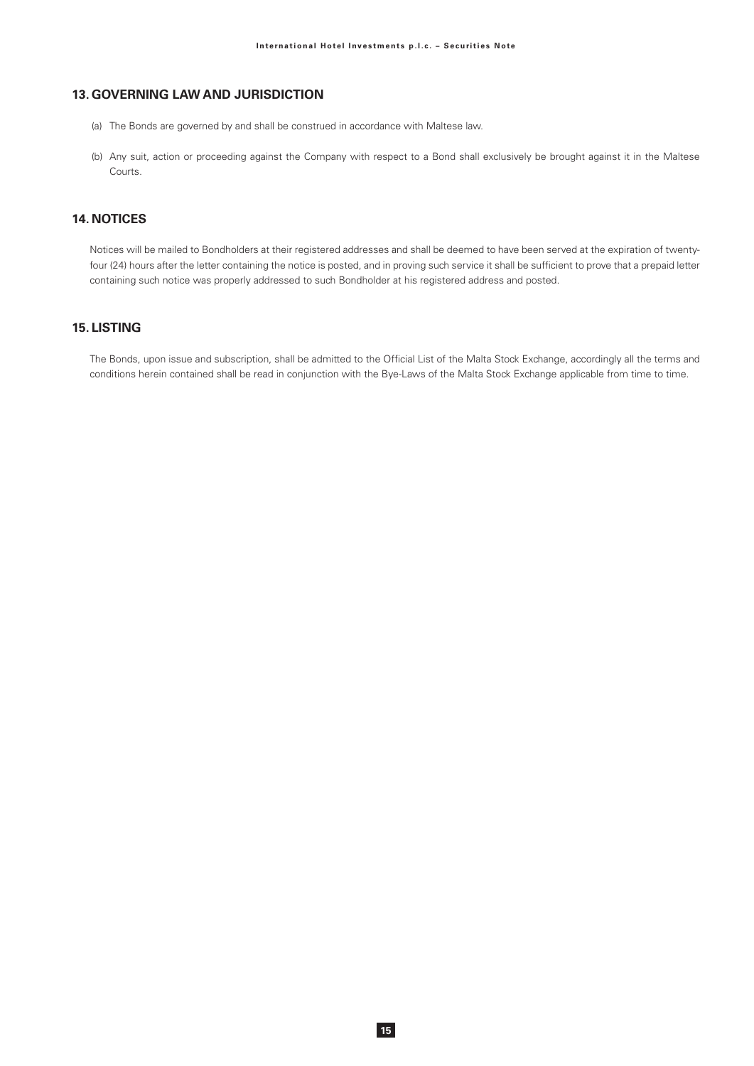# **13. GOVERNING LAW AND JURISDICTION**

- (a) The Bonds are governed by and shall be construed in accordance with Maltese law.
- (b) Any suit, action or proceeding against the Company with respect to a Bond shall exclusively be brought against it in the Maltese Courts.

# **14 NOTICES**

Notices will be mailed to Bondholders at their registered addresses and shall be deemed to have been served at the expiration of twentyfour (24) hours after the letter containing the notice is posted, and in proving such service it shall be sufficient to prove that a prepaid letter containing such notice was properly addressed to such Bondholder at his registered address and posted.

### **15. LISTING**

The Bonds, upon issue and subscription, shall be admitted to the Official List of the Malta Stock Exchange, accordingly all the terms and conditions herein contained shall be read in conjunction with the Bye-Laws of the Malta Stock Exchange applicable from time to time.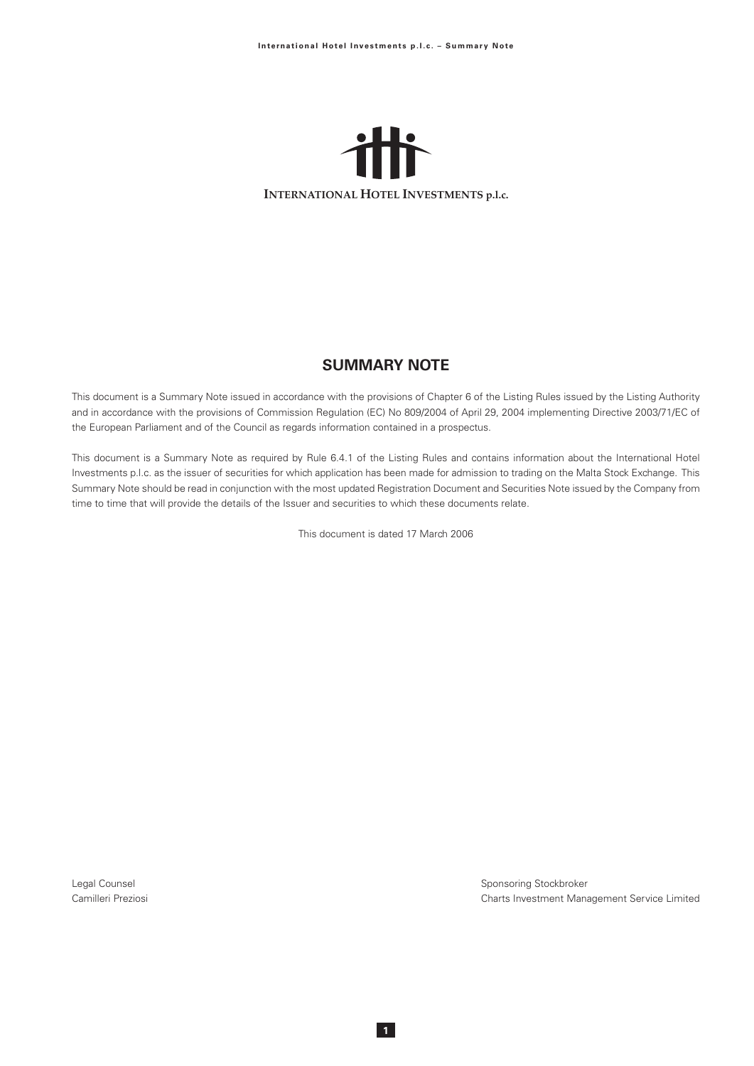

# **SUMMARY NOTE**

This document is a Summary Note issued in accordance with the provisions of Chapter 6 of the Listing Rules issued by the Listing Authority and in accordance with the provisions of Commission Regulation (EC) No 809/2004 of April 29, 2004 implementing Directive 2003/71/EC of the European Parliament and of the Council as regards information contained in a prospectus.

This document is a Summary Note as required by Rule 6.4.1 of the Listing Rules and contains information about the International Hotel Investments p.l.c. as the issuer of securities for which application has been made for admission to trading on the Malta Stock Exchange. This Summary Note should be read in conjunction with the most updated Registration Document and Securities Note issued by the Company from time to time that will provide the details of the Issuer and securities to which these documents relate.

This document is dated 17 March 2006

Legal Counsel Camilleri Preziosi Sponsoring Stockbroker Charts Investment Management Service Limited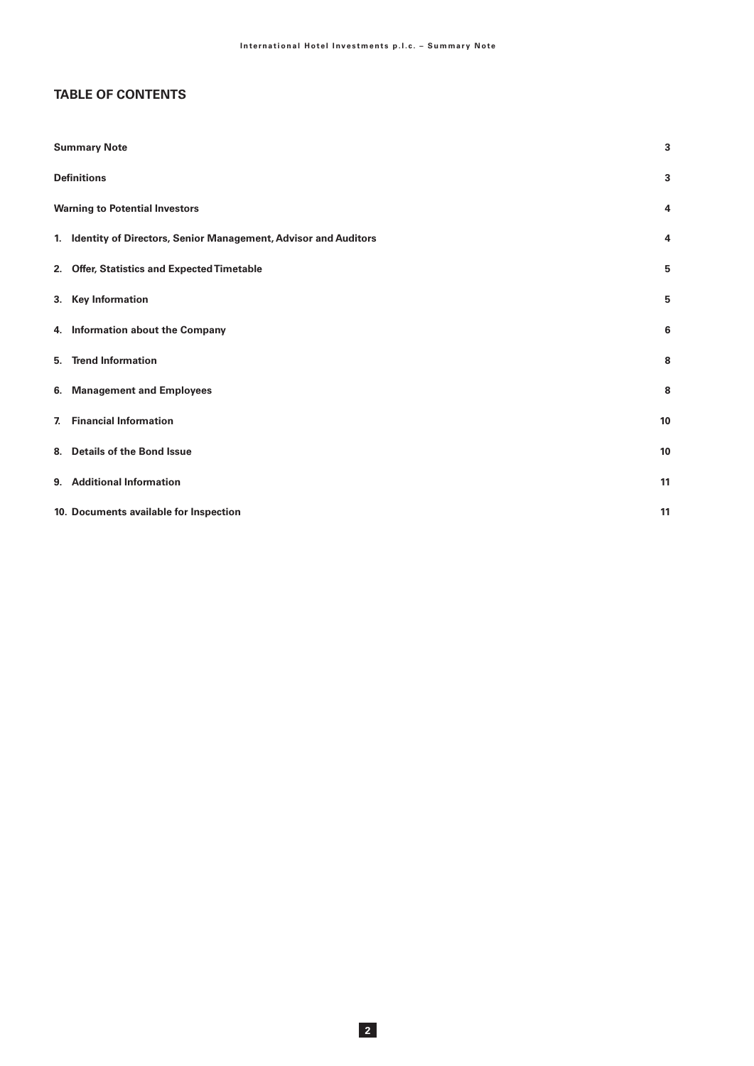# **TABLE OF CONTENTS**

| <b>Summary Note</b>                                               | 3  |
|-------------------------------------------------------------------|----|
| <b>Definitions</b>                                                | 3  |
| <b>Warning to Potential Investors</b>                             | 4  |
| 1. Identity of Directors, Senior Management, Advisor and Auditors | 4  |
| 2. Offer, Statistics and Expected Timetable                       | 5  |
| 3. Key Information                                                | 5  |
| 4. Information about the Company                                  | 6  |
| 5. Trend Information                                              | 8  |
| 6. Management and Employees                                       | 8  |
| 7. Financial Information                                          | 10 |
| 8. Details of the Bond Issue                                      | 10 |
| 9. Additional Information                                         | 11 |
| 10. Documents available for Inspection                            | 11 |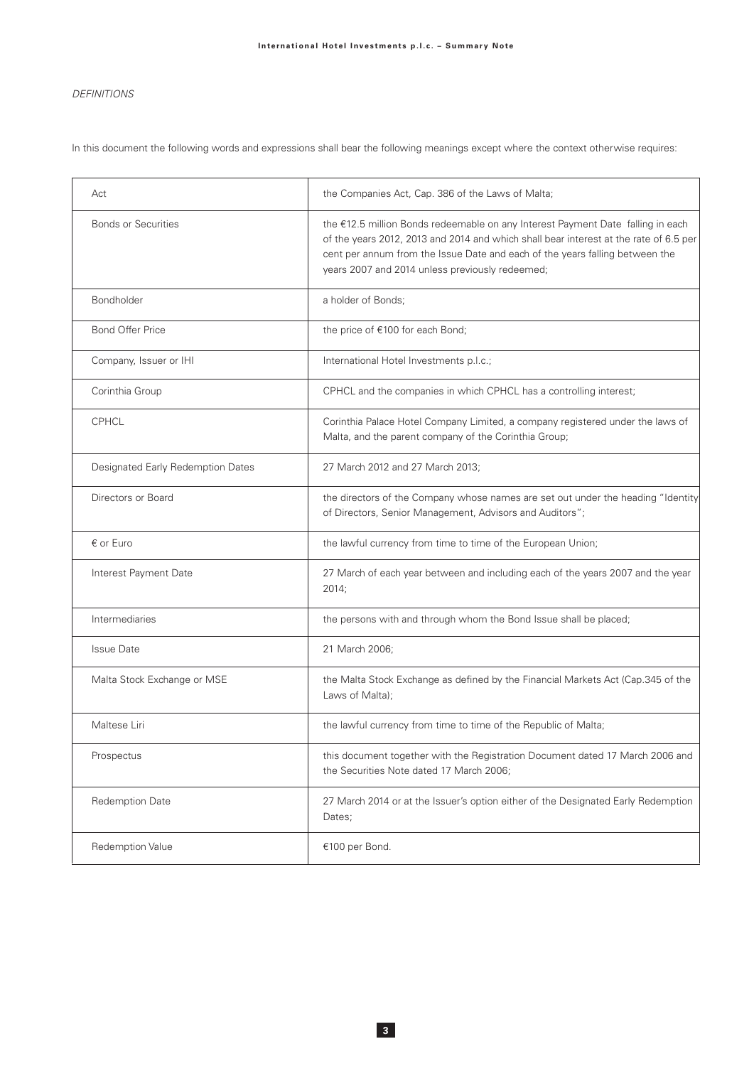# **DEFINITIONS**

In this document the following words and expressions shall bear the following meanings except where the context otherwise requires:

| Act                               | the Companies Act, Cap. 386 of the Laws of Malta;                                                                                                                                                                                                                                                           |
|-----------------------------------|-------------------------------------------------------------------------------------------------------------------------------------------------------------------------------------------------------------------------------------------------------------------------------------------------------------|
| <b>Bonds or Securities</b>        | the €12.5 million Bonds redeemable on any Interest Payment Date falling in each<br>of the years 2012, 2013 and 2014 and which shall bear interest at the rate of 6.5 per<br>cent per annum from the Issue Date and each of the years falling between the<br>years 2007 and 2014 unless previously redeemed; |
| Bondholder                        | a holder of Bonds;                                                                                                                                                                                                                                                                                          |
| <b>Bond Offer Price</b>           | the price of €100 for each Bond;                                                                                                                                                                                                                                                                            |
| Company, Issuer or IHI            | International Hotel Investments p.l.c.;                                                                                                                                                                                                                                                                     |
| Corinthia Group                   | CPHCL and the companies in which CPHCL has a controlling interest;                                                                                                                                                                                                                                          |
| <b>CPHCL</b>                      | Corinthia Palace Hotel Company Limited, a company registered under the laws of<br>Malta, and the parent company of the Corinthia Group;                                                                                                                                                                     |
| Designated Early Redemption Dates | 27 March 2012 and 27 March 2013;                                                                                                                                                                                                                                                                            |
| Directors or Board                | the directors of the Company whose names are set out under the heading "Identity<br>of Directors, Senior Management, Advisors and Auditors";                                                                                                                                                                |
| € or Euro                         | the lawful currency from time to time of the European Union;                                                                                                                                                                                                                                                |
| Interest Payment Date             | 27 March of each year between and including each of the years 2007 and the year<br>2014;                                                                                                                                                                                                                    |
| Intermediaries                    | the persons with and through whom the Bond Issue shall be placed;                                                                                                                                                                                                                                           |
| <b>Issue Date</b>                 | 21 March 2006;                                                                                                                                                                                                                                                                                              |
| Malta Stock Exchange or MSE       | the Malta Stock Exchange as defined by the Financial Markets Act (Cap.345 of the<br>Laws of Malta);                                                                                                                                                                                                         |
| Maltese Liri                      | the lawful currency from time to time of the Republic of Malta;                                                                                                                                                                                                                                             |
| Prospectus                        | this document together with the Registration Document dated 17 March 2006 and<br>the Securities Note dated 17 March 2006;                                                                                                                                                                                   |
| Redemption Date                   | 27 March 2014 or at the Issuer's option either of the Designated Early Redemption<br>Dates;                                                                                                                                                                                                                 |
| <b>Redemption Value</b>           | €100 per Bond.                                                                                                                                                                                                                                                                                              |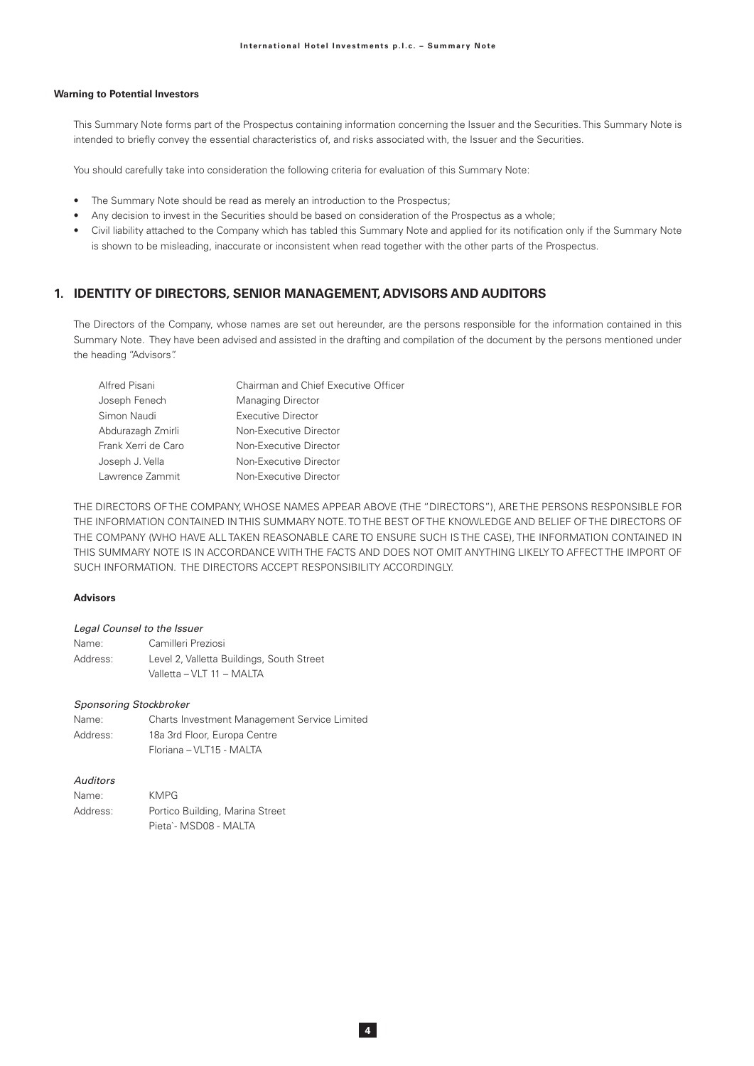### **Warning to Potential Investors**

This Summary Note forms part of the Prospectus containing information concerning the Issuer and the Securities. This Summary Note is intended to briefly convey the essential characteristics of, and risks associated with, the Issuer and the Securities.

You should carefully take into consideration the following criteria for evaluation of this Summary Note:

- The Summary Note should be read as merely an introduction to the Prospectus;
- Any decision to invest in the Securities should be based on consideration of the Prospectus as a whole;
- Civil liability attached to the Company which has tabled this Summary Note and applied for its notification only if the Summary Note is shown to be misleading, inaccurate or inconsistent when read together with the other parts of the Prospectus.

### 1. IDENTITY OF DIRECTORS, SENIOR MANAGEMENT, ADVISORS AND AUDITORS

The Directors of the Company, whose names are set out hereunder, are the persons responsible for the information contained in this Summary Note. They have been advised and assisted in the drafting and compilation of the document by the persons mentioned under the heading "Advisors".

| Alfred Pisani       | Chairman and Chief Executive Officer |
|---------------------|--------------------------------------|
| Joseph Fenech       | <b>Managing Director</b>             |
| Simon Naudi         | Executive Director                   |
| Abdurazagh Zmirli   | Non-Executive Director               |
| Frank Xerri de Caro | Non-Executive Director               |
| Joseph J. Vella     | Non-Executive Director               |
| Lawrence Zammit     | Non-Executive Director               |

THE DIRECTORS OF THE COMPANY, WHOSE NAMES APPEAR ABOVE (THE "DIRECTORS"), ARE THE PERSONS RESPONSIBLE FOR THE INFORMATION CONTAINED IN THIS SUMMARY NOTE. TO THE BEST OF THE KNOWLEDGE AND BELIEF OF THE DIRECTORS OF THE COMPANY (WHO HAVE ALL TAKEN REASONABLE CARE TO ENSURE SUCH IS THE CASE). THE INFORMATION CONTAINED IN THIS SUMMARY NOTE IS IN ACCORDANCE WITH THE FACTS AND DOES NOT OMIT ANYTHING LIKELY TO AFFECT THE IMPORT OF SUCH INFORMATION. THE DIRECTORS ACCEPT RESPONSIBILITY ACCORDINGLY.

#### **Advisors**

#### Legal Counsel to the Issuer

| Name:    | Camilleri Preziosi                        |
|----------|-------------------------------------------|
| Address: | Level 2, Valletta Buildings, South Street |
|          | Valletta - VLT 11 - MALTA                 |

#### **Sponsoring Stockbroker**

| Name:    | Charts Investment Management Service Limited |
|----------|----------------------------------------------|
| Address: | 18a 3rd Floor, Europa Centre                 |
|          | Floriana - VLT15 - MALTA                     |

### Auditors

| Name:    | <b>KMPG</b>                     |
|----------|---------------------------------|
| Address: | Portico Building, Marina Street |
|          | Pieta`- MSD08 - MALTA           |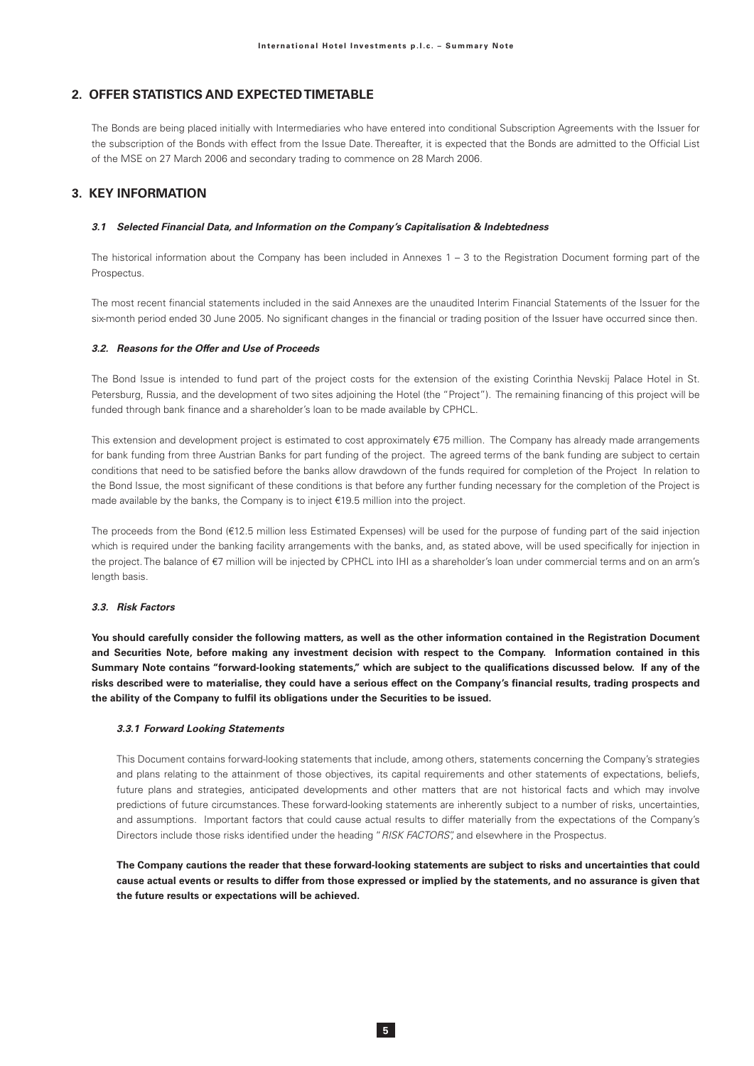# 2. OFFER STATISTICS AND EXPECTED TIMETABLE

The Bonds are being placed initially with Intermediaries who have entered into conditional Subscription Agreements with the Issuer for the subscription of the Bonds with effect from the Issue Date. Thereafter, it is expected that the Bonds are admitted to the Official List of the MSE on 27 March 2006 and secondary trading to commence on 28 March 2006.

### **3. KEY INFORMATION**

#### 3.1 Selected Financial Data, and Information on the Company's Capitalisation & Indebtedness

The historical information about the Company has been included in Annexes  $1 - 3$  to the Registration Document forming part of the Prospectus.

The most recent financial statements included in the said Annexes are the unaudited Interim Financial Statements of the Issuer for the six-month period ended 30 June 2005. No significant changes in the financial or trading position of the Issuer have occurred since then.

#### 32 Reasons for the Offer and I Ise of Proceeds

The Bond Issue is intended to fund part of the project costs for the extension of the existing Corinthia Nevskij Palace Hotel in St. Petersburg, Russia, and the development of two sites adjoining the Hotel (the "Project"). The remaining financing of this project will be funded through bank finance and a shareholder's loan to be made available by CPHCL.

This extension and development project is estimated to cost approximately €75 million. The Company has already made arrangements for bank funding from three Austrian Banks for part funding of the project. The agreed terms of the bank funding are subject to certain conditions that need to be satisfied before the banks allow drawdown of the funds required for completion of the Project In relation to the Bond Issue, the most significant of these conditions is that before any further funding necessary for the completion of the Project is made available by the banks, the Company is to inject €19.5 million into the project.

The proceeds from the Bond (€12.5 million less Estimated Expenses) will be used for the purpose of funding part of the said injection which is required under the banking facility arrangements with the banks, and, as stated above, will be used specifically for injection in the project. The balance of €7 million will be injected by CPHCL into IHI as a shareholder's loan under commercial terms and on an arm's length basis.

#### 33 Risk Factors

You should carefully consider the following matters, as well as the other information contained in the Registration Document and Securities Note, before making any investment decision with respect to the Company. Information contained in this Summary Note contains "forward-looking statements," which are subject to the qualifications discussed below. If any of the risks described were to materialise, they could have a serious effect on the Company's financial results, trading prospects and the ability of the Company to fulfil its obligations under the Securities to be issued.

#### 3.3.1 Forward Looking Statements

This Document contains forward-looking statements that include, among others, statements concerning the Company's strategies and plans relating to the attainment of those objectives, its capital requirements and other statements of expectations, beliefs, future plans and strategies, anticipated developments and other matters that are not historical facts and which may involve predictions of future circumstances. These forward-looking statements are inherently subject to a number of risks, uncertainties, and assumptions. Important factors that could cause actual results to differ materially from the expectations of the Company's Directors include those risks identified under the heading "RISK FACTORS", and elsewhere in the Prospectus.

The Company cautions the reader that these forward-looking statements are subject to risks and uncertainties that could cause actual events or results to differ from those expressed or implied by the statements, and no assurance is given that the future results or expectations will be achieved.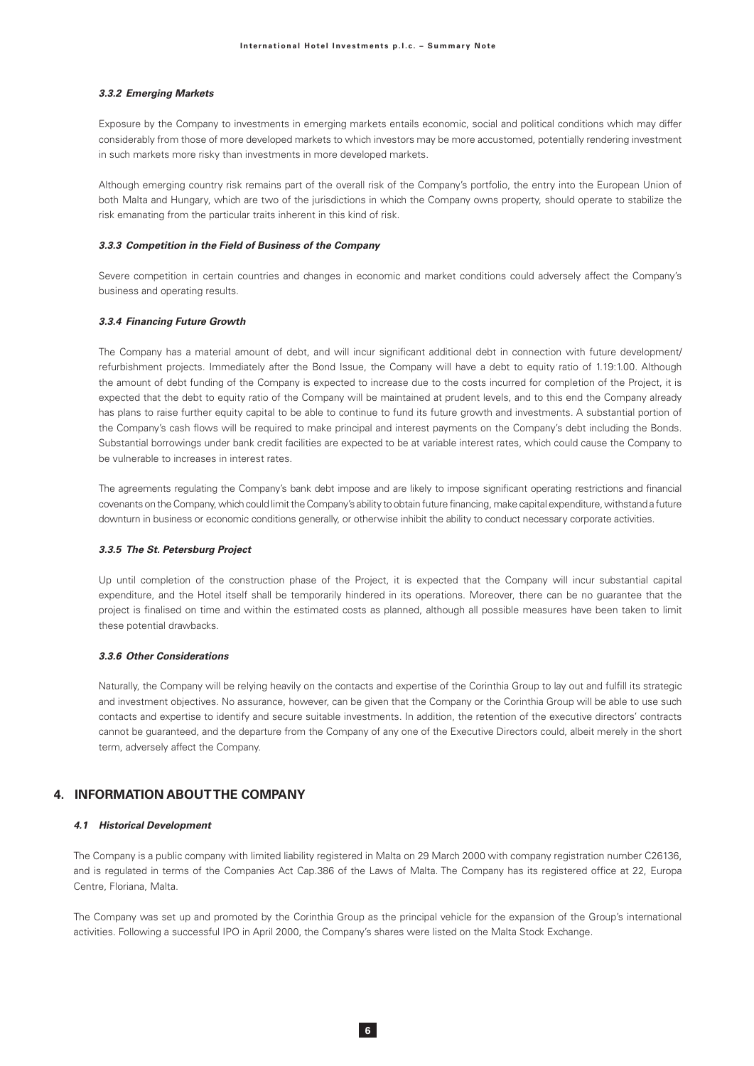#### 3.3.2 Emerging Markets

Exposure by the Company to investments in emerging markets entails economic, social and political conditions which may differ considerably from those of more developed markets to which investors may be more accustomed, potentially rendering investment in such markets more risky than investments in more developed markets.

Although emerging country risk remains part of the overall risk of the Company's portfolio, the entry into the European Union of both Malta and Hungary, which are two of the jurisdictions in which the Company owns property, should operate to stabilize the risk emanating from the particular traits inherent in this kind of risk.

## 3.3.3 Competition in the Field of Business of the Company

Severe competition in certain countries and changes in economic and market conditions could adversely affect the Company's business and operating results.

#### 3.3.4 Financing Future Growth

The Company has a material amount of debt, and will incur significant additional debt in connection with future development/ refurbishment projects. Immediately after the Bond Issue, the Company will have a debt to equity ratio of 1.19:1.00. Although the amount of debt funding of the Company is expected to increase due to the costs incurred for completion of the Project, it is expected that the debt to equity ratio of the Company will be maintained at prudent levels, and to this end the Company already has plans to raise further equity capital to be able to continue to fund its future growth and investments. A substantial portion of the Company's cash flows will be required to make principal and interest payments on the Company's debt including the Bonds. Substantial borrowings under bank credit facilities are expected to be at variable interest rates, which could cause the Company to be vulnerable to increases in interest rates.

The agreements regulating the Company's bank debt impose and are likely to impose significant operating restrictions and financial covenants on the Company, which could limit the Company's ability to obtain future financing, make capital expenditure, withstand a future downturn in business or economic conditions generally, or otherwise inhibit the ability to conduct necessary corporate activities.

#### 3.3.5 The St. Petersburg Project

Up until completion of the construction phase of the Project, it is expected that the Company will incur substantial capital expenditure, and the Hotel itself shall be temporarily hindered in its operations. Moreover, there can be no guarantee that the project is finalised on time and within the estimated costs as planned, although all possible measures have been taken to limit these potential drawbacks.

#### 3.3.6 Other Considerations

Naturally, the Company will be relying heavily on the contacts and expertise of the Corinthia Group to lay out and fulfill its strategic and investment objectives. No assurance, however, can be given that the Company or the Corinthia Group will be able to use such contacts and expertise to identify and secure suitable investments. In addition, the retention of the executive directors' contracts cannot be guaranteed, and the departure from the Company of any one of the Executive Directors could, albeit merely in the short term, adversely affect the Company.

# **4. INFORMATION ABOUT THE COMPANY**

### 4.1 Historical Development

The Company is a public company with limited liability registered in Malta on 29 March 2000 with company registration number C26136, and is regulated in terms of the Companies Act Cap.386 of the Laws of Malta. The Company has its registered office at 22, Europa Centre, Floriana, Malta.

The Company was set up and promoted by the Corinthia Group as the principal vehicle for the expansion of the Group's international activities. Following a successful IPO in April 2000, the Company's shares were listed on the Malta Stock Exchange.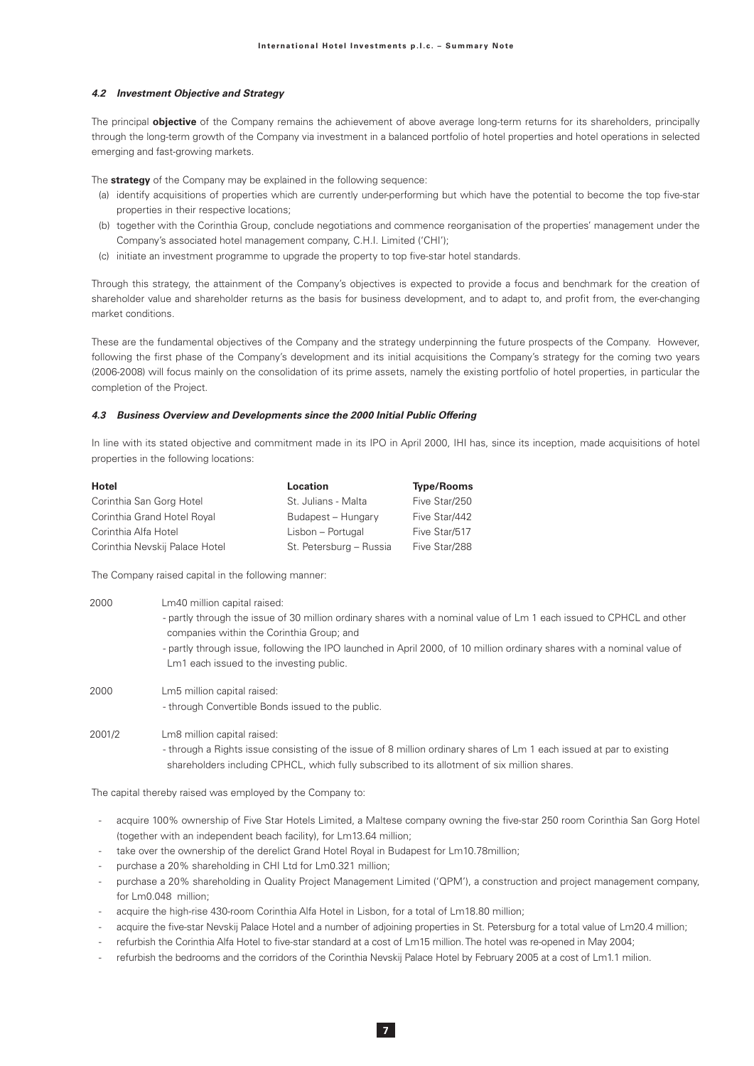#### **4.2 Investment Objective and Strategy**

The principal **objective** of the Company remains the achievement of above average long-term returns for its shareholders, principally through the long-term growth of the Company via investment in a balanced portfolio of hotel properties and hotel operations in selected emerging and fast-growing markets.

The **strategy** of the Company may be explained in the following sequence:

- (a) identify acquisitions of properties which are currently under-performing but which have the potential to become the top five-star properties in their respective locations:
- (b) together with the Corinthia Group, conclude negotiations and commence reorganisation of the properties' management under the Company's associated hotel management company, C.H.I. Limited ('CHI');
- (c) initiate an investment programme to upgrade the property to top five-star hotel standards.

Through this strategy, the attainment of the Company's objectives is expected to provide a focus and benchmark for the creation of shareholder value and shareholder returns as the basis for business development, and to adapt to, and profit from, the ever-changing market conditions.

These are the fundamental objectives of the Company and the strategy underpinning the future prospects of the Company. However, following the first phase of the Company's development and its initial acquisitions the Company's strategy for the coming two years (2006-2008) will focus mainly on the consolidation of its prime assets, namely the existing portfolio of hotel properties, in particular the completion of the Project.

#### **4.3 Business Overview and Developments since the 2000 Initial Public Offering**

In line with its stated objective and commitment made in its IPO in April 2000, IHI has, since its inception, made acquisitions of hotel properties in the following locations:

| Hotel                          | Location                | <b>Type/Rooms</b> |
|--------------------------------|-------------------------|-------------------|
| Corinthia San Gorg Hotel       | St. Julians - Malta     | Five Star/250     |
| Corinthia Grand Hotel Royal    | Budapest - Hungary      | Five Star/442     |
| Corinthia Alfa Hotel           | Lisbon - Portugal       | Five Star/517     |
| Corinthia Nevskij Palace Hotel | St. Petersburg - Russia | Five Star/288     |

The Company raised capital in the following manner:

| 2000   | Lm40 million capital raised:<br>- partly through the issue of 30 million ordinary shares with a nominal value of Lm 1 each issued to CPHCL and other<br>companies within the Corinthia Group; and<br>- partly through issue, following the IPO launched in April 2000, of 10 million ordinary shares with a nominal value of<br>Lm1 each issued to the investing public. |
|--------|--------------------------------------------------------------------------------------------------------------------------------------------------------------------------------------------------------------------------------------------------------------------------------------------------------------------------------------------------------------------------|
| 2000   | Lm5 million capital raised:<br>- through Convertible Bonds issued to the public.                                                                                                                                                                                                                                                                                         |
| 2001/2 | Lm8 million capital raised:<br>- through a Rights issue consisting of the issue of 8 million ordinary shares of Lm 1 each issued at par to existing<br>shareholders including CPHCL, which fully subscribed to its allotment of six million shares.                                                                                                                      |

The capital thereby raised was employed by the Company to:

- acquire 100% ownership of Five Star Hotels Limited, a Maltese company owning the five-star 250 room Corinthia San Gorg Hotel (together with an independent beach facility), for Lm13.64 million;
- take over the ownership of the derelict Grand Hotel Royal in Budapest for Lm10.78million;
- purchase a 20% shareholding in CHI Ltd for Lm0.321 million;
- purchase a 20% shareholding in Quality Project Management Limited ('QPM'), a construction and project management company, for  $Im0.048$  million
- acquire the high-rise 430-room Corinthia Alfa Hotel in Lisbon, for a total of Lm18.80 million;
- acquire the five-star Nevskij Palace Hotel and a number of adjoining properties in St. Petersburg for a total value of Lm20.4 million;
- refurbish the Corinthia Alfa Hotel to five-star standard at a cost of Lm15 million. The hotel was re-opened in May 2004;
- refurbish the bedrooms and the corridors of the Corinthia Nevskij Palace Hotel by February 2005 at a cost of Lm1.1 milion.

 $\overline{7}$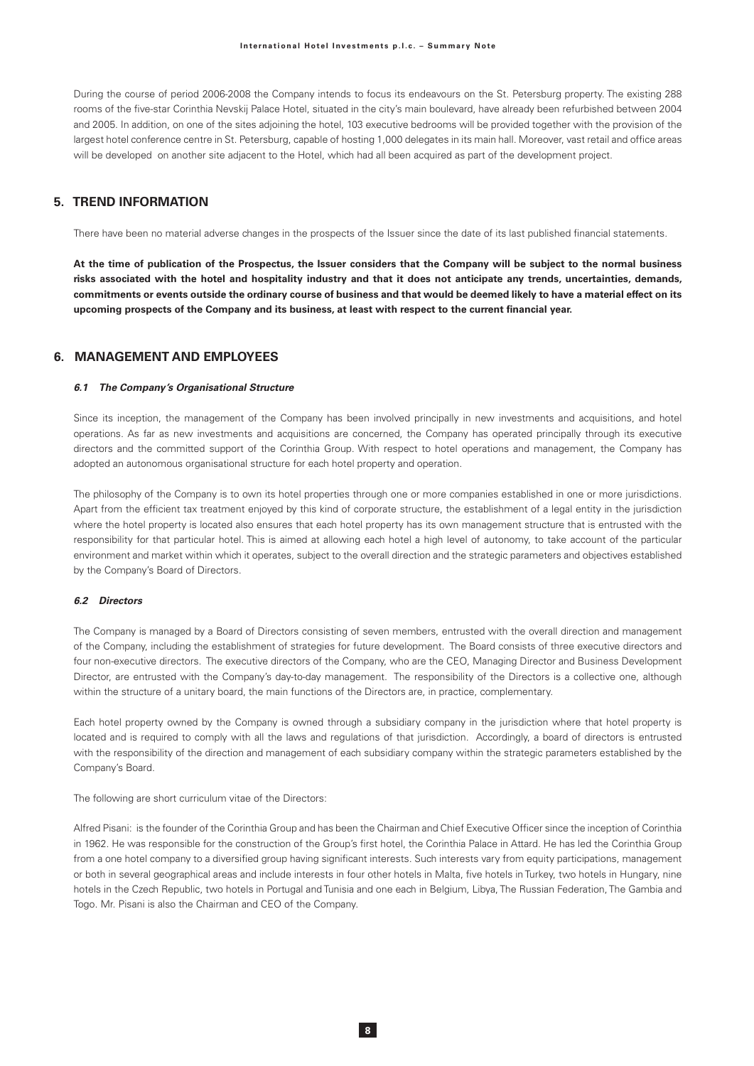During the course of period 2006-2008 the Company intends to focus its endeavours on the St. Petersburg property. The existing 288 rooms of the five-star Corinthia Nevskij Palace Hotel, situated in the city's main boulevard, have already been refurbished between 2004 and 2005. In addition, on one of the sites adjoining the hotel, 103 executive bedrooms will be provided together with the provision of the largest hotel conference centre in St. Petersburg, capable of hosting 1,000 delegates in its main hall. Moreover, vast retail and office areas will be developed on another site adjacent to the Hotel, which had all been acquired as part of the development project.

# **5. TREND INFORMATION**

There have been no material adverse changes in the prospects of the Issuer since the date of its last published financial statements.

At the time of publication of the Prospectus, the Issuer considers that the Company will be subject to the normal business risks associated with the hotel and hospitality industry and that it does not anticipate any trends, uncertainties, demands, commitments or events outside the ordinary course of business and that would be deemed likely to have a material effect on its upcoming prospects of the Company and its business, at least with respect to the current financial year.

# 6 MANAGEMENT AND EMPLOYEES

#### 6.1 The Company's Organisational Structure

Since its inception, the management of the Company has been involved principally in new investments and acquisitions, and hotel operations. As far as new investments and acquisitions are concerned, the Company has operated principally through its executive directors and the committed support of the Corinthia Group. With respect to hotel operations and management, the Company has adopted an autonomous organisational structure for each hotel property and operation.

The philosophy of the Company is to own its hotel properties through one or more companies established in one or more jurisdictions. Apart from the efficient tax treatment enjoyed by this kind of corporate structure, the establishment of a legal entity in the jurisdiction where the hotel property is located also ensures that each hotel property has its own management structure that is entrusted with the responsibility for that particular hotel. This is aimed at allowing each hotel a high level of autonomy, to take account of the particular environment and market within which it operates, subject to the overall direction and the strategic parameters and objectives established by the Company's Board of Directors.

# 6.2 Directors

The Company is managed by a Board of Directors consisting of seven members, entrusted with the overall direction and management of the Company, including the establishment of strategies for future development. The Board consists of three executive directors and four non-executive directors. The executive directors of the Company, who are the CEO, Managing Director and Business Development Director, are entrusted with the Company's day-to-day management. The responsibility of the Directors is a collective one, although within the structure of a unitary board, the main functions of the Directors are, in practice, complementary.

Each hotel property owned by the Company is owned through a subsidiary company in the jurisdiction where that hotel property is located and is required to comply with all the laws and regulations of that jurisdiction. Accordingly, a board of directors is entrusted with the responsibility of the direction and management of each subsidiary company within the strategic parameters established by the Company's Board.

The following are short curriculum vitae of the Directors:

Alfred Pisani: is the founder of the Corinthia Group and has been the Chairman and Chief Executive Officer since the inception of Corinthia in 1962. He was responsible for the construction of the Group's first hotel, the Corinthia Palace in Attard. He has led the Corinthia Group from a one hotel company to a diversified group having significant interests. Such interests vary from equity participations, management or both in several geographical areas and include interests in four other hotels in Malta, five hotels in Turkey, two hotels in Hungary, nine hotels in the Czech Republic, two hotels in Portugal and Tunisia and one each in Belgium, Libya, The Russian Federation, The Gambia and Togo. Mr. Pisani is also the Chairman and CEO of the Company.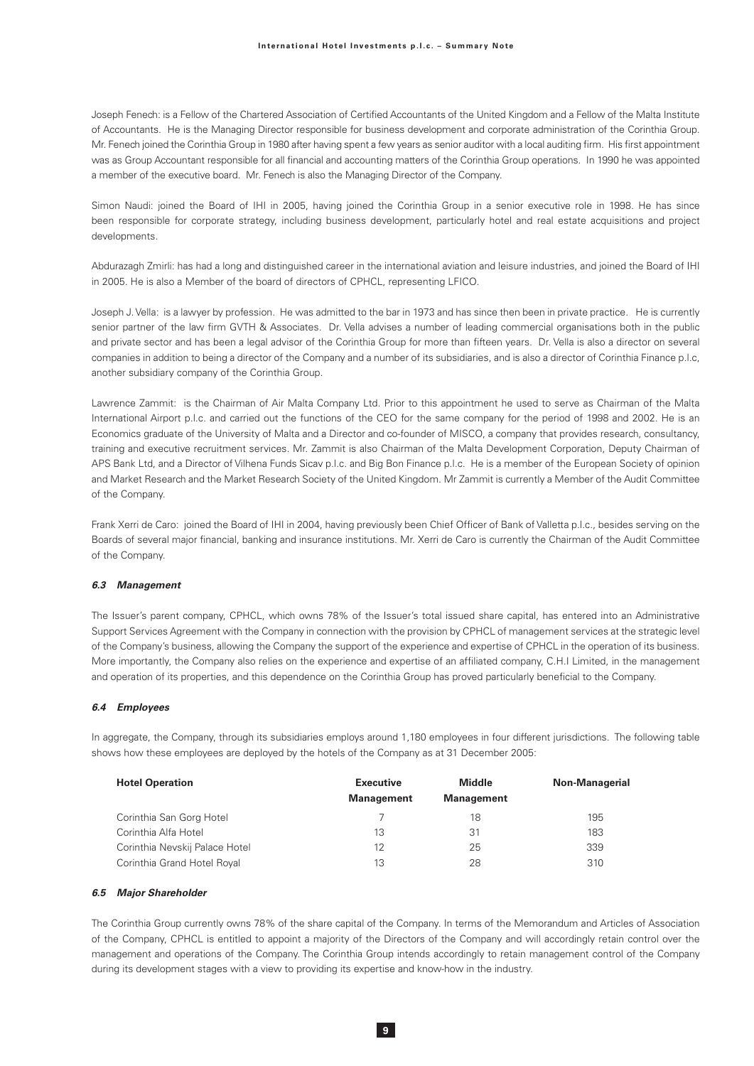Joseph Fenech: is a Fellow of the Chartered Association of Certified Accountants of the United Kingdom and a Fellow of the Malta Institute of Accountants. He is the Managing Director responsible for business development and corporate administration of the Corinthia Group. Mr. Fenech joined the Corinthia Group in 1980 after having spent a few years as senior auditor with a local auditing firm. His first appointment was as Group Accountant responsible for all financial and accounting matters of the Corinthia Group operations. In 1990 he was appointed a member of the executive board. Mr. Fenech is also the Managing Director of the Company.

Simon Naudi: joined the Board of IHI in 2005, having joined the Corinthia Group in a senior executive role in 1998. He has since been responsible for corporate strategy, including business development, particularly hotel and real estate acquisitions and project developments.

Abdurazagh Zmirli: has had a long and distinguished career in the international aviation and leisure industries, and joined the Board of IHI in 2005. He is also a Member of the board of directors of CPHCL, representing LFICO.

Joseph J. Vella: is a lawyer by profession. He was admitted to the bar in 1973 and has since then been in private practice. He is currently senior partner of the law firm GVTH & Associates. Dr. Vella advises a number of leading commercial organisations both in the public and private sector and has been a legal advisor of the Corinthia Group for more than fifteen years. Dr. Vella is also a director on several companies in addition to being a director of the Company and a number of its subsidiaries, and is also a director of Corinthia Finance p.l.c, another subsidiary company of the Corinthia Group.

Lawrence Zammit: is the Chairman of Air Malta Company Ltd. Prior to this appointment he used to serve as Chairman of the Malta International Airport p.l.c. and carried out the functions of the CEO for the same company for the period of 1998 and 2002. He is an Economics graduate of the University of Malta and a Director and co-founder of MISCO, a company that provides research, consultancy, training and executive recruitment services. Mr. Zammit is also Chairman of the Malta Development Corporation, Deputy Chairman of APS Bank Ltd, and a Director of Vilhena Funds Sicav p.l.c. and Big Bon Finance p.l.c. He is a member of the European Society of opinion and Market Research and the Market Research Society of the United Kingdom. Mr Zammit is currently a Member of the Audit Committee of the Company.

Frank Xerri de Caro: joined the Board of IHI in 2004, having previously been Chief Officer of Bank of Valletta p.l.c., besides serving on the Boards of several major financial, banking and insurance institutions. Mr. Xerri de Caro is currently the Chairman of the Audit Committee of the Company.

### 6.3 Management

The Issuer's parent company, CPHCL, which owns 78% of the Issuer's total issued share capital, has entered into an Administrative Support Services Agreement with the Company in connection with the provision by CPHCL of management services at the strategic level of the Company's business, allowing the Company the support of the experience and expertise of CPHCL in the operation of its business. More importantly, the Company also relies on the experience and expertise of an affiliated company, C.H.I Limited, in the management and operation of its properties, and this dependence on the Corinthia Group has proved particularly beneficial to the Company.

#### 6.4 Employees

In aggregate, the Company, through its subsidiaries employs around 1,180 employees in four different jurisdictions. The following table shows how these employees are deployed by the hotels of the Company as at 31 December 2005:

| <b>Hotel Operation</b>         | <b>Executive</b>  | <b>Middle</b>     | <b>Non-Managerial</b> |
|--------------------------------|-------------------|-------------------|-----------------------|
|                                | <b>Management</b> | <b>Management</b> |                       |
| Corinthia San Gorg Hotel       |                   | 18                | 195                   |
| Corinthia Alfa Hotel           | 13                | 31                | 183                   |
| Corinthia Nevskij Palace Hotel | 12                | 25                | 339                   |
| Corinthia Grand Hotel Royal    | 13                | 28                | 310                   |

#### 6.5 Major Shareholder

The Corinthia Group currently owns 78% of the share capital of the Company. In terms of the Memorandum and Articles of Association of the Company, CPHCL is entitled to appoint a majority of the Directors of the Company and will accordingly retain control over the management and operations of the Company. The Corinthia Group intends accordingly to retain management control of the Company during its development stages with a view to providing its expertise and know-how in the industry.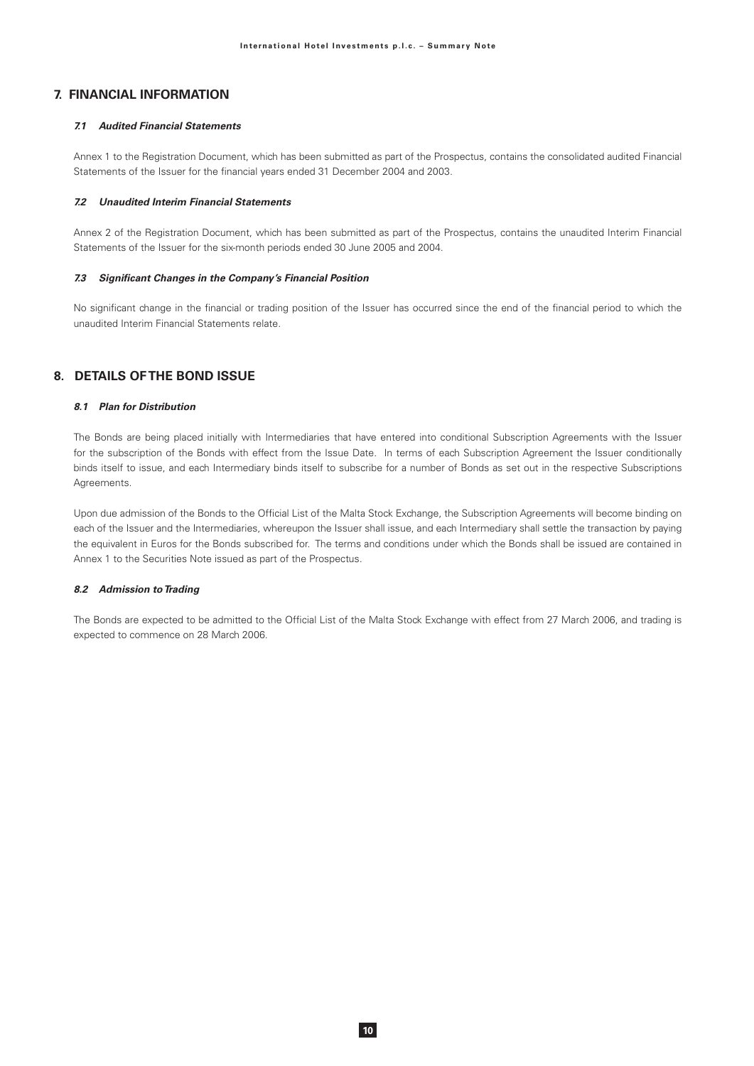# 7. FINANCIAL INFORMATION

### **71** Audited Financial Statements

Annex 1 to the Registration Document, which has been submitted as part of the Prospectus, contains the consolidated audited Financial Statements of the Issuer for the financial years ended 31 December 2004 and 2003.

#### 7.2 Unaudited Interim Financial Statements

Annex 2 of the Registration Document, which has been submitted as part of the Prospectus, contains the unaudited Interim Financial Statements of the Issuer for the six-month periods ended 30 June 2005 and 2004.

#### 7.3 Significant Changes in the Company's Financial Position

No significant change in the financial or trading position of the Issuer has occurred since the end of the financial period to which the unaudited Interim Financial Statements relate.

# 8. DETAILS OF THE BOND ISSUE

#### 8.1 Plan for Distribution

The Bonds are being placed initially with Intermediaries that have entered into conditional Subscription Agreements with the Issuer for the subscription of the Bonds with effect from the Issue Date. In terms of each Subscription Agreement the Issuer conditionally binds itself to issue, and each Intermediary binds itself to subscribe for a number of Bonds as set out in the respective Subscriptions Agreements.

Upon due admission of the Bonds to the Official List of the Malta Stock Exchange, the Subscription Agreements will become binding on each of the Issuer and the Intermediaries, whereupon the Issuer shall issue, and each Intermediary shall settle the transaction by paying the equivalent in Euros for the Bonds subscribed for. The terms and conditions under which the Bonds shall be issued are contained in Annex 1 to the Securities Note issued as part of the Prospectus.

### 8.2 Admission to Trading

The Bonds are expected to be admitted to the Official List of the Malta Stock Exchange with effect from 27 March 2006, and trading is expected to commence on 28 March 2006.